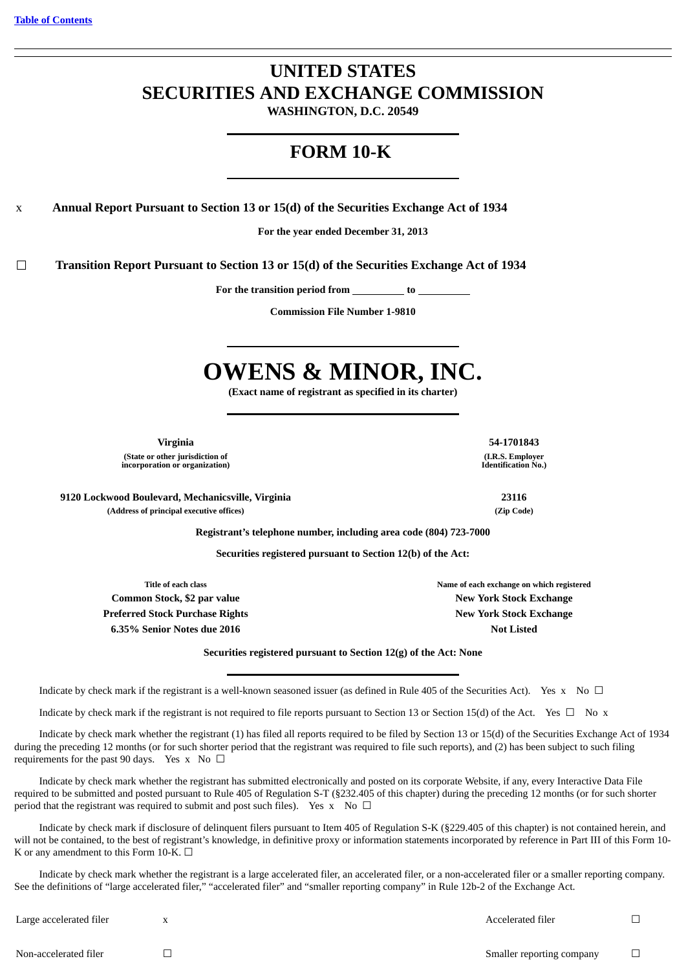# **UNITED STATES SECURITIES AND EXCHANGE COMMISSION**

**WASHINGTON, D.C. 20549**

# **FORM 10-K**

x **Annual Report Pursuant to Section 13 or 15(d) of the Securities Exchange Act of 1934**

**For the year ended December 31, 2013**

☐ **Transition Report Pursuant to Section 13 or 15(d) of the Securities Exchange Act of 1934**

**For the transition period from \_\_\_\_\_\_\_\_\_\_\_ to \_\_\_\_\_\_\_\_\_\_\_** 

**Commission File Number 1-9810**

# **OWENS & MINOR, INC.**

**(Exact name of registrant as specified in its charter)**

**(State or other jurisdiction of incorporation or organization)**

**Virginia 54-1701843 (I.R.S. Employer Identification No.)**

**9120 Lockwood Boulevard, Mechanicsville, Virginia 23116 (Address of principal executive offices) (Zip Code)**

**Registrant's telephone number, including area code (804) 723-7000**

**Securities registered pursuant to Section 12(b) of the Act:**

**Common Stock, \$2 par value New York Stock Exchange Preferred Stock Purchase Rights New York Stock Exchange 6.35% Senior Notes due 2016 Not Listed**

**Title of each class Name of each exchange on which registered**

#### **Securities registered pursuant to Section 12(g) of the Act: None**

Indicate by check mark if the registrant is a well-known seasoned issuer (as defined in Rule 405 of the Securities Act). Yes  $x$  No  $\Box$ 

Indicate by check mark if the registrant is not required to file reports pursuant to Section 13 or Section 15(d) of the Act. Yes  $\Box$  No x

Indicate by check mark whether the registrant (1) has filed all reports required to be filed by Section 13 or 15(d) of the Securities Exchange Act of 1934 during the preceding 12 months (or for such shorter period that the registrant was required to file such reports), and (2) has been subject to such filing requirements for the past 90 days. Yes x No  $\Box$ 

Indicate by check mark whether the registrant has submitted electronically and posted on its corporate Website, if any, every Interactive Data File required to be submitted and posted pursuant to Rule 405 of Regulation S-T (§232.405 of this chapter) during the preceding 12 months (or for such shorter period that the registrant was required to submit and post such files). Yes  $x \in No \Box$ 

Indicate by check mark if disclosure of delinquent filers pursuant to Item 405 of Regulation S-K (§229.405 of this chapter) is not contained herein, and will not be contained, to the best of registrant's knowledge, in definitive proxy or information statements incorporated by reference in Part III of this Form 10-K or any amendment to this Form 10-K.  $\Box$ 

Indicate by check mark whether the registrant is a large accelerated filer, an accelerated filer, or a non-accelerated filer or a smaller reporting company. See the definitions of "large accelerated filer," "accelerated filer" and "smaller reporting company" in Rule 12b-2 of the Exchange Act.

| Large accelerated filer | X | Accelerated filer         |        |
|-------------------------|---|---------------------------|--------|
| Non-accelerated filer   |   | Smaller reporting company | $\Box$ |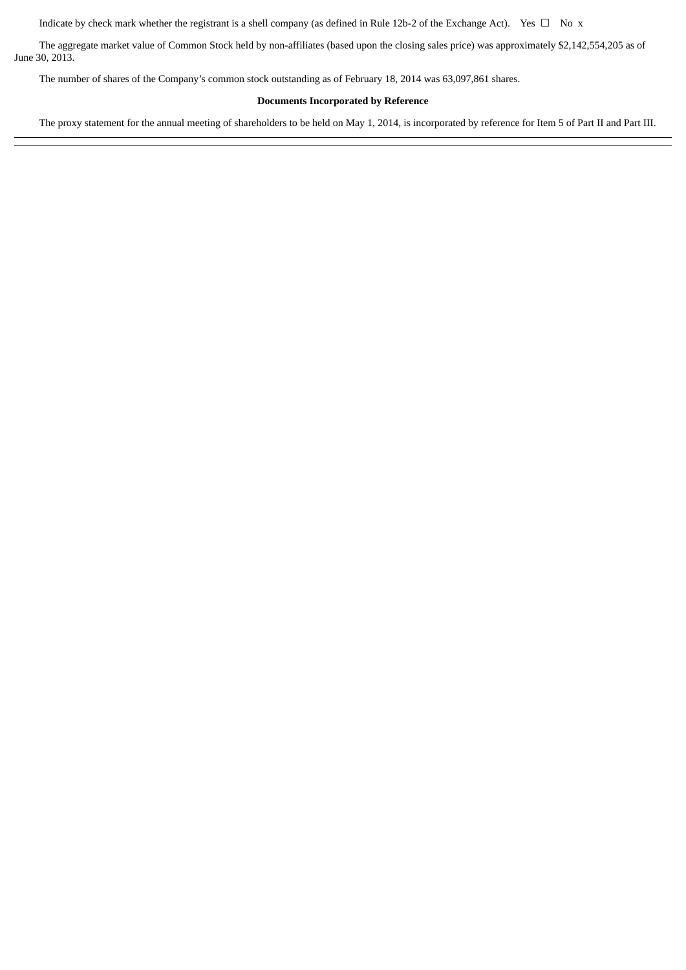Indicate by check mark whether the registrant is a shell company (as defined in Rule 12b-2 of the Exchange Act). Yes  $\Box$  No x

The aggregate market value of Common Stock held by non-affiliates (based upon the closing sales price) was approximately \$2,142,554,205 as of June 30, 2013.

The number of shares of the Company's common stock outstanding as of February 18, 2014 was 63,097,861 shares.

# **Documents Incorporated by Reference**

<span id="page-1-0"></span>The proxy statement for the annual meeting of shareholders to be held on May 1, 2014, is incorporated by reference for Item 5 of Part II and Part III.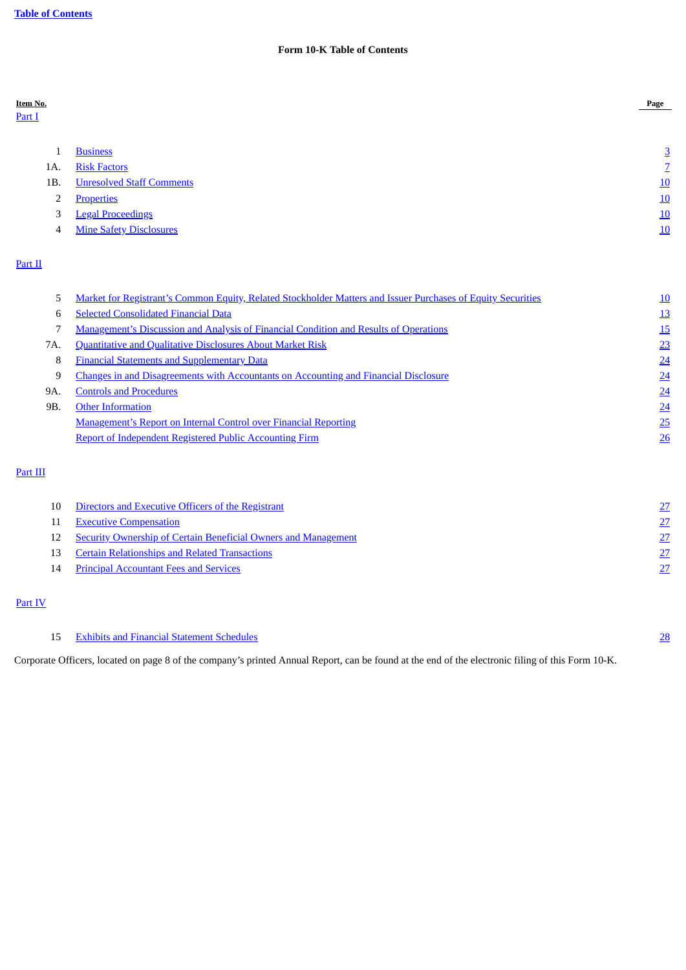# **Form 10-K Table of Contents**

| Item No.              |                                                                                                              | Page            |
|-----------------------|--------------------------------------------------------------------------------------------------------------|-----------------|
| Part I                |                                                                                                              |                 |
|                       |                                                                                                              |                 |
| 1                     | <b>Business</b>                                                                                              | $\overline{3}$  |
| 1A.                   | <b>Risk Factors</b>                                                                                          | $\overline{Z}$  |
| 1B.<br>$\overline{2}$ | <b>Unresolved Staff Comments</b>                                                                             | 10              |
| 3                     | <b>Properties</b><br><b>Legal Proceedings</b>                                                                | 10              |
|                       |                                                                                                              | 10              |
| 4                     | <b>Mine Safety Disclosures</b>                                                                               | 10              |
| Part II               |                                                                                                              |                 |
| 5                     | Market for Registrant's Common Equity, Related Stockholder Matters and Issuer Purchases of Equity Securities | 10              |
| 6                     | <b>Selected Consolidated Financial Data</b>                                                                  | <u>13</u>       |
| 7                     | Management's Discussion and Analysis of Financial Condition and Results of Operations                        | $\overline{15}$ |
| 7A.                   | <b>Quantitative and Qualitative Disclosures About Market Risk</b>                                            | $\overline{23}$ |
| 8                     | <b>Financial Statements and Supplementary Data</b>                                                           | $\overline{24}$ |
| 9                     | Changes in and Disagreements with Accountants on Accounting and Financial Disclosure                         | $\frac{24}{5}$  |
| 9A.                   | <b>Controls and Procedures</b>                                                                               | $\frac{24}{5}$  |
| 9B.                   | <b>Other Information</b>                                                                                     | $\frac{24}{5}$  |
|                       | <b>Management's Report on Internal Control over Financial Reporting</b>                                      | $\overline{25}$ |
|                       | <b>Report of Independent Registered Public Accounting Firm</b>                                               | 26              |
| Part III              |                                                                                                              |                 |
| 10                    | Directors and Executive Officers of the Registrant                                                           | 27              |
| 11                    | <b>Executive Compensation</b>                                                                                | 27              |
| 12                    | <b>Security Ownership of Certain Beneficial Owners and Management</b>                                        | 27              |
| 13                    | <b>Certain Relationships and Related Transactions</b>                                                        | 27              |
| 14                    | <b>Principal Accountant Fees and Services</b>                                                                | 27              |
|                       |                                                                                                              |                 |

# [Part](#page-27-7) IV

15 Exhibits and Financial Statement [Schedules](#page-28-0) [28](#page-28-0)

<span id="page-2-0"></span>Corporate Officers, located on page 8 of the company's printed Annual Report, can be found at the end of the electronic filing of this Form 10-K.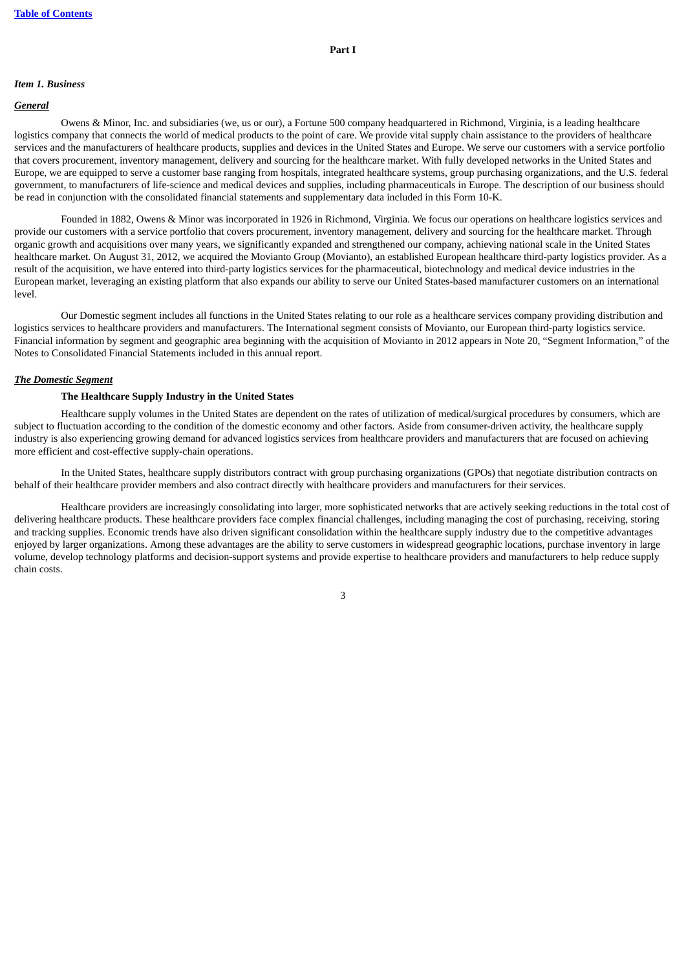### <span id="page-3-0"></span>*Item 1. Business*

#### *General*

Owens & Minor, Inc. and subsidiaries (we, us or our), a Fortune 500 company headquartered in Richmond, Virginia, is a leading healthcare logistics company that connects the world of medical products to the point of care. We provide vital supply chain assistance to the providers of healthcare services and the manufacturers of healthcare products, supplies and devices in the United States and Europe. We serve our customers with a service portfolio that covers procurement, inventory management, delivery and sourcing for the healthcare market. With fully developed networks in the United States and Europe, we are equipped to serve a customer base ranging from hospitals, integrated healthcare systems, group purchasing organizations, and the U.S. federal government, to manufacturers of life-science and medical devices and supplies, including pharmaceuticals in Europe. The description of our business should be read in conjunction with the consolidated financial statements and supplementary data included in this Form 10-K.

Founded in 1882, Owens & Minor was incorporated in 1926 in Richmond, Virginia. We focus our operations on healthcare logistics services and provide our customers with a service portfolio that covers procurement, inventory management, delivery and sourcing for the healthcare market. Through organic growth and acquisitions over many years, we significantly expanded and strengthened our company, achieving national scale in the United States healthcare market. On August 31, 2012, we acquired the Movianto Group (Movianto), an established European healthcare third-party logistics provider. As a result of the acquisition, we have entered into third-party logistics services for the pharmaceutical, biotechnology and medical device industries in the European market, leveraging an existing platform that also expands our ability to serve our United States-based manufacturer customers on an international level.

Our Domestic segment includes all functions in the United States relating to our role as a healthcare services company providing distribution and logistics services to healthcare providers and manufacturers. The International segment consists of Movianto, our European third-party logistics service. Financial information by segment and geographic area beginning with the acquisition of Movianto in 2012 appears in Note 20, "Segment Information," of the Notes to Consolidated Financial Statements included in this annual report.

#### *The Domestic Segment*

#### **The Healthcare Supply Industry in the United States**

Healthcare supply volumes in the United States are dependent on the rates of utilization of medical/surgical procedures by consumers, which are subject to fluctuation according to the condition of the domestic economy and other factors. Aside from consumer-driven activity, the healthcare supply industry is also experiencing growing demand for advanced logistics services from healthcare providers and manufacturers that are focused on achieving more efficient and cost-effective supply-chain operations.

In the United States, healthcare supply distributors contract with group purchasing organizations (GPOs) that negotiate distribution contracts on behalf of their healthcare provider members and also contract directly with healthcare providers and manufacturers for their services.

Healthcare providers are increasingly consolidating into larger, more sophisticated networks that are actively seeking reductions in the total cost of delivering healthcare products. These healthcare providers face complex financial challenges, including managing the cost of purchasing, receiving, storing and tracking supplies. Economic trends have also driven significant consolidation within the healthcare supply industry due to the competitive advantages enjoyed by larger organizations. Among these advantages are the ability to serve customers in widespread geographic locations, purchase inventory in large volume, develop technology platforms and decision-support systems and provide expertise to healthcare providers and manufacturers to help reduce supply chain costs.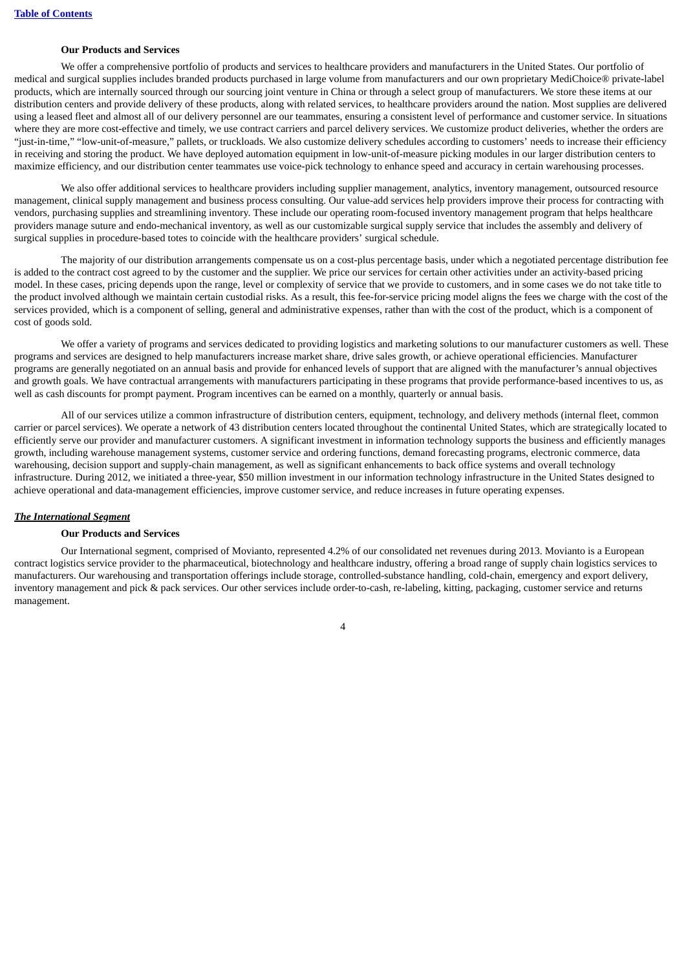# **Our Products and Services**

We offer a comprehensive portfolio of products and services to healthcare providers and manufacturers in the United States. Our portfolio of medical and surgical supplies includes branded products purchased in large volume from manufacturers and our own proprietary MediChoice® private-label products, which are internally sourced through our sourcing joint venture in China or through a select group of manufacturers. We store these items at our distribution centers and provide delivery of these products, along with related services, to healthcare providers around the nation. Most supplies are delivered using a leased fleet and almost all of our delivery personnel are our teammates, ensuring a consistent level of performance and customer service. In situations where they are more cost-effective and timely, we use contract carriers and parcel delivery services. We customize product deliveries, whether the orders are "just-in-time," "low-unit-of-measure," pallets, or truckloads. We also customize delivery schedules according to customers' needs to increase their efficiency in receiving and storing the product. We have deployed automation equipment in low-unit-of-measure picking modules in our larger distribution centers to maximize efficiency, and our distribution center teammates use voice-pick technology to enhance speed and accuracy in certain warehousing processes.

We also offer additional services to healthcare providers including supplier management, analytics, inventory management, outsourced resource management, clinical supply management and business process consulting. Our value-add services help providers improve their process for contracting with vendors, purchasing supplies and streamlining inventory. These include our operating room-focused inventory management program that helps healthcare providers manage suture and endo-mechanical inventory, as well as our customizable surgical supply service that includes the assembly and delivery of surgical supplies in procedure-based totes to coincide with the healthcare providers' surgical schedule.

The majority of our distribution arrangements compensate us on a cost-plus percentage basis, under which a negotiated percentage distribution fee is added to the contract cost agreed to by the customer and the supplier. We price our services for certain other activities under an activity-based pricing model. In these cases, pricing depends upon the range, level or complexity of service that we provide to customers, and in some cases we do not take title to the product involved although we maintain certain custodial risks. As a result, this fee-for-service pricing model aligns the fees we charge with the cost of the services provided, which is a component of selling, general and administrative expenses, rather than with the cost of the product, which is a component of cost of goods sold.

We offer a variety of programs and services dedicated to providing logistics and marketing solutions to our manufacturer customers as well. These programs and services are designed to help manufacturers increase market share, drive sales growth, or achieve operational efficiencies. Manufacturer programs are generally negotiated on an annual basis and provide for enhanced levels of support that are aligned with the manufacturer's annual objectives and growth goals. We have contractual arrangements with manufacturers participating in these programs that provide performance-based incentives to us, as well as cash discounts for prompt payment. Program incentives can be earned on a monthly, quarterly or annual basis.

All of our services utilize a common infrastructure of distribution centers, equipment, technology, and delivery methods (internal fleet, common carrier or parcel services). We operate a network of 43 distribution centers located throughout the continental United States, which are strategically located to efficiently serve our provider and manufacturer customers. A significant investment in information technology supports the business and efficiently manages growth, including warehouse management systems, customer service and ordering functions, demand forecasting programs, electronic commerce, data warehousing, decision support and supply-chain management, as well as significant enhancements to back office systems and overall technology infrastructure. During 2012, we initiated a three-year, \$50 million investment in our information technology infrastructure in the United States designed to achieve operational and data-management efficiencies, improve customer service, and reduce increases in future operating expenses.

#### *The International Segment*

#### **Our Products and Services**

Our International segment, comprised of Movianto, represented 4.2% of our consolidated net revenues during 2013. Movianto is a European contract logistics service provider to the pharmaceutical, biotechnology and healthcare industry, offering a broad range of supply chain logistics services to manufacturers. Our warehousing and transportation offerings include storage, controlled-substance handling, cold-chain, emergency and export delivery, inventory management and pick & pack services. Our other services include order-to-cash, re-labeling, kitting, packaging, customer service and returns management.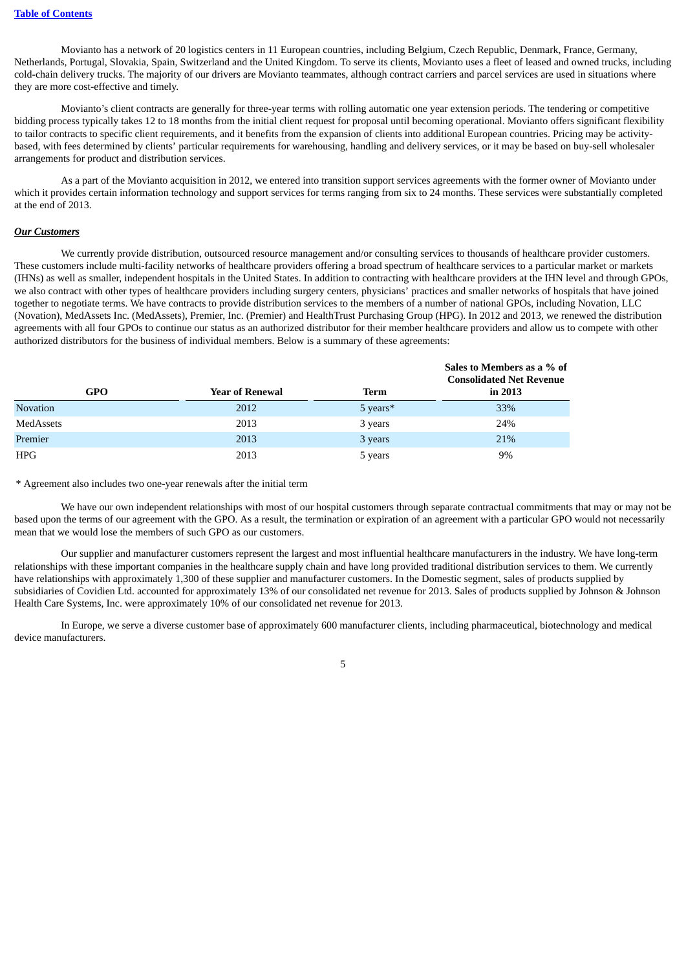Movianto has a network of 20 logistics centers in 11 European countries, including Belgium, Czech Republic, Denmark, France, Germany, Netherlands, Portugal, Slovakia, Spain, Switzerland and the United Kingdom. To serve its clients, Movianto uses a fleet of leased and owned trucks, including cold-chain delivery trucks. The majority of our drivers are Movianto teammates, although contract carriers and parcel services are used in situations where they are more cost-effective and timely.

Movianto's client contracts are generally for three-year terms with rolling automatic one year extension periods. The tendering or competitive bidding process typically takes 12 to 18 months from the initial client request for proposal until becoming operational. Movianto offers significant flexibility to tailor contracts to specific client requirements, and it benefits from the expansion of clients into additional European countries. Pricing may be activitybased, with fees determined by clients' particular requirements for warehousing, handling and delivery services, or it may be based on buy-sell wholesaler arrangements for product and distribution services.

As a part of the Movianto acquisition in 2012, we entered into transition support services agreements with the former owner of Movianto under which it provides certain information technology and support services for terms ranging from six to 24 months. These services were substantially completed at the end of 2013.

### *Our Customers*

We currently provide distribution, outsourced resource management and/or consulting services to thousands of healthcare provider customers. These customers include multi-facility networks of healthcare providers offering a broad spectrum of healthcare services to a particular market or markets (IHNs) as well as smaller, independent hospitals in the United States. In addition to contracting with healthcare providers at the IHN level and through GPOs, we also contract with other types of healthcare providers including surgery centers, physicians' practices and smaller networks of hospitals that have joined together to negotiate terms. We have contracts to provide distribution services to the members of a number of national GPOs, including Novation, LLC (Novation), MedAssets Inc. (MedAssets), Premier, Inc. (Premier) and HealthTrust Purchasing Group (HPG). In 2012 and 2013, we renewed the distribution agreements with all four GPOs to continue our status as an authorized distributor for their member healthcare providers and allow us to compete with other authorized distributors for the business of individual members. Below is a summary of these agreements:

| <b>GPO</b>      | <b>Year of Renewal</b> | Term     | Sales to Members as a % of<br><b>Consolidated Net Revenue</b><br>in 2013 |
|-----------------|------------------------|----------|--------------------------------------------------------------------------|
| <b>Novation</b> | 2012                   | 5 years* | 33%                                                                      |
| MedAssets       | 2013                   | 3 years  | 24%                                                                      |
| Premier         | 2013                   | 3 years  | 21%                                                                      |
| <b>HPG</b>      | 2013                   | 5 years  | 9%                                                                       |

\* Agreement also includes two one-year renewals after the initial term

We have our own independent relationships with most of our hospital customers through separate contractual commitments that may or may not be based upon the terms of our agreement with the GPO. As a result, the termination or expiration of an agreement with a particular GPO would not necessarily mean that we would lose the members of such GPO as our customers.

Our supplier and manufacturer customers represent the largest and most influential healthcare manufacturers in the industry. We have long-term relationships with these important companies in the healthcare supply chain and have long provided traditional distribution services to them. We currently have relationships with approximately 1,300 of these supplier and manufacturer customers. In the Domestic segment, sales of products supplied by subsidiaries of Covidien Ltd. accounted for approximately 13% of our consolidated net revenue for 2013. Sales of products supplied by Johnson & Johnson Health Care Systems, Inc. were approximately 10% of our consolidated net revenue for 2013.

In Europe, we serve a diverse customer base of approximately 600 manufacturer clients, including pharmaceutical, biotechnology and medical device manufacturers.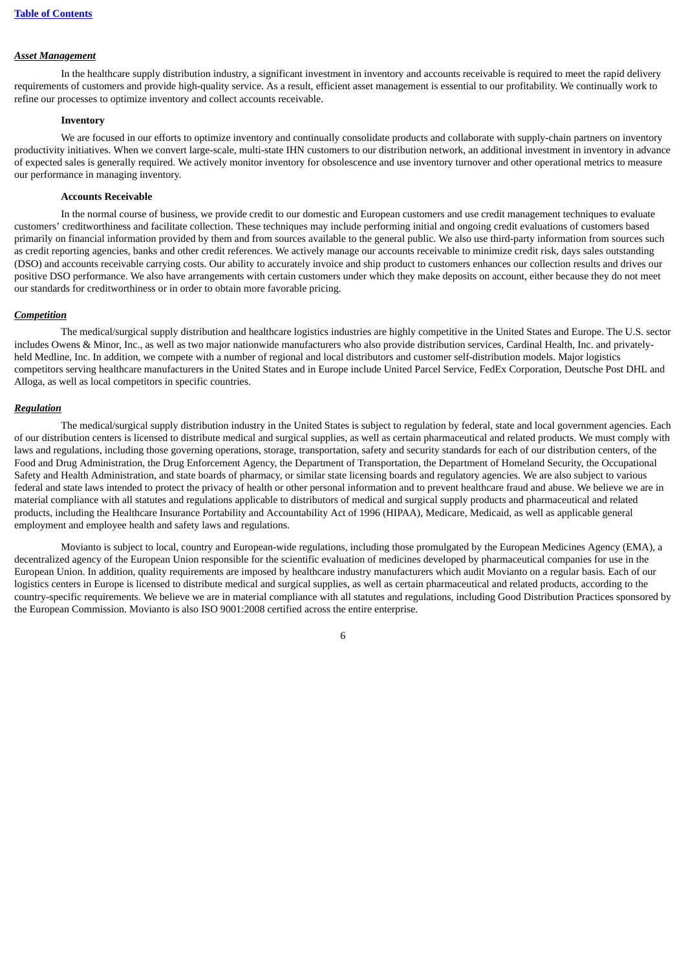### *Asset Management*

In the healthcare supply distribution industry, a significant investment in inventory and accounts receivable is required to meet the rapid delivery requirements of customers and provide high-quality service. As a result, efficient asset management is essential to our profitability. We continually work to refine our processes to optimize inventory and collect accounts receivable.

### **Inventory**

We are focused in our efforts to optimize inventory and continually consolidate products and collaborate with supply-chain partners on inventory productivity initiatives. When we convert large-scale, multi-state IHN customers to our distribution network, an additional investment in inventory in advance of expected sales is generally required. We actively monitor inventory for obsolescence and use inventory turnover and other operational metrics to measure our performance in managing inventory.

### **Accounts Receivable**

In the normal course of business, we provide credit to our domestic and European customers and use credit management techniques to evaluate customers' creditworthiness and facilitate collection. These techniques may include performing initial and ongoing credit evaluations of customers based primarily on financial information provided by them and from sources available to the general public. We also use third-party information from sources such as credit reporting agencies, banks and other credit references. We actively manage our accounts receivable to minimize credit risk, days sales outstanding (DSO) and accounts receivable carrying costs. Our ability to accurately invoice and ship product to customers enhances our collection results and drives our positive DSO performance. We also have arrangements with certain customers under which they make deposits on account, either because they do not meet our standards for creditworthiness or in order to obtain more favorable pricing.

#### *Competition*

The medical/surgical supply distribution and healthcare logistics industries are highly competitive in the United States and Europe. The U.S. sector includes Owens & Minor, Inc., as well as two major nationwide manufacturers who also provide distribution services, Cardinal Health, Inc. and privatelyheld Medline, Inc. In addition, we compete with a number of regional and local distributors and customer self-distribution models. Major logistics competitors serving healthcare manufacturers in the United States and in Europe include United Parcel Service, FedEx Corporation, Deutsche Post DHL and Alloga, as well as local competitors in specific countries.

#### *Regulation*

The medical/surgical supply distribution industry in the United States is subject to regulation by federal, state and local government agencies. Each of our distribution centers is licensed to distribute medical and surgical supplies, as well as certain pharmaceutical and related products. We must comply with laws and regulations, including those governing operations, storage, transportation, safety and security standards for each of our distribution centers, of the Food and Drug Administration, the Drug Enforcement Agency, the Department of Transportation, the Department of Homeland Security, the Occupational Safety and Health Administration, and state boards of pharmacy, or similar state licensing boards and regulatory agencies. We are also subject to various federal and state laws intended to protect the privacy of health or other personal information and to prevent healthcare fraud and abuse. We believe we are in material compliance with all statutes and regulations applicable to distributors of medical and surgical supply products and pharmaceutical and related products, including the Healthcare Insurance Portability and Accountability Act of 1996 (HIPAA), Medicare, Medicaid, as well as applicable general employment and employee health and safety laws and regulations.

Movianto is subject to local, country and European-wide regulations, including those promulgated by the European Medicines Agency (EMA), a decentralized agency of the European Union responsible for the scientific evaluation of medicines developed by pharmaceutical companies for use in the European Union. In addition, quality requirements are imposed by healthcare industry manufacturers which audit Movianto on a regular basis. Each of our logistics centers in Europe is licensed to distribute medical and surgical supplies, as well as certain pharmaceutical and related products, according to the country-specific requirements. We believe we are in material compliance with all statutes and regulations, including Good Distribution Practices sponsored by the European Commission. Movianto is also ISO 9001:2008 certified across the entire enterprise.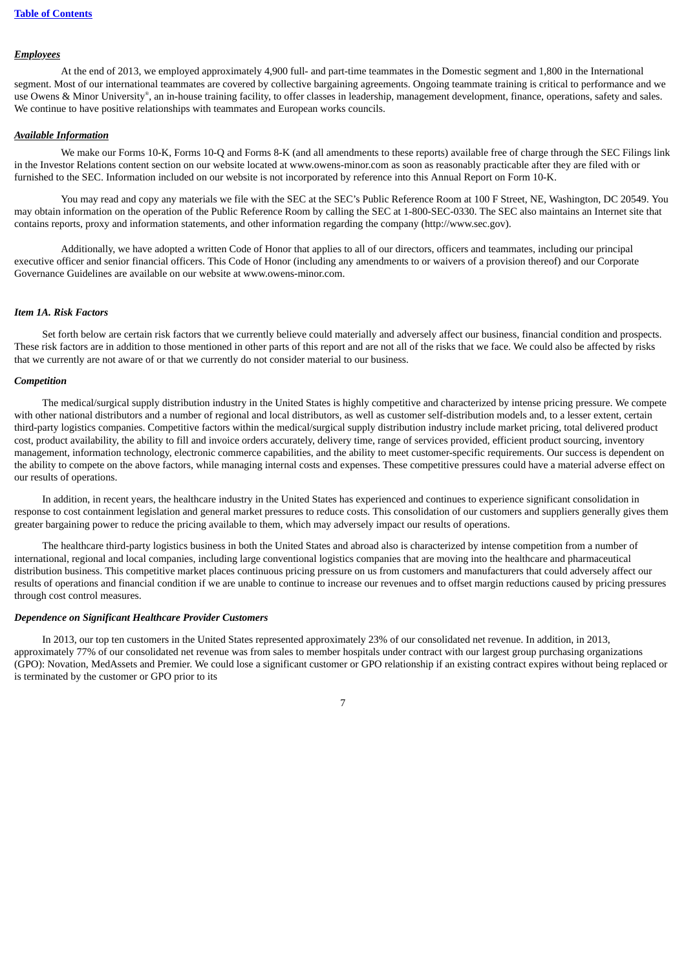#### *Employees*

At the end of 2013, we employed approximately 4,900 full- and part-time teammates in the Domestic segment and 1,800 in the International segment. Most of our international teammates are covered by collective bargaining agreements. Ongoing teammate training is critical to performance and we use Owens & Minor University®, an in-house training facility, to offer classes in leadership, management development, finance, operations, safety and sales. We continue to have positive relationships with teammates and European works councils.

#### *Available Information*

We make our Forms 10-K, Forms 10-Q and Forms 8-K (and all amendments to these reports) available free of charge through the SEC Filings link in the Investor Relations content section on our website located at www.owens-minor.com as soon as reasonably practicable after they are filed with or furnished to the SEC. Information included on our website is not incorporated by reference into this Annual Report on Form 10-K.

You may read and copy any materials we file with the SEC at the SEC's Public Reference Room at 100 F Street, NE, Washington, DC 20549. You may obtain information on the operation of the Public Reference Room by calling the SEC at 1-800-SEC-0330. The SEC also maintains an Internet site that contains reports, proxy and information statements, and other information regarding the company (http://www.sec.gov).

Additionally, we have adopted a written Code of Honor that applies to all of our directors, officers and teammates, including our principal executive officer and senior financial officers. This Code of Honor (including any amendments to or waivers of a provision thereof) and our Corporate Governance Guidelines are available on our website at www.owens-minor.com.

#### <span id="page-7-0"></span>*Item 1A. Risk Factors*

Set forth below are certain risk factors that we currently believe could materially and adversely affect our business, financial condition and prospects. These risk factors are in addition to those mentioned in other parts of this report and are not all of the risks that we face. We could also be affected by risks that we currently are not aware of or that we currently do not consider material to our business.

#### *Competition*

The medical/surgical supply distribution industry in the United States is highly competitive and characterized by intense pricing pressure. We compete with other national distributors and a number of regional and local distributors, as well as customer self-distribution models and, to a lesser extent, certain third-party logistics companies. Competitive factors within the medical/surgical supply distribution industry include market pricing, total delivered product cost, product availability, the ability to fill and invoice orders accurately, delivery time, range of services provided, efficient product sourcing, inventory management, information technology, electronic commerce capabilities, and the ability to meet customer-specific requirements. Our success is dependent on the ability to compete on the above factors, while managing internal costs and expenses. These competitive pressures could have a material adverse effect on our results of operations.

In addition, in recent years, the healthcare industry in the United States has experienced and continues to experience significant consolidation in response to cost containment legislation and general market pressures to reduce costs. This consolidation of our customers and suppliers generally gives them greater bargaining power to reduce the pricing available to them, which may adversely impact our results of operations.

The healthcare third-party logistics business in both the United States and abroad also is characterized by intense competition from a number of international, regional and local companies, including large conventional logistics companies that are moving into the healthcare and pharmaceutical distribution business. This competitive market places continuous pricing pressure on us from customers and manufacturers that could adversely affect our results of operations and financial condition if we are unable to continue to increase our revenues and to offset margin reductions caused by pricing pressures through cost control measures.

#### *Dependence on Significant Healthcare Provider Customers*

In 2013, our top ten customers in the United States represented approximately 23% of our consolidated net revenue. In addition, in 2013, approximately 77% of our consolidated net revenue was from sales to member hospitals under contract with our largest group purchasing organizations (GPO): Novation, MedAssets and Premier. We could lose a significant customer or GPO relationship if an existing contract expires without being replaced or is terminated by the customer or GPO prior to its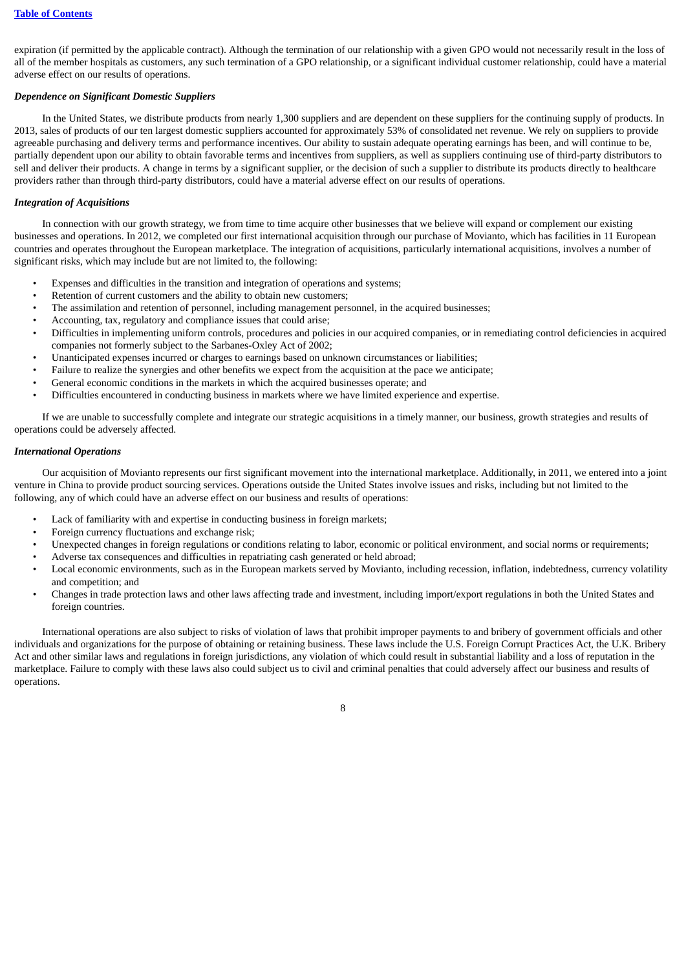expiration (if permitted by the applicable contract). Although the termination of our relationship with a given GPO would not necessarily result in the loss of all of the member hospitals as customers, any such termination of a GPO relationship, or a significant individual customer relationship, could have a material adverse effect on our results of operations.

#### *Dependence on Significant Domestic Suppliers*

In the United States, we distribute products from nearly 1,300 suppliers and are dependent on these suppliers for the continuing supply of products. In 2013, sales of products of our ten largest domestic suppliers accounted for approximately 53% of consolidated net revenue. We rely on suppliers to provide agreeable purchasing and delivery terms and performance incentives. Our ability to sustain adequate operating earnings has been, and will continue to be, partially dependent upon our ability to obtain favorable terms and incentives from suppliers, as well as suppliers continuing use of third-party distributors to sell and deliver their products. A change in terms by a significant supplier, or the decision of such a supplier to distribute its products directly to healthcare providers rather than through third-party distributors, could have a material adverse effect on our results of operations.

#### *Integration of Acquisitions*

In connection with our growth strategy, we from time to time acquire other businesses that we believe will expand or complement our existing businesses and operations. In 2012, we completed our first international acquisition through our purchase of Movianto, which has facilities in 11 European countries and operates throughout the European marketplace. The integration of acquisitions, particularly international acquisitions, involves a number of significant risks, which may include but are not limited to, the following:

- Expenses and difficulties in the transition and integration of operations and systems;
- Retention of current customers and the ability to obtain new customers;
- The assimilation and retention of personnel, including management personnel, in the acquired businesses;
- Accounting, tax, regulatory and compliance issues that could arise;
- Difficulties in implementing uniform controls, procedures and policies in our acquired companies, or in remediating control deficiencies in acquired companies not formerly subject to the Sarbanes-Oxley Act of 2002;
- Unanticipated expenses incurred or charges to earnings based on unknown circumstances or liabilities;
- Failure to realize the synergies and other benefits we expect from the acquisition at the pace we anticipate;
- General economic conditions in the markets in which the acquired businesses operate; and
- Difficulties encountered in conducting business in markets where we have limited experience and expertise.

If we are unable to successfully complete and integrate our strategic acquisitions in a timely manner, our business, growth strategies and results of operations could be adversely affected.

#### *International Operations*

Our acquisition of Movianto represents our first significant movement into the international marketplace. Additionally, in 2011, we entered into a joint venture in China to provide product sourcing services. Operations outside the United States involve issues and risks, including but not limited to the following, any of which could have an adverse effect on our business and results of operations:

- Lack of familiarity with and expertise in conducting business in foreign markets;
- Foreign currency fluctuations and exchange risk;
- Unexpected changes in foreign regulations or conditions relating to labor, economic or political environment, and social norms or requirements;
- Adverse tax consequences and difficulties in repatriating cash generated or held abroad;
- Local economic environments, such as in the European markets served by Movianto, including recession, inflation, indebtedness, currency volatility and competition; and
- Changes in trade protection laws and other laws affecting trade and investment, including import/export regulations in both the United States and foreign countries.

International operations are also subject to risks of violation of laws that prohibit improper payments to and bribery of government officials and other individuals and organizations for the purpose of obtaining or retaining business. These laws include the U.S. Foreign Corrupt Practices Act, the U.K. Bribery Act and other similar laws and regulations in foreign jurisdictions, any violation of which could result in substantial liability and a loss of reputation in the marketplace. Failure to comply with these laws also could subject us to civil and criminal penalties that could adversely affect our business and results of operations.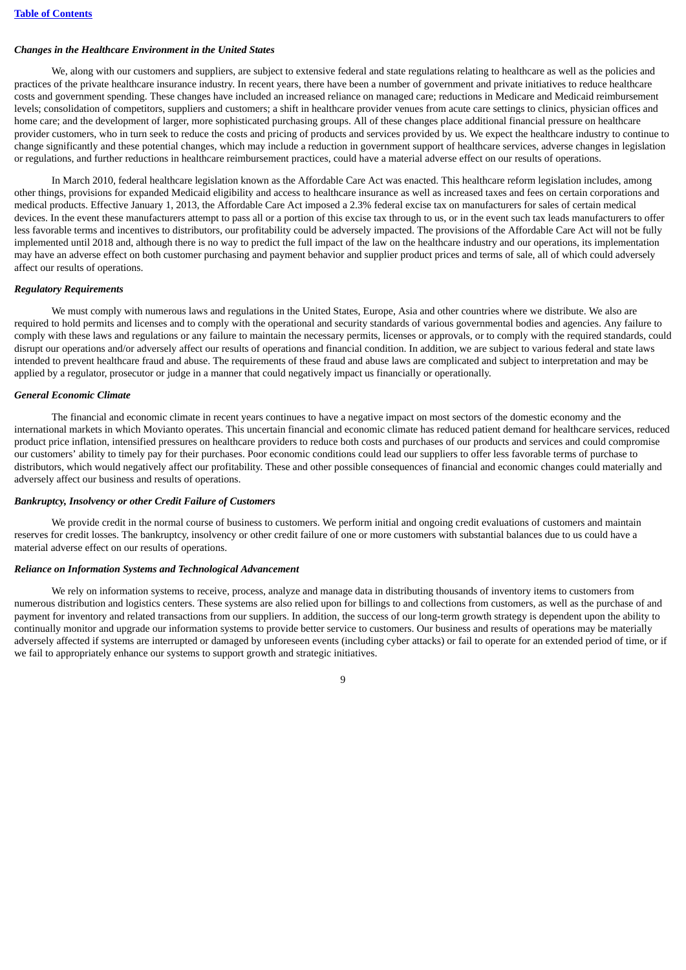### *Changes in the Healthcare Environment in the United States*

We, along with our customers and suppliers, are subject to extensive federal and state regulations relating to healthcare as well as the policies and practices of the private healthcare insurance industry. In recent years, there have been a number of government and private initiatives to reduce healthcare costs and government spending. These changes have included an increased reliance on managed care; reductions in Medicare and Medicaid reimbursement levels; consolidation of competitors, suppliers and customers; a shift in healthcare provider venues from acute care settings to clinics, physician offices and home care; and the development of larger, more sophisticated purchasing groups. All of these changes place additional financial pressure on healthcare provider customers, who in turn seek to reduce the costs and pricing of products and services provided by us. We expect the healthcare industry to continue to change significantly and these potential changes, which may include a reduction in government support of healthcare services, adverse changes in legislation or regulations, and further reductions in healthcare reimbursement practices, could have a material adverse effect on our results of operations.

In March 2010, federal healthcare legislation known as the Affordable Care Act was enacted. This healthcare reform legislation includes, among other things, provisions for expanded Medicaid eligibility and access to healthcare insurance as well as increased taxes and fees on certain corporations and medical products. Effective January 1, 2013, the Affordable Care Act imposed a 2.3% federal excise tax on manufacturers for sales of certain medical devices. In the event these manufacturers attempt to pass all or a portion of this excise tax through to us, or in the event such tax leads manufacturers to offer less favorable terms and incentives to distributors, our profitability could be adversely impacted. The provisions of the Affordable Care Act will not be fully implemented until 2018 and, although there is no way to predict the full impact of the law on the healthcare industry and our operations, its implementation may have an adverse effect on both customer purchasing and payment behavior and supplier product prices and terms of sale, all of which could adversely affect our results of operations.

## *Regulatory Requirements*

We must comply with numerous laws and regulations in the United States, Europe, Asia and other countries where we distribute. We also are required to hold permits and licenses and to comply with the operational and security standards of various governmental bodies and agencies. Any failure to comply with these laws and regulations or any failure to maintain the necessary permits, licenses or approvals, or to comply with the required standards, could disrupt our operations and/or adversely affect our results of operations and financial condition. In addition, we are subject to various federal and state laws intended to prevent healthcare fraud and abuse. The requirements of these fraud and abuse laws are complicated and subject to interpretation and may be applied by a regulator, prosecutor or judge in a manner that could negatively impact us financially or operationally.

#### *General Economic Climate*

The financial and economic climate in recent years continues to have a negative impact on most sectors of the domestic economy and the international markets in which Movianto operates. This uncertain financial and economic climate has reduced patient demand for healthcare services, reduced product price inflation, intensified pressures on healthcare providers to reduce both costs and purchases of our products and services and could compromise our customers' ability to timely pay for their purchases. Poor economic conditions could lead our suppliers to offer less favorable terms of purchase to distributors, which would negatively affect our profitability. These and other possible consequences of financial and economic changes could materially and adversely affect our business and results of operations.

#### *Bankruptcy, Insolvency or other Credit Failure of Customers*

We provide credit in the normal course of business to customers. We perform initial and ongoing credit evaluations of customers and maintain reserves for credit losses. The bankruptcy, insolvency or other credit failure of one or more customers with substantial balances due to us could have a material adverse effect on our results of operations.

### *Reliance on Information Systems and Technological Advancement*

We rely on information systems to receive, process, analyze and manage data in distributing thousands of inventory items to customers from numerous distribution and logistics centers. These systems are also relied upon for billings to and collections from customers, as well as the purchase of and payment for inventory and related transactions from our suppliers. In addition, the success of our long-term growth strategy is dependent upon the ability to continually monitor and upgrade our information systems to provide better service to customers. Our business and results of operations may be materially adversely affected if systems are interrupted or damaged by unforeseen events (including cyber attacks) or fail to operate for an extended period of time, or if we fail to appropriately enhance our systems to support growth and strategic initiatives.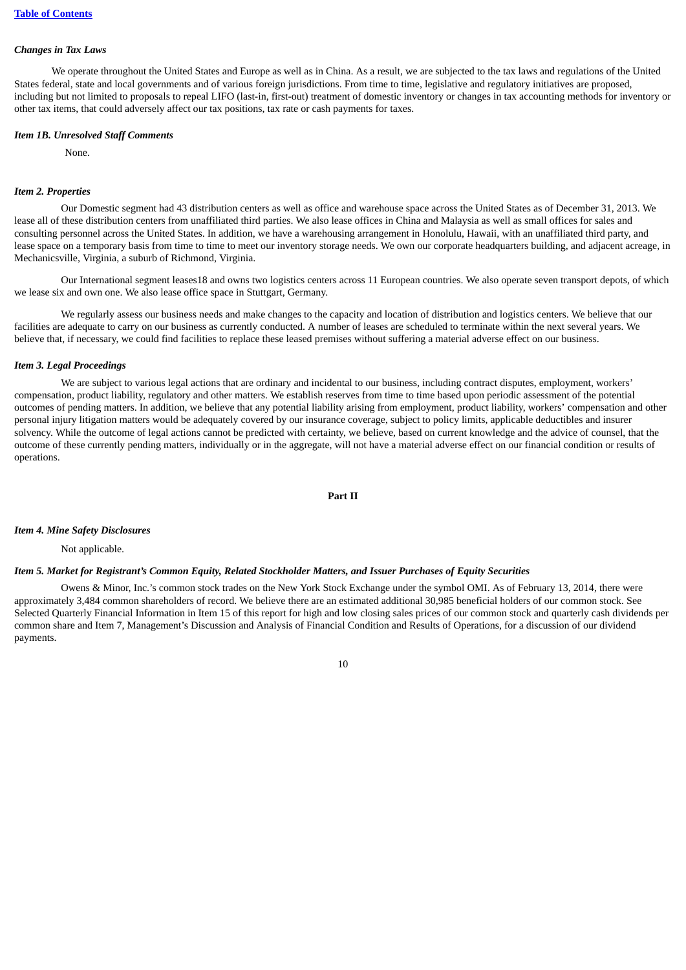#### *Changes in Tax Laws*

We operate throughout the United States and Europe as well as in China. As a result, we are subjected to the tax laws and regulations of the United States federal, state and local governments and of various foreign jurisdictions. From time to time, legislative and regulatory initiatives are proposed, including but not limited to proposals to repeal LIFO (last-in, first-out) treatment of domestic inventory or changes in tax accounting methods for inventory or other tax items, that could adversely affect our tax positions, tax rate or cash payments for taxes.

#### <span id="page-10-0"></span>*Item 1B. Unresolved Staff Comments*

None.

#### <span id="page-10-1"></span>*Item 2. Properties*

Our Domestic segment had 43 distribution centers as well as office and warehouse space across the United States as of December 31, 2013. We lease all of these distribution centers from unaffiliated third parties. We also lease offices in China and Malaysia as well as small offices for sales and consulting personnel across the United States. In addition, we have a warehousing arrangement in Honolulu, Hawaii, with an unaffiliated third party, and lease space on a temporary basis from time to time to meet our inventory storage needs. We own our corporate headquarters building, and adjacent acreage, in Mechanicsville, Virginia, a suburb of Richmond, Virginia.

Our International segment leases18 and owns two logistics centers across 11 European countries. We also operate seven transport depots, of which we lease six and own one. We also lease office space in Stuttgart, Germany.

We regularly assess our business needs and make changes to the capacity and location of distribution and logistics centers. We believe that our facilities are adequate to carry on our business as currently conducted. A number of leases are scheduled to terminate within the next several years. We believe that, if necessary, we could find facilities to replace these leased premises without suffering a material adverse effect on our business.

#### <span id="page-10-2"></span>*Item 3. Legal Proceedings*

We are subject to various legal actions that are ordinary and incidental to our business, including contract disputes, employment, workers' compensation, product liability, regulatory and other matters. We establish reserves from time to time based upon periodic assessment of the potential outcomes of pending matters. In addition, we believe that any potential liability arising from employment, product liability, workers' compensation and other personal injury litigation matters would be adequately covered by our insurance coverage, subject to policy limits, applicable deductibles and insurer solvency. While the outcome of legal actions cannot be predicted with certainty, we believe, based on current knowledge and the advice of counsel, that the outcome of these currently pending matters, individually or in the aggregate, will not have a material adverse effect on our financial condition or results of operations.

# **Part II**

#### <span id="page-10-4"></span><span id="page-10-3"></span>*Item 4. Mine Safety Disclosures*

Not applicable.

# <span id="page-10-5"></span>Item 5. Market for Registrant's Common Equity, Related Stockholder Matters, and Issuer Purchases of Equity Securities

Owens & Minor, Inc.'s common stock trades on the New York Stock Exchange under the symbol OMI. As of February 13, 2014, there were approximately 3,484 common shareholders of record. We believe there are an estimated additional 30,985 beneficial holders of our common stock. See Selected Quarterly Financial Information in Item 15 of this report for high and low closing sales prices of our common stock and quarterly cash dividends per common share and Item 7, Management's Discussion and Analysis of Financial Condition and Results of Operations, for a discussion of our dividend payments.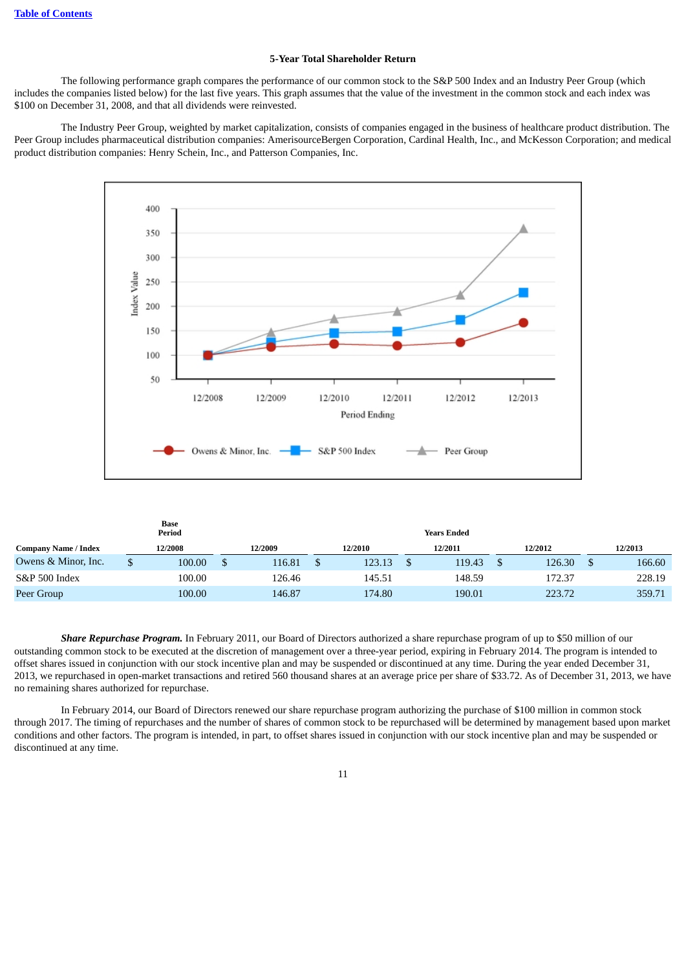# **5-Year Total Shareholder Return**

The following performance graph compares the performance of our common stock to the S&P 500 Index and an Industry Peer Group (which includes the companies listed below) for the last five years. This graph assumes that the value of the investment in the common stock and each index was \$100 on December 31, 2008, and that all dividends were reinvested.

The Industry Peer Group, weighted by market capitalization, consists of companies engaged in the business of healthcare product distribution. The Peer Group includes pharmaceutical distribution companies: AmerisourceBergen Corporation, Cardinal Health, Inc., and McKesson Corporation; and medical product distribution companies: Henry Schein, Inc., and Patterson Companies, Inc.



| 12/2008<br><b>Company Name / Index</b> |  | 12/2009 |  |        | 12/2010 | 12/2011 | 12/2012 | 12/2013 |        |
|----------------------------------------|--|---------|--|--------|---------|---------|---------|---------|--------|
| Owens & Minor, Inc.                    |  | 100.00  |  | 116.81 |         | 123.13  | 119.43  | 126.30  | 166.60 |
| S&P 500 Index                          |  | 100.00  |  | 126.46 |         | 145.51  | 148.59  | 172.37  | 228.19 |
| Peer Group                             |  | 100.00  |  | 146.87 |         | 174.80  | 190.01  | 223.72  | 359.71 |

*Share Repurchase Program.* In February 2011, our Board of Directors authorized a share repurchase program of up to \$50 million of our outstanding common stock to be executed at the discretion of management over a three-year period, expiring in February 2014. The program is intended to offset shares issued in conjunction with our stock incentive plan and may be suspended or discontinued at any time. During the year ended December 31, 2013, we repurchased in open-market transactions and retired 560 thousand shares at an average price per share of \$33.72. As of December 31, 2013, we have no remaining shares authorized for repurchase.

In February 2014, our Board of Directors renewed our share repurchase program authorizing the purchase of \$100 million in common stock through 2017. The timing of repurchases and the number of shares of common stock to be repurchased will be determined by management based upon market conditions and other factors. The program is intended, in part, to offset shares issued in conjunction with our stock incentive plan and may be suspended or discontinued at any time.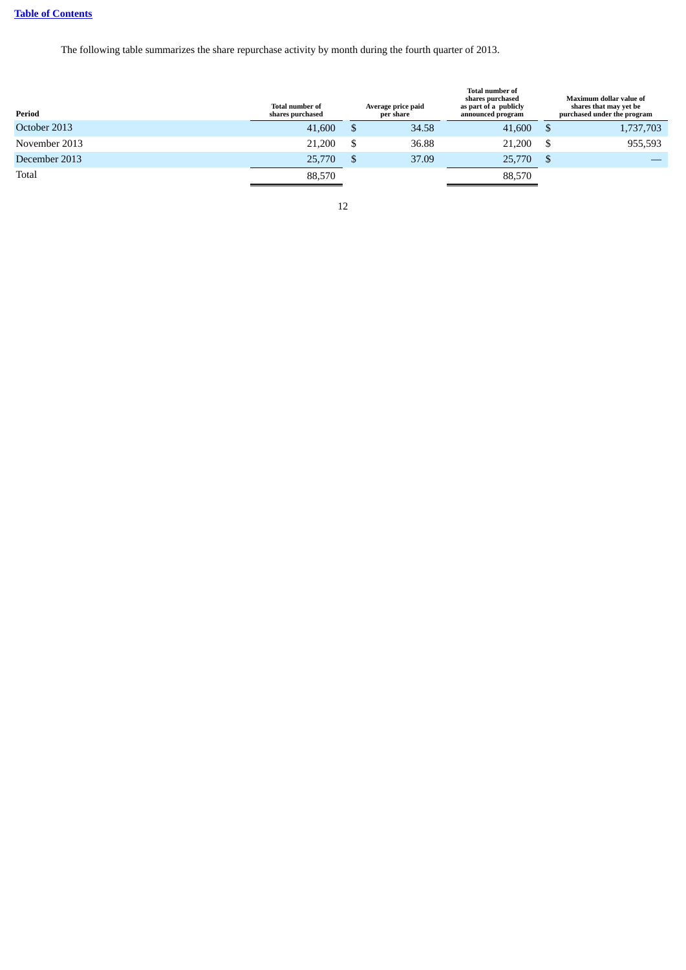The following table summarizes the share repurchase activity by month during the fourth quarter of 2013.

<span id="page-12-0"></span>

| Period        | <b>Total number of</b><br>shares purchased | Average price paid<br>per share | <b>Total number of</b><br>shares purchased<br>as part of a publicly<br>announced program | Maximum dollar value of<br>shares that may yet be<br>purchased under the program |
|---------------|--------------------------------------------|---------------------------------|------------------------------------------------------------------------------------------|----------------------------------------------------------------------------------|
| October 2013  | 41,600                                     | 34.58                           | 41,600                                                                                   | 1,737,703                                                                        |
| November 2013 | 21,200                                     | 36.88                           | 21,200                                                                                   | 955,593                                                                          |
| December 2013 | 25,770                                     | 37.09                           | 25,770                                                                                   |                                                                                  |
| Total         | 88,570                                     |                                 | 88,570                                                                                   |                                                                                  |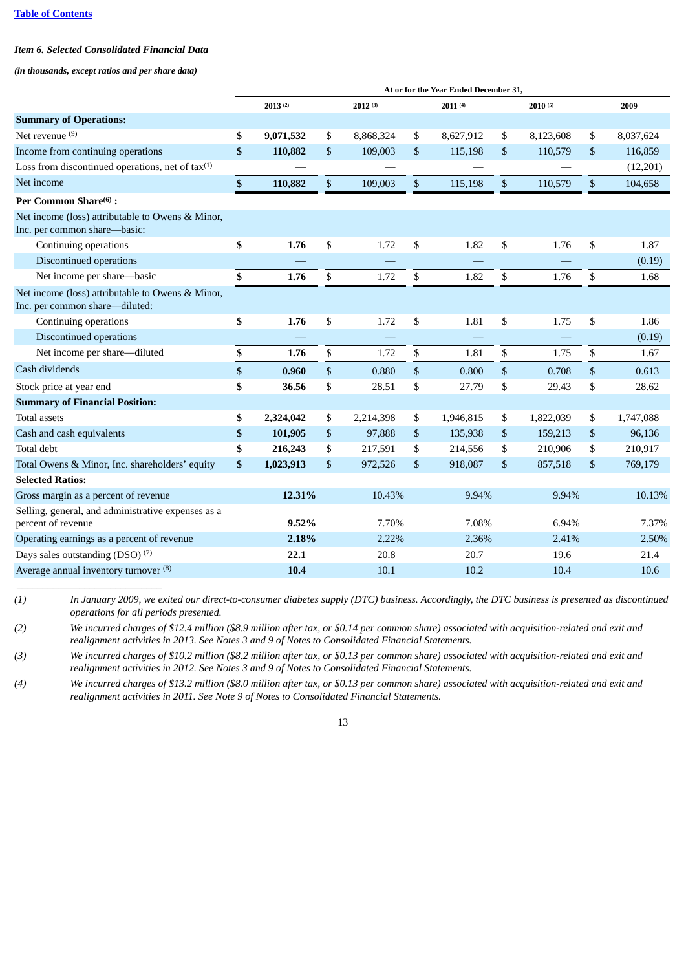### *Item 6. Selected Consolidated Financial Data*

*(in thousands, except ratios and per share data)*

\_\_\_\_\_\_\_\_\_\_\_\_\_\_\_\_\_\_\_\_\_\_\_\_\_\_\_\_

|                                                                                    | At or for the Year Ended December 31, |              |    |           |                           |              |                           |              |                           |           |  |
|------------------------------------------------------------------------------------|---------------------------------------|--------------|----|-----------|---------------------------|--------------|---------------------------|--------------|---------------------------|-----------|--|
|                                                                                    |                                       | $2013^{(2)}$ |    | 2012(3)   |                           | $2011^{(4)}$ |                           | $2010^{(5)}$ |                           | 2009      |  |
| <b>Summary of Operations:</b>                                                      |                                       |              |    |           |                           |              |                           |              |                           |           |  |
| Net revenue <sup>(9)</sup>                                                         | \$                                    | 9,071,532    | \$ | 8,868,324 | \$                        | 8,627,912    | \$                        | 8,123,608    | \$                        | 8,037,624 |  |
| Income from continuing operations                                                  | \$                                    | 110,882      | \$ | 109,003   | $\$$                      | 115,198      | $\mathbb{S}$              | 110,579      | \$                        | 116,859   |  |
| Loss from discontinued operations, net of $tax^{(1)}$                              |                                       |              |    |           |                           |              |                           |              |                           | (12,201)  |  |
| Net income                                                                         | $\boldsymbol{\$}$                     | 110,882      | \$ | 109,003   | $\boldsymbol{\mathsf{S}}$ | 115,198      | $\boldsymbol{\mathsf{S}}$ | 110,579      | $\boldsymbol{\mathsf{S}}$ | 104,658   |  |
| Per Common Share <sup>(6)</sup> :                                                  |                                       |              |    |           |                           |              |                           |              |                           |           |  |
| Net income (loss) attributable to Owens & Minor,<br>Inc. per common share-basic:   |                                       |              |    |           |                           |              |                           |              |                           |           |  |
| Continuing operations                                                              | \$                                    | 1.76         | \$ | 1.72      | \$                        | 1.82         | \$                        | 1.76         | \$                        | 1.87      |  |
| Discontinued operations                                                            |                                       |              |    |           |                           |              |                           |              |                           | (0.19)    |  |
| Net income per share-basic                                                         | \$                                    | 1.76         | \$ | 1.72      | \$                        | 1.82         | \$                        | 1.76         | \$                        | 1.68      |  |
| Net income (loss) attributable to Owens & Minor,<br>Inc. per common share-diluted: |                                       |              |    |           |                           |              |                           |              |                           |           |  |
| Continuing operations                                                              | \$                                    | 1.76         | \$ | 1.72      | \$                        | 1.81         | \$                        | 1.75         | \$                        | 1.86      |  |
| Discontinued operations                                                            |                                       |              |    |           |                           |              |                           |              |                           | (0.19)    |  |
| Net income per share-diluted                                                       | \$                                    | 1.76         | \$ | 1.72      | \$                        | 1.81         | \$                        | 1.75         | \$                        | 1.67      |  |
| Cash dividends                                                                     | \$                                    | 0.960        | \$ | 0.880     | \$                        | 0.800        | \$                        | 0.708        | \$                        | 0.613     |  |
| Stock price at year end                                                            | \$                                    | 36.56        | \$ | 28.51     | \$                        | 27.79        | \$                        | 29.43        | \$                        | 28.62     |  |
| <b>Summary of Financial Position:</b>                                              |                                       |              |    |           |                           |              |                           |              |                           |           |  |
| <b>Total assets</b>                                                                | \$                                    | 2,324,042    | \$ | 2,214,398 | \$                        | 1,946,815    | \$                        | 1,822,039    | \$                        | 1,747,088 |  |
| Cash and cash equivalents                                                          | \$                                    | 101,905      | \$ | 97,888    | \$                        | 135,938      | \$                        | 159,213      | \$                        | 96,136    |  |
| <b>Total debt</b>                                                                  | \$                                    | 216,243      | \$ | 217,591   | \$                        | 214,556      | \$                        | 210,906      | \$                        | 210,917   |  |
| Total Owens & Minor, Inc. shareholders' equity                                     | \$                                    | 1,023,913    | \$ | 972,526   | \$                        | 918,087      | \$                        | 857,518      | \$                        | 769,179   |  |
| <b>Selected Ratios:</b>                                                            |                                       |              |    |           |                           |              |                           |              |                           |           |  |
| Gross margin as a percent of revenue                                               |                                       | 12.31%       |    | 10.43%    |                           | 9.94%        |                           | 9.94%        |                           | 10.13%    |  |
| Selling, general, and administrative expenses as a<br>percent of revenue           |                                       | 9.52%        |    | 7.70%     |                           | 7.08%        |                           | 6.94%        |                           | 7.37%     |  |
| Operating earnings as a percent of revenue                                         |                                       | 2.18%        |    | 2.22%     |                           | 2.36%        |                           | 2.41%        |                           | 2.50%     |  |
| Days sales outstanding (DSO) <sup>(7)</sup>                                        |                                       | 22.1         |    | 20.8      |                           | 20.7         |                           | 19.6         |                           | 21.4      |  |
| Average annual inventory turnover (8)                                              |                                       | 10.4         |    | 10.1      |                           | 10.2         |                           | 10.4         |                           | 10.6      |  |

(1) In January 2009, we exited our direct-to-consumer diabetes supply (DTC) business. Accordingly, the DTC business is presented as discontinued *operations for all periods presented.*

(2) We incurred charges of \$12.4 million (\$8.9 million after tax, or \$0.14 per common share) associated with acquisition-related and exit and *realignment activities in 2013. See Notes 3 and 9 of Notes to Consolidated Financial Statements.*

(3) We incurred charges of \$10.2 million (\$8.2 million after tax, or \$0.13 per common share) associated with acquisition-related and exit and *realignment activities in 2012. See Notes 3 and 9 of Notes to Consolidated Financial Statements.*

(4) We incurred charges of \$13.2 million (\$8.0 million after tax, or \$0.13 per common share) associated with acquisition-related and exit and *realignment activities in 2011. See Note 9 of Notes to Consolidated Financial Statements.*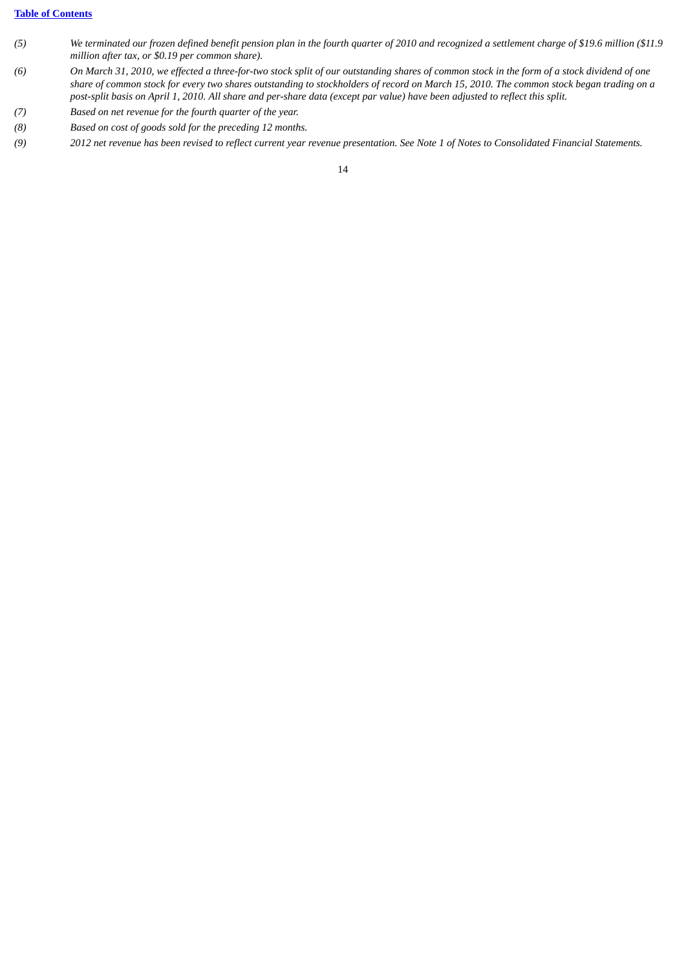- (5) We terminated our frozen defined benefit pension plan in the fourth quarter of 2010 and recognized a settlement charge of \$19.6 million (\$11.9 *million after tax, or \$0.19 per common share).*
- (6) On March 31, 2010, we effected a three-for-two stock split of our outstanding shares of common stock in the form of a stock dividend of one share of common stock for every two shares outstanding to stockholders of record on March 15, 2010. The common stock began trading on a post-split basis on April 1, 2010. All share and per-share data (except par value) have been adjusted to reflect this split.
- *(7) Based on net revenue for the fourth quarter of the year.*
- *(8) Based on cost of goods sold for the preceding 12 months.*
- <span id="page-14-0"></span>(9) 2012 net revenue has been revised to reflect current year revenue presentation. See Note 1 of Notes to Consolidated Financial Statements.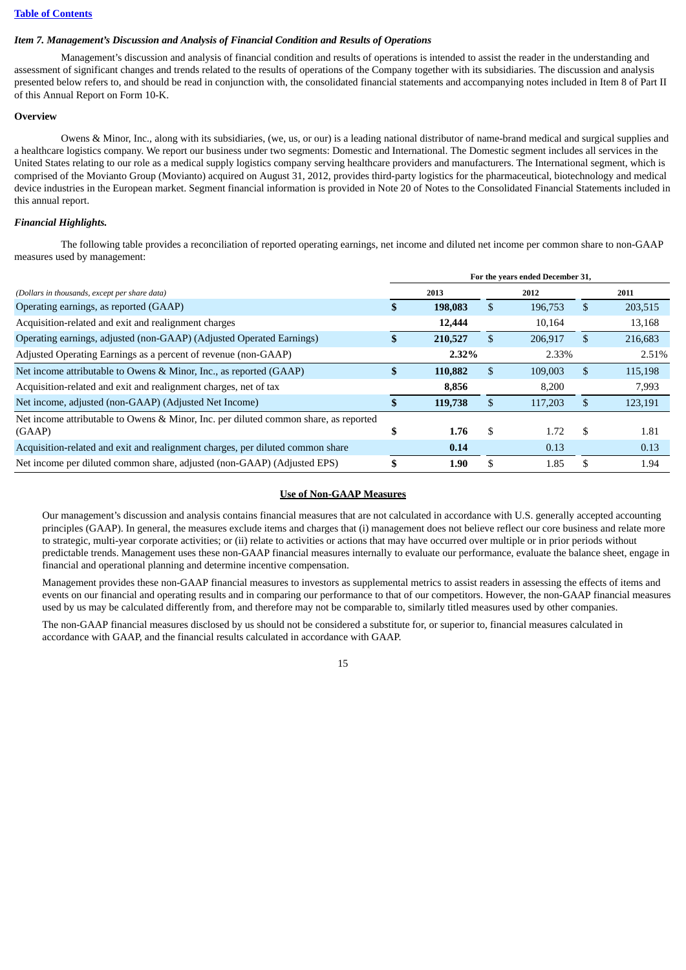### *Item 7. Management's Discussion and Analysis of Financial Condition and Results of Operations*

Management's discussion and analysis of financial condition and results of operations is intended to assist the reader in the understanding and assessment of significant changes and trends related to the results of operations of the Company together with its subsidiaries. The discussion and analysis presented below refers to, and should be read in conjunction with, the consolidated financial statements and accompanying notes included in Item 8 of Part II of this Annual Report on Form 10-K.

#### **Overview**

Owens & Minor, Inc., along with its subsidiaries, (we, us, or our) is a leading national distributor of name-brand medical and surgical supplies and a healthcare logistics company. We report our business under two segments: Domestic and International. The Domestic segment includes all services in the United States relating to our role as a medical supply logistics company serving healthcare providers and manufacturers. The International segment, which is comprised of the Movianto Group (Movianto) acquired on August 31, 2012, provides third-party logistics for the pharmaceutical, biotechnology and medical device industries in the European market. Segment financial information is provided in Note 20 of Notes to the Consolidated Financial Statements included in this annual report.

### *Financial Highlights.*

The following table provides a reconciliation of reported operating earnings, net income and diluted net income per common share to non-GAAP measures used by management:

|                                                                                      | For the years ended December 31, |         |    |         |     |         |  |  |
|--------------------------------------------------------------------------------------|----------------------------------|---------|----|---------|-----|---------|--|--|
| (Dollars in thousands, except per share data)                                        |                                  | 2013    |    | 2012    |     | 2011    |  |  |
| Operating earnings, as reported (GAAP)                                               |                                  | 198,083 | \$ | 196,753 |     | 203,515 |  |  |
| Acquisition-related and exit and realignment charges                                 |                                  | 12,444  |    | 10,164  |     | 13,168  |  |  |
| Operating earnings, adjusted (non-GAAP) (Adjusted Operated Earnings)                 |                                  | 210,527 | \$ | 206.917 |     | 216,683 |  |  |
| Adjusted Operating Earnings as a percent of revenue (non-GAAP)                       | 2.32%                            |         |    | 2.33%   |     | 2.51%   |  |  |
| Net income attributable to Owens & Minor, Inc., as reported (GAAP)                   |                                  | 110.882 | \$ | 109,003 | \$. | 115,198 |  |  |
| Acquisition-related and exit and realignment charges, net of tax                     |                                  | 8,856   |    | 8,200   |     | 7,993   |  |  |
| Net income, adjusted (non-GAAP) (Adjusted Net Income)                                |                                  | 119,738 | \$ | 117,203 |     | 123,191 |  |  |
| Net income attributable to Owens & Minor, Inc. per diluted common share, as reported |                                  |         |    |         |     |         |  |  |
| (GAAP)                                                                               | \$                               | 1.76    | \$ | 1.72    | £.  | 1.81    |  |  |
| Acquisition-related and exit and realignment charges, per diluted common share       |                                  | 0.14    |    | 0.13    |     | 0.13    |  |  |
| Net income per diluted common share, adjusted (non-GAAP) (Adjusted EPS)              |                                  | 1.90    | \$ | 1.85    |     | 1.94    |  |  |

#### **Use of Non-GAAP Measures**

Our management's discussion and analysis contains financial measures that are not calculated in accordance with U.S. generally accepted accounting principles (GAAP). In general, the measures exclude items and charges that (i) management does not believe reflect our core business and relate more to strategic, multi-year corporate activities; or (ii) relate to activities or actions that may have occurred over multiple or in prior periods without predictable trends. Management uses these non-GAAP financial measures internally to evaluate our performance, evaluate the balance sheet, engage in financial and operational planning and determine incentive compensation.

Management provides these non-GAAP financial measures to investors as supplemental metrics to assist readers in assessing the effects of items and events on our financial and operating results and in comparing our performance to that of our competitors. However, the non-GAAP financial measures used by us may be calculated differently from, and therefore may not be comparable to, similarly titled measures used by other companies.

The non-GAAP financial measures disclosed by us should not be considered a substitute for, or superior to, financial measures calculated in accordance with GAAP, and the financial results calculated in accordance with GAAP.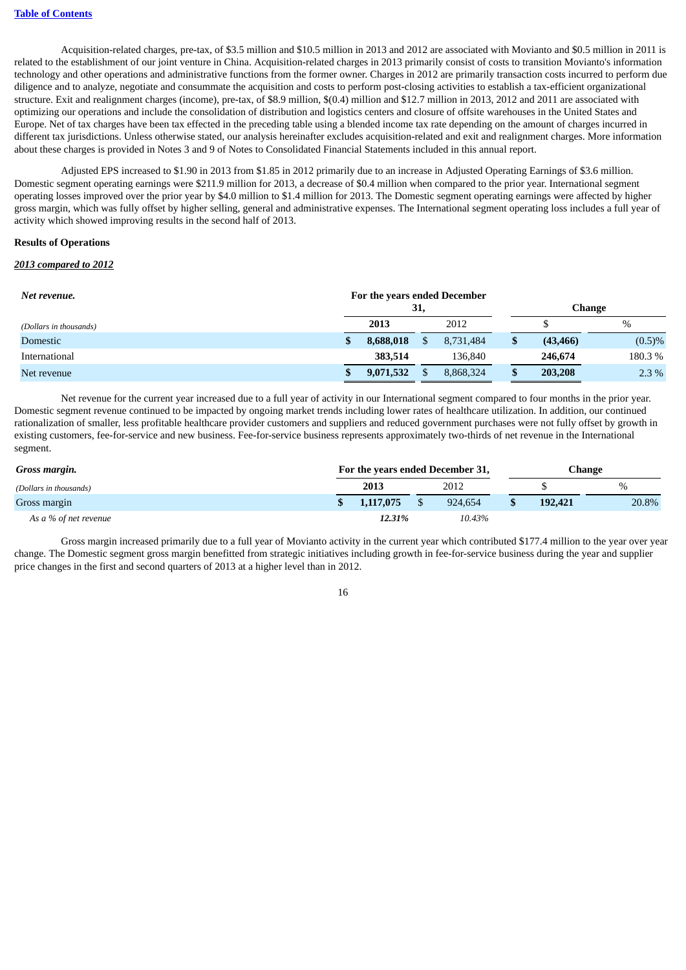Acquisition-related charges, pre-tax, of \$3.5 million and \$10.5 million in 2013 and 2012 are associated with Movianto and \$0.5 million in 2011 is related to the establishment of our joint venture in China. Acquisition-related charges in 2013 primarily consist of costs to transition Movianto's information technology and other operations and administrative functions from the former owner. Charges in 2012 are primarily transaction costs incurred to perform due diligence and to analyze, negotiate and consummate the acquisition and costs to perform post-closing activities to establish a tax-efficient organizational structure. Exit and realignment charges (income), pre-tax, of \$8.9 million, \$(0.4) million and \$12.7 million in 2013, 2012 and 2011 are associated with optimizing our operations and include the consolidation of distribution and logistics centers and closure of offsite warehouses in the United States and Europe. Net of tax charges have been tax effected in the preceding table using a blended income tax rate depending on the amount of charges incurred in different tax jurisdictions. Unless otherwise stated, our analysis hereinafter excludes acquisition-related and exit and realignment charges. More information about these charges is provided in Notes 3 and 9 of Notes to Consolidated Financial Statements included in this annual report.

Adjusted EPS increased to \$1.90 in 2013 from \$1.85 in 2012 primarily due to an increase in Adjusted Operating Earnings of \$3.6 million. Domestic segment operating earnings were \$211.9 million for 2013, a decrease of \$0.4 million when compared to the prior year. International segment operating losses improved over the prior year by \$4.0 million to \$1.4 million for 2013. The Domestic segment operating earnings were affected by higher gross margin, which was fully offset by higher selling, general and administrative expenses. The International segment operating loss includes a full year of activity which showed improving results in the second half of 2013.

### **Results of Operations**

#### *2013 compared to 2012*

| Net revenue.           | For the years ended December<br>31, |           |  |           |  |           | Change  |
|------------------------|-------------------------------------|-----------|--|-----------|--|-----------|---------|
| (Dollars in thousands) |                                     | 2013      |  | 2012      |  |           | $\%$    |
| Domestic               | J)                                  | 8,688,018 |  | 8.731.484 |  | (43, 466) | (0.5)%  |
| International          |                                     | 383,514   |  | 136.840   |  | 246,674   | 180.3%  |
| Net revenue            |                                     | 9,071,532 |  | 8,868,324 |  | 203,208   | $2.3\%$ |

Net revenue for the current year increased due to a full year of activity in our International segment compared to four months in the prior year. Domestic segment revenue continued to be impacted by ongoing market trends including lower rates of healthcare utilization. In addition, our continued rationalization of smaller, less profitable healthcare provider customers and suppliers and reduced government purchases were not fully offset by growth in existing customers, fee-for-service and new business. Fee-for-service business represents approximately two-thirds of net revenue in the International segment.

| Gross margin.          |           | For the years ended December 31, |         | Change |
|------------------------|-----------|----------------------------------|---------|--------|
| (Dollars in thousands) | 2013      | 2012                             |         | $\%$   |
| Gross margin           | 1,117,075 | 924.654                          | 192,421 | 20.8%  |
| As a % of net revenue  | 12.31%    | 10.43%                           |         |        |

Gross margin increased primarily due to a full year of Movianto activity in the current year which contributed \$177.4 million to the year over year change. The Domestic segment gross margin benefitted from strategic initiatives including growth in fee-for-service business during the year and supplier price changes in the first and second quarters of 2013 at a higher level than in 2012.

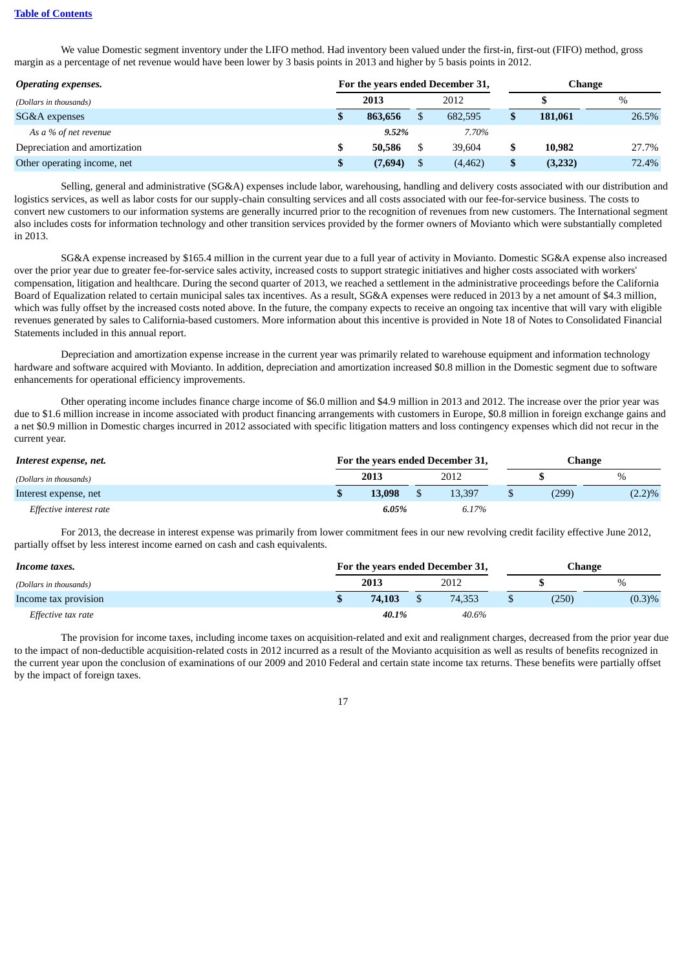We value Domestic segment inventory under the LIFO method. Had inventory been valued under the first-in, first-out (FIFO) method, gross margin as a percentage of net revenue would have been lower by 3 basis points in 2013 and higher by 5 basis points in 2012.

| Operating expenses.           |         | For the years ended December 31, |         | Change |  |
|-------------------------------|---------|----------------------------------|---------|--------|--|
| (Dollars in thousands)        | 2013    | 2012                             |         | $\%$   |  |
| SG&A expenses                 | 863.656 | 682,595                          | 181,061 | 26.5%  |  |
| As a % of net revenue         | 9.52%   | 7.70%                            |         |        |  |
| Depreciation and amortization | 50.586  | 39.604                           | 10,982  | 27.7%  |  |
| Other operating income, net   | (7,694) | (4, 462)                         | (3,232) | 72.4%  |  |

Selling, general and administrative (SG&A) expenses include labor, warehousing, handling and delivery costs associated with our distribution and logistics services, as well as labor costs for our supply-chain consulting services and all costs associated with our fee-for-service business. The costs to convert new customers to our information systems are generally incurred prior to the recognition of revenues from new customers. The International segment also includes costs for information technology and other transition services provided by the former owners of Movianto which were substantially completed in 2013.

SG&A expense increased by \$165.4 million in the current year due to a full year of activity in Movianto. Domestic SG&A expense also increased over the prior year due to greater fee-for-service sales activity, increased costs to support strategic initiatives and higher costs associated with workers' compensation, litigation and healthcare. During the second quarter of 2013, we reached a settlement in the administrative proceedings before the California Board of Equalization related to certain municipal sales tax incentives. As a result, SG&A expenses were reduced in 2013 by a net amount of \$4.3 million, which was fully offset by the increased costs noted above. In the future, the company expects to receive an ongoing tax incentive that will vary with eligible revenues generated by sales to California-based customers. More information about this incentive is provided in Note 18 of Notes to Consolidated Financial Statements included in this annual report.

Depreciation and amortization expense increase in the current year was primarily related to warehouse equipment and information technology hardware and software acquired with Movianto. In addition, depreciation and amortization increased \$0.8 million in the Domestic segment due to software enhancements for operational efficiency improvements.

Other operating income includes finance charge income of \$6.0 million and \$4.9 million in 2013 and 2012. The increase over the prior year was due to \$1.6 million increase in income associated with product financing arrangements with customers in Europe, \$0.8 million in foreign exchange gains and a net \$0.9 million in Domestic charges incurred in 2012 associated with specific litigation matters and loss contingency expenses which did not recur in the current year.

| Interest expense, net.  |        | For the years ended December 31, |       | Change    |  |
|-------------------------|--------|----------------------------------|-------|-----------|--|
| (Dollars in thousands)  | 2013   | 2012                             |       | $\%$      |  |
| Interest expense, net   | 13,098 | 13.397                           | (299) | $(2.2)\%$ |  |
| Effective interest rate | 6.05%  | 6.17%                            |       |           |  |

For 2013, the decrease in interest expense was primarily from lower commitment fees in our new revolving credit facility effective June 2012, partially offset by less interest income earned on cash and cash equivalents.

| Income taxes.          |        | For the years ended December 31, | Change |        |  |
|------------------------|--------|----------------------------------|--------|--------|--|
| (Dollars in thousands) | 2013   | 2012                             |        | $\%$   |  |
| Income tax provision   | 74,103 | 74.353                           | (250)  | (0.3)% |  |
| Effective tax rate     | 40.1%  | 40.6%                            |        |        |  |

The provision for income taxes, including income taxes on acquisition-related and exit and realignment charges, decreased from the prior year due to the impact of non-deductible acquisition-related costs in 2012 incurred as a result of the Movianto acquisition as well as results of benefits recognized in the current year upon the conclusion of examinations of our 2009 and 2010 Federal and certain state income tax returns. These benefits were partially offset by the impact of foreign taxes.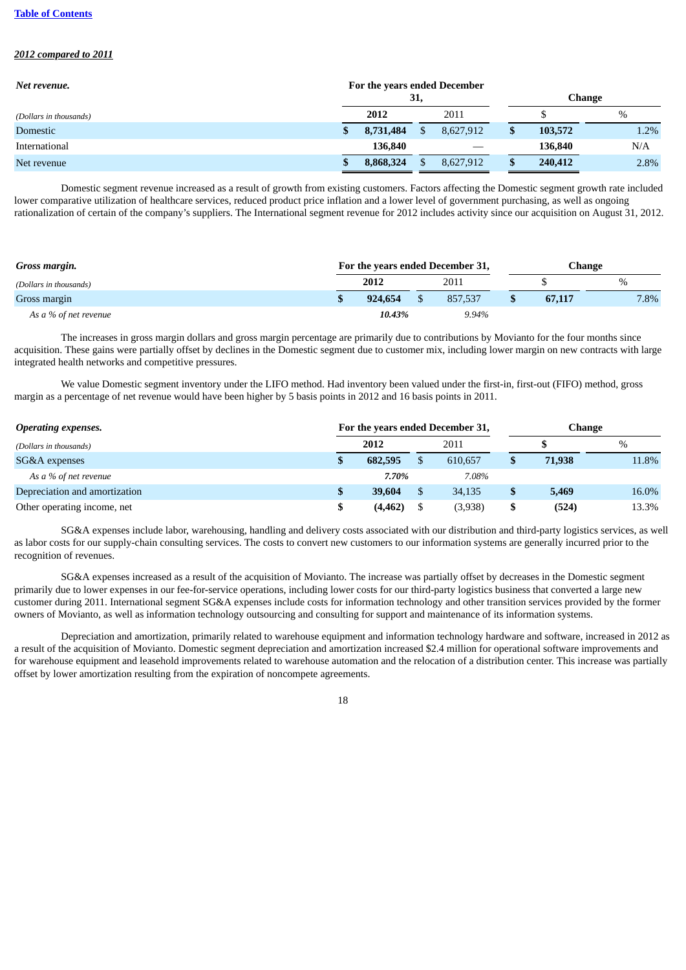# *2012 compared to 2011*

| Net revenue.           | For the years ended December<br>31, |           |   |           |  | Change |         |      |  |
|------------------------|-------------------------------------|-----------|---|-----------|--|--------|---------|------|--|
| (Dollars in thousands) |                                     | 2012      |   | 2011      |  |        |         | $\%$ |  |
| Domestic               |                                     | 8,731,484 | S | 8,627,912 |  |        | 103,572 | 1.2% |  |
| International          |                                     | 136,840   |   |           |  |        | 136,840 | N/A  |  |
| Net revenue            |                                     | 8,868,324 |   | 8,627,912 |  |        | 240,412 | 2.8% |  |

Domestic segment revenue increased as a result of growth from existing customers. Factors affecting the Domestic segment growth rate included lower comparative utilization of healthcare services, reduced product price inflation and a lower level of government purchasing, as well as ongoing rationalization of certain of the company's suppliers. The International segment revenue for 2012 includes activity since our acquisition on August 31, 2012.

| Gross margin.          | For the years ended December 31, |         |  |         | Change |        |      |  |
|------------------------|----------------------------------|---------|--|---------|--------|--------|------|--|
| (Dollars in thousands) |                                  | 2012    |  | 2011    |        |        | %    |  |
| Gross margin           |                                  | 924.654 |  | 857,537 |        | 67,117 | 7.8% |  |
| As a % of net revenue  |                                  | 10.43%  |  | 9.94%   |        |        |      |  |

The increases in gross margin dollars and gross margin percentage are primarily due to contributions by Movianto for the four months since acquisition. These gains were partially offset by declines in the Domestic segment due to customer mix, including lower margin on new contracts with large integrated health networks and competitive pressures.

We value Domestic segment inventory under the LIFO method. Had inventory been valued under the first-in, first-out (FIFO) method, gross margin as a percentage of net revenue would have been higher by 5 basis points in 2012 and 16 basis points in 2011.

| Operating expenses.           | For the years ended December 31, |          |  | Change  |   |        |       |
|-------------------------------|----------------------------------|----------|--|---------|---|--------|-------|
| (Dollars in thousands)        |                                  | 2012     |  | 2011    |   |        | $\%$  |
| SG&A expenses                 |                                  | 682,595  |  | 610.657 |   | 71,938 | 11.8% |
| As a % of net revenue         |                                  | 7.70%    |  | 7.08%   |   |        |       |
| Depreciation and amortization |                                  | 39,604   |  | 34.135  | S | 5,469  | 16.0% |
| Other operating income, net   |                                  | (4, 462) |  | (3,938) | S | (524)  | 13.3% |

SG&A expenses include labor, warehousing, handling and delivery costs associated with our distribution and third-party logistics services, as well as labor costs for our supply-chain consulting services. The costs to convert new customers to our information systems are generally incurred prior to the recognition of revenues.

SG&A expenses increased as a result of the acquisition of Movianto. The increase was partially offset by decreases in the Domestic segment primarily due to lower expenses in our fee-for-service operations, including lower costs for our third-party logistics business that converted a large new customer during 2011. International segment SG&A expenses include costs for information technology and other transition services provided by the former owners of Movianto, as well as information technology outsourcing and consulting for support and maintenance of its information systems.

Depreciation and amortization, primarily related to warehouse equipment and information technology hardware and software, increased in 2012 as a result of the acquisition of Movianto. Domestic segment depreciation and amortization increased \$2.4 million for operational software improvements and for warehouse equipment and leasehold improvements related to warehouse automation and the relocation of a distribution center. This increase was partially offset by lower amortization resulting from the expiration of noncompete agreements.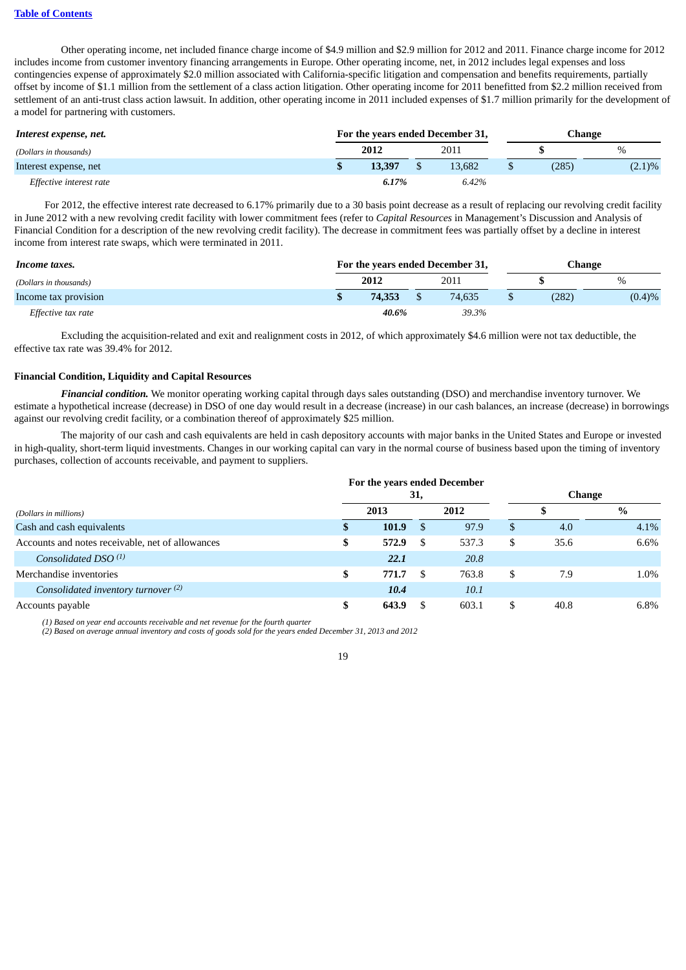Other operating income, net included finance charge income of \$4.9 million and \$2.9 million for 2012 and 2011. Finance charge income for 2012 includes income from customer inventory financing arrangements in Europe. Other operating income, net, in 2012 includes legal expenses and loss contingencies expense of approximately \$2.0 million associated with California-specific litigation and compensation and benefits requirements, partially offset by income of \$1.1 million from the settlement of a class action litigation. Other operating income for 2011 benefitted from \$2.2 million received from settlement of an anti-trust class action lawsuit. In addition, other operating income in 2011 included expenses of \$1.7 million primarily for the development of a model for partnering with customers.

| Interest expense, net.  | For the years ended December 31, |  |        |  | Change |           |  |  |
|-------------------------|----------------------------------|--|--------|--|--------|-----------|--|--|
| (Dollars in thousands)  | 2012                             |  | 2011   |  |        | %         |  |  |
| Interest expense, net   | 13,397                           |  | 13.682 |  | (285)  | $(2.1)\%$ |  |  |
| Effective interest rate | 6.17%                            |  | 6.42%  |  |        |           |  |  |

For 2012, the effective interest rate decreased to 6.17% primarily due to a 30 basis point decrease as a result of replacing our revolving credit facility in June 2012 with a new revolving credit facility with lower commitment fees (refer to *Capital Resources* in Management's Discussion and Analysis of Financial Condition for a description of the new revolving credit facility). The decrease in commitment fees was partially offset by a decline in interest income from interest rate swaps, which were terminated in 2011.

| Income taxes.          | For the years ended December 31, |        |  |        | Change |       |        |  |
|------------------------|----------------------------------|--------|--|--------|--------|-------|--------|--|
| (Dollars in thousands) |                                  | 2012   |  | 2011   |        |       | $\%$   |  |
| Income tax provision   |                                  | 74,353 |  | 74.635 |        | (282) | (0.4)% |  |
| Effective tax rate     |                                  | 40.6%  |  | 39.3%  |        |       |        |  |

Excluding the acquisition-related and exit and realignment costs in 2012, of which approximately \$4.6 million were not tax deductible, the effective tax rate was 39.4% for 2012.

### **Financial Condition, Liquidity and Capital Resources**

*Financial condition.* We monitor operating working capital through days sales outstanding (DSO) and merchandise inventory turnover. We estimate a hypothetical increase (decrease) in DSO of one day would result in a decrease (increase) in our cash balances, an increase (decrease) in borrowings against our revolving credit facility, or a combination thereof of approximately \$25 million.

The majority of our cash and cash equivalents are held in cash depository accounts with major banks in the United States and Europe or invested in high-quality, short-term liquid investments. Changes in our working capital can vary in the normal course of business based upon the timing of inventory purchases, collection of accounts receivable, and payment to suppliers.

|                                                  |    | For the years ended December |      |       |               |      |         |  |  |
|--------------------------------------------------|----|------------------------------|------|-------|---------------|------|---------|--|--|
|                                                  |    |                              | 31,  |       | <b>Change</b> |      |         |  |  |
| (Dollars in millions)                            |    | 2013                         |      | 2012  |               |      | %       |  |  |
| Cash and cash equivalents                        |    | 101.9                        | S    | 97.9  | \$            | 4.0  | $4.1\%$ |  |  |
| Accounts and notes receivable, net of allowances | \$ | 572.9                        | - \$ | 537.3 | \$            | 35.6 | 6.6%    |  |  |
| Consolidated DSO $(1)$                           |    | 22.1                         |      | 20.8  |               |      |         |  |  |
| Merchandise inventories                          | \$ | 771.7                        | -\$  | 763.8 | S             | 7.9  | 1.0%    |  |  |
| Consolidated inventory turnover <sup>(2)</sup>   |    | 10.4                         |      | 10.1  |               |      |         |  |  |
| Accounts payable                                 | \$ | 643.9                        |      | 603.1 | \$.           | 40.8 | 6.8%    |  |  |

*(1) Based on year end accounts receivable and net revenue for the fourth quarter*

(2) Based on average annual inventory and costs of goods sold for the years ended December 31, 2013 and 2012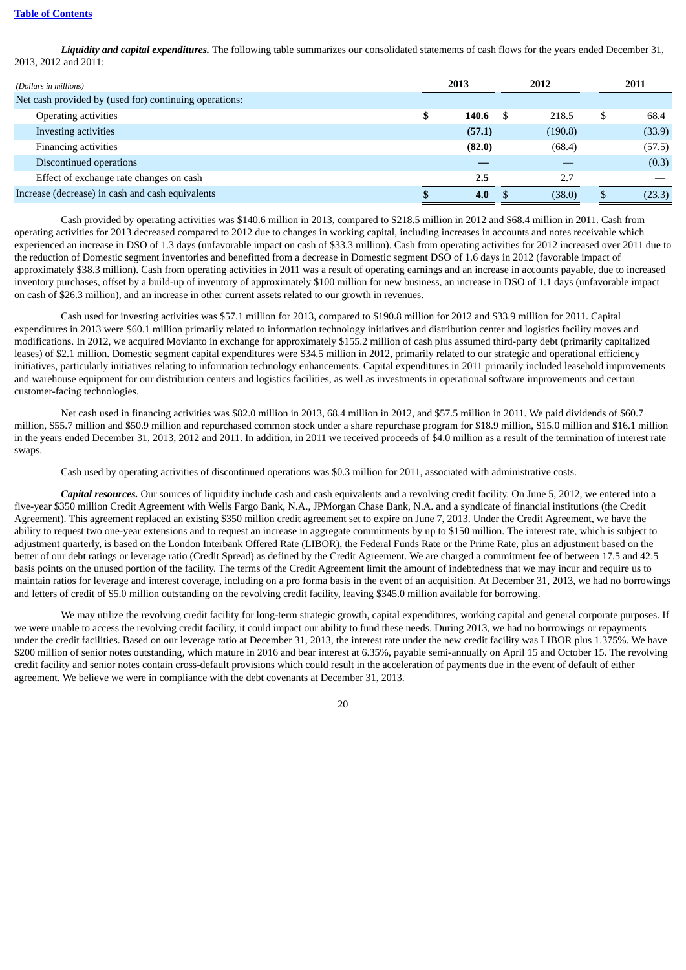*Liquidity and capital expenditures.* The following table summarizes our consolidated statements of cash flows for the years ended December 31, 2013, 2012 and 2011:

| (Dollars in millions)                                  | 2013        | 2012    | 2011       |
|--------------------------------------------------------|-------------|---------|------------|
| Net cash provided by (used for) continuing operations: |             |         |            |
| Operating activities                                   | \$<br>140.6 | 218.5   | \$<br>68.4 |
| Investing activities                                   | (57.1)      | (190.8) | (33.9)     |
| <b>Financing activities</b>                            | (82.0)      | (68.4)  | (57.5)     |
| Discontinued operations                                |             |         | (0.3)      |
| Effect of exchange rate changes on cash                | 2.5         | 2.7     |            |
| Increase (decrease) in cash and cash equivalents       | 4.0         | (38.0)  | (23.3)     |

Cash provided by operating activities was \$140.6 million in 2013, compared to \$218.5 million in 2012 and \$68.4 million in 2011. Cash from operating activities for 2013 decreased compared to 2012 due to changes in working capital, including increases in accounts and notes receivable which experienced an increase in DSO of 1.3 days (unfavorable impact on cash of \$33.3 million). Cash from operating activities for 2012 increased over 2011 due to the reduction of Domestic segment inventories and benefitted from a decrease in Domestic segment DSO of 1.6 days in 2012 (favorable impact of approximately \$38.3 million). Cash from operating activities in 2011 was a result of operating earnings and an increase in accounts payable, due to increased inventory purchases, offset by a build-up of inventory of approximately \$100 million for new business, an increase in DSO of 1.1 days (unfavorable impact on cash of \$26.3 million), and an increase in other current assets related to our growth in revenues.

Cash used for investing activities was \$57.1 million for 2013, compared to \$190.8 million for 2012 and \$33.9 million for 2011. Capital expenditures in 2013 were \$60.1 million primarily related to information technology initiatives and distribution center and logistics facility moves and modifications. In 2012, we acquired Movianto in exchange for approximately \$155.2 million of cash plus assumed third-party debt (primarily capitalized leases) of \$2.1 million. Domestic segment capital expenditures were \$34.5 million in 2012, primarily related to our strategic and operational efficiency initiatives, particularly initiatives relating to information technology enhancements. Capital expenditures in 2011 primarily included leasehold improvements and warehouse equipment for our distribution centers and logistics facilities, as well as investments in operational software improvements and certain customer-facing technologies.

Net cash used in financing activities was \$82.0 million in 2013, 68.4 million in 2012, and \$57.5 million in 2011. We paid dividends of \$60.7 million, \$55.7 million and \$50.9 million and repurchased common stock under a share repurchase program for \$18.9 million, \$15.0 million and \$16.1 million in the years ended December 31, 2013, 2012 and 2011. In addition, in 2011 we received proceeds of \$4.0 million as a result of the termination of interest rate swaps.

Cash used by operating activities of discontinued operations was \$0.3 million for 2011, associated with administrative costs.

*Capital resources.* Our sources of liquidity include cash and cash equivalents and a revolving credit facility. On June 5, 2012, we entered into a five-year \$350 million Credit Agreement with Wells Fargo Bank, N.A., JPMorgan Chase Bank, N.A. and a syndicate of financial institutions (the Credit Agreement). This agreement replaced an existing \$350 million credit agreement set to expire on June 7, 2013. Under the Credit Agreement, we have the ability to request two one-year extensions and to request an increase in aggregate commitments by up to \$150 million. The interest rate, which is subject to adjustment quarterly, is based on the London Interbank Offered Rate (LIBOR), the Federal Funds Rate or the Prime Rate, plus an adjustment based on the better of our debt ratings or leverage ratio (Credit Spread) as defined by the Credit Agreement. We are charged a commitment fee of between 17.5 and 42.5 basis points on the unused portion of the facility. The terms of the Credit Agreement limit the amount of indebtedness that we may incur and require us to maintain ratios for leverage and interest coverage, including on a pro forma basis in the event of an acquisition. At December 31, 2013, we had no borrowings and letters of credit of \$5.0 million outstanding on the revolving credit facility, leaving \$345.0 million available for borrowing.

We may utilize the revolving credit facility for long-term strategic growth, capital expenditures, working capital and general corporate purposes. If we were unable to access the revolving credit facility, it could impact our ability to fund these needs. During 2013, we had no borrowings or repayments under the credit facilities. Based on our leverage ratio at December 31, 2013, the interest rate under the new credit facility was LIBOR plus 1.375%. We have \$200 million of senior notes outstanding, which mature in 2016 and bear interest at 6.35%, payable semi-annually on April 15 and October 15. The revolving credit facility and senior notes contain cross-default provisions which could result in the acceleration of payments due in the event of default of either agreement. We believe we were in compliance with the debt covenants at December 31, 2013.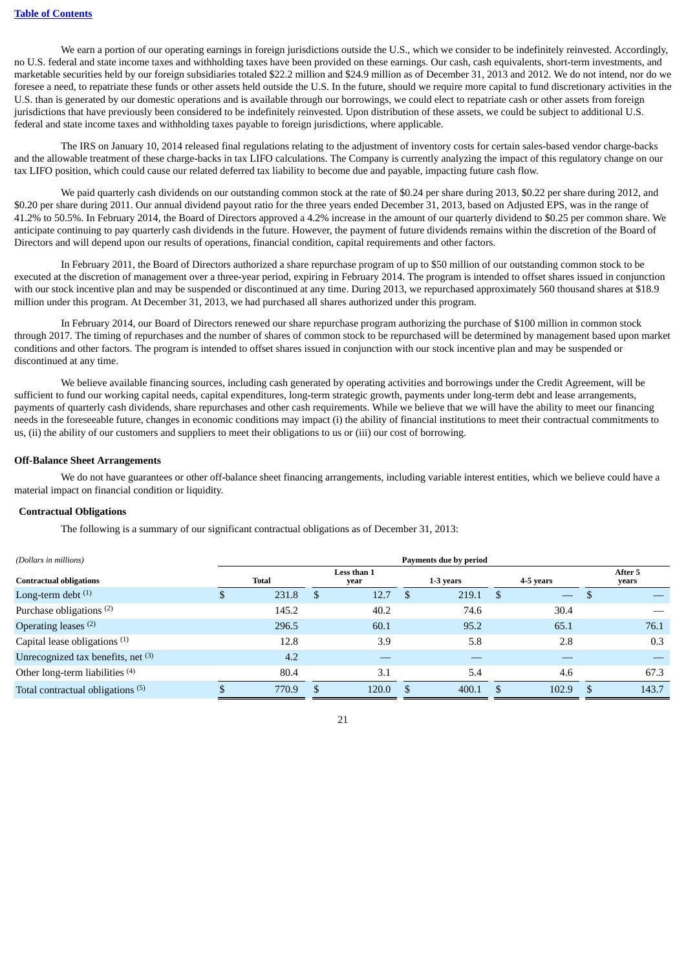We earn a portion of our operating earnings in foreign jurisdictions outside the U.S., which we consider to be indefinitely reinvested. Accordingly, no U.S. federal and state income taxes and withholding taxes have been provided on these earnings. Our cash, cash equivalents, short-term investments, and marketable securities held by our foreign subsidiaries totaled \$22.2 million and \$24.9 million as of December 31, 2013 and 2012. We do not intend, nor do we foresee a need, to repatriate these funds or other assets held outside the U.S. In the future, should we require more capital to fund discretionary activities in the U.S. than is generated by our domestic operations and is available through our borrowings, we could elect to repatriate cash or other assets from foreign jurisdictions that have previously been considered to be indefinitely reinvested. Upon distribution of these assets, we could be subject to additional U.S. federal and state income taxes and withholding taxes payable to foreign jurisdictions, where applicable.

The IRS on January 10, 2014 released final regulations relating to the adjustment of inventory costs for certain sales-based vendor charge-backs and the allowable treatment of these charge-backs in tax LIFO calculations. The Company is currently analyzing the impact of this regulatory change on our tax LIFO position, which could cause our related deferred tax liability to become due and payable, impacting future cash flow.

We paid quarterly cash dividends on our outstanding common stock at the rate of \$0.24 per share during 2013, \$0.22 per share during 2012, and \$0.20 per share during 2011. Our annual dividend payout ratio for the three years ended December 31, 2013, based on Adjusted EPS, was in the range of 41.2% to 50.5%. In February 2014, the Board of Directors approved a 4.2% increase in the amount of our quarterly dividend to \$0.25 per common share. We anticipate continuing to pay quarterly cash dividends in the future. However, the payment of future dividends remains within the discretion of the Board of Directors and will depend upon our results of operations, financial condition, capital requirements and other factors.

In February 2011, the Board of Directors authorized a share repurchase program of up to \$50 million of our outstanding common stock to be executed at the discretion of management over a three-year period, expiring in February 2014. The program is intended to offset shares issued in conjunction with our stock incentive plan and may be suspended or discontinued at any time. During 2013, we repurchased approximately 560 thousand shares at \$18.9 million under this program. At December 31, 2013, we had purchased all shares authorized under this program.

In February 2014, our Board of Directors renewed our share repurchase program authorizing the purchase of \$100 million in common stock through 2017. The timing of repurchases and the number of shares of common stock to be repurchased will be determined by management based upon market conditions and other factors. The program is intended to offset shares issued in conjunction with our stock incentive plan and may be suspended or discontinued at any time.

We believe available financing sources, including cash generated by operating activities and borrowings under the Credit Agreement, will be sufficient to fund our working capital needs, capital expenditures, long-term strategic growth, payments under long-term debt and lease arrangements, payments of quarterly cash dividends, share repurchases and other cash requirements. While we believe that we will have the ability to meet our financing needs in the foreseeable future, changes in economic conditions may impact (i) the ability of financial institutions to meet their contractual commitments to us, (ii) the ability of our customers and suppliers to meet their obligations to us or (iii) our cost of borrowing.

#### **Off-Balance Sheet Arrangements**

We do not have guarantees or other off-balance sheet financing arrangements, including variable interest entities, which we believe could have a material impact on financial condition or liquidity.

#### **Contractual Obligations**

The following is a summary of our significant contractual obligations as of December 31, 2013:

| (Dollars in millions)                    | Payments due by period |       |   |                     |  |           |    |           |     |                  |
|------------------------------------------|------------------------|-------|---|---------------------|--|-----------|----|-----------|-----|------------------|
| <b>Contractual obligations</b>           |                        | Total |   | Less than 1<br>year |  | 1-3 years |    | 4-5 years |     | After 5<br>years |
| Long-term debt (1)                       |                        | 231.8 |   | 12.7                |  | 219.1     | S  |           |     |                  |
| Purchase obligations <sup>(2)</sup>      |                        | 145.2 |   | 40.2                |  | 74.6      |    | 30.4      |     |                  |
| Operating leases <sup>(2)</sup>          |                        | 296.5 |   | 60.1                |  | 95.2      |    | 65.1      |     | 76.1             |
| Capital lease obligations <sup>(1)</sup> |                        | 12.8  |   | 3.9                 |  | 5.8       |    | 2.8       |     | 0.3              |
| Unrecognized tax benefits, net (3)       |                        | 4.2   |   | __                  |  |           |    |           |     |                  |
| Other long-term liabilities (4)          |                        | 80.4  |   | 3.1                 |  | 5.4       |    | 4.6       |     | 67.3             |
| Total contractual obligations (5)        |                        | 770.9 | S | 120.0               |  | 400.1     | \$ | 102.9     | -\$ | 143.7            |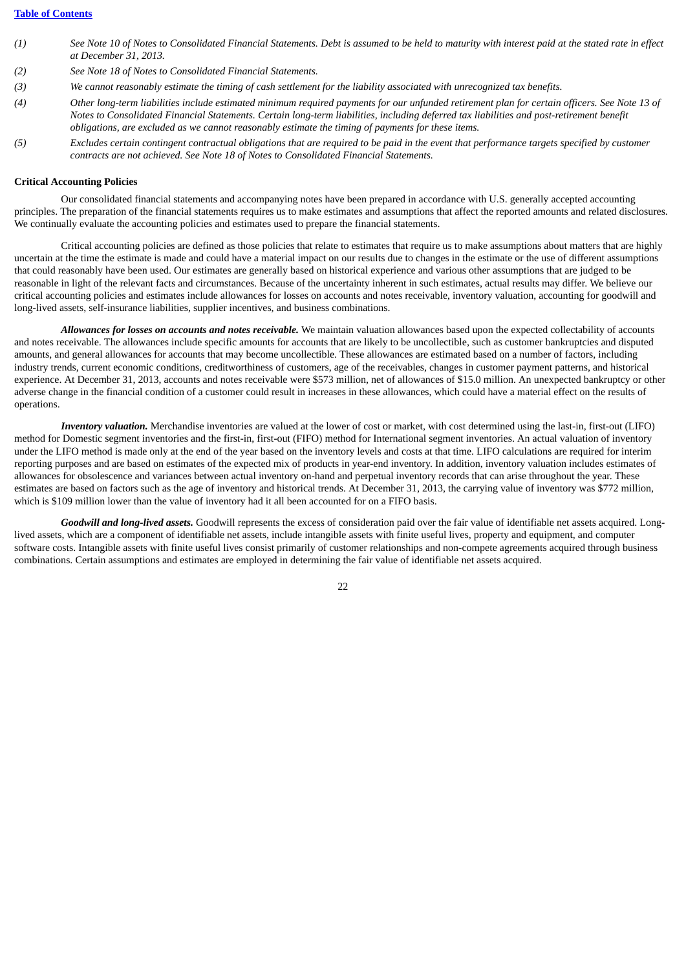- (1) See Note 10 of Notes to Consolidated Financial Statements. Debt is assumed to be held to maturity with interest paid at the stated rate in effect *at December 31, 2013.*
- *(2) See Note 18 of Notes to Consolidated Financial Statements.*
- (3) We cannot reasonably estimate the timing of cash settlement for the liability associated with unrecognized tax benefits.
- (4) Other long-term liabilities include estimated minimum required payments for our unfunded retirement plan for certain officers. See Note 13 of Notes to Consolidated Financial Statements. Certain long-term liabilities, including deferred tax liabilities and post-retirement benefit *obligations, are excluded as we cannot reasonably estimate the timing of payments for these items.*
- (5) Excludes certain contingent contractual obligations that are required to be paid in the event that performance targets specified by customer *contracts are not achieved. See Note 18 of Notes to Consolidated Financial Statements.*

#### **Critical Accounting Policies**

Our consolidated financial statements and accompanying notes have been prepared in accordance with U.S. generally accepted accounting principles. The preparation of the financial statements requires us to make estimates and assumptions that affect the reported amounts and related disclosures. We continually evaluate the accounting policies and estimates used to prepare the financial statements.

Critical accounting policies are defined as those policies that relate to estimates that require us to make assumptions about matters that are highly uncertain at the time the estimate is made and could have a material impact on our results due to changes in the estimate or the use of different assumptions that could reasonably have been used. Our estimates are generally based on historical experience and various other assumptions that are judged to be reasonable in light of the relevant facts and circumstances. Because of the uncertainty inherent in such estimates, actual results may differ. We believe our critical accounting policies and estimates include allowances for losses on accounts and notes receivable, inventory valuation, accounting for goodwill and long-lived assets, self-insurance liabilities, supplier incentives, and business combinations.

*Allowances for losses on accounts and notes receivable.* We maintain valuation allowances based upon the expected collectability of accounts and notes receivable. The allowances include specific amounts for accounts that are likely to be uncollectible, such as customer bankruptcies and disputed amounts, and general allowances for accounts that may become uncollectible. These allowances are estimated based on a number of factors, including industry trends, current economic conditions, creditworthiness of customers, age of the receivables, changes in customer payment patterns, and historical experience. At December 31, 2013, accounts and notes receivable were \$573 million, net of allowances of \$15.0 million. An unexpected bankruptcy or other adverse change in the financial condition of a customer could result in increases in these allowances, which could have a material effect on the results of operations.

*Inventory valuation.* Merchandise inventories are valued at the lower of cost or market, with cost determined using the last-in, first-out (LIFO) method for Domestic segment inventories and the first-in, first-out (FIFO) method for International segment inventories. An actual valuation of inventory under the LIFO method is made only at the end of the year based on the inventory levels and costs at that time. LIFO calculations are required for interim reporting purposes and are based on estimates of the expected mix of products in year-end inventory. In addition, inventory valuation includes estimates of allowances for obsolescence and variances between actual inventory on-hand and perpetual inventory records that can arise throughout the year. These estimates are based on factors such as the age of inventory and historical trends. At December 31, 2013, the carrying value of inventory was \$772 million, which is \$109 million lower than the value of inventory had it all been accounted for on a FIFO basis.

*Goodwill and long-lived assets.* Goodwill represents the excess of consideration paid over the fair value of identifiable net assets acquired. Longlived assets, which are a component of identifiable net assets, include intangible assets with finite useful lives, property and equipment, and computer software costs. Intangible assets with finite useful lives consist primarily of customer relationships and non-compete agreements acquired through business combinations. Certain assumptions and estimates are employed in determining the fair value of identifiable net assets acquired.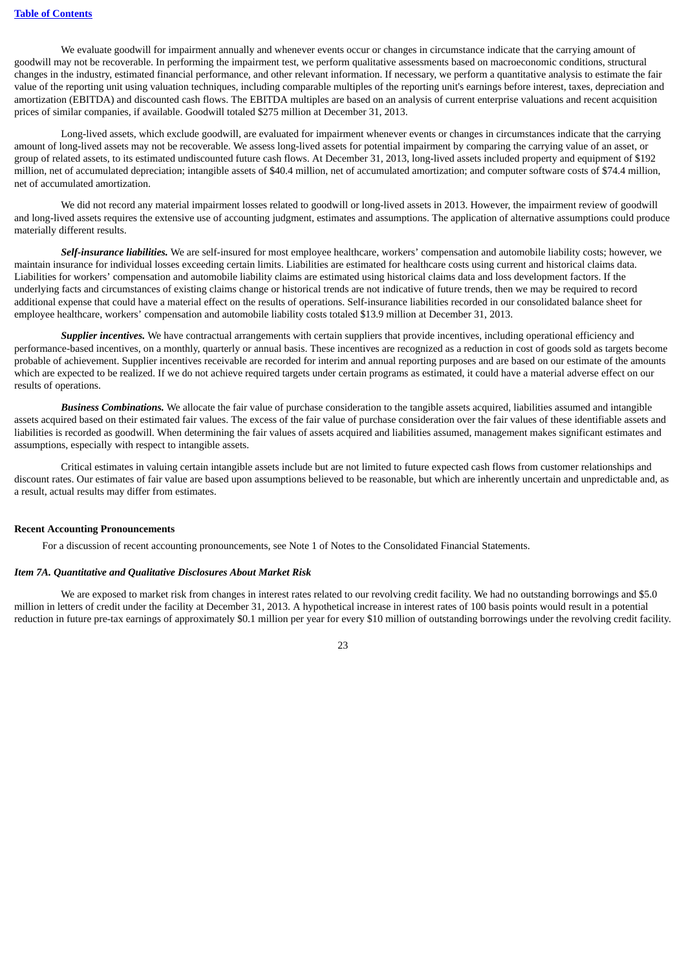We evaluate goodwill for impairment annually and whenever events occur or changes in circumstance indicate that the carrying amount of goodwill may not be recoverable. In performing the impairment test, we perform qualitative assessments based on macroeconomic conditions, structural changes in the industry, estimated financial performance, and other relevant information. If necessary, we perform a quantitative analysis to estimate the fair value of the reporting unit using valuation techniques, including comparable multiples of the reporting unit's earnings before interest, taxes, depreciation and amortization (EBITDA) and discounted cash flows. The EBITDA multiples are based on an analysis of current enterprise valuations and recent acquisition prices of similar companies, if available. Goodwill totaled \$275 million at December 31, 2013.

Long-lived assets, which exclude goodwill, are evaluated for impairment whenever events or changes in circumstances indicate that the carrying amount of long-lived assets may not be recoverable. We assess long-lived assets for potential impairment by comparing the carrying value of an asset, or group of related assets, to its estimated undiscounted future cash flows. At December 31, 2013, long-lived assets included property and equipment of \$192 million, net of accumulated depreciation; intangible assets of \$40.4 million, net of accumulated amortization; and computer software costs of \$74.4 million, net of accumulated amortization.

We did not record any material impairment losses related to goodwill or long-lived assets in 2013. However, the impairment review of goodwill and long-lived assets requires the extensive use of accounting judgment, estimates and assumptions. The application of alternative assumptions could produce materially different results.

*Self-insurance liabilities.* We are self-insured for most employee healthcare, workers' compensation and automobile liability costs; however, we maintain insurance for individual losses exceeding certain limits. Liabilities are estimated for healthcare costs using current and historical claims data. Liabilities for workers' compensation and automobile liability claims are estimated using historical claims data and loss development factors. If the underlying facts and circumstances of existing claims change or historical trends are not indicative of future trends, then we may be required to record additional expense that could have a material effect on the results of operations. Self-insurance liabilities recorded in our consolidated balance sheet for employee healthcare, workers' compensation and automobile liability costs totaled \$13.9 million at December 31, 2013.

*Supplier incentives.* We have contractual arrangements with certain suppliers that provide incentives, including operational efficiency and performance-based incentives, on a monthly, quarterly or annual basis. These incentives are recognized as a reduction in cost of goods sold as targets become probable of achievement. Supplier incentives receivable are recorded for interim and annual reporting purposes and are based on our estimate of the amounts which are expected to be realized. If we do not achieve required targets under certain programs as estimated, it could have a material adverse effect on our results of operations.

*Business Combinations.* We allocate the fair value of purchase consideration to the tangible assets acquired, liabilities assumed and intangible assets acquired based on their estimated fair values. The excess of the fair value of purchase consideration over the fair values of these identifiable assets and liabilities is recorded as goodwill. When determining the fair values of assets acquired and liabilities assumed, management makes significant estimates and assumptions, especially with respect to intangible assets.

Critical estimates in valuing certain intangible assets include but are not limited to future expected cash flows from customer relationships and discount rates. Our estimates of fair value are based upon assumptions believed to be reasonable, but which are inherently uncertain and unpredictable and, as a result, actual results may differ from estimates.

#### **Recent Accounting Pronouncements**

For a discussion of recent accounting pronouncements, see Note 1 of Notes to the Consolidated Financial Statements.

#### <span id="page-23-0"></span>*Item 7A. Quantitative and Qualitative Disclosures About Market Risk*

We are exposed to market risk from changes in interest rates related to our revolving credit facility. We had no outstanding borrowings and \$5.0 million in letters of credit under the facility at December 31, 2013. A hypothetical increase in interest rates of 100 basis points would result in a potential reduction in future pre-tax earnings of approximately \$0.1 million per year for every \$10 million of outstanding borrowings under the revolving credit facility.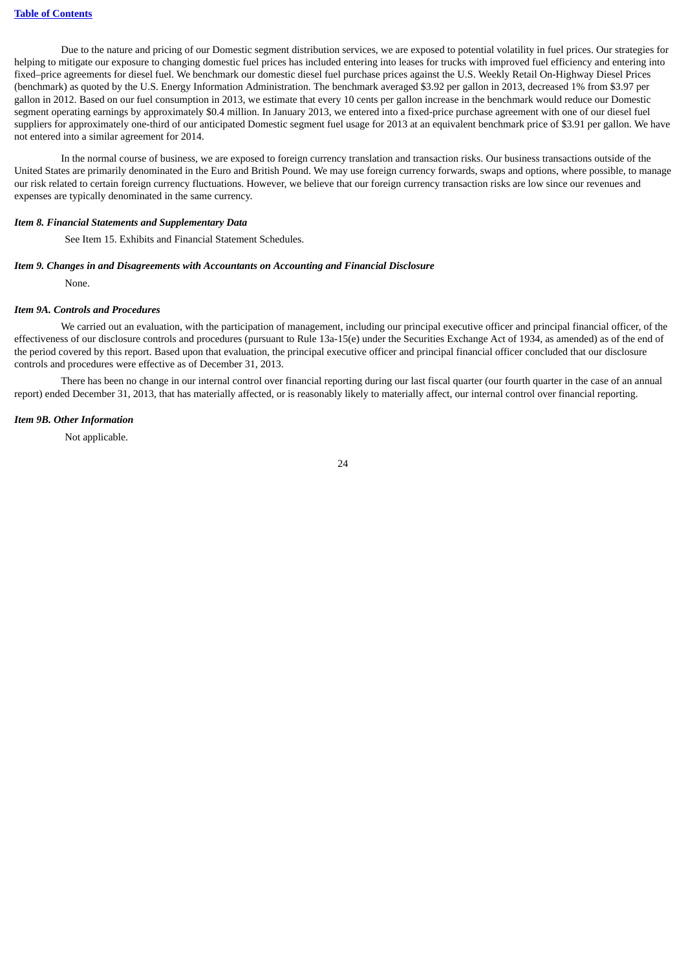Due to the nature and pricing of our Domestic segment distribution services, we are exposed to potential volatility in fuel prices. Our strategies for helping to mitigate our exposure to changing domestic fuel prices has included entering into leases for trucks with improved fuel efficiency and entering into fixed–price agreements for diesel fuel. We benchmark our domestic diesel fuel purchase prices against the U.S. Weekly Retail On-Highway Diesel Prices (benchmark) as quoted by the U.S. Energy Information Administration. The benchmark averaged \$3.92 per gallon in 2013, decreased 1% from \$3.97 per gallon in 2012. Based on our fuel consumption in 2013, we estimate that every 10 cents per gallon increase in the benchmark would reduce our Domestic segment operating earnings by approximately \$0.4 million. In January 2013, we entered into a fixed-price purchase agreement with one of our diesel fuel suppliers for approximately one-third of our anticipated Domestic segment fuel usage for 2013 at an equivalent benchmark price of \$3.91 per gallon. We have not entered into a similar agreement for 2014.

In the normal course of business, we are exposed to foreign currency translation and transaction risks. Our business transactions outside of the United States are primarily denominated in the Euro and British Pound. We may use foreign currency forwards, swaps and options, where possible, to manage our risk related to certain foreign currency fluctuations. However, we believe that our foreign currency transaction risks are low since our revenues and expenses are typically denominated in the same currency.

#### <span id="page-24-0"></span>*Item 8. Financial Statements and Supplementary Data*

See Item 15. Exhibits and Financial Statement Schedules.

#### <span id="page-24-1"></span>*Item 9. Changes in and Disagreements with Accountants on Accounting and Financial Disclosure*

None.

#### <span id="page-24-2"></span>*Item 9A. Controls and Procedures*

We carried out an evaluation, with the participation of management, including our principal executive officer and principal financial officer, of the effectiveness of our disclosure controls and procedures (pursuant to Rule 13a-15(e) under the Securities Exchange Act of 1934, as amended) as of the end of the period covered by this report. Based upon that evaluation, the principal executive officer and principal financial officer concluded that our disclosure controls and procedures were effective as of December 31, 2013.

There has been no change in our internal control over financial reporting during our last fiscal quarter (our fourth quarter in the case of an annual report) ended December 31, 2013, that has materially affected, or is reasonably likely to materially affect, our internal control over financial reporting.

#### <span id="page-24-4"></span><span id="page-24-3"></span>*Item 9B. Other Information*

Not applicable.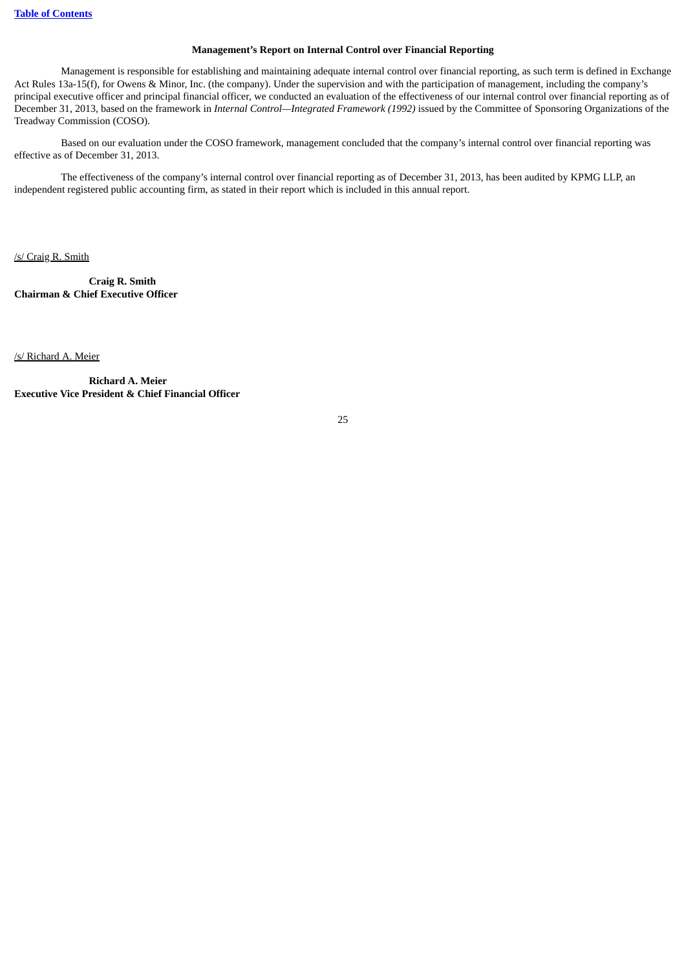#### **Management's Report on Internal Control over Financial Reporting**

Management is responsible for establishing and maintaining adequate internal control over financial reporting, as such term is defined in Exchange Act Rules 13a-15(f), for Owens & Minor, Inc. (the company). Under the supervision and with the participation of management, including the company's principal executive officer and principal financial officer, we conducted an evaluation of the effectiveness of our internal control over financial reporting as of December 31, 2013, based on the framework in *Internal Control—Integrated Framework (1992)* issued by the Committee of Sponsoring Organizations of the Treadway Commission (COSO).

Based on our evaluation under the COSO framework, management concluded that the company's internal control over financial reporting was effective as of December 31, 2013.

The effectiveness of the company's internal control over financial reporting as of December 31, 2013, has been audited by KPMG LLP, an independent registered public accounting firm, as stated in their report which is included in this annual report.

/s/ Craig R. Smith

**Craig R. Smith Chairman & Chief Executive Officer**

/s/ Richard A. Meier

<span id="page-25-0"></span>**Richard A. Meier Executive Vice President & Chief Financial Officer**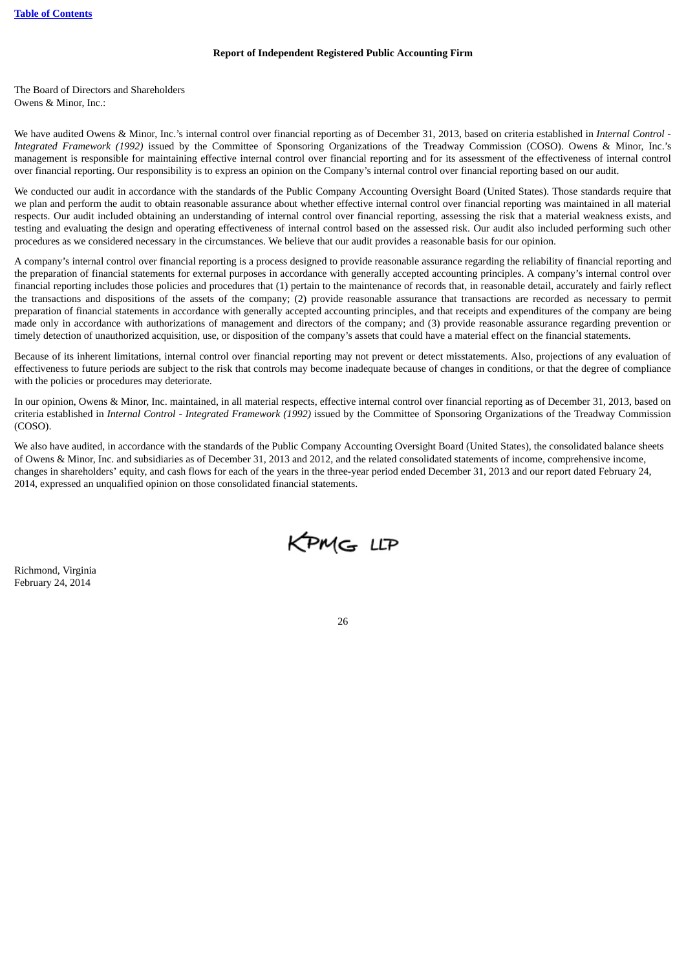### **Report of Independent Registered Public Accounting Firm**

The Board of Directors and Shareholders Owens & Minor, Inc.:

We have audited Owens & Minor, Inc.'s internal control over financial reporting as of December 31, 2013, based on criteria established in *Internal Control - Integrated Framework (1992)* issued by the Committee of Sponsoring Organizations of the Treadway Commission (COSO). Owens & Minor, Inc.'s management is responsible for maintaining effective internal control over financial reporting and for its assessment of the effectiveness of internal control over financial reporting. Our responsibility is to express an opinion on the Company's internal control over financial reporting based on our audit.

We conducted our audit in accordance with the standards of the Public Company Accounting Oversight Board (United States). Those standards require that we plan and perform the audit to obtain reasonable assurance about whether effective internal control over financial reporting was maintained in all material respects. Our audit included obtaining an understanding of internal control over financial reporting, assessing the risk that a material weakness exists, and testing and evaluating the design and operating effectiveness of internal control based on the assessed risk. Our audit also included performing such other procedures as we considered necessary in the circumstances. We believe that our audit provides a reasonable basis for our opinion.

A company's internal control over financial reporting is a process designed to provide reasonable assurance regarding the reliability of financial reporting and the preparation of financial statements for external purposes in accordance with generally accepted accounting principles. A company's internal control over financial reporting includes those policies and procedures that (1) pertain to the maintenance of records that, in reasonable detail, accurately and fairly reflect the transactions and dispositions of the assets of the company; (2) provide reasonable assurance that transactions are recorded as necessary to permit preparation of financial statements in accordance with generally accepted accounting principles, and that receipts and expenditures of the company are being made only in accordance with authorizations of management and directors of the company; and (3) provide reasonable assurance regarding prevention or timely detection of unauthorized acquisition, use, or disposition of the company's assets that could have a material effect on the financial statements.

Because of its inherent limitations, internal control over financial reporting may not prevent or detect misstatements. Also, projections of any evaluation of effectiveness to future periods are subject to the risk that controls may become inadequate because of changes in conditions, or that the degree of compliance with the policies or procedures may deteriorate.

In our opinion, Owens & Minor, Inc. maintained, in all material respects, effective internal control over financial reporting as of December 31, 2013, based on criteria established in *Internal Control - Integrated Framework (1992)* issued by the Committee of Sponsoring Organizations of the Treadway Commission (COSO).

We also have audited, in accordance with the standards of the Public Company Accounting Oversight Board (United States), the consolidated balance sheets of Owens & Minor, Inc. and subsidiaries as of December 31, 2013 and 2012, and the related consolidated statements of income, comprehensive income, changes in shareholders' equity, and cash flows for each of the years in the three-year period ended December 31, 2013 and our report dated February 24, 2014, expressed an unqualified opinion on those consolidated financial statements.



Richmond, Virginia February 24, 2014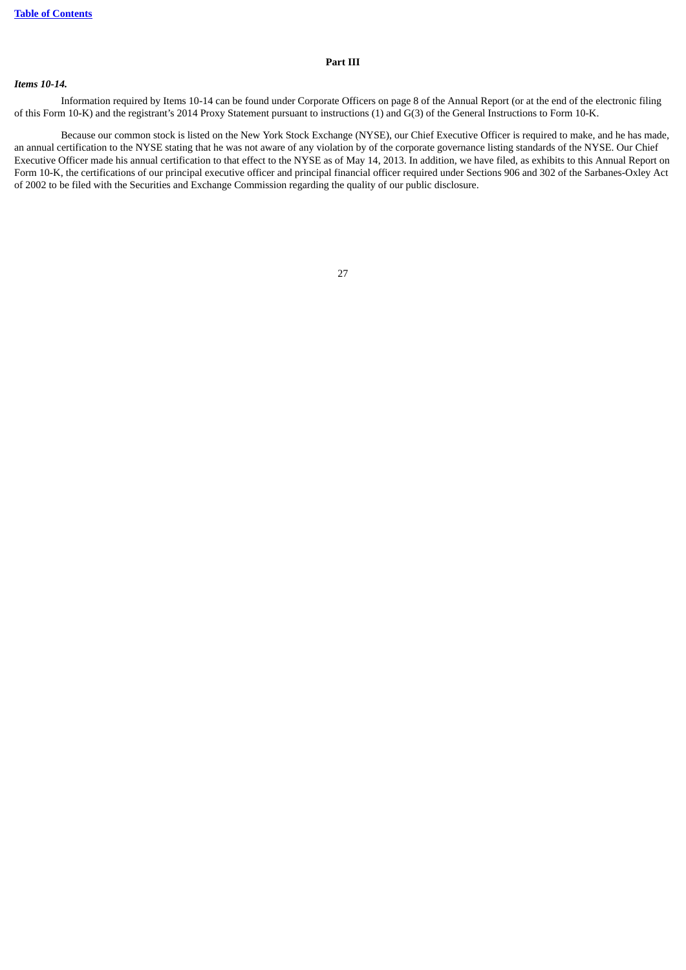### **Part III**

# <span id="page-27-1"></span><span id="page-27-0"></span>*Items 10-14.*

Information required by Items 10-14 can be found under Corporate Officers on page 8 of the Annual Report (or at the end of the electronic filing of this Form 10-K) and the registrant's 2014 Proxy Statement pursuant to instructions (1) and G(3) of the General Instructions to Form 10-K.

<span id="page-27-7"></span><span id="page-27-6"></span><span id="page-27-5"></span><span id="page-27-4"></span><span id="page-27-3"></span><span id="page-27-2"></span>Because our common stock is listed on the New York Stock Exchange (NYSE), our Chief Executive Officer is required to make, and he has made, an annual certification to the NYSE stating that he was not aware of any violation by of the corporate governance listing standards of the NYSE. Our Chief Executive Officer made his annual certification to that effect to the NYSE as of May 14, 2013. In addition, we have filed, as exhibits to this Annual Report on Form 10-K, the certifications of our principal executive officer and principal financial officer required under Sections 906 and 302 of the Sarbanes-Oxley Act of 2002 to be filed with the Securities and Exchange Commission regarding the quality of our public disclosure.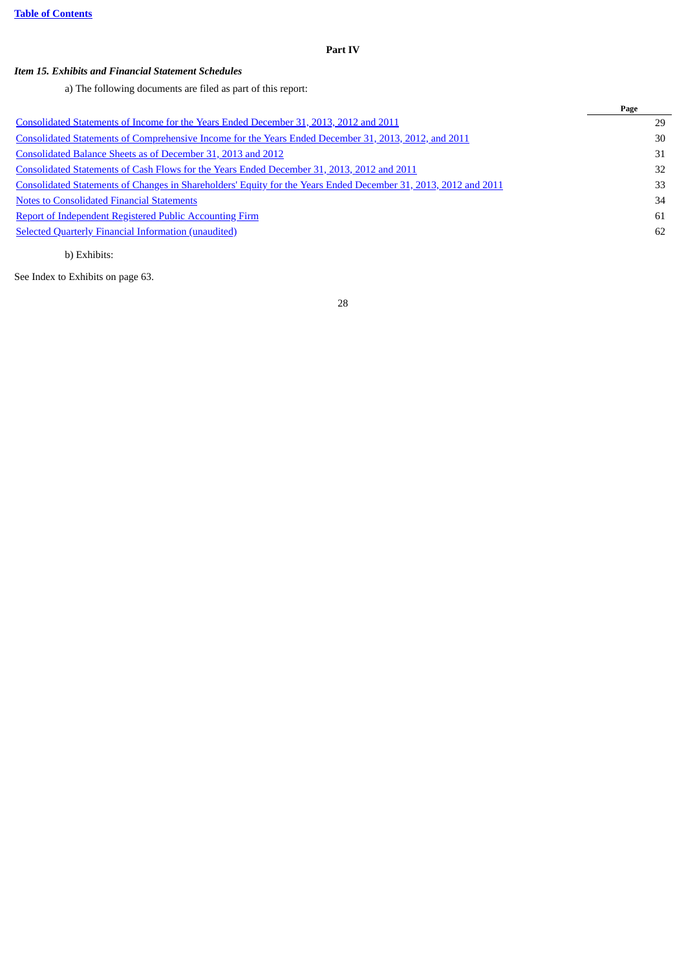# **Part IV**

# <span id="page-28-0"></span>*Item 15. Exhibits and Financial Statement Schedules*

a) The following documents are filed as part of this report:

|                                                                                                                 | Page |
|-----------------------------------------------------------------------------------------------------------------|------|
| Consolidated Statements of Income for the Years Ended December 31, 2013, 2012 and 2011                          | 29   |
| Consolidated Statements of Comprehensive Income for the Years Ended December 31, 2013, 2012, and 2011           | 30   |
| Consolidated Balance Sheets as of December 31, 2013 and 2012                                                    | 31   |
| Consolidated Statements of Cash Flows for the Years Ended December 31, 2013, 2012 and 2011                      | 32   |
| Consolidated Statements of Changes in Shareholders' Equity for the Years Ended December 31, 2013, 2012 and 2011 | 33   |
| <b>Notes to Consolidated Financial Statements</b>                                                               | 34   |
| <b>Report of Independent Registered Public Accounting Firm</b>                                                  | 61   |
| <b>Selected Quarterly Financial Information (unaudited)</b>                                                     | 62   |
|                                                                                                                 |      |

b) Exhibits:

<span id="page-28-1"></span>See Index to Exhibits on page 63.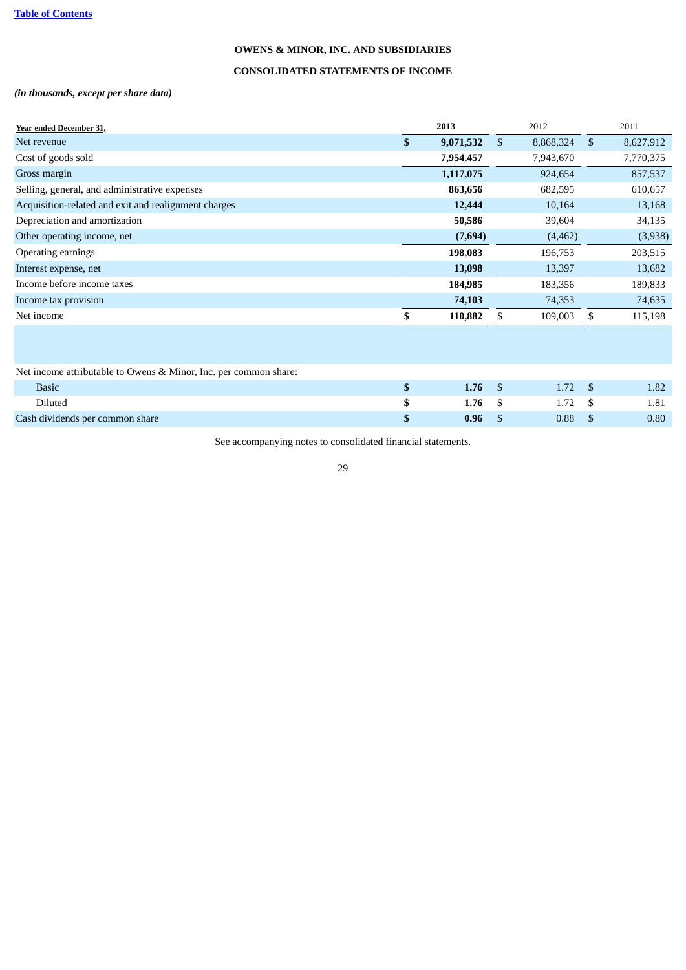# **CONSOLIDATED STATEMENTS OF INCOME**

# *(in thousands, except per share data)*

| Year ended December 31,                                          | 2013            |                | 2012      |                | 2011      |
|------------------------------------------------------------------|-----------------|----------------|-----------|----------------|-----------|
| Net revenue                                                      | \$<br>9,071,532 | $\mathfrak{S}$ | 8,868,324 | $\mathfrak{S}$ | 8,627,912 |
| Cost of goods sold                                               | 7,954,457       |                | 7,943,670 |                | 7,770,375 |
| Gross margin                                                     | 1,117,075       |                | 924,654   |                | 857,537   |
| Selling, general, and administrative expenses                    | 863,656         |                | 682,595   |                | 610,657   |
| Acquisition-related and exit and realignment charges             | 12,444          |                | 10,164    |                | 13,168    |
| Depreciation and amortization                                    | 50,586          |                | 39,604    |                | 34,135    |
| Other operating income, net                                      | (7,694)         |                | (4, 462)  |                | (3,938)   |
| Operating earnings                                               | 198,083         |                | 196,753   |                | 203,515   |
| Interest expense, net                                            | 13,098          |                | 13,397    |                | 13,682    |
| Income before income taxes                                       | 184,985         |                | 183,356   |                | 189,833   |
| Income tax provision                                             | 74,103          |                | 74,353    |                | 74,635    |
| Net income                                                       | 110,882         | \$             | 109,003   | \$             | 115,198   |
|                                                                  |                 |                |           |                |           |
| Net income attributable to Owens & Minor, Inc. per common share: |                 |                |           |                |           |
| <b>Basic</b>                                                     | \$<br>1.76      | $\mathfrak{S}$ | 1.72      | \$             | 1.82      |
| Diluted                                                          | \$<br>1.76      | \$             | 1.72      | \$             | 1.81      |
| Cash dividends per common share                                  | \$<br>0.96      | $\mathfrak{S}$ | 0.88      | \$             | 0.80      |

<span id="page-29-0"></span>See accompanying notes to consolidated financial statements.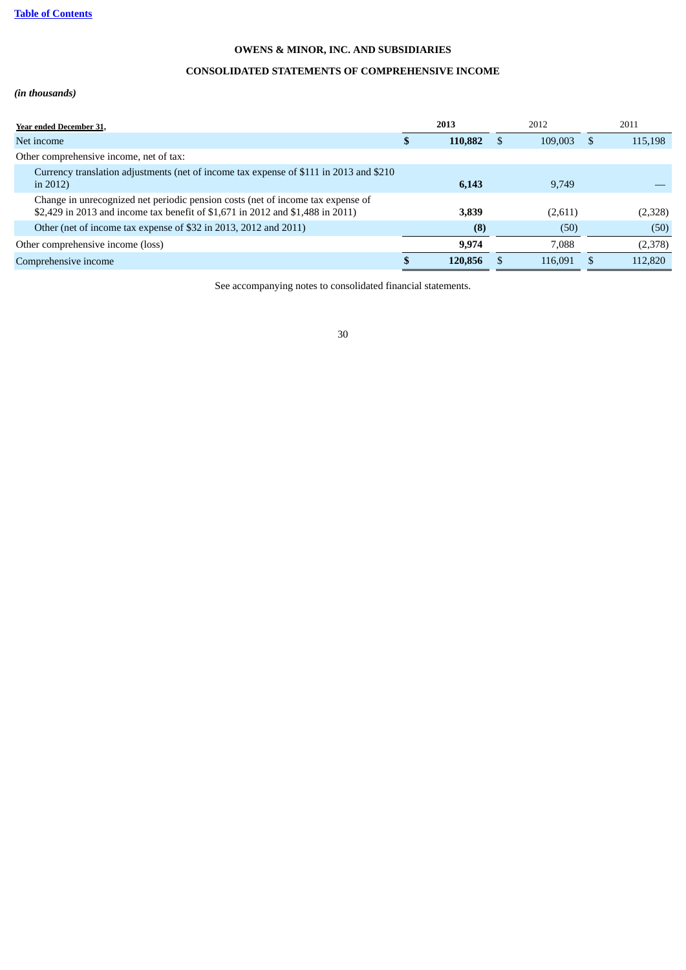# **CONSOLIDATED STATEMENTS OF COMPREHENSIVE INCOME**

# *(in thousands)*

| Year ended December 31,                                                                                                                                           | 2013    | 2012    | 2011    |
|-------------------------------------------------------------------------------------------------------------------------------------------------------------------|---------|---------|---------|
| Net income                                                                                                                                                        | 110,882 | 109.003 | 115,198 |
| Other comprehensive income, net of tax:                                                                                                                           |         |         |         |
| Currency translation adjustments (net of income tax expense of \$111 in 2013 and \$210<br>in $2012$ )                                                             | 6.143   | 9.749   |         |
| Change in unrecognized net periodic pension costs (net of income tax expense of<br>\$2,429 in 2013 and income tax benefit of \$1,671 in 2012 and \$1,488 in 2011) | 3.839   | (2,611) | (2,328) |
| Other (net of income tax expense of \$32 in 2013, 2012 and 2011)                                                                                                  | (8)     | (50)    | (50)    |
| Other comprehensive income (loss)                                                                                                                                 | 9.974   | 7,088   | (2,378) |
| Comprehensive income                                                                                                                                              | 120,856 | 116.091 | 112,820 |

<span id="page-30-0"></span>See accompanying notes to consolidated financial statements.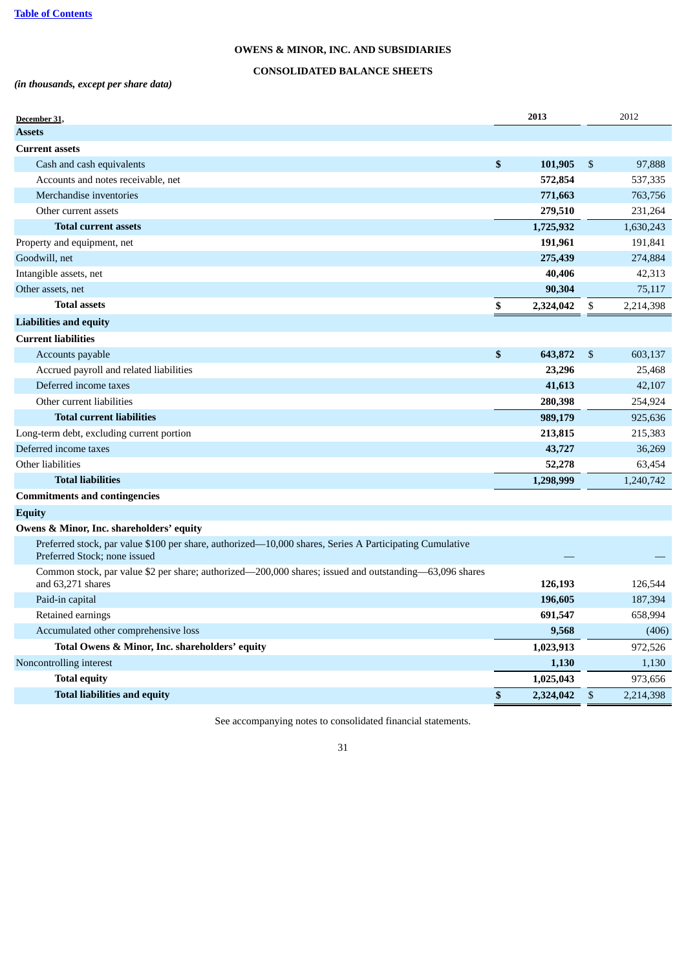# **CONSOLIDATED BALANCE SHEETS**

# *(in thousands, except per share data)*

| December 31,                                                                                                                            | 2013            | 2012            |
|-----------------------------------------------------------------------------------------------------------------------------------------|-----------------|-----------------|
| <b>Assets</b>                                                                                                                           |                 |                 |
| <b>Current assets</b>                                                                                                                   |                 |                 |
| Cash and cash equivalents                                                                                                               | \$<br>101,905   | \$<br>97,888    |
| Accounts and notes receivable, net                                                                                                      | 572,854         | 537,335         |
| Merchandise inventories                                                                                                                 | 771,663         | 763,756         |
| Other current assets                                                                                                                    | 279,510         | 231,264         |
| <b>Total current assets</b>                                                                                                             | 1,725,932       | 1,630,243       |
| Property and equipment, net                                                                                                             | 191,961         | 191,841         |
| Goodwill, net                                                                                                                           | 275,439         | 274,884         |
| Intangible assets, net                                                                                                                  | 40,406          | 42,313          |
| Other assets, net                                                                                                                       | 90,304          | 75,117          |
| <b>Total assets</b>                                                                                                                     | \$<br>2,324,042 | \$<br>2,214,398 |
| <b>Liabilities and equity</b>                                                                                                           |                 |                 |
| <b>Current liabilities</b>                                                                                                              |                 |                 |
| Accounts payable                                                                                                                        | \$<br>643,872   | \$<br>603,137   |
| Accrued payroll and related liabilities                                                                                                 | 23,296          | 25,468          |
| Deferred income taxes                                                                                                                   | 41,613          | 42,107          |
| Other current liabilities                                                                                                               | 280,398         | 254,924         |
| <b>Total current liabilities</b>                                                                                                        | 989,179         | 925,636         |
| Long-term debt, excluding current portion                                                                                               | 213,815         | 215,383         |
| Deferred income taxes                                                                                                                   | 43,727          | 36,269          |
| Other liabilities                                                                                                                       | 52,278          | 63,454          |
| <b>Total liabilities</b>                                                                                                                | 1,298,999       | 1,240,742       |
| <b>Commitments and contingencies</b>                                                                                                    |                 |                 |
| <b>Equity</b>                                                                                                                           |                 |                 |
| Owens & Minor, Inc. shareholders' equity                                                                                                |                 |                 |
| Preferred stock, par value \$100 per share, authorized—10,000 shares, Series A Participating Cumulative<br>Preferred Stock; none issued |                 |                 |
| Common stock, par value \$2 per share; authorized—200,000 shares; issued and outstanding—63,096 shares<br>and 63,271 shares             | 126,193         | 126,544         |
| Paid-in capital                                                                                                                         | 196,605         | 187,394         |
| Retained earnings                                                                                                                       | 691,547         | 658,994         |
| Accumulated other comprehensive loss                                                                                                    | 9,568           | (406)           |
| Total Owens & Minor, Inc. shareholders' equity                                                                                          | 1,023,913       | 972,526         |
| Noncontrolling interest                                                                                                                 | 1,130           | 1,130           |
| <b>Total equity</b>                                                                                                                     | 1,025,043       | 973,656         |
| <b>Total liabilities and equity</b>                                                                                                     | \$<br>2,324,042 | \$<br>2,214,398 |
|                                                                                                                                         |                 |                 |

<span id="page-31-0"></span>See accompanying notes to consolidated financial statements.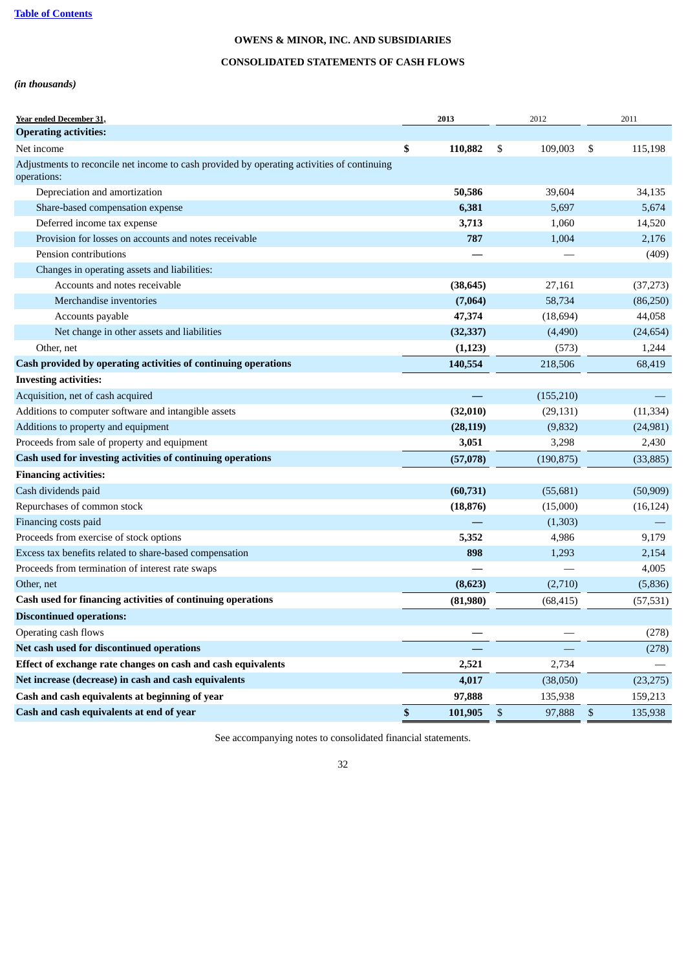# **CONSOLIDATED STATEMENTS OF CASH FLOWS**

# *(in thousands)*

| Year ended December 31,                                                                    | 2013          |              | 2012       |                | 2011      |
|--------------------------------------------------------------------------------------------|---------------|--------------|------------|----------------|-----------|
| <b>Operating activities:</b>                                                               |               |              |            |                |           |
| Net income                                                                                 | \$<br>110,882 | \$           | 109,003    | \$             | 115,198   |
| Adjustments to reconcile net income to cash provided by operating activities of continuing |               |              |            |                |           |
| operations:                                                                                |               |              |            |                |           |
| Depreciation and amortization                                                              | 50,586        |              | 39,604     |                | 34,135    |
| Share-based compensation expense                                                           | 6,381         |              | 5,697      |                | 5,674     |
| Deferred income tax expense                                                                | 3,713         |              | 1,060      |                | 14,520    |
| Provision for losses on accounts and notes receivable                                      | 787           |              | 1,004      |                | 2,176     |
| Pension contributions                                                                      |               |              |            |                | (409)     |
| Changes in operating assets and liabilities:                                               |               |              |            |                |           |
| Accounts and notes receivable                                                              | (38, 645)     |              | 27,161     |                | (37, 273) |
| Merchandise inventories                                                                    | (7,064)       |              | 58,734     |                | (86,250)  |
| Accounts payable                                                                           | 47,374        |              | (18, 694)  |                | 44,058    |
| Net change in other assets and liabilities                                                 | (32, 337)     |              | (4,490)    |                | (24, 654) |
| Other, net                                                                                 | (1, 123)      |              | (573)      |                | 1,244     |
| Cash provided by operating activities of continuing operations                             | 140,554       |              | 218,506    |                | 68,419    |
| <b>Investing activities:</b>                                                               |               |              |            |                |           |
| Acquisition, net of cash acquired                                                          |               |              | (155, 210) |                |           |
| Additions to computer software and intangible assets                                       | (32,010)      |              | (29, 131)  |                | (11, 334) |
| Additions to property and equipment                                                        | (28, 119)     |              | (9, 832)   |                | (24, 981) |
| Proceeds from sale of property and equipment                                               | 3,051         |              | 3,298      |                | 2,430     |
| Cash used for investing activities of continuing operations                                | (57,078)      |              | (190, 875) |                | (33, 885) |
| <b>Financing activities:</b>                                                               |               |              |            |                |           |
| Cash dividends paid                                                                        | (60, 731)     |              | (55, 681)  |                | (50, 909) |
| Repurchases of common stock                                                                | (18, 876)     |              | (15,000)   |                | (16, 124) |
| Financing costs paid                                                                       |               |              | (1,303)    |                |           |
| Proceeds from exercise of stock options                                                    | 5,352         |              | 4,986      |                | 9,179     |
| Excess tax benefits related to share-based compensation                                    | 898           |              | 1,293      |                | 2,154     |
| Proceeds from termination of interest rate swaps                                           |               |              |            |                | 4,005     |
| Other, net                                                                                 | (8,623)       |              | (2,710)    |                | (5,836)   |
| Cash used for financing activities of continuing operations                                | (81,980)      |              | (68, 415)  |                | (57, 531) |
| <b>Discontinued operations:</b>                                                            |               |              |            |                |           |
| Operating cash flows                                                                       |               |              |            |                | (278)     |
| Net cash used for discontinued operations                                                  |               |              |            |                | (278)     |
| Effect of exchange rate changes on cash and cash equivalents                               | 2,521         |              | 2,734      |                |           |
| Net increase (decrease) in cash and cash equivalents                                       | 4,017         |              | (38,050)   |                | (23, 275) |
| Cash and cash equivalents at beginning of year                                             | 97,888        |              | 135,938    |                | 159,213   |
| Cash and cash equivalents at end of year                                                   | \$<br>101,905 | $\mathbb{S}$ | 97,888     | $\mathfrak{S}$ | 135,938   |

<span id="page-32-0"></span>See accompanying notes to consolidated financial statements.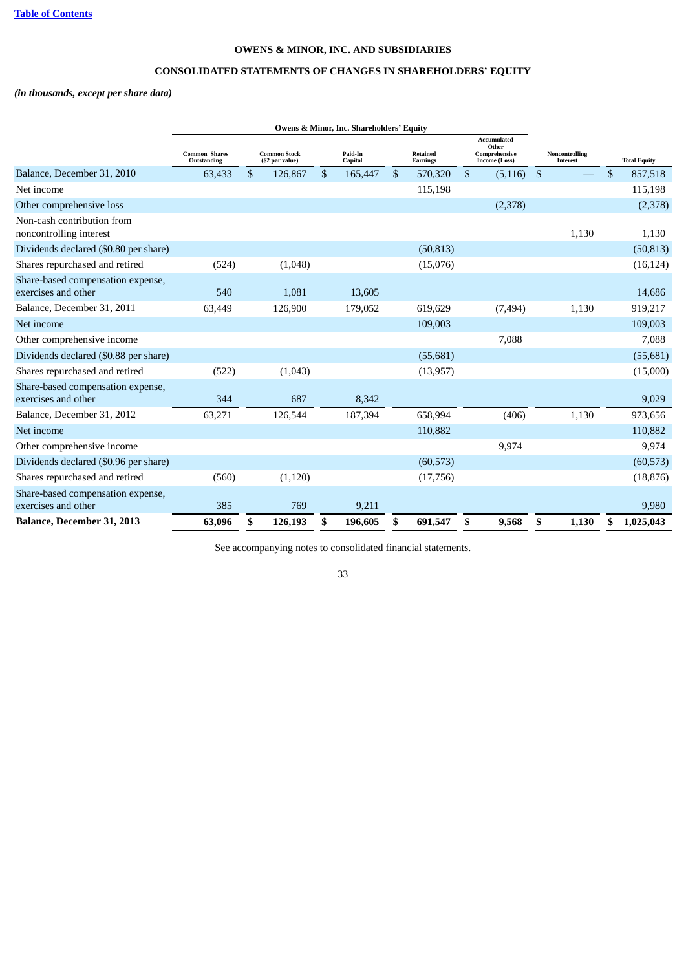# **CONSOLIDATED STATEMENTS OF CHANGES IN SHAREHOLDERS' EQUITY**

# *(in thousands, except per share data)*

|                                                          | Owens & Minor, Inc. Shareholders' Equity |    |                                        |    |                    |    |                                    |                                                               |          |                                   |       |                     |
|----------------------------------------------------------|------------------------------------------|----|----------------------------------------|----|--------------------|----|------------------------------------|---------------------------------------------------------------|----------|-----------------------------------|-------|---------------------|
|                                                          | <b>Common Shares</b><br>Outstanding      |    | <b>Common Stock</b><br>(\$2 par value) |    | Paid-In<br>Capital |    | <b>Retained</b><br><b>Earnings</b> | <b>Accumulated</b><br>Other<br>Comprehensive<br>Income (Loss) |          | Noncontrolling<br><b>Interest</b> |       | <b>Total Equity</b> |
| Balance, December 31, 2010                               | 63,433                                   | \$ | 126,867                                | \$ | 165,447            | \$ | 570,320                            | \$                                                            | (5, 116) | $\mathfrak{F}$                    |       | \$<br>857,518       |
| Net income                                               |                                          |    |                                        |    |                    |    | 115,198                            |                                                               |          |                                   |       | 115,198             |
| Other comprehensive loss                                 |                                          |    |                                        |    |                    |    |                                    |                                                               | (2,378)  |                                   |       | (2,378)             |
| Non-cash contribution from<br>noncontrolling interest    |                                          |    |                                        |    |                    |    |                                    |                                                               |          |                                   | 1,130 | 1,130               |
| Dividends declared (\$0.80 per share)                    |                                          |    |                                        |    |                    |    | (50, 813)                          |                                                               |          |                                   |       | (50, 813)           |
| Shares repurchased and retired                           | (524)                                    |    | (1,048)                                |    |                    |    | (15,076)                           |                                                               |          |                                   |       | (16, 124)           |
| Share-based compensation expense,<br>exercises and other | 540                                      |    | 1,081                                  |    | 13,605             |    |                                    |                                                               |          |                                   |       | 14,686              |
| Balance, December 31, 2011                               | 63,449                                   |    | 126,900                                |    | 179,052            |    | 619,629                            |                                                               | (7, 494) |                                   | 1,130 | 919,217             |
| Net income                                               |                                          |    |                                        |    |                    |    | 109,003                            |                                                               |          |                                   |       | 109,003             |
| Other comprehensive income                               |                                          |    |                                        |    |                    |    |                                    |                                                               | 7,088    |                                   |       | 7,088               |
| Dividends declared (\$0.88 per share)                    |                                          |    |                                        |    |                    |    | (55, 681)                          |                                                               |          |                                   |       | (55, 681)           |
| Shares repurchased and retired                           | (522)                                    |    | (1,043)                                |    |                    |    | (13,957)                           |                                                               |          |                                   |       | (15,000)            |
| Share-based compensation expense,<br>exercises and other | 344                                      |    | 687                                    |    | 8,342              |    |                                    |                                                               |          |                                   |       | 9,029               |
| Balance, December 31, 2012                               | 63,271                                   |    | 126,544                                |    | 187,394            |    | 658,994                            |                                                               | (406)    |                                   | 1,130 | 973,656             |
| Net income                                               |                                          |    |                                        |    |                    |    | 110,882                            |                                                               |          |                                   |       | 110,882             |
| Other comprehensive income                               |                                          |    |                                        |    |                    |    |                                    |                                                               | 9,974    |                                   |       | 9,974               |
| Dividends declared (\$0.96 per share)                    |                                          |    |                                        |    |                    |    | (60, 573)                          |                                                               |          |                                   |       | (60, 573)           |
| Shares repurchased and retired                           | (560)                                    |    | (1, 120)                               |    |                    |    | (17,756)                           |                                                               |          |                                   |       | (18, 876)           |
| Share-based compensation expense,<br>exercises and other | 385                                      |    | 769                                    |    | 9,211              |    |                                    |                                                               |          |                                   |       | 9,980               |
| <b>Balance, December 31, 2013</b>                        | 63,096                                   | \$ | 126,193                                | \$ | 196,605            | \$ | 691,547                            | \$                                                            | 9,568    | \$                                | 1,130 | \$<br>1,025,043     |

<span id="page-33-0"></span>See accompanying notes to consolidated financial statements.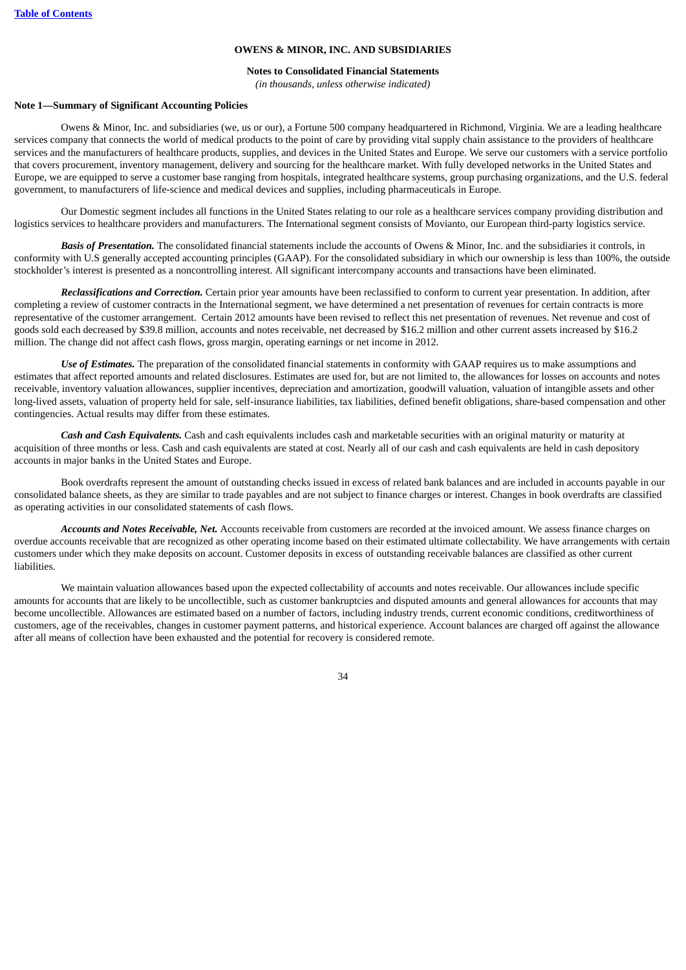#### **Notes to Consolidated Financial Statements**

*(in thousands, unless otherwise indicated)*

### **Note 1—Summary of Significant Accounting Policies**

Owens & Minor, Inc. and subsidiaries (we, us or our), a Fortune 500 company headquartered in Richmond, Virginia. We are a leading healthcare services company that connects the world of medical products to the point of care by providing vital supply chain assistance to the providers of healthcare services and the manufacturers of healthcare products, supplies, and devices in the United States and Europe. We serve our customers with a service portfolio that covers procurement, inventory management, delivery and sourcing for the healthcare market. With fully developed networks in the United States and Europe, we are equipped to serve a customer base ranging from hospitals, integrated healthcare systems, group purchasing organizations, and the U.S. federal government, to manufacturers of life-science and medical devices and supplies, including pharmaceuticals in Europe.

Our Domestic segment includes all functions in the United States relating to our role as a healthcare services company providing distribution and logistics services to healthcare providers and manufacturers. The International segment consists of Movianto, our European third-party logistics service.

*Basis of Presentation.* The consolidated financial statements include the accounts of Owens & Minor, Inc. and the subsidiaries it controls, in conformity with U.S generally accepted accounting principles (GAAP). For the consolidated subsidiary in which our ownership is less than 100%, the outside stockholder's interest is presented as a noncontrolling interest. All significant intercompany accounts and transactions have been eliminated.

*Reclassifications and Correction.* Certain prior year amounts have been reclassified to conform to current year presentation. In addition, after completing a review of customer contracts in the International segment, we have determined a net presentation of revenues for certain contracts is more representative of the customer arrangement. Certain 2012 amounts have been revised to reflect this net presentation of revenues. Net revenue and cost of goods sold each decreased by \$39.8 million, accounts and notes receivable, net decreased by \$16.2 million and other current assets increased by \$16.2 million. The change did not affect cash flows, gross margin, operating earnings or net income in 2012.

*Use of Estimates.* The preparation of the consolidated financial statements in conformity with GAAP requires us to make assumptions and estimates that affect reported amounts and related disclosures. Estimates are used for, but are not limited to, the allowances for losses on accounts and notes receivable, inventory valuation allowances, supplier incentives, depreciation and amortization, goodwill valuation, valuation of intangible assets and other long-lived assets, valuation of property held for sale, self-insurance liabilities, tax liabilities, defined benefit obligations, share-based compensation and other contingencies. Actual results may differ from these estimates.

*Cash and Cash Equivalents.* Cash and cash equivalents includes cash and marketable securities with an original maturity or maturity at acquisition of three months or less. Cash and cash equivalents are stated at cost. Nearly all of our cash and cash equivalents are held in cash depository accounts in major banks in the United States and Europe.

Book overdrafts represent the amount of outstanding checks issued in excess of related bank balances and are included in accounts payable in our consolidated balance sheets, as they are similar to trade payables and are not subject to finance charges or interest. Changes in book overdrafts are classified as operating activities in our consolidated statements of cash flows.

*Accounts and Notes Receivable, Net.* Accounts receivable from customers are recorded at the invoiced amount. We assess finance charges on overdue accounts receivable that are recognized as other operating income based on their estimated ultimate collectability. We have arrangements with certain customers under which they make deposits on account. Customer deposits in excess of outstanding receivable balances are classified as other current liabilities.

We maintain valuation allowances based upon the expected collectability of accounts and notes receivable. Our allowances include specific amounts for accounts that are likely to be uncollectible, such as customer bankruptcies and disputed amounts and general allowances for accounts that may become uncollectible. Allowances are estimated based on a number of factors, including industry trends, current economic conditions, creditworthiness of customers, age of the receivables, changes in customer payment patterns, and historical experience. Account balances are charged off against the allowance after all means of collection have been exhausted and the potential for recovery is considered remote.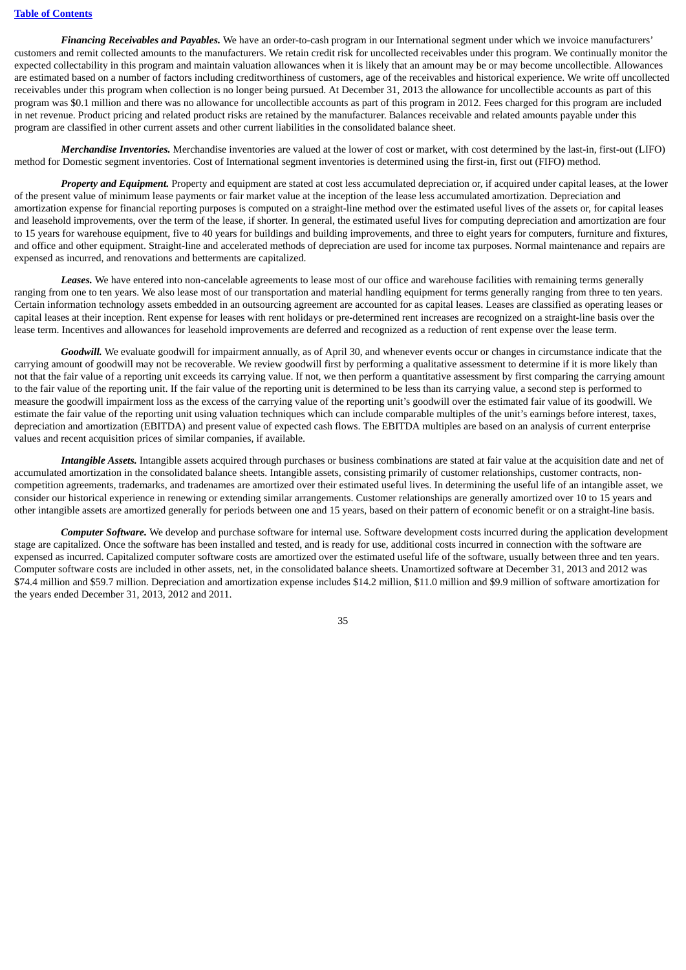*Financing Receivables and Payables.* We have an order-to-cash program in our International segment under which we invoice manufacturers' customers and remit collected amounts to the manufacturers. We retain credit risk for uncollected receivables under this program. We continually monitor the expected collectability in this program and maintain valuation allowances when it is likely that an amount may be or may become uncollectible. Allowances are estimated based on a number of factors including creditworthiness of customers, age of the receivables and historical experience. We write off uncollected receivables under this program when collection is no longer being pursued. At December 31, 2013 the allowance for uncollectible accounts as part of this program was \$0.1 million and there was no allowance for uncollectible accounts as part of this program in 2012. Fees charged for this program are included in net revenue. Product pricing and related product risks are retained by the manufacturer. Balances receivable and related amounts payable under this program are classified in other current assets and other current liabilities in the consolidated balance sheet.

*Merchandise Inventories.* Merchandise inventories are valued at the lower of cost or market, with cost determined by the last-in, first-out (LIFO) method for Domestic segment inventories. Cost of International segment inventories is determined using the first-in, first out (FIFO) method.

*Property and Equipment.* Property and equipment are stated at cost less accumulated depreciation or, if acquired under capital leases, at the lower of the present value of minimum lease payments or fair market value at the inception of the lease less accumulated amortization. Depreciation and amortization expense for financial reporting purposes is computed on a straight-line method over the estimated useful lives of the assets or, for capital leases and leasehold improvements, over the term of the lease, if shorter. In general, the estimated useful lives for computing depreciation and amortization are four to 15 years for warehouse equipment, five to 40 years for buildings and building improvements, and three to eight years for computers, furniture and fixtures, and office and other equipment. Straight-line and accelerated methods of depreciation are used for income tax purposes. Normal maintenance and repairs are expensed as incurred, and renovations and betterments are capitalized.

*Leases.* We have entered into non-cancelable agreements to lease most of our office and warehouse facilities with remaining terms generally ranging from one to ten years. We also lease most of our transportation and material handling equipment for terms generally ranging from three to ten years. Certain information technology assets embedded in an outsourcing agreement are accounted for as capital leases. Leases are classified as operating leases or capital leases at their inception. Rent expense for leases with rent holidays or pre-determined rent increases are recognized on a straight-line basis over the lease term. Incentives and allowances for leasehold improvements are deferred and recognized as a reduction of rent expense over the lease term.

*Goodwill.* We evaluate goodwill for impairment annually, as of April 30, and whenever events occur or changes in circumstance indicate that the carrying amount of goodwill may not be recoverable. We review goodwill first by performing a qualitative assessment to determine if it is more likely than not that the fair value of a reporting unit exceeds its carrying value. If not, we then perform a quantitative assessment by first comparing the carrying amount to the fair value of the reporting unit. If the fair value of the reporting unit is determined to be less than its carrying value, a second step is performed to measure the goodwill impairment loss as the excess of the carrying value of the reporting unit's goodwill over the estimated fair value of its goodwill. We estimate the fair value of the reporting unit using valuation techniques which can include comparable multiples of the unit's earnings before interest, taxes, depreciation and amortization (EBITDA) and present value of expected cash flows. The EBITDA multiples are based on an analysis of current enterprise values and recent acquisition prices of similar companies, if available.

*Intangible Assets.* Intangible assets acquired through purchases or business combinations are stated at fair value at the acquisition date and net of accumulated amortization in the consolidated balance sheets. Intangible assets, consisting primarily of customer relationships, customer contracts, noncompetition agreements, trademarks, and tradenames are amortized over their estimated useful lives. In determining the useful life of an intangible asset, we consider our historical experience in renewing or extending similar arrangements. Customer relationships are generally amortized over 10 to 15 years and other intangible assets are amortized generally for periods between one and 15 years, based on their pattern of economic benefit or on a straight-line basis.

*Computer Software.* We develop and purchase software for internal use. Software development costs incurred during the application development stage are capitalized. Once the software has been installed and tested, and is ready for use, additional costs incurred in connection with the software are expensed as incurred. Capitalized computer software costs are amortized over the estimated useful life of the software, usually between three and ten years. Computer software costs are included in other assets, net, in the consolidated balance sheets. Unamortized software at December 31, 2013 and 2012 was \$74.4 million and \$59.7 million. Depreciation and amortization expense includes \$14.2 million, \$11.0 million and \$9.9 million of software amortization for the years ended December 31, 2013, 2012 and 2011.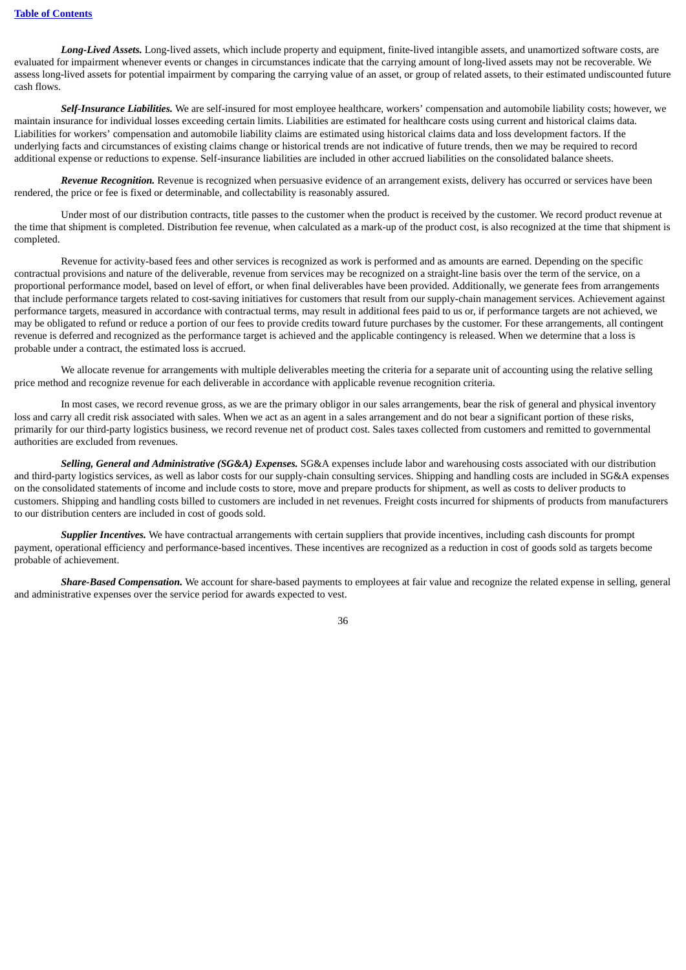*Long-Lived Assets.* Long-lived assets, which include property and equipment, finite-lived intangible assets, and unamortized software costs, are evaluated for impairment whenever events or changes in circumstances indicate that the carrying amount of long-lived assets may not be recoverable. We assess long-lived assets for potential impairment by comparing the carrying value of an asset, or group of related assets, to their estimated undiscounted future cash flows.

*Self-Insurance Liabilities.* We are self-insured for most employee healthcare, workers' compensation and automobile liability costs; however, we maintain insurance for individual losses exceeding certain limits. Liabilities are estimated for healthcare costs using current and historical claims data. Liabilities for workers' compensation and automobile liability claims are estimated using historical claims data and loss development factors. If the underlying facts and circumstances of existing claims change or historical trends are not indicative of future trends, then we may be required to record additional expense or reductions to expense. Self-insurance liabilities are included in other accrued liabilities on the consolidated balance sheets.

*Revenue Recognition.* Revenue is recognized when persuasive evidence of an arrangement exists, delivery has occurred or services have been rendered, the price or fee is fixed or determinable, and collectability is reasonably assured.

Under most of our distribution contracts, title passes to the customer when the product is received by the customer. We record product revenue at the time that shipment is completed. Distribution fee revenue, when calculated as a mark-up of the product cost, is also recognized at the time that shipment is completed.

Revenue for activity-based fees and other services is recognized as work is performed and as amounts are earned. Depending on the specific contractual provisions and nature of the deliverable, revenue from services may be recognized on a straight-line basis over the term of the service, on a proportional performance model, based on level of effort, or when final deliverables have been provided. Additionally, we generate fees from arrangements that include performance targets related to cost-saving initiatives for customers that result from our supply-chain management services. Achievement against performance targets, measured in accordance with contractual terms, may result in additional fees paid to us or, if performance targets are not achieved, we may be obligated to refund or reduce a portion of our fees to provide credits toward future purchases by the customer. For these arrangements, all contingent revenue is deferred and recognized as the performance target is achieved and the applicable contingency is released. When we determine that a loss is probable under a contract, the estimated loss is accrued.

We allocate revenue for arrangements with multiple deliverables meeting the criteria for a separate unit of accounting using the relative selling price method and recognize revenue for each deliverable in accordance with applicable revenue recognition criteria.

In most cases, we record revenue gross, as we are the primary obligor in our sales arrangements, bear the risk of general and physical inventory loss and carry all credit risk associated with sales. When we act as an agent in a sales arrangement and do not bear a significant portion of these risks, primarily for our third-party logistics business, we record revenue net of product cost. Sales taxes collected from customers and remitted to governmental authorities are excluded from revenues.

*Selling, General and Administrative (SG&A) Expenses.* SG&A expenses include labor and warehousing costs associated with our distribution and third-party logistics services, as well as labor costs for our supply-chain consulting services. Shipping and handling costs are included in SG&A expenses on the consolidated statements of income and include costs to store, move and prepare products for shipment, as well as costs to deliver products to customers. Shipping and handling costs billed to customers are included in net revenues. Freight costs incurred for shipments of products from manufacturers to our distribution centers are included in cost of goods sold.

*Supplier Incentives.* We have contractual arrangements with certain suppliers that provide incentives, including cash discounts for prompt payment, operational efficiency and performance-based incentives. These incentives are recognized as a reduction in cost of goods sold as targets become probable of achievement.

*Share-Based Compensation.* We account for share-based payments to employees at fair value and recognize the related expense in selling, general and administrative expenses over the service period for awards expected to vest.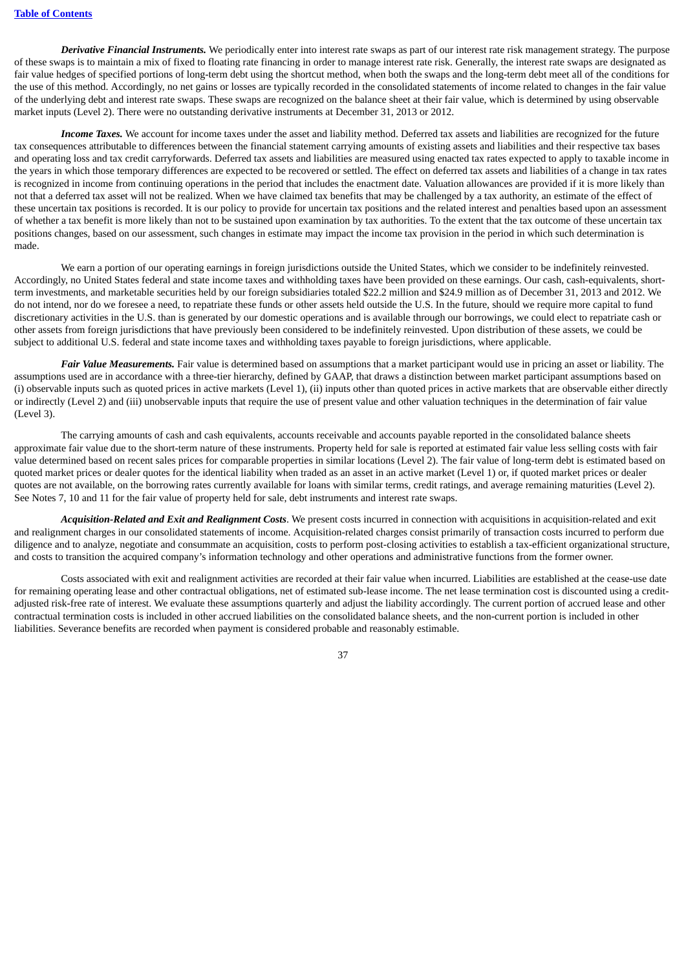*Derivative Financial Instruments.* We periodically enter into interest rate swaps as part of our interest rate risk management strategy. The purpose of these swaps is to maintain a mix of fixed to floating rate financing in order to manage interest rate risk. Generally, the interest rate swaps are designated as fair value hedges of specified portions of long-term debt using the shortcut method, when both the swaps and the long-term debt meet all of the conditions for the use of this method. Accordingly, no net gains or losses are typically recorded in the consolidated statements of income related to changes in the fair value of the underlying debt and interest rate swaps. These swaps are recognized on the balance sheet at their fair value, which is determined by using observable market inputs (Level 2). There were no outstanding derivative instruments at December 31, 2013 or 2012.

*Income Taxes.* We account for income taxes under the asset and liability method. Deferred tax assets and liabilities are recognized for the future tax consequences attributable to differences between the financial statement carrying amounts of existing assets and liabilities and their respective tax bases and operating loss and tax credit carryforwards. Deferred tax assets and liabilities are measured using enacted tax rates expected to apply to taxable income in the years in which those temporary differences are expected to be recovered or settled. The effect on deferred tax assets and liabilities of a change in tax rates is recognized in income from continuing operations in the period that includes the enactment date. Valuation allowances are provided if it is more likely than not that a deferred tax asset will not be realized. When we have claimed tax benefits that may be challenged by a tax authority, an estimate of the effect of these uncertain tax positions is recorded. It is our policy to provide for uncertain tax positions and the related interest and penalties based upon an assessment of whether a tax benefit is more likely than not to be sustained upon examination by tax authorities. To the extent that the tax outcome of these uncertain tax positions changes, based on our assessment, such changes in estimate may impact the income tax provision in the period in which such determination is made.

We earn a portion of our operating earnings in foreign jurisdictions outside the United States, which we consider to be indefinitely reinvested. Accordingly, no United States federal and state income taxes and withholding taxes have been provided on these earnings. Our cash, cash-equivalents, shortterm investments, and marketable securities held by our foreign subsidiaries totaled \$22.2 million and \$24.9 million as of December 31, 2013 and 2012. We do not intend, nor do we foresee a need, to repatriate these funds or other assets held outside the U.S. In the future, should we require more capital to fund discretionary activities in the U.S. than is generated by our domestic operations and is available through our borrowings, we could elect to repatriate cash or other assets from foreign jurisdictions that have previously been considered to be indefinitely reinvested. Upon distribution of these assets, we could be subject to additional U.S. federal and state income taxes and withholding taxes payable to foreign jurisdictions, where applicable.

*Fair Value Measurements.* Fair value is determined based on assumptions that a market participant would use in pricing an asset or liability. The assumptions used are in accordance with a three-tier hierarchy, defined by GAAP, that draws a distinction between market participant assumptions based on (i) observable inputs such as quoted prices in active markets (Level 1), (ii) inputs other than quoted prices in active markets that are observable either directly or indirectly (Level 2) and (iii) unobservable inputs that require the use of present value and other valuation techniques in the determination of fair value (Level 3).

The carrying amounts of cash and cash equivalents, accounts receivable and accounts payable reported in the consolidated balance sheets approximate fair value due to the short-term nature of these instruments. Property held for sale is reported at estimated fair value less selling costs with fair value determined based on recent sales prices for comparable properties in similar locations (Level 2). The fair value of long-term debt is estimated based on quoted market prices or dealer quotes for the identical liability when traded as an asset in an active market (Level 1) or, if quoted market prices or dealer quotes are not available, on the borrowing rates currently available for loans with similar terms, credit ratings, and average remaining maturities (Level 2). See Notes 7, 10 and 11 for the fair value of property held for sale, debt instruments and interest rate swaps.

*Acquisition-Related and Exit and Realignment Costs*. We present costs incurred in connection with acquisitions in acquisition-related and exit and realignment charges in our consolidated statements of income. Acquisition-related charges consist primarily of transaction costs incurred to perform due diligence and to analyze, negotiate and consummate an acquisition, costs to perform post-closing activities to establish a tax-efficient organizational structure, and costs to transition the acquired company's information technology and other operations and administrative functions from the former owner.

Costs associated with exit and realignment activities are recorded at their fair value when incurred. Liabilities are established at the cease-use date for remaining operating lease and other contractual obligations, net of estimated sub-lease income. The net lease termination cost is discounted using a creditadjusted risk-free rate of interest. We evaluate these assumptions quarterly and adjust the liability accordingly. The current portion of accrued lease and other contractual termination costs is included in other accrued liabilities on the consolidated balance sheets, and the non-current portion is included in other liabilities. Severance benefits are recorded when payment is considered probable and reasonably estimable.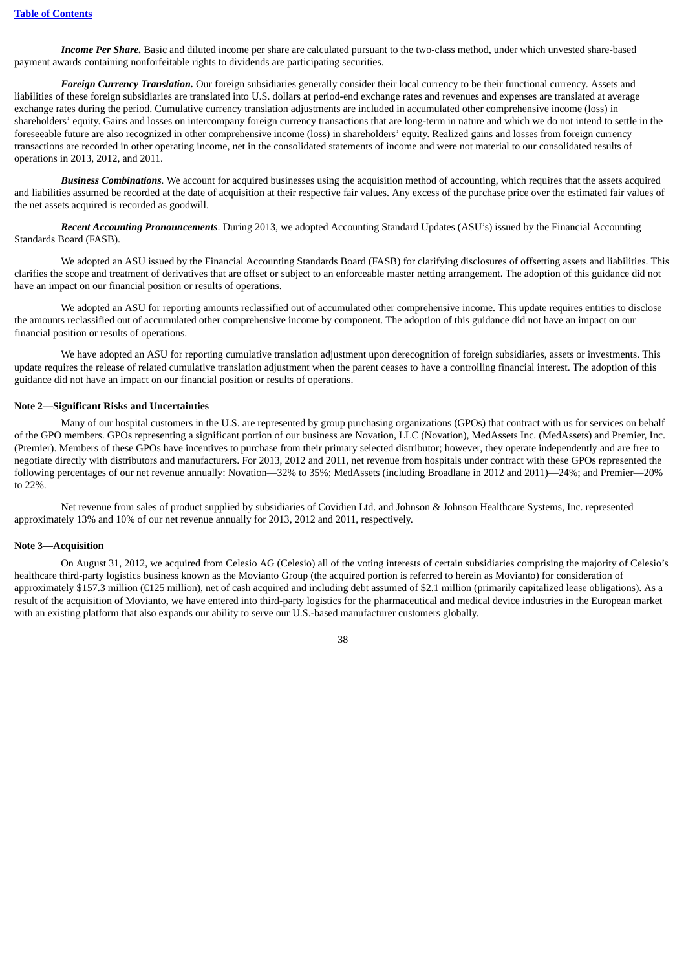*Income Per Share.* Basic and diluted income per share are calculated pursuant to the two-class method, under which unvested share-based payment awards containing nonforfeitable rights to dividends are participating securities.

*Foreign Currency Translation.* Our foreign subsidiaries generally consider their local currency to be their functional currency. Assets and liabilities of these foreign subsidiaries are translated into U.S. dollars at period-end exchange rates and revenues and expenses are translated at average exchange rates during the period. Cumulative currency translation adjustments are included in accumulated other comprehensive income (loss) in shareholders' equity. Gains and losses on intercompany foreign currency transactions that are long-term in nature and which we do not intend to settle in the foreseeable future are also recognized in other comprehensive income (loss) in shareholders' equity. Realized gains and losses from foreign currency transactions are recorded in other operating income, net in the consolidated statements of income and were not material to our consolidated results of operations in 2013, 2012, and 2011.

*Business Combinations.* We account for acquired businesses using the acquisition method of accounting, which requires that the assets acquired and liabilities assumed be recorded at the date of acquisition at their respective fair values. Any excess of the purchase price over the estimated fair values of the net assets acquired is recorded as goodwill.

*Recent Accounting Pronouncements*. During 2013, we adopted Accounting Standard Updates (ASU's) issued by the Financial Accounting Standards Board (FASB).

We adopted an ASU issued by the Financial Accounting Standards Board (FASB) for clarifying disclosures of offsetting assets and liabilities. This clarifies the scope and treatment of derivatives that are offset or subject to an enforceable master netting arrangement. The adoption of this guidance did not have an impact on our financial position or results of operations.

We adopted an ASU for reporting amounts reclassified out of accumulated other comprehensive income. This update requires entities to disclose the amounts reclassified out of accumulated other comprehensive income by component. The adoption of this guidance did not have an impact on our financial position or results of operations.

We have adopted an ASU for reporting cumulative translation adjustment upon derecognition of foreign subsidiaries, assets or investments. This update requires the release of related cumulative translation adjustment when the parent ceases to have a controlling financial interest. The adoption of this guidance did not have an impact on our financial position or results of operations.

### **Note 2—Significant Risks and Uncertainties**

Many of our hospital customers in the U.S. are represented by group purchasing organizations (GPOs) that contract with us for services on behalf of the GPO members. GPOs representing a significant portion of our business are Novation, LLC (Novation), MedAssets Inc. (MedAssets) and Premier, Inc. (Premier). Members of these GPOs have incentives to purchase from their primary selected distributor; however, they operate independently and are free to negotiate directly with distributors and manufacturers. For 2013, 2012 and 2011, net revenue from hospitals under contract with these GPOs represented the following percentages of our net revenue annually: Novation—32% to 35%; MedAssets (including Broadlane in 2012 and 2011)—24%; and Premier—20% to 22%.

Net revenue from sales of product supplied by subsidiaries of Covidien Ltd. and Johnson & Johnson Healthcare Systems, Inc. represented approximately 13% and 10% of our net revenue annually for 2013, 2012 and 2011, respectively.

### **Note 3—Acquisition**

On August 31, 2012, we acquired from Celesio AG (Celesio) all of the voting interests of certain subsidiaries comprising the majority of Celesio's healthcare third-party logistics business known as the Movianto Group (the acquired portion is referred to herein as Movianto) for consideration of approximately \$157.3 million (€125 million), net of cash acquired and including debt assumed of \$2.1 million (primarily capitalized lease obligations). As a result of the acquisition of Movianto, we have entered into third-party logistics for the pharmaceutical and medical device industries in the European market with an existing platform that also expands our ability to serve our U.S.-based manufacturer customers globally.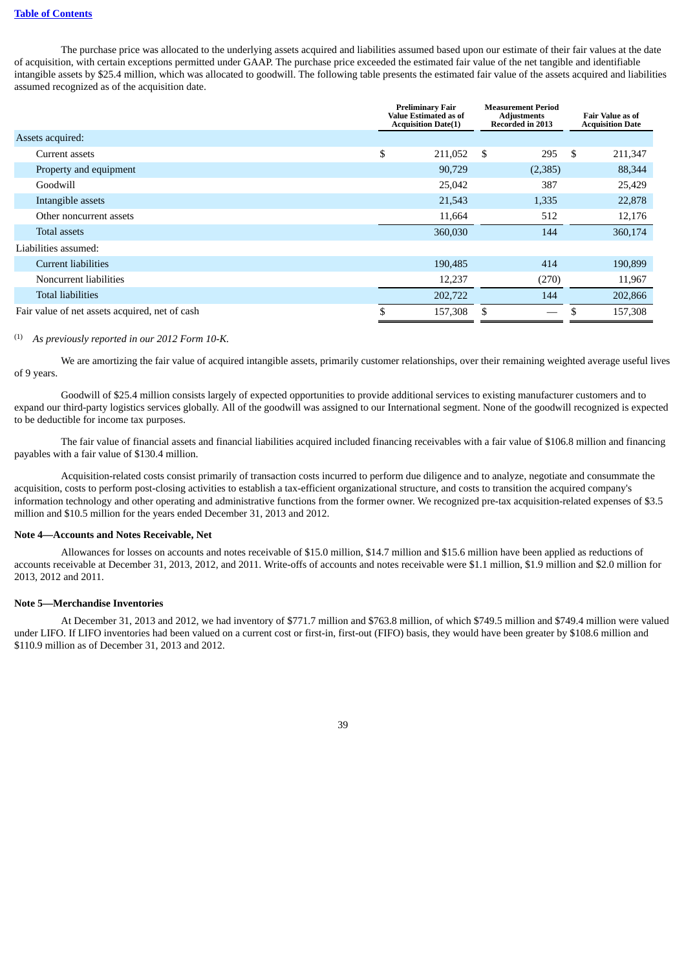### **Table of [Contents](#page-1-0)**

The purchase price was allocated to the underlying assets acquired and liabilities assumed based upon our estimate of their fair values at the date of acquisition, with certain exceptions permitted under GAAP. The purchase price exceeded the estimated fair value of the net tangible and identifiable intangible assets by \$25.4 million, which was allocated to goodwill. The following table presents the estimated fair value of the assets acquired and liabilities assumed recognized as of the acquisition date.

|                                                | <b>Preliminary Fair</b><br>Value Estimated as of<br><b>Acquisition Date(1)</b> |    | <b>Measurement Period</b><br><b>Adjustments</b><br><b>Recorded in 2013</b> |    | <b>Fair Value as of</b><br><b>Acquisition Date</b> |
|------------------------------------------------|--------------------------------------------------------------------------------|----|----------------------------------------------------------------------------|----|----------------------------------------------------|
| Assets acquired:                               |                                                                                |    |                                                                            |    |                                                    |
| Current assets                                 | \$<br>211,052                                                                  | \$ | 295                                                                        | \$ | 211,347                                            |
| Property and equipment                         | 90,729                                                                         |    | (2,385)                                                                    |    | 88,344                                             |
| Goodwill                                       | 25,042                                                                         |    | 387                                                                        |    | 25,429                                             |
| Intangible assets                              | 21,543                                                                         |    | 1,335                                                                      |    | 22,878                                             |
| Other noncurrent assets                        | 11,664                                                                         |    | 512                                                                        |    | 12,176                                             |
| Total assets                                   | 360,030                                                                        |    | 144                                                                        |    | 360,174                                            |
| Liabilities assumed:                           |                                                                                |    |                                                                            |    |                                                    |
| Current liabilities                            | 190,485                                                                        |    | 414                                                                        |    | 190,899                                            |
| Noncurrent liabilities                         | 12,237                                                                         |    | (270)                                                                      |    | 11,967                                             |
| <b>Total liabilities</b>                       | 202,722                                                                        |    | 144                                                                        |    | 202,866                                            |
| Fair value of net assets acquired, net of cash | \$<br>157,308                                                                  | \$ |                                                                            |    | 157,308                                            |

#### (1) *As previously reported in our 2012 Form 10-K.*

We are amortizing the fair value of acquired intangible assets, primarily customer relationships, over their remaining weighted average useful lives of 9 years.

Goodwill of \$25.4 million consists largely of expected opportunities to provide additional services to existing manufacturer customers and to expand our third-party logistics services globally. All of the goodwill was assigned to our International segment. None of the goodwill recognized is expected to be deductible for income tax purposes.

The fair value of financial assets and financial liabilities acquired included financing receivables with a fair value of \$106.8 million and financing payables with a fair value of \$130.4 million.

Acquisition-related costs consist primarily of transaction costs incurred to perform due diligence and to analyze, negotiate and consummate the acquisition, costs to perform post-closing activities to establish a tax-efficient organizational structure, and costs to transition the acquired company's information technology and other operating and administrative functions from the former owner. We recognized pre-tax acquisition-related expenses of \$3.5 million and \$10.5 million for the years ended December 31, 2013 and 2012.

### **Note 4—Accounts and Notes Receivable, Net**

Allowances for losses on accounts and notes receivable of \$15.0 million, \$14.7 million and \$15.6 million have been applied as reductions of accounts receivable at December 31, 2013, 2012, and 2011. Write-offs of accounts and notes receivable were \$1.1 million, \$1.9 million and \$2.0 million for 2013, 2012 and 2011.

### **Note 5—Merchandise Inventories**

At December 31, 2013 and 2012, we had inventory of \$771.7 million and \$763.8 million, of which \$749.5 million and \$749.4 million were valued under LIFO. If LIFO inventories had been valued on a current cost or first-in, first-out (FIFO) basis, they would have been greater by \$108.6 million and \$110.9 million as of December 31, 2013 and 2012.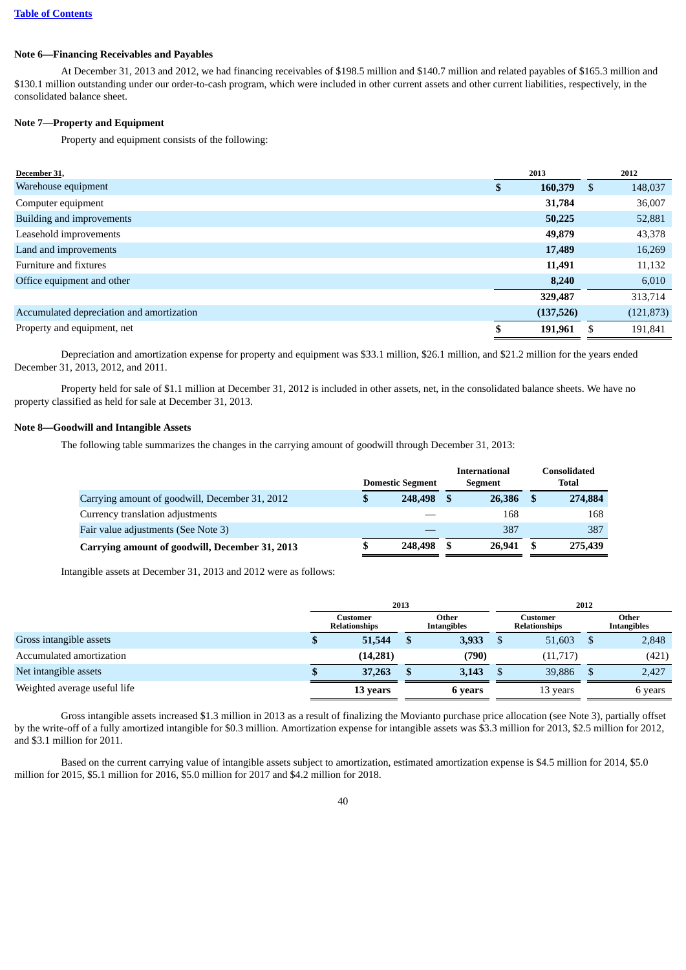### **Note 6—Financing Receivables and Payables**

At December 31, 2013 and 2012, we had financing receivables of \$198.5 million and \$140.7 million and related payables of \$165.3 million and \$130.1 million outstanding under our order-to-cash program, which were included in other current assets and other current liabilities, respectively, in the consolidated balance sheet.

# **Note 7—Property and Equipment**

Property and equipment consists of the following:

| December 31,                              |   | 2013      |    | 2012       |
|-------------------------------------------|---|-----------|----|------------|
| Warehouse equipment                       | D | 160,379   | -S | 148,037    |
| Computer equipment                        |   | 31,784    |    | 36,007     |
| Building and improvements                 |   | 50,225    |    | 52,881     |
| Leasehold improvements                    |   | 49,879    |    | 43,378     |
| Land and improvements                     |   | 17,489    |    | 16,269     |
| Furniture and fixtures                    |   | 11,491    |    | 11,132     |
| Office equipment and other                |   | 8,240     |    | 6,010      |
|                                           |   | 329,487   |    | 313,714    |
| Accumulated depreciation and amortization |   | (137,526) |    | (121, 873) |
| Property and equipment, net               |   | 191,961   | -S | 191,841    |

Depreciation and amortization expense for property and equipment was \$33.1 million, \$26.1 million, and \$21.2 million for the years ended December 31, 2013, 2012, and 2011.

Property held for sale of \$1.1 million at December 31, 2012 is included in other assets, net, in the consolidated balance sheets. We have no property classified as held for sale at December 31, 2013.

# **Note 8—Goodwill and Intangible Assets**

The following table summarizes the changes in the carrying amount of goodwill through December 31, 2013:

|                                                | <b>Domestic Segment</b> |         | <b>International</b><br>Segment | Consolidated<br><b>Total</b> |
|------------------------------------------------|-------------------------|---------|---------------------------------|------------------------------|
| Carrying amount of goodwill, December 31, 2012 |                         | 248,498 | 26,386                          | 274,884                      |
| Currency translation adjustments               |                         |         | 168                             | 168                          |
| Fair value adjustments (See Note 3)            |                         |         | 387                             | 387                          |
| Carrying amount of goodwill, December 31, 2013 |                         | 248,498 | 26,941                          | 275,439                      |

Intangible assets at December 31, 2013 and 2012 were as follows:

|                              | 2013                             |           |                             |         | 2012                             |          |                      |         |
|------------------------------|----------------------------------|-----------|-----------------------------|---------|----------------------------------|----------|----------------------|---------|
|                              | Customer<br><b>Relationships</b> |           | Other<br><b>Intangibles</b> |         | Customer<br><b>Relationships</b> |          | Other<br>Intangibles |         |
| Gross intangible assets      |                                  | 51,544    |                             | 3,933   |                                  | 51,603   |                      | 2,848   |
| Accumulated amortization     |                                  | (14, 281) |                             | (790)   |                                  | (11,717) |                      | (421)   |
| Net intangible assets        |                                  | 37,263    |                             | 3,143   |                                  | 39.886   |                      | 2.427   |
| Weighted average useful life |                                  | 13 years  |                             | 6 years |                                  | 13 years |                      | 6 years |

Gross intangible assets increased \$1.3 million in 2013 as a result of finalizing the Movianto purchase price allocation (see Note 3), partially offset by the write-off of a fully amortized intangible for \$0.3 million. Amortization expense for intangible assets was \$3.3 million for 2013, \$2.5 million for 2012, and \$3.1 million for 2011.

Based on the current carrying value of intangible assets subject to amortization, estimated amortization expense is \$4.5 million for 2014, \$5.0 million for 2015, \$5.1 million for 2016, \$5.0 million for 2017 and \$4.2 million for 2018.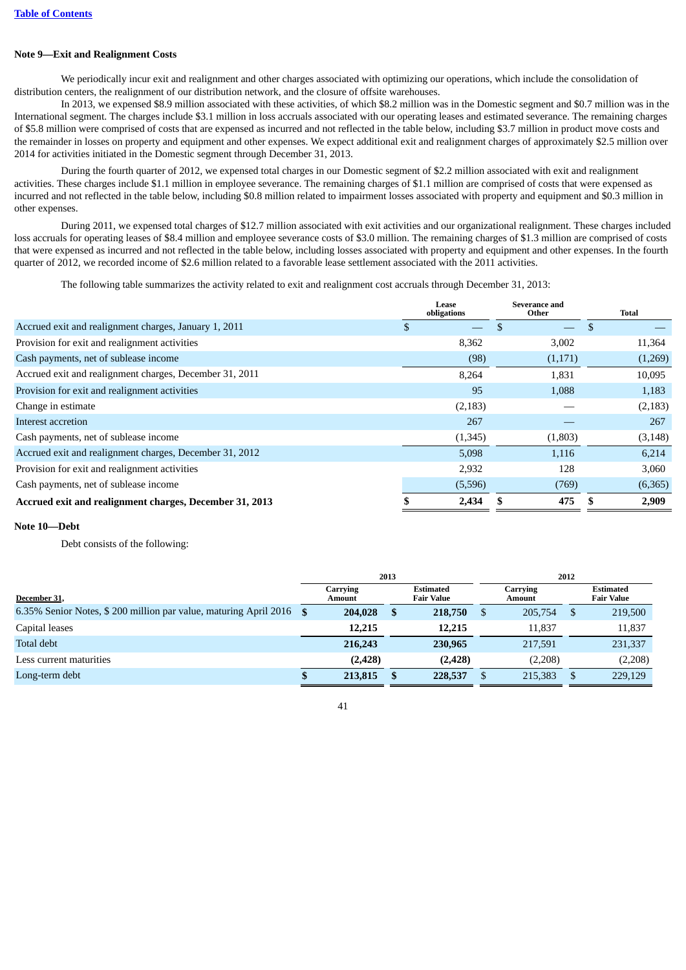### **Note 9—Exit and Realignment Costs**

We periodically incur exit and realignment and other charges associated with optimizing our operations, which include the consolidation of distribution centers, the realignment of our distribution network, and the closure of offsite warehouses.

In 2013, we expensed \$8.9 million associated with these activities, of which \$8.2 million was in the Domestic segment and \$0.7 million was in the International segment. The charges include \$3.1 million in loss accruals associated with our operating leases and estimated severance. The remaining charges of \$5.8 million were comprised of costs that are expensed as incurred and not reflected in the table below, including \$3.7 million in product move costs and the remainder in losses on property and equipment and other expenses. We expect additional exit and realignment charges of approximately \$2.5 million over 2014 for activities initiated in the Domestic segment through December 31, 2013.

During the fourth quarter of 2012, we expensed total charges in our Domestic segment of \$2.2 million associated with exit and realignment activities. These charges include \$1.1 million in employee severance. The remaining charges of \$1.1 million are comprised of costs that were expensed as incurred and not reflected in the table below, including \$0.8 million related to impairment losses associated with property and equipment and \$0.3 million in other expenses.

During 2011, we expensed total charges of \$12.7 million associated with exit activities and our organizational realignment. These charges included loss accruals for operating leases of \$8.4 million and employee severance costs of \$3.0 million. The remaining charges of \$1.3 million are comprised of costs that were expensed as incurred and not reflected in the table below, including losses associated with property and equipment and other expenses. In the fourth quarter of 2012, we recorded income of \$2.6 million related to a favorable lease settlement associated with the 2011 activities.

The following table summarizes the activity related to exit and realignment cost accruals through December 31, 2013:

|                                                         | Lease<br>obligations | <b>Severance and</b><br>Other | <b>Total</b> |
|---------------------------------------------------------|----------------------|-------------------------------|--------------|
| Accrued exit and realignment charges, January 1, 2011   | S                    |                               | S            |
| Provision for exit and realignment activities           | 8,362                | 3,002                         | 11,364       |
| Cash payments, net of sublease income                   | (98)                 | (1,171)                       | (1,269)      |
| Accrued exit and realignment charges, December 31, 2011 | 8,264                | 1,831                         | 10,095       |
| Provision for exit and realignment activities           | 95                   | 1,088                         | 1,183        |
| Change in estimate                                      | (2, 183)             |                               | (2, 183)     |
| Interest accretion                                      | 267                  |                               | 267          |
| Cash payments, net of sublease income                   | (1,345)              | (1,803)                       | (3, 148)     |
| Accrued exit and realignment charges, December 31, 2012 | 5,098                | 1,116                         | 6,214        |
| Provision for exit and realignment activities           | 2,932                | 128                           | 3,060        |
| Cash payments, net of sublease income                   | (5,596)              | (769)                         | (6,365)      |
| Accrued exit and realignment charges, December 31, 2013 | 2,434                | 475                           | 2,909        |

### **Note 10—Debt**

Debt consists of the following:

|                                                                     | 2013 |                    |   |                                       |                    |         | 2012 |                         |  |
|---------------------------------------------------------------------|------|--------------------|---|---------------------------------------|--------------------|---------|------|-------------------------|--|
| December 31,                                                        |      | Carrying<br>Amount |   | <b>Estimated</b><br><b>Fair Value</b> | Carrying<br>Amount |         |      | Estimated<br>Fair Value |  |
| 6.35% Senior Notes, \$200 million par value, maturing April 2016 \$ |      | 204,028            | S | 218,750                               |                    | 205,754 | S    | 219,500                 |  |
| Capital leases                                                      |      | 12,215             |   | 12,215                                |                    | 11,837  |      | 11,837                  |  |
| Total debt                                                          |      | 216,243            |   | 230,965                               |                    | 217,591 |      | 231,337                 |  |
| Less current maturities                                             |      | (2,428)            |   | (2,428)                               |                    | (2,208) |      | (2,208)                 |  |
| Long-term debt                                                      | D    | 213,815            | S | 228,537                               |                    | 215,383 | \$   | 229,129                 |  |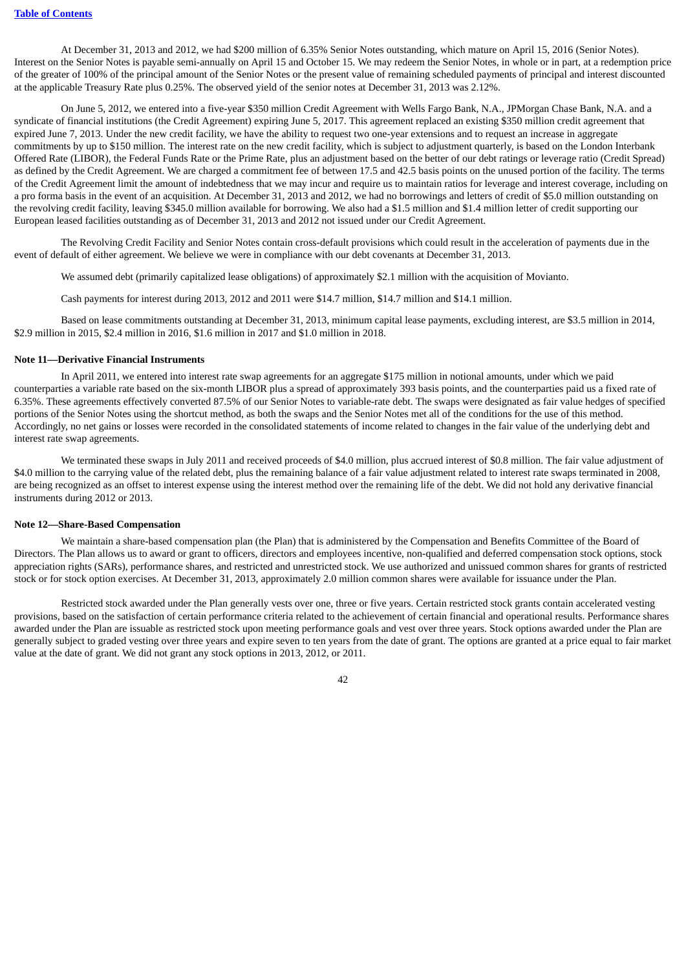At December 31, 2013 and 2012, we had \$200 million of 6.35% Senior Notes outstanding, which mature on April 15, 2016 (Senior Notes). Interest on the Senior Notes is payable semi-annually on April 15 and October 15. We may redeem the Senior Notes, in whole or in part, at a redemption price of the greater of 100% of the principal amount of the Senior Notes or the present value of remaining scheduled payments of principal and interest discounted at the applicable Treasury Rate plus 0.25%. The observed yield of the senior notes at December 31, 2013 was 2.12%.

On June 5, 2012, we entered into a five-year \$350 million Credit Agreement with Wells Fargo Bank, N.A., JPMorgan Chase Bank, N.A. and a syndicate of financial institutions (the Credit Agreement) expiring June 5, 2017. This agreement replaced an existing \$350 million credit agreement that expired June 7, 2013. Under the new credit facility, we have the ability to request two one-year extensions and to request an increase in aggregate commitments by up to \$150 million. The interest rate on the new credit facility, which is subject to adjustment quarterly, is based on the London Interbank Offered Rate (LIBOR), the Federal Funds Rate or the Prime Rate, plus an adjustment based on the better of our debt ratings or leverage ratio (Credit Spread) as defined by the Credit Agreement. We are charged a commitment fee of between 17.5 and 42.5 basis points on the unused portion of the facility. The terms of the Credit Agreement limit the amount of indebtedness that we may incur and require us to maintain ratios for leverage and interest coverage, including on a pro forma basis in the event of an acquisition. At December 31, 2013 and 2012, we had no borrowings and letters of credit of \$5.0 million outstanding on the revolving credit facility, leaving \$345.0 million available for borrowing. We also had a \$1.5 million and \$1.4 million letter of credit supporting our European leased facilities outstanding as of December 31, 2013 and 2012 not issued under our Credit Agreement.

The Revolving Credit Facility and Senior Notes contain cross-default provisions which could result in the acceleration of payments due in the event of default of either agreement. We believe we were in compliance with our debt covenants at December 31, 2013.

We assumed debt (primarily capitalized lease obligations) of approximately \$2.1 million with the acquisition of Movianto.

Cash payments for interest during 2013, 2012 and 2011 were \$14.7 million, \$14.7 million and \$14.1 million.

Based on lease commitments outstanding at December 31, 2013, minimum capital lease payments, excluding interest, are \$3.5 million in 2014, \$2.9 million in 2015, \$2.4 million in 2016, \$1.6 million in 2017 and \$1.0 million in 2018.

### **Note 11—Derivative Financial Instruments**

In April 2011, we entered into interest rate swap agreements for an aggregate \$175 million in notional amounts, under which we paid counterparties a variable rate based on the six-month LIBOR plus a spread of approximately 393 basis points, and the counterparties paid us a fixed rate of 6.35%. These agreements effectively converted 87.5% of our Senior Notes to variable-rate debt. The swaps were designated as fair value hedges of specified portions of the Senior Notes using the shortcut method, as both the swaps and the Senior Notes met all of the conditions for the use of this method. Accordingly, no net gains or losses were recorded in the consolidated statements of income related to changes in the fair value of the underlying debt and interest rate swap agreements.

We terminated these swaps in July 2011 and received proceeds of \$4.0 million, plus accrued interest of \$0.8 million. The fair value adjustment of \$4.0 million to the carrying value of the related debt, plus the remaining balance of a fair value adjustment related to interest rate swaps terminated in 2008, are being recognized as an offset to interest expense using the interest method over the remaining life of the debt. We did not hold any derivative financial instruments during 2012 or 2013.

### **Note 12—Share-Based Compensation**

We maintain a share-based compensation plan (the Plan) that is administered by the Compensation and Benefits Committee of the Board of Directors. The Plan allows us to award or grant to officers, directors and employees incentive, non-qualified and deferred compensation stock options, stock appreciation rights (SARs), performance shares, and restricted and unrestricted stock. We use authorized and unissued common shares for grants of restricted stock or for stock option exercises. At December 31, 2013, approximately 2.0 million common shares were available for issuance under the Plan.

Restricted stock awarded under the Plan generally vests over one, three or five years. Certain restricted stock grants contain accelerated vesting provisions, based on the satisfaction of certain performance criteria related to the achievement of certain financial and operational results. Performance shares awarded under the Plan are issuable as restricted stock upon meeting performance goals and vest over three years. Stock options awarded under the Plan are generally subject to graded vesting over three years and expire seven to ten years from the date of grant. The options are granted at a price equal to fair market value at the date of grant. We did not grant any stock options in 2013, 2012, or 2011.

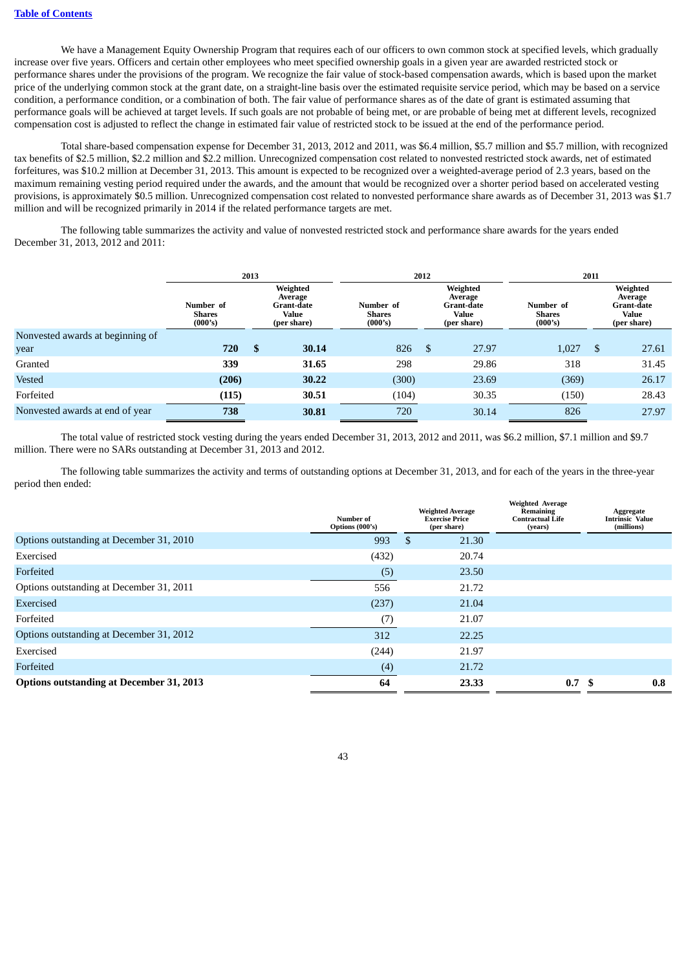We have a Management Equity Ownership Program that requires each of our officers to own common stock at specified levels, which gradually increase over five years. Officers and certain other employees who meet specified ownership goals in a given year are awarded restricted stock or performance shares under the provisions of the program. We recognize the fair value of stock-based compensation awards, which is based upon the market price of the underlying common stock at the grant date, on a straight-line basis over the estimated requisite service period, which may be based on a service condition, a performance condition, or a combination of both. The fair value of performance shares as of the date of grant is estimated assuming that performance goals will be achieved at target levels. If such goals are not probable of being met, or are probable of being met at different levels, recognized compensation cost is adjusted to reflect the change in estimated fair value of restricted stock to be issued at the end of the performance period.

Total share-based compensation expense for December 31, 2013, 2012 and 2011, was \$6.4 million, \$5.7 million and \$5.7 million, with recognized tax benefits of \$2.5 million, \$2.2 million and \$2.2 million. Unrecognized compensation cost related to nonvested restricted stock awards, net of estimated forfeitures, was \$10.2 million at December 31, 2013. This amount is expected to be recognized over a weighted-average period of 2.3 years, based on the maximum remaining vesting period required under the awards, and the amount that would be recognized over a shorter period based on accelerated vesting provisions, is approximately \$0.5 million. Unrecognized compensation cost related to nonvested performance share awards as of December 31, 2013 was \$1.7 million and will be recognized primarily in 2014 if the related performance targets are met.

The following table summarizes the activity and value of nonvested restricted stock and performance share awards for the years ended December 31, 2013, 2012 and 2011:

|                                  |                                       | 2013 |                                                                         | 2012                                  |   |                                                                  |                                       | 2011 |                                                                  |
|----------------------------------|---------------------------------------|------|-------------------------------------------------------------------------|---------------------------------------|---|------------------------------------------------------------------|---------------------------------------|------|------------------------------------------------------------------|
|                                  | Number of<br><b>Shares</b><br>(000's) |      | Weighted<br>Average<br><b>Grant-date</b><br><b>Value</b><br>(per share) | Number of<br><b>Shares</b><br>(000's) |   | Weighted<br>Average<br><b>Grant-date</b><br>Value<br>(per share) | Number of<br><b>Shares</b><br>(000's) |      | Weighted<br>Average<br><b>Grant-date</b><br>Value<br>(per share) |
| Nonvested awards at beginning of |                                       |      |                                                                         |                                       |   |                                                                  |                                       |      |                                                                  |
| year                             | 720                                   | S.   | 30.14                                                                   | 826                                   | S | 27.97                                                            | 1,027                                 | \$   | 27.61                                                            |
| Granted                          | 339                                   |      | 31.65                                                                   | 298                                   |   | 29.86                                                            | 318                                   |      | 31.45                                                            |
| Vested                           | (206)                                 |      | 30.22                                                                   | (300)                                 |   | 23.69                                                            | (369)                                 |      | 26.17                                                            |
| Forfeited                        | (115)                                 |      | 30.51                                                                   | (104)                                 |   | 30.35                                                            | (150)                                 |      | 28.43                                                            |
| Nonvested awards at end of year  | 738                                   |      | 30.81                                                                   | 720                                   |   | 30.14                                                            | 826                                   |      | 27.97                                                            |

The total value of restricted stock vesting during the years ended December 31, 2013, 2012 and 2011, was \$6.2 million, \$7.1 million and \$9.7 million. There were no SARs outstanding at December 31, 2013 and 2012.

The following table summarizes the activity and terms of outstanding options at December 31, 2013, and for each of the years in the three-year period then ended:

|                                                 | Number of<br>Options (000's) | <b>Weighted Average</b><br><b>Exercise Price</b><br>(per share) | <b>Weighted Average</b><br>Remaining<br><b>Contractual Life</b><br>(years) | Aggregate<br><b>Intrinsic Value</b><br>(millions) |     |
|-------------------------------------------------|------------------------------|-----------------------------------------------------------------|----------------------------------------------------------------------------|---------------------------------------------------|-----|
| Options outstanding at December 31, 2010        | 993                          | \$<br>21.30                                                     |                                                                            |                                                   |     |
| Exercised                                       | (432)                        | 20.74                                                           |                                                                            |                                                   |     |
| Forfeited                                       | (5)                          | 23.50                                                           |                                                                            |                                                   |     |
| Options outstanding at December 31, 2011        | 556                          | 21.72                                                           |                                                                            |                                                   |     |
| Exercised                                       | (237)                        | 21.04                                                           |                                                                            |                                                   |     |
| Forfeited                                       | (7)                          | 21.07                                                           |                                                                            |                                                   |     |
| Options outstanding at December 31, 2012        | 312                          | 22.25                                                           |                                                                            |                                                   |     |
| Exercised                                       | (244)                        | 21.97                                                           |                                                                            |                                                   |     |
| Forfeited                                       | (4)                          | 21.72                                                           |                                                                            |                                                   |     |
| <b>Options outstanding at December 31, 2013</b> | 64                           | 23.33                                                           | 0.7                                                                        | - \$                                              | 0.8 |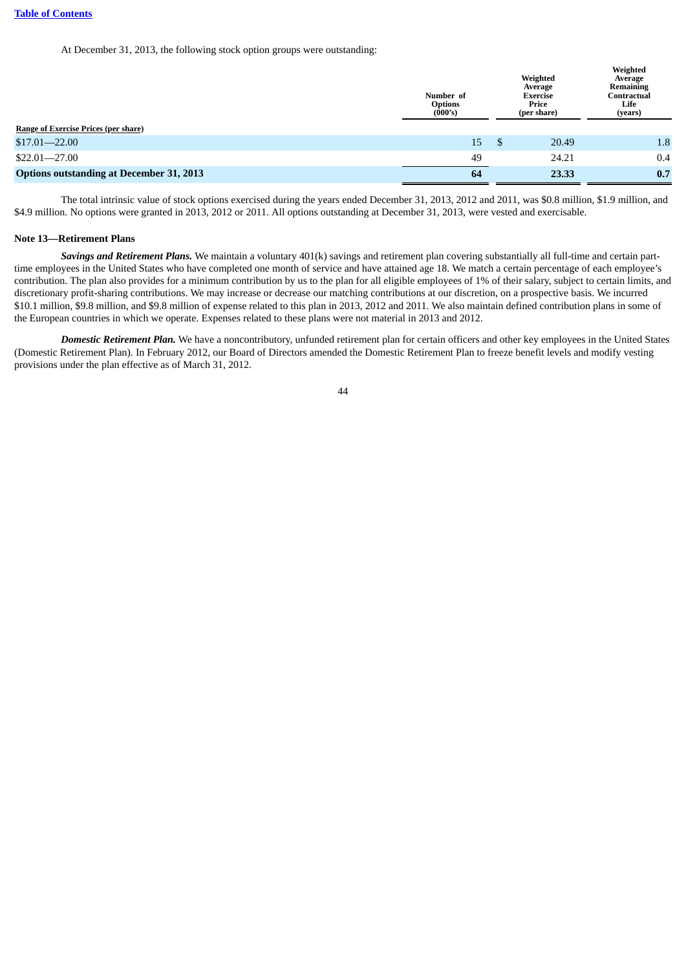At December 31, 2013, the following stock option groups were outstanding:

|                                                 | Number of<br><b>Options</b><br>(000's) |               | Weighted<br>Average<br>Exercise<br>Price<br>(per share) | weighted<br>Average<br><b>Remaining</b><br>Contractual<br>Life<br>(years) |
|-------------------------------------------------|----------------------------------------|---------------|---------------------------------------------------------|---------------------------------------------------------------------------|
| Range of Exercise Prices (per share)            |                                        |               |                                                         |                                                                           |
| $$17.01 - 22.00$                                | 15                                     | <sup>\$</sup> | 20.49                                                   | 1.8                                                                       |
| $$22.01 - 27.00$                                | 49                                     |               | 24.21                                                   | 0.4                                                                       |
| <b>Options outstanding at December 31, 2013</b> | 64                                     |               | 23.33                                                   | 0.7                                                                       |

**Weighted**

The total intrinsic value of stock options exercised during the years ended December 31, 2013, 2012 and 2011, was \$0.8 million, \$1.9 million, and \$4.9 million. No options were granted in 2013, 2012 or 2011. All options outstanding at December 31, 2013, were vested and exercisable.

### **Note 13—Retirement Plans**

*Savings and Retirement Plans.* We maintain a voluntary 401(k) savings and retirement plan covering substantially all full-time and certain parttime employees in the United States who have completed one month of service and have attained age 18. We match a certain percentage of each employee's contribution. The plan also provides for a minimum contribution by us to the plan for all eligible employees of 1% of their salary, subject to certain limits, and discretionary profit-sharing contributions. We may increase or decrease our matching contributions at our discretion, on a prospective basis. We incurred \$10.1 million, \$9.8 million, and \$9.8 million of expense related to this plan in 2013, 2012 and 2011. We also maintain defined contribution plans in some of the European countries in which we operate. Expenses related to these plans were not material in 2013 and 2012.

*Domestic Retirement Plan.* We have a noncontributory, unfunded retirement plan for certain officers and other key employees in the United States (Domestic Retirement Plan). In February 2012, our Board of Directors amended the Domestic Retirement Plan to freeze benefit levels and modify vesting provisions under the plan effective as of March 31, 2012.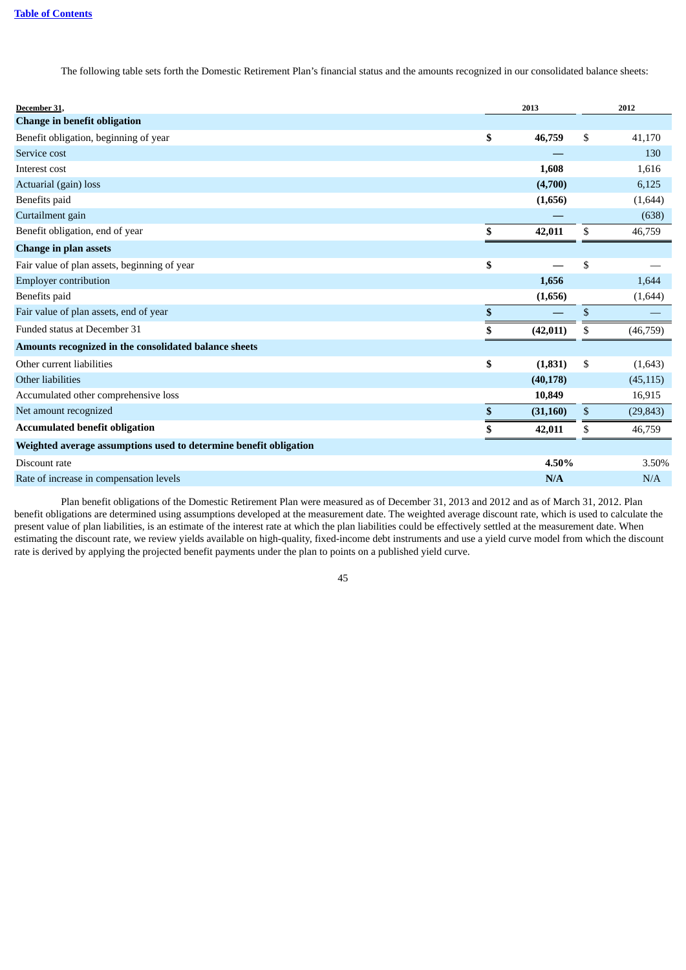The following table sets forth the Domestic Retirement Plan's financial status and the amounts recognized in our consolidated balance sheets:

| December 31,                                                      | 2013 |           | 2012 |           |
|-------------------------------------------------------------------|------|-----------|------|-----------|
| <b>Change in benefit obligation</b>                               |      |           |      |           |
| Benefit obligation, beginning of year                             | \$   | 46,759    | \$   | 41,170    |
| Service cost                                                      |      |           |      | 130       |
| Interest cost                                                     |      | 1,608     |      | 1,616     |
| Actuarial (gain) loss                                             |      | (4,700)   |      | 6,125     |
| Benefits paid                                                     |      | (1,656)   |      | (1,644)   |
| Curtailment gain                                                  |      |           |      | (638)     |
| Benefit obligation, end of year                                   | \$   | 42,011    | \$   | 46,759    |
| <b>Change in plan assets</b>                                      |      |           |      |           |
| Fair value of plan assets, beginning of year                      | \$   |           | \$   |           |
| <b>Employer contribution</b>                                      |      | 1,656     |      | 1,644     |
| Benefits paid                                                     |      | (1,656)   |      | (1,644)   |
| Fair value of plan assets, end of year                            | \$   |           | \$   |           |
| Funded status at December 31                                      | \$   | (42, 011) | \$   | (46,759)  |
| Amounts recognized in the consolidated balance sheets             |      |           |      |           |
| Other current liabilities                                         | \$   | (1, 831)  | \$   | (1,643)   |
| Other liabilities                                                 |      | (40, 178) |      | (45, 115) |
| Accumulated other comprehensive loss                              |      | 10,849    |      | 16,915    |
| Net amount recognized                                             | \$   | (31, 160) | \$   | (29, 843) |
| <b>Accumulated benefit obligation</b>                             | \$   | 42,011    | \$   | 46,759    |
| Weighted average assumptions used to determine benefit obligation |      |           |      |           |
| Discount rate                                                     |      | 4.50%     |      | 3.50%     |
| Rate of increase in compensation levels                           |      | N/A       |      | N/A       |

Plan benefit obligations of the Domestic Retirement Plan were measured as of December 31, 2013 and 2012 and as of March 31, 2012. Plan benefit obligations are determined using assumptions developed at the measurement date. The weighted average discount rate, which is used to calculate the present value of plan liabilities, is an estimate of the interest rate at which the plan liabilities could be effectively settled at the measurement date. When estimating the discount rate, we review yields available on high-quality, fixed-income debt instruments and use a yield curve model from which the discount rate is derived by applying the projected benefit payments under the plan to points on a published yield curve.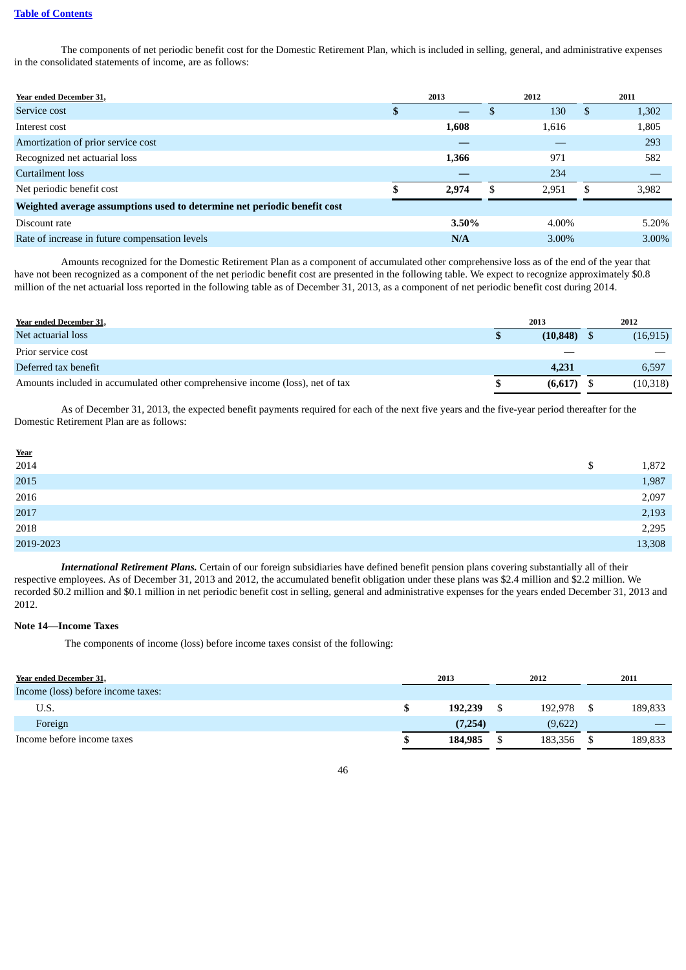# **Table of [Contents](#page-1-0)**

The components of net periodic benefit cost for the Domestic Retirement Plan, which is included in selling, general, and administrative expenses in the consolidated statements of income, are as follows:

| Year ended December 31,                                                  | 2013  | 2012 |       | 2011 |       |
|--------------------------------------------------------------------------|-------|------|-------|------|-------|
| Service cost                                                             |       |      | 130   | S    | 1,302 |
| Interest cost                                                            | 1,608 |      | 1,616 |      | 1,805 |
| Amortization of prior service cost                                       |       |      |       |      | 293   |
| Recognized net actuarial loss                                            | 1,366 |      | 971   |      | 582   |
| Curtailment loss                                                         |       |      | 234   |      |       |
| Net periodic benefit cost                                                | 2,974 | S    | 2.951 | ъ.   | 3,982 |
| Weighted average assumptions used to determine net periodic benefit cost |       |      |       |      |       |
| Discount rate                                                            | 3.50% |      | 4.00% |      | 5.20% |
| Rate of increase in future compensation levels                           | N/A   |      | 3.00% |      | 3.00% |

Amounts recognized for the Domestic Retirement Plan as a component of accumulated other comprehensive loss as of the end of the year that have not been recognized as a component of the net periodic benefit cost are presented in the following table. We expect to recognize approximately \$0.8 million of the net actuarial loss reported in the following table as of December 31, 2013, as a component of net periodic benefit cost during 2014.

| Year ended December 31,                                                       | 2013      | 2012      |
|-------------------------------------------------------------------------------|-----------|-----------|
| Net actuarial loss                                                            | (10, 848) | (16, 915) |
| Prior service cost                                                            |           |           |
| Deferred tax benefit                                                          | 4,231     | 6,597     |
| Amounts included in accumulated other comprehensive income (loss), net of tax | (6,617)   | (10, 318) |

As of December 31, 2013, the expected benefit payments required for each of the next five years and the five-year period thereafter for the Domestic Retirement Plan are as follows:

| <b>Year</b> |             |
|-------------|-------------|
| 2014        | \$<br>1,872 |
| 2015        | 1,987       |
| 2016        | 2,097       |
| 2017        | 2,193       |
| 2018        | 2,295       |
| 2019-2023   | 13,308      |

*International Retirement Plans.* Certain of our foreign subsidiaries have defined benefit pension plans covering substantially all of their respective employees. As of December 31, 2013 and 2012, the accumulated benefit obligation under these plans was \$2.4 million and \$2.2 million. We recorded \$0.2 million and \$0.1 million in net periodic benefit cost in selling, general and administrative expenses for the years ended December 31, 2013 and 2012.

# **Note 14—Income Taxes**

The components of income (loss) before income taxes consist of the following:

| Year ended December 31,            | 2013 |         | 2012 |         | 2011 |         |
|------------------------------------|------|---------|------|---------|------|---------|
| Income (loss) before income taxes: |      |         |      |         |      |         |
| U.S.                               |      | 192,239 |      | 192.978 | - \$ | 189,833 |
| Foreign                            |      | (7,254) |      | (9,622) |      |         |
| Income before income taxes         |      | 184,985 |      | 183,356 |      | 189,833 |

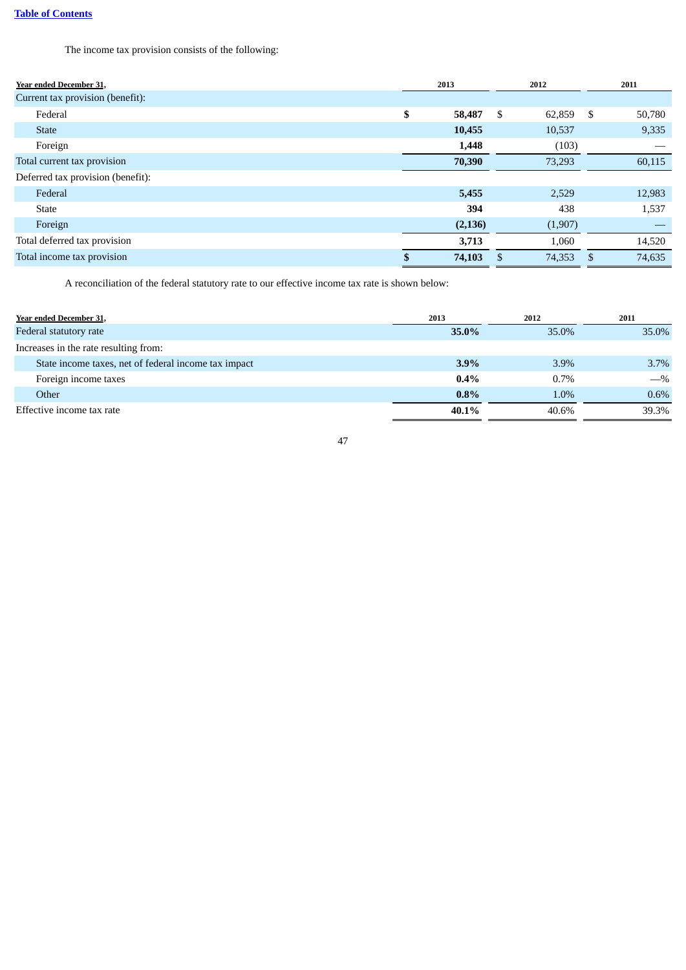The income tax provision consists of the following:

| Year ended December 31,           | 2013 |          | 2012 |         | 2011         |
|-----------------------------------|------|----------|------|---------|--------------|
| Current tax provision (benefit):  |      |          |      |         |              |
| Federal                           | \$   | 58,487   | S    | 62,859  | \$<br>50,780 |
| <b>State</b>                      |      | 10,455   |      | 10,537  | 9,335        |
| Foreign                           |      | 1,448    |      | (103)   |              |
| Total current tax provision       |      | 70,390   |      | 73,293  | 60,115       |
| Deferred tax provision (benefit): |      |          |      |         |              |
| Federal                           |      | 5,455    |      | 2,529   | 12,983       |
| <b>State</b>                      |      | 394      |      | 438     | 1,537        |
| Foreign                           |      | (2, 136) |      | (1,907) |              |
| Total deferred tax provision      |      | 3,713    |      | 1,060   | 14,520       |
| Total income tax provision        | S    | 74,103   | S    | 74,353  | \$<br>74,635 |

A reconciliation of the federal statutory rate to our effective income tax rate is shown below:

| 2011    |
|---------|
| 35.0%   |
|         |
| $3.7\%$ |
| $-$ %   |
| $0.6\%$ |
| 39.3%   |
|         |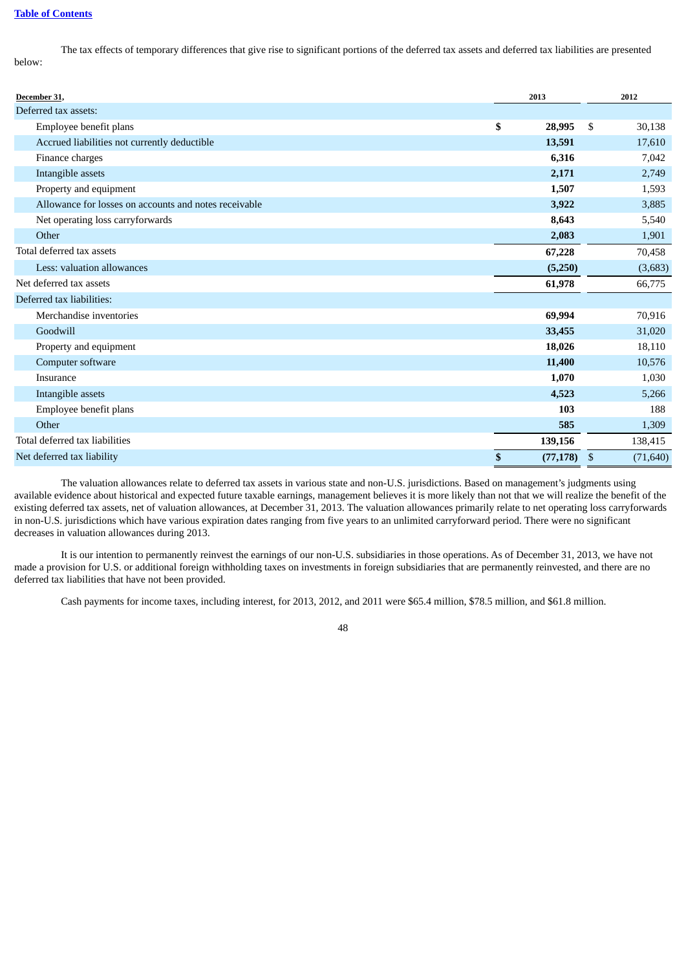The tax effects of temporary differences that give rise to significant portions of the deferred tax assets and deferred tax liabilities are presented below:

| December 31,                                          | 2013 |           |      | 2012      |
|-------------------------------------------------------|------|-----------|------|-----------|
| Deferred tax assets:                                  |      |           |      |           |
| Employee benefit plans                                | \$   | 28,995    | -S   | 30,138    |
| Accrued liabilities not currently deductible          |      | 13,591    |      | 17,610    |
| Finance charges                                       |      | 6,316     |      | 7,042     |
| Intangible assets                                     |      | 2,171     |      | 2,749     |
| Property and equipment                                |      | 1,507     |      | 1,593     |
| Allowance for losses on accounts and notes receivable |      | 3,922     |      | 3,885     |
| Net operating loss carryforwards                      |      | 8,643     |      | 5,540     |
| Other                                                 |      | 2,083     |      | 1,901     |
| Total deferred tax assets                             |      | 67,228    |      | 70,458    |
| Less: valuation allowances                            |      | (5,250)   |      | (3,683)   |
| Net deferred tax assets                               |      | 61,978    |      | 66,775    |
| Deferred tax liabilities:                             |      |           |      |           |
| Merchandise inventories                               |      | 69,994    |      | 70,916    |
| Goodwill                                              |      | 33,455    |      | 31,020    |
| Property and equipment                                |      | 18,026    |      | 18,110    |
| Computer software                                     |      | 11,400    |      | 10,576    |
| Insurance                                             |      | 1,070     |      | 1,030     |
| Intangible assets                                     |      | 4,523     |      | 5,266     |
| Employee benefit plans                                |      | 103       |      | 188       |
| Other                                                 |      | 585       |      | 1,309     |
| Total deferred tax liabilities                        |      | 139,156   |      | 138,415   |
| Net deferred tax liability                            | \$   | (77, 178) | - \$ | (71, 640) |

The valuation allowances relate to deferred tax assets in various state and non-U.S. jurisdictions. Based on management's judgments using available evidence about historical and expected future taxable earnings, management believes it is more likely than not that we will realize the benefit of the existing deferred tax assets, net of valuation allowances, at December 31, 2013. The valuation allowances primarily relate to net operating loss carryforwards in non-U.S. jurisdictions which have various expiration dates ranging from five years to an unlimited carryforward period. There were no significant decreases in valuation allowances during 2013.

It is our intention to permanently reinvest the earnings of our non-U.S. subsidiaries in those operations. As of December 31, 2013, we have not made a provision for U.S. or additional foreign withholding taxes on investments in foreign subsidiaries that are permanently reinvested, and there are no deferred tax liabilities that have not been provided.

Cash payments for income taxes, including interest, for 2013, 2012, and 2011 were \$65.4 million, \$78.5 million, and \$61.8 million.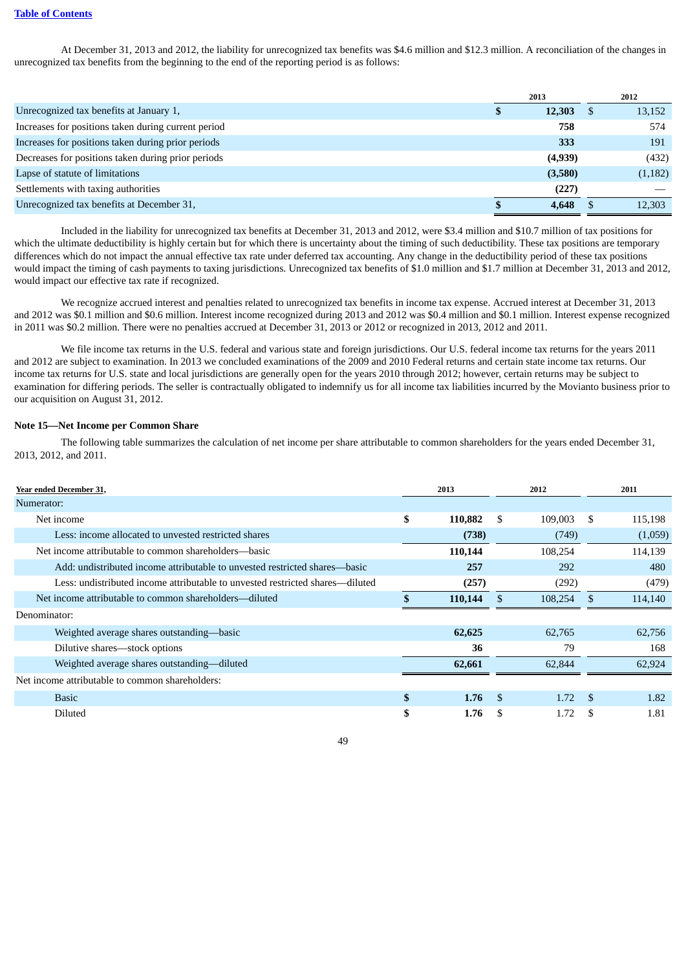At December 31, 2013 and 2012, the liability for unrecognized tax benefits was \$4.6 million and \$12.3 million. A reconciliation of the changes in unrecognized tax benefits from the beginning to the end of the reporting period is as follows:

|                                                     | 2013 |         | 2012     |
|-----------------------------------------------------|------|---------|----------|
| Unrecognized tax benefits at January 1,             |      | 12,303  | 13,152   |
| Increases for positions taken during current period |      | 758     | 574      |
| Increases for positions taken during prior periods  |      | 333     | 191      |
| Decreases for positions taken during prior periods  |      | (4,939) | (432)    |
| Lapse of statute of limitations                     |      | (3,580) | (1, 182) |
| Settlements with taxing authorities                 |      | (227)   |          |
| Unrecognized tax benefits at December 31,           |      | 4,648   | 12,303   |

Included in the liability for unrecognized tax benefits at December 31, 2013 and 2012, were \$3.4 million and \$10.7 million of tax positions for which the ultimate deductibility is highly certain but for which there is uncertainty about the timing of such deductibility. These tax positions are temporary differences which do not impact the annual effective tax rate under deferred tax accounting. Any change in the deductibility period of these tax positions would impact the timing of cash payments to taxing jurisdictions. Unrecognized tax benefits of \$1.0 million and \$1.7 million at December 31, 2013 and 2012, would impact our effective tax rate if recognized.

We recognize accrued interest and penalties related to unrecognized tax benefits in income tax expense. Accrued interest at December 31, 2013 and 2012 was \$0.1 million and \$0.6 million. Interest income recognized during 2013 and 2012 was \$0.4 million and \$0.1 million. Interest expense recognized in 2011 was \$0.2 million. There were no penalties accrued at December 31, 2013 or 2012 or recognized in 2013, 2012 and 2011.

We file income tax returns in the U.S. federal and various state and foreign jurisdictions. Our U.S. federal income tax returns for the years 2011 and 2012 are subject to examination. In 2013 we concluded examinations of the 2009 and 2010 Federal returns and certain state income tax returns. Our income tax returns for U.S. state and local jurisdictions are generally open for the years 2010 through 2012; however, certain returns may be subject to examination for differing periods. The seller is contractually obligated to indemnify us for all income tax liabilities incurred by the Movianto business prior to our acquisition on August 31, 2012.

# **Note 15—Net Income per Common Share**

The following table summarizes the calculation of net income per share attributable to common shareholders for the years ended December 31, 2013, 2012, and 2011.

| Year ended December 31,                                                       | 2013         |         | 2012          |         |     |         |  |  |  |  |  |  |  |  |  |  |  |  | 2011 |  |
|-------------------------------------------------------------------------------|--------------|---------|---------------|---------|-----|---------|--|--|--|--|--|--|--|--|--|--|--|--|------|--|
| Numerator:                                                                    |              |         |               |         |     |         |  |  |  |  |  |  |  |  |  |  |  |  |      |  |
| Net income                                                                    | \$           | 110,882 | \$.           | 109,003 | S.  | 115,198 |  |  |  |  |  |  |  |  |  |  |  |  |      |  |
| Less: income allocated to unvested restricted shares                          |              | (738)   |               | (749)   |     | (1,059) |  |  |  |  |  |  |  |  |  |  |  |  |      |  |
| Net income attributable to common shareholders—basic                          |              | 110,144 |               | 108,254 |     | 114,139 |  |  |  |  |  |  |  |  |  |  |  |  |      |  |
| Add: undistributed income attributable to unvested restricted shares—basic    |              | 257     |               | 292     |     | 480     |  |  |  |  |  |  |  |  |  |  |  |  |      |  |
| Less: undistributed income attributable to unvested restricted shares—diluted |              | (257)   |               | (292)   |     | (479)   |  |  |  |  |  |  |  |  |  |  |  |  |      |  |
| Net income attributable to common shareholders—diluted                        |              | 110,144 | £.            | 108,254 |     | 114,140 |  |  |  |  |  |  |  |  |  |  |  |  |      |  |
| Denominator:                                                                  |              |         |               |         |     |         |  |  |  |  |  |  |  |  |  |  |  |  |      |  |
| Weighted average shares outstanding—basic                                     |              | 62,625  |               | 62,765  |     | 62,756  |  |  |  |  |  |  |  |  |  |  |  |  |      |  |
| Dilutive shares—stock options                                                 |              | 36      |               | 79      |     | 168     |  |  |  |  |  |  |  |  |  |  |  |  |      |  |
| Weighted average shares outstanding-diluted                                   |              | 62,661  |               | 62,844  |     | 62,924  |  |  |  |  |  |  |  |  |  |  |  |  |      |  |
| Net income attributable to common shareholders:                               |              |         |               |         |     |         |  |  |  |  |  |  |  |  |  |  |  |  |      |  |
| <b>Basic</b>                                                                  | $\mathbf{s}$ | 1.76    | $\mathcal{S}$ | 1.72    | -\$ | 1.82    |  |  |  |  |  |  |  |  |  |  |  |  |      |  |
| <b>Diluted</b>                                                                | \$           | 1.76    | \$.           | 1.72    | \$. | 1.81    |  |  |  |  |  |  |  |  |  |  |  |  |      |  |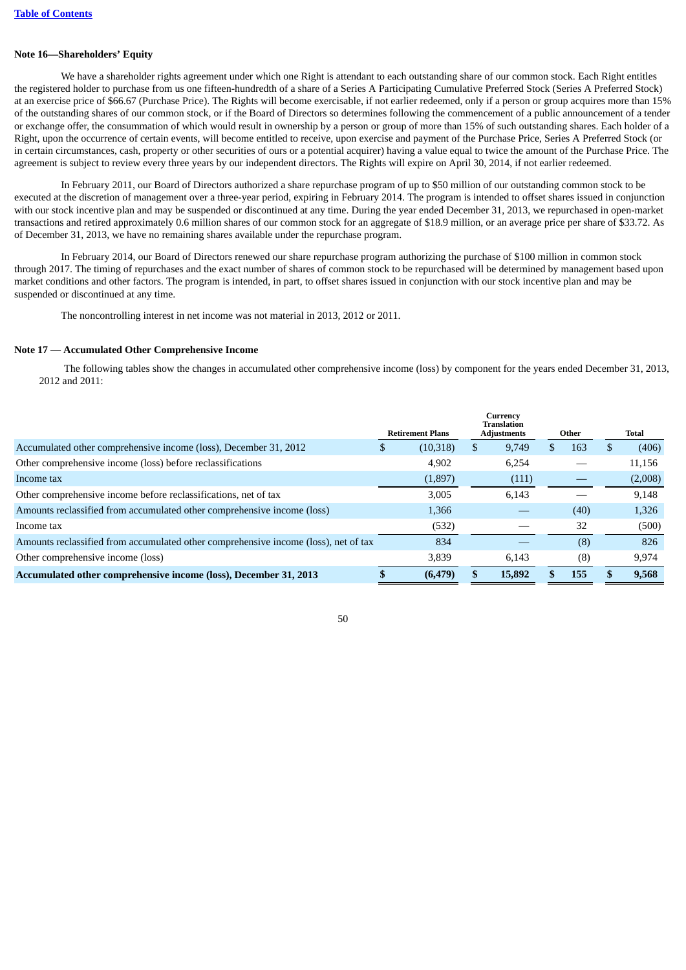# **Note 16—Shareholders' Equity**

We have a shareholder rights agreement under which one Right is attendant to each outstanding share of our common stock. Each Right entitles the registered holder to purchase from us one fifteen-hundredth of a share of a Series A Participating Cumulative Preferred Stock (Series A Preferred Stock) at an exercise price of \$66.67 (Purchase Price). The Rights will become exercisable, if not earlier redeemed, only if a person or group acquires more than 15% of the outstanding shares of our common stock, or if the Board of Directors so determines following the commencement of a public announcement of a tender or exchange offer, the consummation of which would result in ownership by a person or group of more than 15% of such outstanding shares. Each holder of a Right, upon the occurrence of certain events, will become entitled to receive, upon exercise and payment of the Purchase Price, Series A Preferred Stock (or in certain circumstances, cash, property or other securities of ours or a potential acquirer) having a value equal to twice the amount of the Purchase Price. The agreement is subject to review every three years by our independent directors. The Rights will expire on April 30, 2014, if not earlier redeemed.

In February 2011, our Board of Directors authorized a share repurchase program of up to \$50 million of our outstanding common stock to be executed at the discretion of management over a three-year period, expiring in February 2014. The program is intended to offset shares issued in conjunction with our stock incentive plan and may be suspended or discontinued at any time. During the year ended December 31, 2013, we repurchased in open-market transactions and retired approximately 0.6 million shares of our common stock for an aggregate of \$18.9 million, or an average price per share of \$33.72. As of December 31, 2013, we have no remaining shares available under the repurchase program.

In February 2014, our Board of Directors renewed our share repurchase program authorizing the purchase of \$100 million in common stock through 2017. The timing of repurchases and the exact number of shares of common stock to be repurchased will be determined by management based upon market conditions and other factors. The program is intended, in part, to offset shares issued in conjunction with our stock incentive plan and may be suspended or discontinued at any time.

The noncontrolling interest in net income was not material in 2013, 2012 or 2011.

### **Note 17 — Accumulated Other Comprehensive Income**

The following tables show the changes in accumulated other comprehensive income (loss) by component for the years ended December 31, 2013, 2012 and 2011:

|                                                                                     | <b>Retirement Plans</b> |          | Currency<br>Translation<br><b>Adjustments</b> |        |     | Other |    | Total   |
|-------------------------------------------------------------------------------------|-------------------------|----------|-----------------------------------------------|--------|-----|-------|----|---------|
| Accumulated other comprehensive income (loss), December 31, 2012                    |                         | (10,318) | D                                             | 9.749  | \$. | 163   | S. | (406)   |
| Other comprehensive income (loss) before reclassifications                          |                         | 4.902    |                                               | 6.254  |     |       |    | 11,156  |
| Income tax                                                                          |                         | (1,897)  |                                               | (111)  |     |       |    | (2,008) |
| Other comprehensive income before reclassifications, net of tax                     |                         | 3,005    |                                               | 6,143  |     |       |    | 9,148   |
| Amounts reclassified from accumulated other comprehensive income (loss)             |                         | 1,366    |                                               |        |     | (40)  |    | 1,326   |
| Income tax                                                                          |                         | (532)    |                                               |        |     | 32    |    | (500)   |
| Amounts reclassified from accumulated other comprehensive income (loss), net of tax |                         | 834      |                                               |        |     | (8)   |    | 826     |
| Other comprehensive income (loss)                                                   |                         | 3,839    |                                               | 6.143  |     | (8)   |    | 9,974   |
| Accumulated other comprehensive income (loss), December 31, 2013                    |                         | (6, 479) |                                               | 15,892 |     | 155   |    | 9,568   |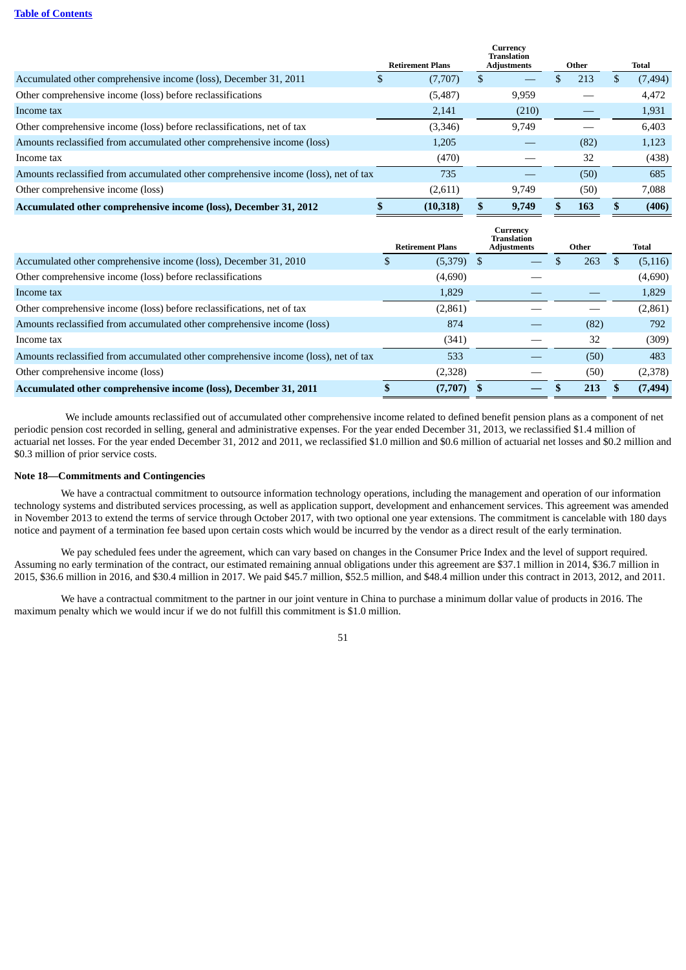### **Table of [Contents](#page-1-0)**

|                                                                                     |                         | Currency<br>Translation |          |               |
|-------------------------------------------------------------------------------------|-------------------------|-------------------------|----------|---------------|
|                                                                                     | <b>Retirement Plans</b> | <b>Adjustments</b>      | Other    | Total         |
| Accumulated other comprehensive income (loss), December 31, 2011                    | (7,707)<br>л            | Ъ                       | 213<br>S | (7, 494)<br>æ |
| Other comprehensive income (loss) before reclassifications                          | (5,487)                 | 9.959                   |          | 4,472         |
| Income tax                                                                          | 2,141                   | (210)                   |          | 1,931         |
| Other comprehensive income (loss) before reclassifications, net of tax              | (3,346)                 | 9.749                   |          | 6,403         |
| Amounts reclassified from accumulated other comprehensive income (loss)             | 1,205                   |                         | (82)     | 1,123         |
| Income tax                                                                          | (470)                   |                         | 32       | (438)         |
| Amounts reclassified from accumulated other comprehensive income (loss), net of tax | 735                     |                         | (50)     | 685           |
| Other comprehensive income (loss)                                                   | (2,611)                 | 9,749                   | (50)     | 7,088         |
| Accumulated other comprehensive income (loss), December 31, 2012                    | (10, 318)               | 9,749                   | 163      | (406)         |

|                                                                                     |   |                         | Currency<br>Translation |           |    |          |
|-------------------------------------------------------------------------------------|---|-------------------------|-------------------------|-----------|----|----------|
|                                                                                     |   | <b>Retirement Plans</b> | <b>Adjustments</b>      | Other     |    | Total    |
| Accumulated other comprehensive income (loss), December 31, 2010                    | D | $(5,379)$ \$            |                         | \$<br>263 | -5 | (5, 116) |
| Other comprehensive income (loss) before reclassifications                          |   | (4,690)                 |                         |           |    | (4,690)  |
| Income tax                                                                          |   | 1,829                   |                         |           |    | 1,829    |
| Other comprehensive income (loss) before reclassifications, net of tax              |   | (2,861)                 |                         |           |    | (2,861)  |
| Amounts reclassified from accumulated other comprehensive income (loss)             |   | 874                     |                         | (82)      |    | 792      |
| Income tax                                                                          |   | (341)                   |                         | 32        |    | (309)    |
| Amounts reclassified from accumulated other comprehensive income (loss), net of tax |   | 533                     |                         | (50)      |    | 483      |
| Other comprehensive income (loss)                                                   |   | (2,328)                 |                         | (50)      |    | (2,378)  |
| Accumulated other comprehensive income (loss), December 31, 2011                    |   | (7,707)                 |                         | 213       |    | (7, 494) |

We include amounts reclassified out of accumulated other comprehensive income related to defined benefit pension plans as a component of net periodic pension cost recorded in selling, general and administrative expenses. For the year ended December 31, 2013, we reclassified \$1.4 million of actuarial net losses. For the year ended December 31, 2012 and 2011, we reclassified \$1.0 million and \$0.6 million of actuarial net losses and \$0.2 million and \$0.3 million of prior service costs.

### **Note 18—Commitments and Contingencies**

We have a contractual commitment to outsource information technology operations, including the management and operation of our information technology systems and distributed services processing, as well as application support, development and enhancement services. This agreement was amended in November 2013 to extend the terms of service through October 2017, with two optional one year extensions. The commitment is cancelable with 180 days notice and payment of a termination fee based upon certain costs which would be incurred by the vendor as a direct result of the early termination.

We pay scheduled fees under the agreement, which can vary based on changes in the Consumer Price Index and the level of support required. Assuming no early termination of the contract, our estimated remaining annual obligations under this agreement are \$37.1 million in 2014, \$36.7 million in 2015, \$36.6 million in 2016, and \$30.4 million in 2017. We paid \$45.7 million, \$52.5 million, and \$48.4 million under this contract in 2013, 2012, and 2011.

We have a contractual commitment to the partner in our joint venture in China to purchase a minimum dollar value of products in 2016. The maximum penalty which we would incur if we do not fulfill this commitment is \$1.0 million.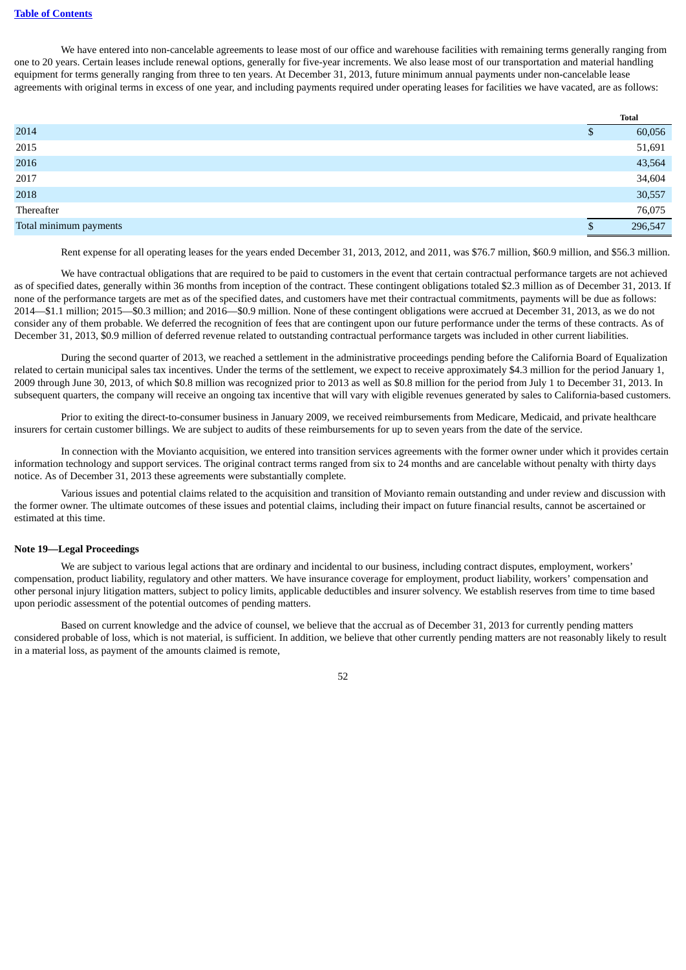We have entered into non-cancelable agreements to lease most of our office and warehouse facilities with remaining terms generally ranging from one to 20 years. Certain leases include renewal options, generally for five-year increments. We also lease most of our transportation and material handling equipment for terms generally ranging from three to ten years. At December 31, 2013, future minimum annual payments under non-cancelable lease agreements with original terms in excess of one year, and including payments required under operating leases for facilities we have vacated, are as follows:

|                        |   | <b>Total</b> |
|------------------------|---|--------------|
| 2014                   | D | 60,056       |
| 2015                   |   | 51,691       |
| 2016                   |   | 43,564       |
| 2017                   |   | 34,604       |
| 2018                   |   | 30,557       |
| Thereafter             |   | 76,075       |
| Total minimum payments | D | 296,547      |

Rent expense for all operating leases for the years ended December 31, 2013, 2012, and 2011, was \$76.7 million, \$60.9 million, and \$56.3 million.

We have contractual obligations that are required to be paid to customers in the event that certain contractual performance targets are not achieved as of specified dates, generally within 36 months from inception of the contract. These contingent obligations totaled \$2.3 million as of December 31, 2013. If none of the performance targets are met as of the specified dates, and customers have met their contractual commitments, payments will be due as follows: 2014—\$1.1 million; 2015—\$0.3 million; and 2016—\$0.9 million. None of these contingent obligations were accrued at December 31, 2013, as we do not consider any of them probable. We deferred the recognition of fees that are contingent upon our future performance under the terms of these contracts. As of December 31, 2013, \$0.9 million of deferred revenue related to outstanding contractual performance targets was included in other current liabilities.

During the second quarter of 2013, we reached a settlement in the administrative proceedings pending before the California Board of Equalization related to certain municipal sales tax incentives. Under the terms of the settlement, we expect to receive approximately \$4.3 million for the period January 1, 2009 through June 30, 2013, of which \$0.8 million was recognized prior to 2013 as well as \$0.8 million for the period from July 1 to December 31, 2013. In subsequent quarters, the company will receive an ongoing tax incentive that will vary with eligible revenues generated by sales to California-based customers.

Prior to exiting the direct-to-consumer business in January 2009, we received reimbursements from Medicare, Medicaid, and private healthcare insurers for certain customer billings. We are subject to audits of these reimbursements for up to seven years from the date of the service.

In connection with the Movianto acquisition, we entered into transition services agreements with the former owner under which it provides certain information technology and support services. The original contract terms ranged from six to 24 months and are cancelable without penalty with thirty days notice. As of December 31, 2013 these agreements were substantially complete.

Various issues and potential claims related to the acquisition and transition of Movianto remain outstanding and under review and discussion with the former owner. The ultimate outcomes of these issues and potential claims, including their impact on future financial results, cannot be ascertained or estimated at this time.

### **Note 19—Legal Proceedings**

We are subject to various legal actions that are ordinary and incidental to our business, including contract disputes, employment, workers' compensation, product liability, regulatory and other matters. We have insurance coverage for employment, product liability, workers' compensation and other personal injury litigation matters, subject to policy limits, applicable deductibles and insurer solvency. We establish reserves from time to time based upon periodic assessment of the potential outcomes of pending matters.

Based on current knowledge and the advice of counsel, we believe that the accrual as of December 31, 2013 for currently pending matters considered probable of loss, which is not material, is sufficient. In addition, we believe that other currently pending matters are not reasonably likely to result in a material loss, as payment of the amounts claimed is remote,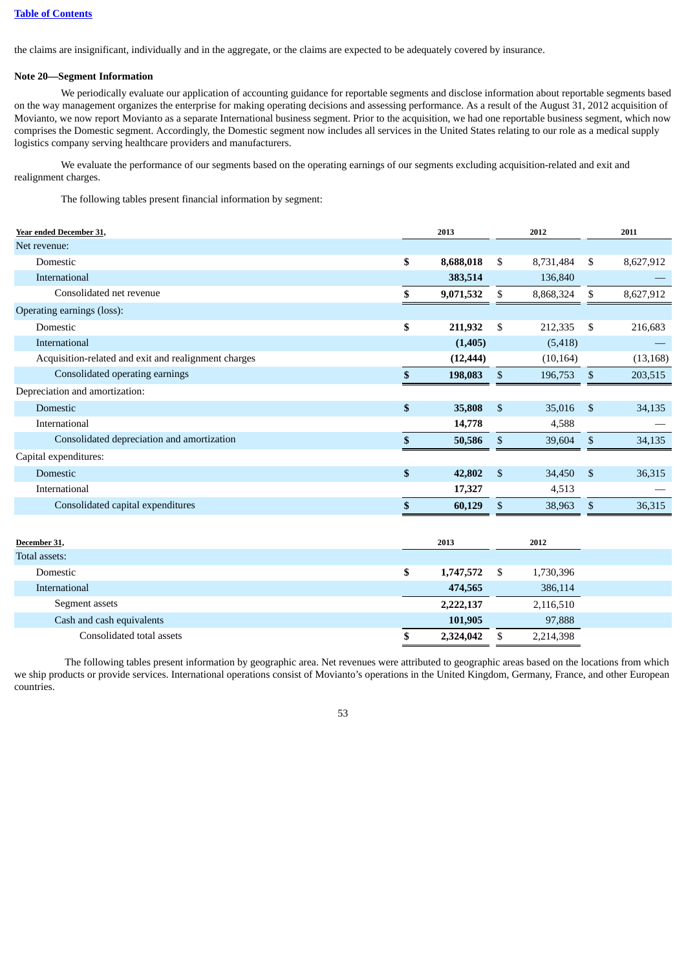the claims are insignificant, individually and in the aggregate, or the claims are expected to be adequately covered by insurance.

# **Note 20—Segment Information**

We periodically evaluate our application of accounting guidance for reportable segments and disclose information about reportable segments based on the way management organizes the enterprise for making operating decisions and assessing performance. As a result of the August 31, 2012 acquisition of Movianto, we now report Movianto as a separate International business segment. Prior to the acquisition, we had one reportable business segment, which now comprises the Domestic segment. Accordingly, the Domestic segment now includes all services in the United States relating to our role as a medical supply logistics company serving healthcare providers and manufacturers.

We evaluate the performance of our segments based on the operating earnings of our segments excluding acquisition-related and exit and realignment charges.

The following tables present financial information by segment:

| Year ended December 31,                              | 2013         |           |                |           | 2012          |           |  |  |  |  |  |  |  |  |  | 2011 |
|------------------------------------------------------|--------------|-----------|----------------|-----------|---------------|-----------|--|--|--|--|--|--|--|--|--|------|
| Net revenue:                                         |              |           |                |           |               |           |  |  |  |  |  |  |  |  |  |      |
| Domestic                                             | \$           | 8,688,018 | \$             | 8,731,484 | \$            | 8,627,912 |  |  |  |  |  |  |  |  |  |      |
| International                                        |              | 383,514   |                | 136,840   |               |           |  |  |  |  |  |  |  |  |  |      |
| Consolidated net revenue                             | \$           | 9,071,532 | \$             | 8,868,324 | \$            | 8,627,912 |  |  |  |  |  |  |  |  |  |      |
| Operating earnings (loss):                           |              |           |                |           |               |           |  |  |  |  |  |  |  |  |  |      |
| Domestic                                             | \$           | 211,932   | \$             | 212,335   | $\mathbb{S}$  | 216,683   |  |  |  |  |  |  |  |  |  |      |
| International                                        |              | (1,405)   |                | (5, 418)  |               |           |  |  |  |  |  |  |  |  |  |      |
| Acquisition-related and exit and realignment charges |              | (12, 444) |                | (10, 164) |               | (13, 168) |  |  |  |  |  |  |  |  |  |      |
| Consolidated operating earnings                      | $\mathbf{s}$ | 198,083   | \$             | 196,753   | <sup>\$</sup> | 203,515   |  |  |  |  |  |  |  |  |  |      |
| Depreciation and amortization:                       |              |           |                |           |               |           |  |  |  |  |  |  |  |  |  |      |
| Domestic                                             | \$           | 35,808    | $\mathfrak{S}$ | 35,016    | \$            | 34,135    |  |  |  |  |  |  |  |  |  |      |
| International                                        |              | 14,778    |                | 4,588     |               |           |  |  |  |  |  |  |  |  |  |      |
| Consolidated depreciation and amortization           |              | 50,586    | \$             | 39,604    | <sup>\$</sup> | 34,135    |  |  |  |  |  |  |  |  |  |      |
| Capital expenditures:                                |              |           |                |           |               |           |  |  |  |  |  |  |  |  |  |      |
| Domestic                                             | $\mathbf{s}$ | 42,802    | $\mathfrak{S}$ | 34,450    | - \$          | 36,315    |  |  |  |  |  |  |  |  |  |      |
| International                                        |              | 17,327    |                | 4,513     |               |           |  |  |  |  |  |  |  |  |  |      |
| Consolidated capital expenditures                    |              | 60,129    | \$             | 38,963    | <sup>\$</sup> | 36,315    |  |  |  |  |  |  |  |  |  |      |
|                                                      |              |           |                |           |               |           |  |  |  |  |  |  |  |  |  |      |
|                                                      |              |           |                |           |               |           |  |  |  |  |  |  |  |  |  |      |

| December 31,              | 2013            |    |           |  |
|---------------------------|-----------------|----|-----------|--|
| Total assets:             |                 |    |           |  |
| Domestic                  | \$<br>1,747,572 | -S | 1,730,396 |  |
| International             | 474,565         |    | 386,114   |  |
| Segment assets            | 2,222,137       |    | 2,116,510 |  |
| Cash and cash equivalents | 101,905         |    | 97,888    |  |
| Consolidated total assets | 2,324,042       | S  | 2,214,398 |  |

The following tables present information by geographic area. Net revenues were attributed to geographic areas based on the locations from which we ship products or provide services. International operations consist of Movianto's operations in the United Kingdom, Germany, France, and other European countries.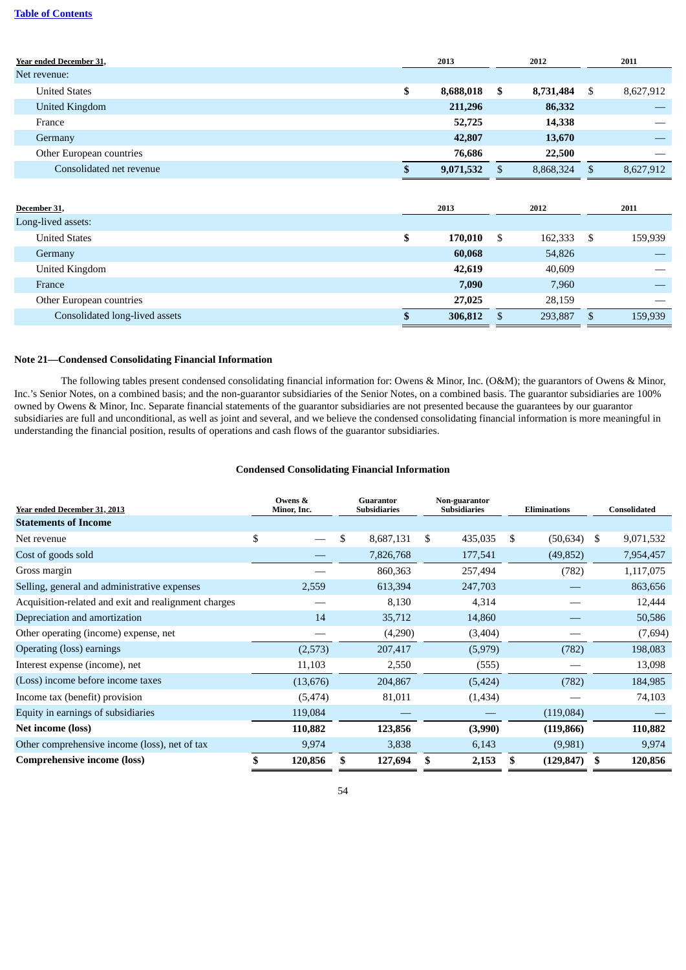### **Table of [Contents](#page-1-0)**

| Year ended December 31,  | 2013            | 2012            |               | 2011      |
|--------------------------|-----------------|-----------------|---------------|-----------|
| Net revenue:             |                 |                 |               |           |
| <b>United States</b>     | \$<br>8,688,018 | \$<br>8,731,484 | S             | 8,627,912 |
| <b>United Kingdom</b>    | 211,296         | 86,332          |               |           |
| France                   | 52,725          | 14,338          |               |           |
| Germany                  | 42,807          | 13,670          |               |           |
| Other European countries | 76,686          | 22,500          |               |           |
| Consolidated net revenue | 9,071,532       | 8,868,324       | <sup>\$</sup> | 8,627,912 |

| December 31,                   |    | 2013    |    | 2012    |      | 2011    |
|--------------------------------|----|---------|----|---------|------|---------|
| Long-lived assets:             |    |         |    |         |      |         |
| <b>United States</b>           | \$ | 170,010 | S. | 162,333 | - \$ | 159,939 |
| Germany                        |    | 60,068  |    | 54,826  |      |         |
| United Kingdom                 |    | 42,619  |    | 40,609  |      |         |
| France                         |    | 7,090   |    | 7,960   |      |         |
| Other European countries       |    | 27,025  |    | 28,159  |      | __      |
| Consolidated long-lived assets | D  | 306,812 | S  | 293,887 | S    | 159,939 |

## **Note 21—Condensed Consolidating Financial Information**

The following tables present condensed consolidating financial information for: Owens & Minor, Inc. (O&M); the guarantors of Owens & Minor, Inc.'s Senior Notes, on a combined basis; and the non-guarantor subsidiaries of the Senior Notes, on a combined basis. The guarantor subsidiaries are 100% owned by Owens & Minor, Inc. Separate financial statements of the guarantor subsidiaries are not presented because the guarantees by our guarantor subsidiaries are full and unconditional, as well as joint and several, and we believe the condensed consolidating financial information is more meaningful in understanding the financial position, results of operations and cash flows of the guarantor subsidiaries.

## **Condensed Consolidating Financial Information**

| Year ended December 31, 2013                         | Owens &<br>Minor, Inc. | Guarantor<br>Non-guarantor<br><b>Subsidiaries</b><br><b>Subsidiaries</b> |           |    | <b>Eliminations</b> |     | Consolidated |   |           |
|------------------------------------------------------|------------------------|--------------------------------------------------------------------------|-----------|----|---------------------|-----|--------------|---|-----------|
| <b>Statements of Income</b>                          |                        |                                                                          |           |    |                     |     |              |   |           |
| Net revenue                                          | \$                     | \$                                                                       | 8,687,131 | \$ | 435,035             | \$. | (50, 634)    | S | 9,071,532 |
| Cost of goods sold                                   |                        |                                                                          | 7,826,768 |    | 177,541             |     | (49, 852)    |   | 7,954,457 |
| Gross margin                                         |                        |                                                                          | 860,363   |    | 257,494             |     | (782)        |   | 1,117,075 |
| Selling, general and administrative expenses         | 2,559                  |                                                                          | 613,394   |    | 247,703             |     |              |   | 863,656   |
| Acquisition-related and exit and realignment charges |                        |                                                                          | 8,130     |    | 4,314               |     |              |   | 12,444    |
| Depreciation and amortization                        | 14                     |                                                                          | 35,712    |    | 14,860              |     |              |   | 50,586    |
| Other operating (income) expense, net                |                        |                                                                          | (4,290)   |    | (3,404)             |     |              |   | (7,694)   |
| Operating (loss) earnings                            | (2,573)                |                                                                          | 207,417   |    | (5,979)             |     | (782)        |   | 198,083   |
| Interest expense (income), net                       | 11,103                 |                                                                          | 2,550     |    | (555)               |     |              |   | 13,098    |
| (Loss) income before income taxes                    | (13, 676)              |                                                                          | 204,867   |    | (5, 424)            |     | (782)        |   | 184,985   |
| Income tax (benefit) provision                       | (5, 474)               |                                                                          | 81,011    |    | (1, 434)            |     |              |   | 74,103    |
| Equity in earnings of subsidiaries                   | 119,084                |                                                                          |           |    |                     |     | (119,084)    |   |           |
| <b>Net income (loss)</b>                             | 110,882                |                                                                          | 123,856   |    | (3,990)             |     | (119, 866)   |   | 110,882   |
| Other comprehensive income (loss), net of tax        | 9,974                  |                                                                          | 3,838     |    | 6,143               |     | (9,981)      |   | 9,974     |
| Comprehensive income (loss)                          | \$<br>120,856          | \$                                                                       | 127,694   | ъ  | 2,153               |     | (129, 847)   |   | 120,856   |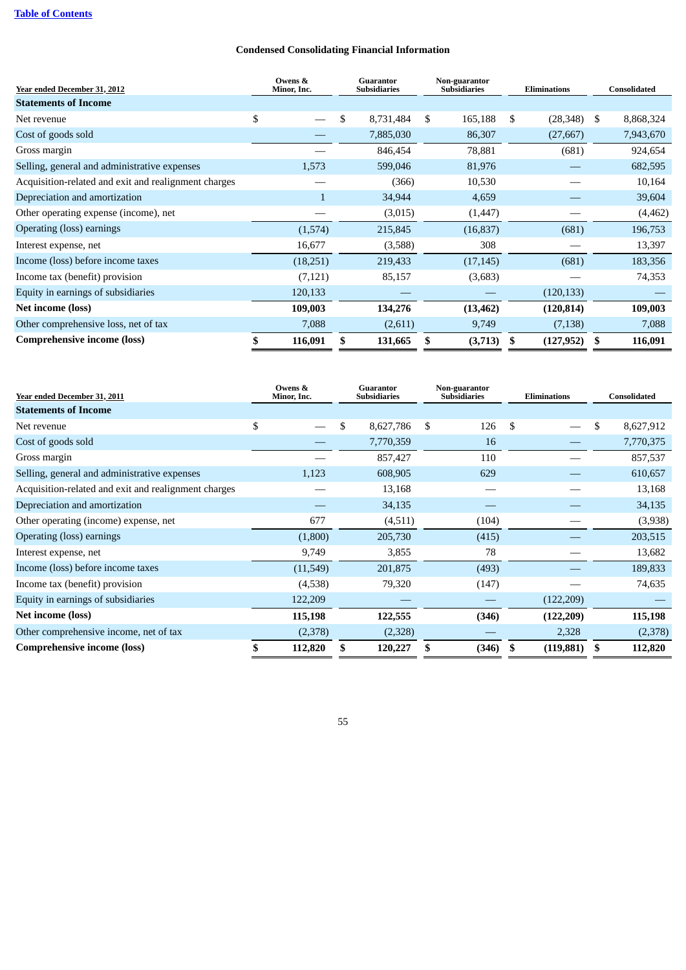| Year ended December 31, 2012                         | Owens &<br>Minor, Inc. | Guarantor<br><b>Subsidiaries</b> |     | Non-guarantor<br><b>Subsidiaries</b> | <b>Eliminations</b> |            |    | Consolidated |
|------------------------------------------------------|------------------------|----------------------------------|-----|--------------------------------------|---------------------|------------|----|--------------|
| <b>Statements of Income</b>                          |                        |                                  |     |                                      |                     |            |    |              |
| Net revenue                                          | \$                     | \$<br>8,731,484                  | \$. | 165,188                              | \$                  | (28, 348)  | S  | 8,868,324    |
| Cost of goods sold                                   |                        | 7,885,030                        |     | 86,307                               |                     | (27, 667)  |    | 7,943,670    |
| Gross margin                                         |                        | 846,454                          |     | 78,881                               |                     | (681)      |    | 924,654      |
| Selling, general and administrative expenses         | 1,573                  | 599,046                          |     | 81,976                               |                     |            |    | 682,595      |
| Acquisition-related and exit and realignment charges |                        | (366)                            |     | 10,530                               |                     |            |    | 10,164       |
| Depreciation and amortization                        |                        | 34,944                           |     | 4,659                                |                     |            |    | 39,604       |
| Other operating expense (income), net                |                        | (3,015)                          |     | (1, 447)                             |                     |            |    | (4, 462)     |
| Operating (loss) earnings                            | (1,574)                | 215,845                          |     | (16, 837)                            |                     | (681)      |    | 196,753      |
| Interest expense, net                                | 16,677                 | (3,588)                          |     | 308                                  |                     |            |    | 13,397       |
| Income (loss) before income taxes                    | (18,251)               | 219,433                          |     | (17, 145)                            |                     | (681)      |    | 183,356      |
| Income tax (benefit) provision                       | (7, 121)               | 85,157                           |     | (3,683)                              |                     |            |    | 74,353       |
| Equity in earnings of subsidiaries                   | 120,133                |                                  |     |                                      |                     | (120, 133) |    |              |
| <b>Net income (loss)</b>                             | 109,003                | 134,276                          |     | (13, 462)                            |                     | (120, 814) |    | 109,003      |
| Other comprehensive loss, net of tax                 | 7,088                  | (2,611)                          |     | 9,749                                |                     | (7, 138)   |    | 7,088        |
| <b>Comprehensive income (loss)</b>                   | 116,091                | 131,665                          |     | (3,713)                              | S                   | (127, 952) | Ъ, | 116,091      |

| Year ended December 31, 2011                         | Owens &<br>Minor, Inc. | Guarantor<br><b>Subsidiaries</b> |    | Non-guarantor<br><b>Subsidiaries</b> |      | <b>Eliminations</b> |    | Consolidated |
|------------------------------------------------------|------------------------|----------------------------------|----|--------------------------------------|------|---------------------|----|--------------|
| <b>Statements of Income</b>                          |                        |                                  |    |                                      |      |                     |    |              |
| Net revenue                                          | \$                     | \$<br>8,627,786                  | \$ | 126                                  | \$   |                     | \$ | 8,627,912    |
| Cost of goods sold                                   |                        | 7,770,359                        |    | 16                                   |      |                     |    | 7,770,375    |
| Gross margin                                         |                        | 857,427                          |    | 110                                  |      |                     |    | 857,537      |
| Selling, general and administrative expenses         | 1,123                  | 608,905                          |    | 629                                  |      |                     |    | 610,657      |
| Acquisition-related and exit and realignment charges |                        | 13,168                           |    |                                      |      |                     |    | 13,168       |
| Depreciation and amortization                        |                        | 34,135                           |    |                                      |      |                     |    | 34,135       |
| Other operating (income) expense, net                | 677                    | (4,511)                          |    | (104)                                |      |                     |    | (3,938)      |
| Operating (loss) earnings                            | (1,800)                | 205,730                          |    | (415)                                |      |                     |    | 203,515      |
| Interest expense, net                                | 9,749                  | 3,855                            |    | 78                                   |      |                     |    | 13,682       |
| Income (loss) before income taxes                    | (11,549)               | 201,875                          |    | (493)                                |      |                     |    | 189,833      |
| Income tax (benefit) provision                       | (4,538)                | 79,320                           |    | (147)                                |      |                     |    | 74,635       |
| Equity in earnings of subsidiaries                   | 122,209                |                                  |    |                                      |      | (122, 209)          |    |              |
| Net income (loss)                                    | 115,198                | 122,555                          |    | (346)                                |      | (122, 209)          |    | 115,198      |
| Other comprehensive income, net of tax               | (2,378)                | (2,328)                          |    |                                      |      | 2,328               |    | (2,378)      |
| Comprehensive income (loss)                          | \$<br>112,820          | \$<br>120,227                    | S  | (346)                                | - \$ | (119, 881)          | -S | 112,820      |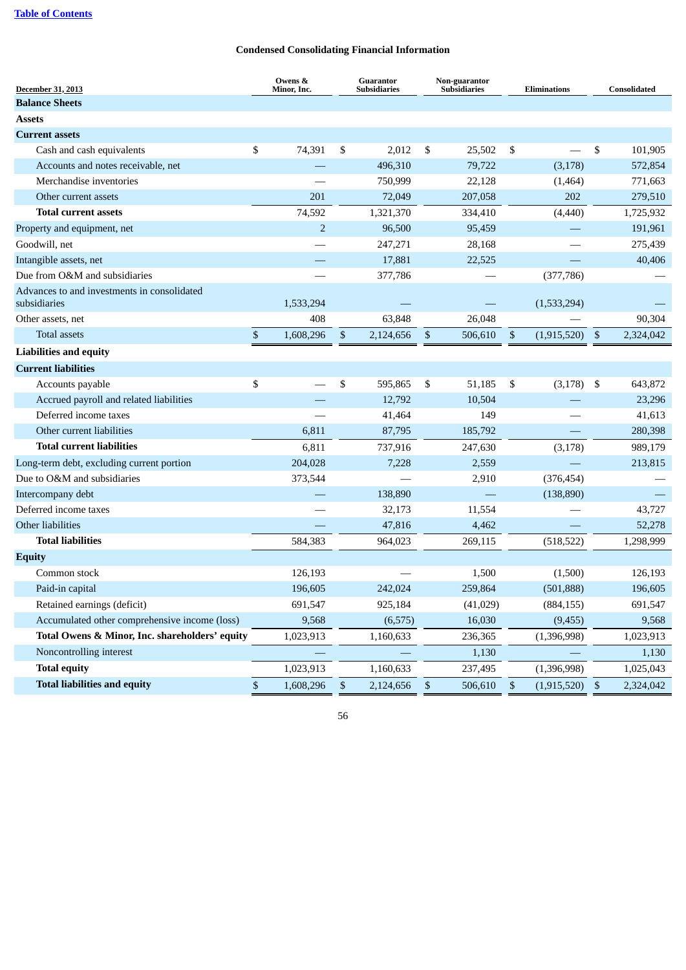| December 31, 2013                              | Owens &<br>Minor, Inc. | Guarantor<br><b>Subsidiaries</b> | Non-guarantor<br><b>Subsidiaries</b> |                | <b>Eliminations</b> | Consolidated    |
|------------------------------------------------|------------------------|----------------------------------|--------------------------------------|----------------|---------------------|-----------------|
| <b>Balance Sheets</b>                          |                        |                                  |                                      |                |                     |                 |
| <b>Assets</b>                                  |                        |                                  |                                      |                |                     |                 |
| <b>Current assets</b>                          |                        |                                  |                                      |                |                     |                 |
| Cash and cash equivalents                      | \$<br>74,391           | \$<br>2,012                      | \$<br>25,502                         | \$             |                     | \$<br>101,905   |
| Accounts and notes receivable, net             |                        | 496,310                          | 79,722                               |                | (3, 178)            | 572,854         |
| Merchandise inventories                        |                        | 750,999                          | 22,128                               |                | (1,464)             | 771,663         |
| Other current assets                           | 201                    | 72,049                           | 207,058                              |                | 202                 | 279,510         |
| <b>Total current assets</b>                    | 74,592                 | 1,321,370                        | 334,410                              |                | (4, 440)            | 1,725,932       |
| Property and equipment, net                    | 2                      | 96,500                           | 95,459                               |                |                     | 191,961         |
| Goodwill, net                                  |                        | 247,271                          | 28,168                               |                |                     | 275,439         |
| Intangible assets, net                         |                        | 17,881                           | 22,525                               |                |                     | 40,406          |
| Due from O&M and subsidiaries                  |                        | 377,786                          |                                      |                | (377,786)           |                 |
| Advances to and investments in consolidated    |                        |                                  |                                      |                |                     |                 |
| subsidiaries                                   | 1,533,294              |                                  |                                      |                | (1,533,294)         |                 |
| Other assets, net                              | 408                    | 63,848                           | 26,048                               |                |                     | 90,304          |
| <b>Total assets</b>                            | \$<br>1,608,296        | \$<br>2,124,656                  | \$<br>506,610                        | $\mathfrak{S}$ | (1,915,520)         | \$<br>2,324,042 |
| <b>Liabilities and equity</b>                  |                        |                                  |                                      |                |                     |                 |
| <b>Current liabilities</b>                     |                        |                                  |                                      |                |                     |                 |
| Accounts payable                               | \$                     | \$<br>595,865                    | \$<br>51,185                         | \$             | (3, 178)            | \$<br>643,872   |
| Accrued payroll and related liabilities        |                        | 12,792                           | 10,504                               |                |                     | 23,296          |
| Deferred income taxes                          |                        | 41,464                           | 149                                  |                |                     | 41,613          |
| Other current liabilities                      | 6,811                  | 87,795                           | 185,792                              |                |                     | 280,398         |
| <b>Total current liabilities</b>               | 6,811                  | 737,916                          | 247,630                              |                | (3, 178)            | 989,179         |
| Long-term debt, excluding current portion      | 204,028                | 7,228                            | 2,559                                |                |                     | 213,815         |
| Due to O&M and subsidiaries                    | 373,544                |                                  | 2,910                                |                | (376, 454)          |                 |
| Intercompany debt                              |                        | 138,890                          |                                      |                | (138, 890)          |                 |
| Deferred income taxes                          |                        | 32,173                           | 11,554                               |                |                     | 43,727          |
| Other liabilities                              |                        | 47,816                           | 4,462                                |                |                     | 52,278          |
| <b>Total liabilities</b>                       | 584,383                | 964,023                          | 269,115                              |                | (518, 522)          | 1,298,999       |
| <b>Equity</b>                                  |                        |                                  |                                      |                |                     |                 |
| Common stock                                   | 126,193                |                                  | 1,500                                |                | (1,500)             | 126,193         |
| Paid-in capital                                | 196,605                | 242,024                          | 259,864                              |                | (501, 888)          | 196,605         |
| Retained earnings (deficit)                    | 691,547                | 925,184                          | (41,029)                             |                | (884, 155)          | 691,547         |
| Accumulated other comprehensive income (loss)  | 9,568                  | (6, 575)                         | 16,030                               |                | (9, 455)            | 9,568           |
| Total Owens & Minor, Inc. shareholders' equity | 1,023,913              | 1,160,633                        | 236,365                              |                | (1,396,998)         | 1,023,913       |
| Noncontrolling interest                        |                        |                                  | 1,130                                |                |                     | 1,130           |
| <b>Total equity</b>                            | 1,023,913              | 1,160,633                        | 237,495                              |                | (1,396,998)         | 1,025,043       |
| <b>Total liabilities and equity</b>            | \$<br>1,608,296        | \$<br>2,124,656                  | \$<br>506,610                        | $\mathfrak{S}$ | (1,915,520)         | \$<br>2,324,042 |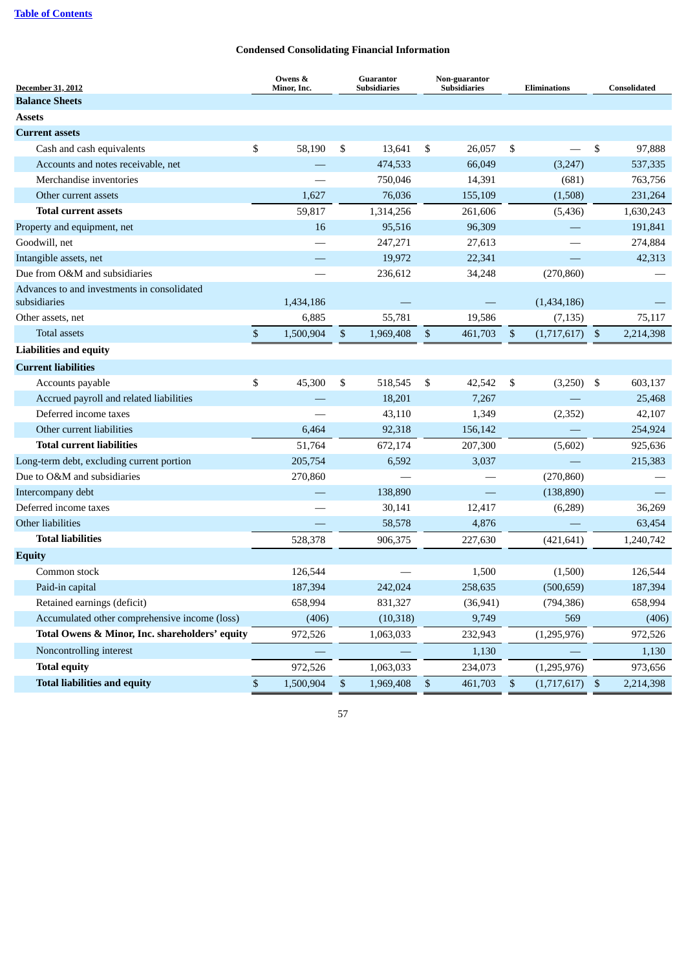| December 31, 2012                              | Owens &<br>Minor, Inc. |      | Guarantor<br>Subsidiaries |                | Non-guarantor<br><b>Subsidiaries</b> |                | <b>Eliminations</b> | Consolidated    |
|------------------------------------------------|------------------------|------|---------------------------|----------------|--------------------------------------|----------------|---------------------|-----------------|
| <b>Balance Sheets</b>                          |                        |      |                           |                |                                      |                |                     |                 |
| <b>Assets</b>                                  |                        |      |                           |                |                                      |                |                     |                 |
| <b>Current assets</b>                          |                        |      |                           |                |                                      |                |                     |                 |
| Cash and cash equivalents                      | \$<br>58,190           | \$   | 13,641                    | \$             | 26,057                               | \$             |                     | \$<br>97,888    |
| Accounts and notes receivable, net             |                        |      | 474,533                   |                | 66,049                               |                | (3,247)             | 537,335         |
| Merchandise inventories                        |                        |      | 750,046                   |                | 14,391                               |                | (681)               | 763,756         |
| Other current assets                           | 1,627                  |      | 76,036                    |                | 155,109                              |                | (1,508)             | 231,264         |
| <b>Total current assets</b>                    | 59,817                 |      | 1,314,256                 |                | 261,606                              |                | (5, 436)            | 1,630,243       |
| Property and equipment, net                    | 16                     |      | 95,516                    |                | 96,309                               |                |                     | 191,841         |
| Goodwill, net                                  |                        |      | 247,271                   |                | 27,613                               |                |                     | 274,884         |
| Intangible assets, net                         |                        |      | 19,972                    |                | 22,341                               |                |                     | 42,313          |
| Due from O&M and subsidiaries                  |                        |      | 236,612                   |                | 34,248                               |                | (270, 860)          |                 |
| Advances to and investments in consolidated    |                        |      |                           |                |                                      |                |                     |                 |
| subsidiaries                                   | 1,434,186              |      |                           |                |                                      |                | (1,434,186)         |                 |
| Other assets, net                              | 6,885                  |      | 55,781                    |                | 19,586                               |                | (7, 135)            | 75,117          |
| <b>Total assets</b>                            | \$<br>1,500,904        | $\$$ | 1,969,408                 | $\$$           | 461,703                              | \$             | (1,717,617)         | \$<br>2,214,398 |
| <b>Liabilities and equity</b>                  |                        |      |                           |                |                                      |                |                     |                 |
| <b>Current liabilities</b>                     |                        |      |                           |                |                                      |                |                     |                 |
| Accounts payable                               | \$<br>45,300           | \$   | 518,545                   | \$             | 42,542                               | \$             | (3,250)             | \$<br>603,137   |
| Accrued payroll and related liabilities        |                        |      | 18,201                    |                | 7,267                                |                |                     | 25,468          |
| Deferred income taxes                          |                        |      | 43,110                    |                | 1,349                                |                | (2,352)             | 42,107          |
| Other current liabilities                      | 6,464                  |      | 92,318                    |                | 156,142                              |                |                     | 254,924         |
| <b>Total current liabilities</b>               | 51,764                 |      | 672,174                   |                | 207,300                              |                | (5,602)             | 925,636         |
| Long-term debt, excluding current portion      | 205,754                |      | 6,592                     |                | 3,037                                |                |                     | 215,383         |
| Due to O&M and subsidiaries                    | 270,860                |      |                           |                |                                      |                | (270, 860)          |                 |
| Intercompany debt                              |                        |      | 138,890                   |                |                                      |                | (138, 890)          |                 |
| Deferred income taxes                          |                        |      | 30,141                    |                | 12,417                               |                | (6, 289)            | 36,269          |
| Other liabilities                              |                        |      | 58,578                    |                | 4,876                                |                |                     | 63,454          |
| <b>Total liabilities</b>                       | 528,378                |      | 906,375                   |                | 227,630                              |                | (421, 641)          | 1,240,742       |
| <b>Equity</b>                                  |                        |      |                           |                |                                      |                |                     |                 |
| Common stock                                   | 126,544                |      |                           |                | 1,500                                |                | (1,500)             | 126,544         |
| Paid-in capital                                | 187,394                |      | 242,024                   |                | 258,635                              |                | (500, 659)          | 187,394         |
| Retained earnings (deficit)                    | 658,994                |      | 831,327                   |                | (36, 941)                            |                | (794, 386)          | 658,994         |
| Accumulated other comprehensive income (loss)  | (406)                  |      | (10, 318)                 |                | 9,749                                |                | 569                 | (406)           |
| Total Owens & Minor, Inc. shareholders' equity | 972,526                |      | 1,063,033                 |                | 232,943                              |                | (1,295,976)         | 972,526         |
| Noncontrolling interest                        |                        |      |                           |                | 1,130                                |                |                     | 1,130           |
| <b>Total equity</b>                            | 972,526                |      | 1,063,033                 |                | 234,073                              |                | (1,295,976)         | 973,656         |
| <b>Total liabilities and equity</b>            | \$<br>1,500,904        | \$   | 1,969,408                 | $$\mathbb{S}$$ | 461,703                              | $\mathfrak{S}$ | $(1,717,617)$ \$    | 2,214,398       |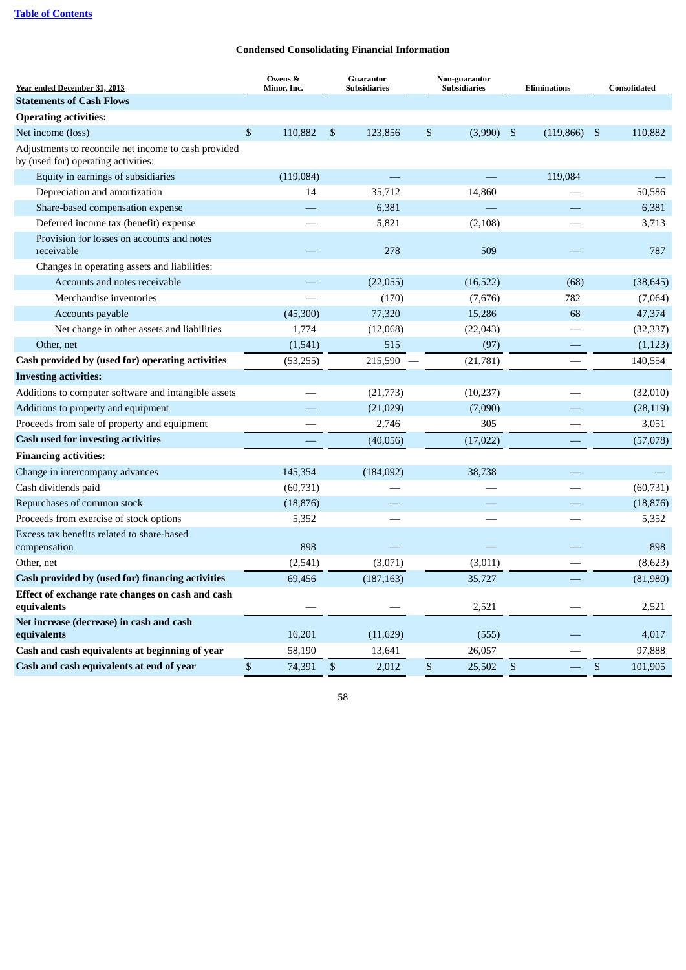| Year ended December 31, 2013                               |                           | Owens &<br>Minor, Inc. | Guarantor<br><b>Subsidiaries</b> |            | Non-guarantor<br><b>Subsidiaries</b> |           | <b>Eliminations</b> |            |                | Consolidated |
|------------------------------------------------------------|---------------------------|------------------------|----------------------------------|------------|--------------------------------------|-----------|---------------------|------------|----------------|--------------|
| <b>Statements of Cash Flows</b>                            |                           |                        |                                  |            |                                      |           |                     |            |                |              |
| <b>Operating activities:</b>                               |                           |                        |                                  |            |                                      |           |                     |            |                |              |
| Net income (loss)                                          | \$                        | 110,882                | \$                               | 123,856    | $\mathbb{S}$                         | (3,990)   | - \$                | (119, 866) | \$             | 110,882      |
| Adjustments to reconcile net income to cash provided       |                           |                        |                                  |            |                                      |           |                     |            |                |              |
| by (used for) operating activities:                        |                           |                        |                                  |            |                                      |           |                     |            |                |              |
| Equity in earnings of subsidiaries                         |                           | (119,084)              |                                  |            |                                      |           |                     | 119,084    |                |              |
| Depreciation and amortization                              |                           | 14                     |                                  | 35,712     |                                      | 14,860    |                     |            |                | 50,586       |
| Share-based compensation expense                           |                           |                        |                                  | 6,381      |                                      |           |                     |            |                | 6,381        |
| Deferred income tax (benefit) expense                      |                           |                        |                                  | 5,821      |                                      | (2,108)   |                     |            |                | 3,713        |
| Provision for losses on accounts and notes<br>receivable   |                           |                        |                                  | 278        |                                      | 509       |                     |            |                | 787          |
| Changes in operating assets and liabilities:               |                           |                        |                                  |            |                                      |           |                     |            |                |              |
| Accounts and notes receivable                              |                           |                        |                                  | (22,055)   |                                      | (16, 522) |                     | (68)       |                | (38, 645)    |
| Merchandise inventories                                    |                           |                        |                                  | (170)      |                                      | (7,676)   |                     | 782        |                | (7,064)      |
| Accounts payable                                           |                           | (45,300)               |                                  | 77,320     |                                      | 15,286    |                     | 68         |                | 47,374       |
| Net change in other assets and liabilities                 |                           | 1,774                  |                                  | (12,068)   |                                      | (22, 043) |                     |            |                | (32, 337)    |
| Other, net                                                 |                           | (1, 541)               |                                  | 515        |                                      | (97)      |                     |            |                | (1, 123)     |
| Cash provided by (used for) operating activities           |                           | (53, 255)              |                                  | 215,590    |                                      | (21, 781) |                     |            |                | 140,554      |
| <b>Investing activities:</b>                               |                           |                        |                                  |            |                                      |           |                     |            |                |              |
| Additions to computer software and intangible assets       |                           |                        |                                  | (21, 773)  |                                      | (10, 237) |                     |            |                | (32,010)     |
| Additions to property and equipment                        |                           |                        |                                  | (21, 029)  |                                      | (7,090)   |                     |            |                | (28, 119)    |
| Proceeds from sale of property and equipment               |                           |                        |                                  | 2,746      |                                      | 305       |                     |            |                | 3,051        |
| <b>Cash used for investing activities</b>                  |                           |                        |                                  | (40, 056)  |                                      | (17, 022) |                     |            |                | (57,078)     |
| <b>Financing activities:</b>                               |                           |                        |                                  |            |                                      |           |                     |            |                |              |
| Change in intercompany advances                            |                           | 145,354                |                                  | (184,092)  |                                      | 38,738    |                     |            |                |              |
| Cash dividends paid                                        |                           | (60, 731)              |                                  |            |                                      |           |                     |            |                | (60, 731)    |
| Repurchases of common stock                                |                           | (18, 876)              |                                  |            |                                      |           |                     |            |                | (18, 876)    |
| Proceeds from exercise of stock options                    |                           | 5,352                  |                                  |            |                                      |           |                     |            |                | 5,352        |
| Excess tax benefits related to share-based<br>compensation |                           | 898                    |                                  |            |                                      |           |                     |            |                | 898          |
| Other, net                                                 |                           | (2, 541)               |                                  | (3,071)    |                                      | (3,011)   |                     |            |                | (8,623)      |
| Cash provided by (used for) financing activities           |                           | 69,456                 |                                  | (187, 163) |                                      | 35,727    |                     |            |                | (81,980)     |
| Effect of exchange rate changes on cash and cash           |                           |                        |                                  |            |                                      |           |                     |            |                |              |
| equivalents                                                |                           |                        |                                  |            |                                      | 2,521     |                     |            |                | 2,521        |
| Net increase (decrease) in cash and cash<br>equivalents    |                           | 16,201                 |                                  | (11, 629)  |                                      | (555)     |                     |            |                | 4,017        |
| Cash and cash equivalents at beginning of year             |                           | 58,190                 |                                  | 13,641     |                                      | 26,057    |                     |            |                | 97,888       |
| Cash and cash equivalents at end of year                   | $\boldsymbol{\mathsf{S}}$ | 74,391                 | $\boldsymbol{\mathsf{S}}$        | 2,012      | $\mathfrak{S}$                       | 25,502    | $\sqrt{3}$          |            | $\mathfrak{s}$ | 101,905      |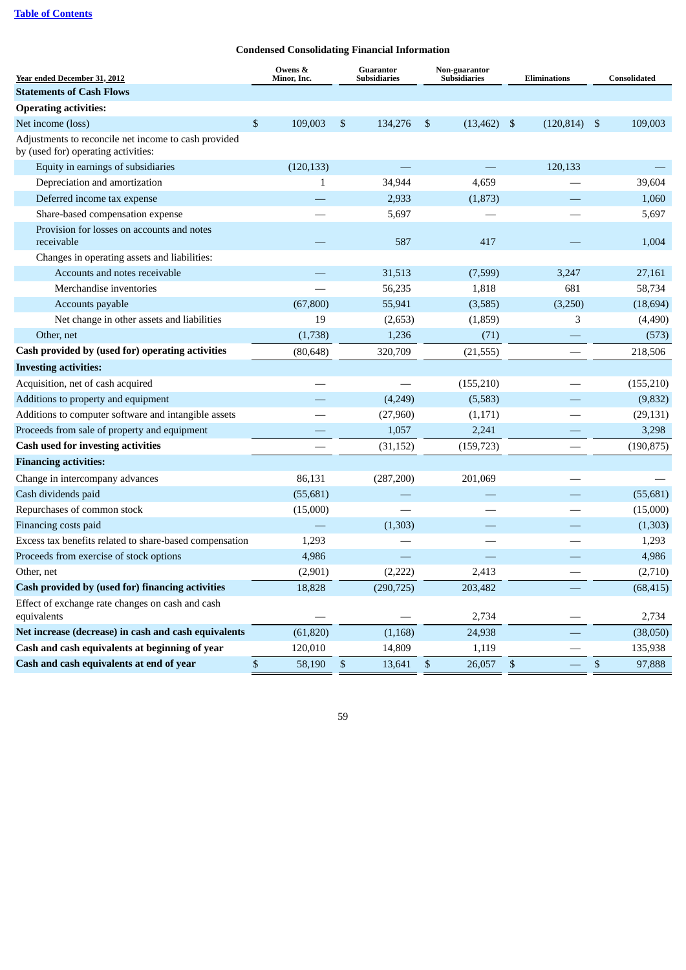| Year ended December 31, 2012                                                                | Owens &<br>Guarantor<br>Minor, Inc.<br><b>Subsidiaries</b> |            |      | Non-guarantor<br><b>Subsidiaries</b> |              | <b>Eliminations</b> |              | Consolidated |              |            |
|---------------------------------------------------------------------------------------------|------------------------------------------------------------|------------|------|--------------------------------------|--------------|---------------------|--------------|--------------|--------------|------------|
| <b>Statements of Cash Flows</b>                                                             |                                                            |            |      |                                      |              |                     |              |              |              |            |
| <b>Operating activities:</b>                                                                |                                                            |            |      |                                      |              |                     |              |              |              |            |
| Net income (loss)                                                                           | \$                                                         | 109,003    | \$   | 134,276                              | \$           | (13, 462)           | -\$          | (120, 814)   | \$           | 109,003    |
| Adjustments to reconcile net income to cash provided<br>by (used for) operating activities: |                                                            |            |      |                                      |              |                     |              |              |              |            |
| Equity in earnings of subsidiaries                                                          |                                                            | (120, 133) |      |                                      |              |                     |              | 120,133      |              |            |
| Depreciation and amortization                                                               |                                                            | 1          |      | 34,944                               |              | 4,659               |              |              |              | 39,604     |
| Deferred income tax expense                                                                 |                                                            |            |      | 2,933                                |              | (1,873)             |              |              |              | 1,060      |
| Share-based compensation expense                                                            |                                                            |            |      | 5,697                                |              |                     |              |              |              | 5,697      |
| Provision for losses on accounts and notes<br>receivable                                    |                                                            |            |      | 587                                  |              | 417                 |              |              |              | 1,004      |
| Changes in operating assets and liabilities:                                                |                                                            |            |      |                                      |              |                     |              |              |              |            |
| Accounts and notes receivable                                                               |                                                            |            |      | 31,513                               |              | (7,599)             |              | 3,247        |              | 27,161     |
| Merchandise inventories                                                                     |                                                            |            |      | 56,235                               |              | 1,818               |              | 681          |              | 58,734     |
| Accounts payable                                                                            |                                                            | (67, 800)  |      | 55,941                               |              | (3,585)             |              | (3,250)      |              | (18, 694)  |
| Net change in other assets and liabilities                                                  |                                                            | 19         |      | (2,653)                              |              | (1,859)             |              | 3            |              | (4,490)    |
| Other, net                                                                                  |                                                            | (1,738)    |      | 1,236                                |              | (71)                |              |              |              | (573)      |
| Cash provided by (used for) operating activities                                            |                                                            | (80, 648)  |      | 320,709                              |              | (21, 555)           |              |              |              | 218,506    |
| <b>Investing activities:</b>                                                                |                                                            |            |      |                                      |              |                     |              |              |              |            |
| Acquisition, net of cash acquired                                                           |                                                            |            |      |                                      |              | (155, 210)          |              |              |              | (155, 210) |
| Additions to property and equipment                                                         |                                                            |            |      | (4,249)                              |              | (5,583)             |              |              |              | (9,832)    |
| Additions to computer software and intangible assets                                        |                                                            |            |      | (27,960)                             |              | (1,171)             |              |              |              | (29, 131)  |
| Proceeds from sale of property and equipment                                                |                                                            |            |      | 1,057                                |              | 2,241               |              |              |              | 3,298      |
| <b>Cash used for investing activities</b>                                                   |                                                            |            |      | (31, 152)                            |              | (159, 723)          |              |              |              | (190, 875) |
| <b>Financing activities:</b>                                                                |                                                            |            |      |                                      |              |                     |              |              |              |            |
| Change in intercompany advances                                                             |                                                            | 86,131     |      | (287, 200)                           |              | 201,069             |              |              |              |            |
| Cash dividends paid                                                                         |                                                            | (55, 681)  |      |                                      |              |                     |              |              |              | (55,681)   |
| Repurchases of common stock                                                                 |                                                            | (15,000)   |      |                                      |              |                     |              |              |              | (15,000)   |
| Financing costs paid                                                                        |                                                            |            |      | (1, 303)                             |              |                     |              |              |              | (1, 303)   |
| Excess tax benefits related to share-based compensation                                     |                                                            | 1,293      |      |                                      |              |                     |              |              |              | 1,293      |
| Proceeds from exercise of stock options                                                     |                                                            | 4,986      |      |                                      |              |                     |              |              |              | 4,986      |
| Other, net                                                                                  |                                                            | (2,901)    |      | (2, 222)                             |              | 2,413               |              |              |              | (2,710)    |
| Cash provided by (used for) financing activities                                            |                                                            | 18,828     |      | (290, 725)                           |              | 203,482             |              |              |              | (68, 415)  |
| Effect of exchange rate changes on cash and cash<br>equivalents                             |                                                            |            |      |                                      |              | 2,734               |              |              |              | 2,734      |
| Net increase (decrease) in cash and cash equivalents                                        |                                                            | (61, 820)  |      | (1, 168)                             |              | 24,938              |              |              |              | (38,050)   |
| Cash and cash equivalents at beginning of year                                              |                                                            | 120,010    |      | 14,809                               |              | 1,119               |              |              |              | 135,938    |
| Cash and cash equivalents at end of year                                                    | \$                                                         | 58,190     | $\$$ | 13,641                               | $\mathbb{S}$ | 26,057              | $\mathbb{S}$ |              | $\mathbb{S}$ | 97,888     |

**Table of [Contents](#page-1-0)**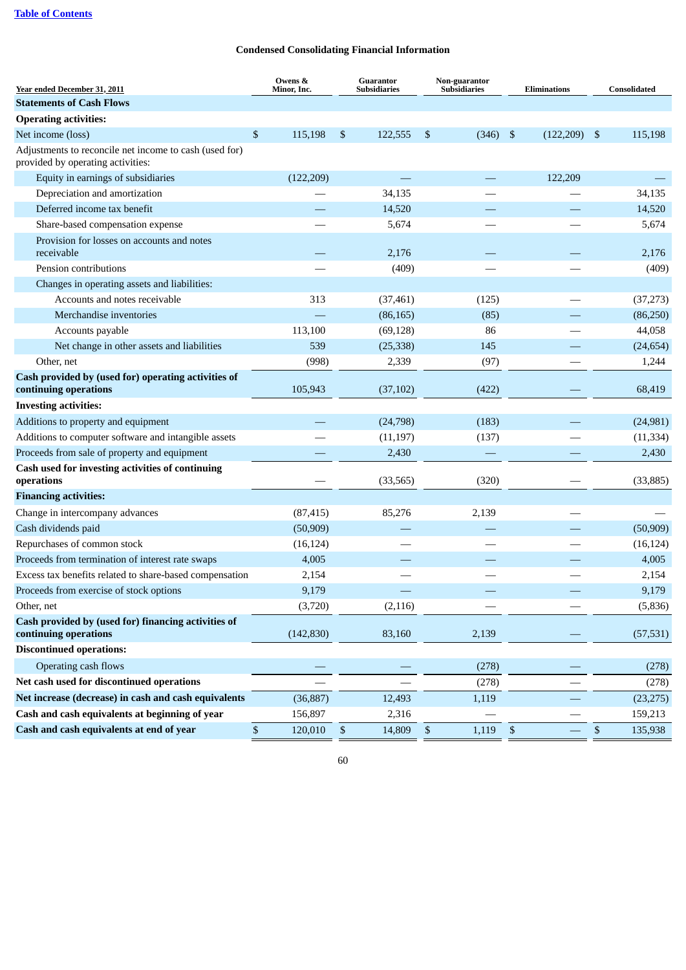| Year ended December 31, 2011                                                                |      | Owens &<br>Minor, Inc. |      | Guarantor<br><b>Subsidiaries</b> |      | Non-guarantor<br><b>Subsidiaries</b> |              | <b>Eliminations</b> |      | Consolidated |
|---------------------------------------------------------------------------------------------|------|------------------------|------|----------------------------------|------|--------------------------------------|--------------|---------------------|------|--------------|
| <b>Statements of Cash Flows</b>                                                             |      |                        |      |                                  |      |                                      |              |                     |      |              |
| <b>Operating activities:</b>                                                                |      |                        |      |                                  |      |                                      |              |                     |      |              |
| Net income (loss)                                                                           | \$   | 115,198                | \$   | 122,555                          | \$   | $(346)$ \$                           |              | (122, 209)          | \$   | 115,198      |
| Adjustments to reconcile net income to cash (used for)<br>provided by operating activities: |      |                        |      |                                  |      |                                      |              |                     |      |              |
| Equity in earnings of subsidiaries                                                          |      | (122, 209)             |      |                                  |      |                                      |              | 122,209             |      |              |
| Depreciation and amortization                                                               |      |                        |      | 34,135                           |      |                                      |              |                     |      | 34,135       |
| Deferred income tax benefit                                                                 |      |                        |      | 14,520                           |      |                                      |              |                     |      | 14,520       |
| Share-based compensation expense                                                            |      |                        |      | 5,674                            |      |                                      |              |                     |      | 5,674        |
| Provision for losses on accounts and notes<br>receivable                                    |      |                        |      | 2,176                            |      |                                      |              |                     |      | 2,176        |
| Pension contributions                                                                       |      |                        |      | (409)                            |      |                                      |              |                     |      | (409)        |
| Changes in operating assets and liabilities:                                                |      |                        |      |                                  |      |                                      |              |                     |      |              |
| Accounts and notes receivable                                                               |      | 313                    |      | (37, 461)                        |      | (125)                                |              |                     |      | (37, 273)    |
| Merchandise inventories                                                                     |      |                        |      | (86, 165)                        |      | (85)                                 |              |                     |      | (86,250)     |
| Accounts payable                                                                            |      | 113,100                |      | (69, 128)                        |      | 86                                   |              |                     |      | 44,058       |
| Net change in other assets and liabilities                                                  |      | 539                    |      | (25, 338)                        |      | 145                                  |              |                     |      | (24, 654)    |
| Other, net                                                                                  |      | (998)                  |      | 2,339                            |      | (97)                                 |              |                     |      | 1,244        |
| Cash provided by (used for) operating activities of<br>continuing operations                |      | 105,943                |      | (37, 102)                        |      | (422)                                |              |                     |      | 68,419       |
| <b>Investing activities:</b>                                                                |      |                        |      |                                  |      |                                      |              |                     |      |              |
| Additions to property and equipment                                                         |      |                        |      | (24,798)                         |      | (183)                                |              |                     |      | (24, 981)    |
| Additions to computer software and intangible assets                                        |      |                        |      | (11, 197)                        |      | (137)                                |              |                     |      | (11, 334)    |
| Proceeds from sale of property and equipment                                                |      |                        |      | 2,430                            |      |                                      |              |                     |      | 2,430        |
| Cash used for investing activities of continuing<br>operations                              |      |                        |      | (33, 565)                        |      | (320)                                |              |                     |      | (33, 885)    |
| <b>Financing activities:</b>                                                                |      |                        |      |                                  |      |                                      |              |                     |      |              |
| Change in intercompany advances                                                             |      | (87, 415)              |      | 85,276                           |      | 2,139                                |              |                     |      |              |
| Cash dividends paid                                                                         |      | (50, 909)              |      |                                  |      |                                      |              |                     |      | (50, 909)    |
| Repurchases of common stock                                                                 |      | (16, 124)              |      |                                  |      |                                      |              |                     |      | (16, 124)    |
| Proceeds from termination of interest rate swaps                                            |      | 4,005                  |      |                                  |      |                                      |              |                     |      | 4,005        |
| Excess tax benefits related to share-based compensation                                     |      | 2,154                  |      |                                  |      |                                      |              |                     |      | 2,154        |
| Proceeds from exercise of stock options                                                     |      | 9,179                  |      |                                  |      |                                      |              |                     |      | 9,179        |
| Other, net                                                                                  |      | (3,720)                |      | (2, 116)                         |      |                                      |              |                     |      | (5,836)      |
| Cash provided by (used for) financing activities of<br>continuing operations                |      | (142, 830)             |      | 83,160                           |      | 2,139                                |              |                     |      | (57, 531)    |
| <b>Discontinued operations:</b>                                                             |      |                        |      |                                  |      |                                      |              |                     |      |              |
| Operating cash flows                                                                        |      |                        |      |                                  |      | (278)                                |              |                     |      | (278)        |
| Net cash used for discontinued operations                                                   |      |                        |      |                                  |      | (278)                                |              |                     |      | (278)        |
| Net increase (decrease) in cash and cash equivalents                                        |      | (36, 887)              |      | 12,493                           |      | 1,119                                |              |                     |      | (23, 275)    |
| Cash and cash equivalents at beginning of year                                              |      | 156,897                |      | 2,316                            |      |                                      |              |                     |      | 159,213      |
| Cash and cash equivalents at end of year                                                    | $\$$ | 120,010                | $\$$ | 14,809                           | $\$$ | 1,119                                | $\mathbb{S}$ |                     | $\,$ | 135,938      |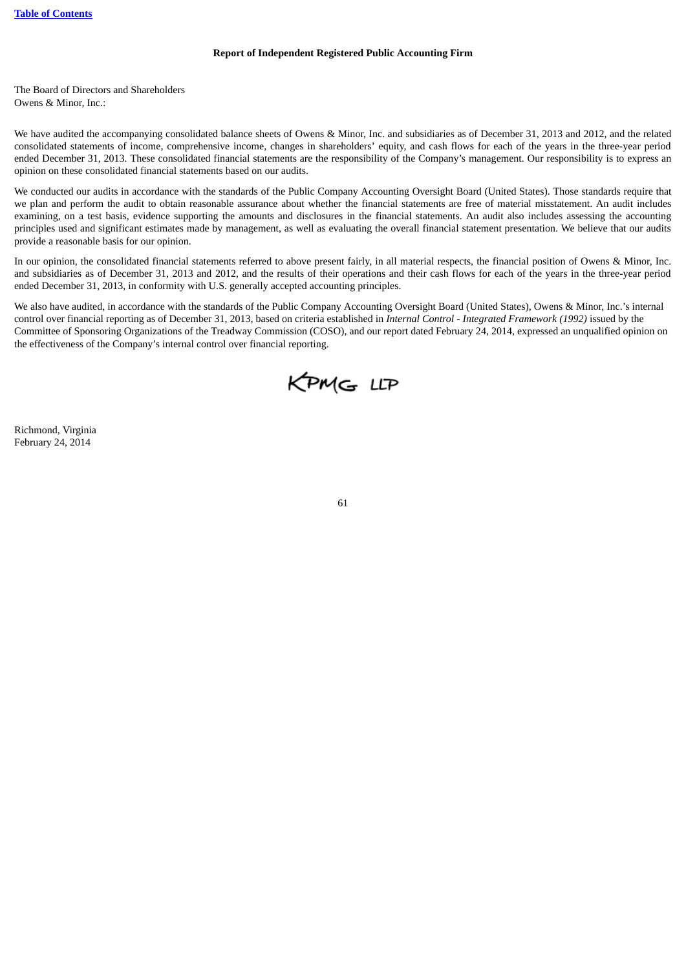# **Report of Independent Registered Public Accounting Firm**

The Board of Directors and Shareholders Owens & Minor, Inc.:

We have audited the accompanying consolidated balance sheets of Owens & Minor, Inc. and subsidiaries as of December 31, 2013 and 2012, and the related consolidated statements of income, comprehensive income, changes in shareholders' equity, and cash flows for each of the years in the three‑year period ended December 31, 2013. These consolidated financial statements are the responsibility of the Company's management. Our responsibility is to express an opinion on these consolidated financial statements based on our audits.

We conducted our audits in accordance with the standards of the Public Company Accounting Oversight Board (United States). Those standards require that we plan and perform the audit to obtain reasonable assurance about whether the financial statements are free of material misstatement. An audit includes examining, on a test basis, evidence supporting the amounts and disclosures in the financial statements. An audit also includes assessing the accounting principles used and significant estimates made by management, as well as evaluating the overall financial statement presentation. We believe that our audits provide a reasonable basis for our opinion.

In our opinion, the consolidated financial statements referred to above present fairly, in all material respects, the financial position of Owens & Minor, Inc. and subsidiaries as of December 31, 2013 and 2012, and the results of their operations and their cash flows for each of the years in the three‑year period ended December 31, 2013, in conformity with U.S. generally accepted accounting principles.

We also have audited, in accordance with the standards of the Public Company Accounting Oversight Board (United States), Owens & Minor, Inc.'s internal control over financial reporting as of December 31, 2013, based on criteria established in *Internal Control - Integrated Framework (1992)* issued by the Committee of Sponsoring Organizations of the Treadway Commission (COSO), and our report dated February 24, 2014, expressed an unqualified opinion on the effectiveness of the Company's internal control over financial reporting.



Richmond, Virginia February 24, 2014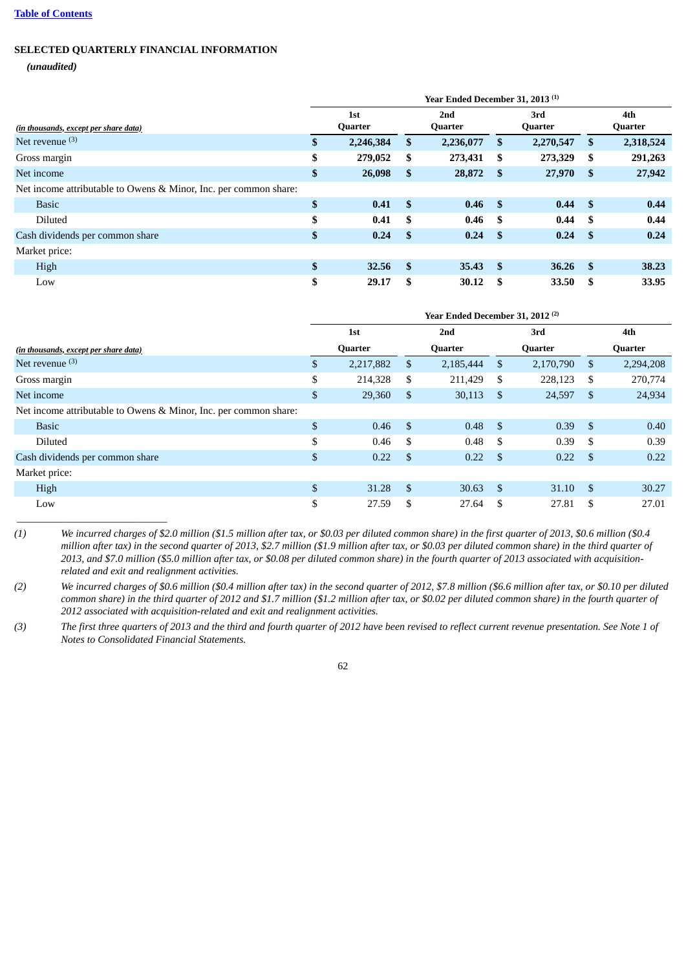# **SELECTED QUARTERLY FINANCIAL INFORMATION**

# *(unaudited)*

\_\_\_\_\_\_\_\_\_\_\_\_\_\_\_\_\_\_\_\_\_\_\_\_\_\_\_\_\_

|                                                                  | Year Ended December 31, 2013 <sup>(1)</sup> |                       |      |                       |      |                       |          |                       |  |  |  |  |  |
|------------------------------------------------------------------|---------------------------------------------|-----------------------|------|-----------------------|------|-----------------------|----------|-----------------------|--|--|--|--|--|
| (in thousands, except per share data)                            |                                             | 1st<br><b>Quarter</b> |      | 2nd<br><b>Quarter</b> |      | 3rd<br><b>Quarter</b> |          | 4th<br><b>Quarter</b> |  |  |  |  |  |
| Net revenue $(3)$                                                | S                                           | 2,246,384             | \$   | 2,236,077             | S    | 2,270,547             | <b>S</b> | 2,318,524             |  |  |  |  |  |
| Gross margin                                                     | \$                                          | 279,052               | S.   | 273,431               | S    | 273,329               | -S       | 291,263               |  |  |  |  |  |
| Net income                                                       | \$                                          | 26,098                | -S   | 28,872                | \$   | 27,970                | - \$     | 27,942                |  |  |  |  |  |
| Net income attributable to Owens & Minor, Inc. per common share: |                                             |                       |      |                       |      |                       |          |                       |  |  |  |  |  |
| <b>Basic</b>                                                     | \$                                          | 0.41                  | - \$ | 0.46                  | - \$ | 0.44                  | - \$     | 0.44                  |  |  |  |  |  |
| Diluted                                                          | \$                                          | 0.41                  | -S   | 0.46                  | - \$ | 0.44                  | - \$     | 0.44                  |  |  |  |  |  |
| Cash dividends per common share                                  | \$                                          | 0.24                  | \$   | 0.24                  | -\$  | 0.24                  | - \$     | 0.24                  |  |  |  |  |  |
| Market price:                                                    |                                             |                       |      |                       |      |                       |          |                       |  |  |  |  |  |
| High                                                             | \$                                          | 32.56                 | -\$  | 35.43                 | -\$  | 36.26                 | - \$     | 38.23                 |  |  |  |  |  |
| Low                                                              | \$                                          | 29.17                 | \$   | 30.12                 | S    | 33.50                 | -S       | 33.95                 |  |  |  |  |  |

|                                                                  | Year Ended December 31, 2012 <sup>(2)</sup> |                |     |                |                |           |               |           |
|------------------------------------------------------------------|---------------------------------------------|----------------|-----|----------------|----------------|-----------|---------------|-----------|
|                                                                  |                                             | 1st            |     | 2nd            |                | 3rd       |               | 4th       |
| (in thousands, except per share data)                            |                                             | <b>Quarter</b> |     | <b>Quarter</b> |                | Quarter   |               | Quarter   |
| Net revenue $(3)$                                                | \$                                          | 2,217,882      | \$  | 2,185,444      | \$             | 2,170,790 | <sup>\$</sup> | 2,294,208 |
| Gross margin                                                     | \$                                          | 214,328        | \$  | 211,429        | \$             | 228,123   | -S            | 270,774   |
| Net income                                                       | \$                                          | 29,360         | \$  | 30,113         | $\mathfrak{S}$ | 24,597    | - \$          | 24,934    |
| Net income attributable to Owens & Minor, Inc. per common share: |                                             |                |     |                |                |           |               |           |
| <b>Basic</b>                                                     | \$                                          | 0.46           | \$. | 0.48           | -\$            | 0.39      | - \$          | 0.40      |
| Diluted                                                          | \$                                          | 0.46           | \$  | 0.48           | -S             | 0.39      | -\$           | 0.39      |
| Cash dividends per common share                                  | \$                                          | 0.22           | \$. | 0.22           | \$             | 0.22      | - \$          | 0.22      |
| Market price:                                                    |                                             |                |     |                |                |           |               |           |
| High                                                             | \$                                          | 31.28          | \$. | 30.63          | <sup>\$</sup>  | 31.10     | - \$          | 30.27     |
| Low                                                              | \$                                          | 27.59          | \$  | 27.64          | S              | 27.81     | -S            | 27.01     |

(1) We incurred charges of \$2.0 million (\$1.5 million after tax, or \$0.03 per diluted common share) in the first quarter of 2013, \$0.6 million (\$0.4 million after tax) in the second quarter of 2013, \$2.7 million (\$1.9 million after tax, or \$0.03 per diluted common share) in the third quarter of 2013, and \$7.0 million (\$5.0 million after tax, or \$0.08 per diluted common share) in the fourth quarter of 2013 associated with acquisition*related and exit and realignment activities.*

(2) We incurred charges of \$0.6 million (\$0.4 million after tax) in the second quarter of 2012, \$7.8 million (\$6.6 million after tax, or \$0.10 per diluted common share) in the third quarter of 2012 and \$1.7 million (\$1.2 million after tax, or \$0.02 per diluted common share) in the fourth quarter of *2012 associated with acquisition-related and exit and realignment activities.*

(3) The first three quarters of 2013 and the third and fourth quarter of 2012 have been revised to reflect current revenue presentation. See Note 1 of *Notes to Consolidated Financial Statements.*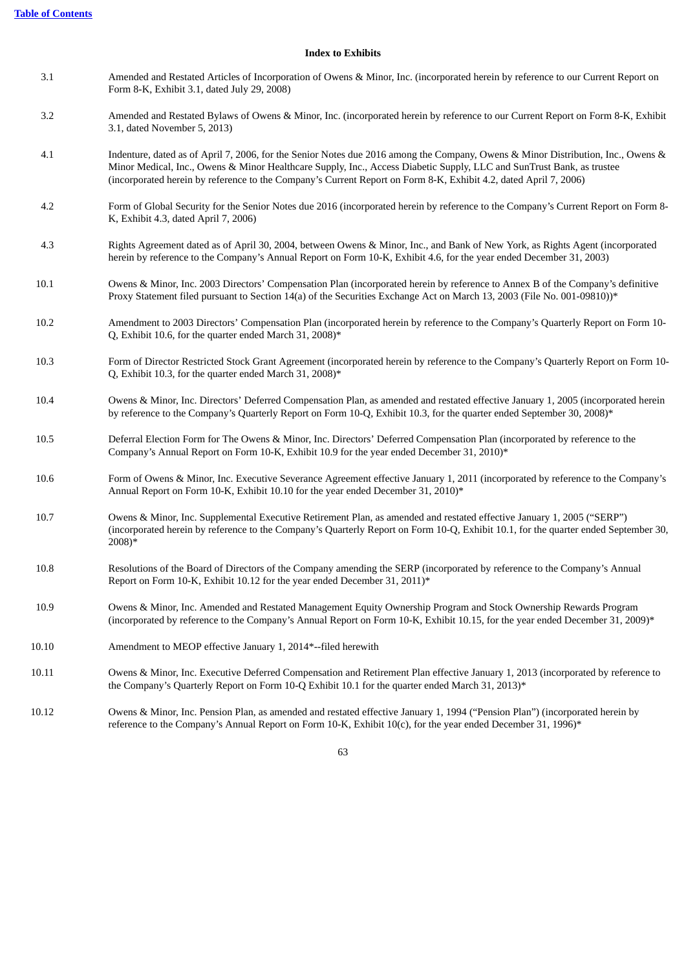### **Index to Exhibits**

- 3.1 Amended and Restated Articles of Incorporation of Owens & Minor, Inc. (incorporated herein by reference to our Current Report on Form 8-K, Exhibit 3.1, dated July 29, 2008)
- 3.2 Amended and Restated Bylaws of Owens & Minor, Inc. (incorporated herein by reference to our Current Report on Form 8-K, Exhibit 3.1, dated November 5, 2013)
- 4.1 Indenture, dated as of April 7, 2006, for the Senior Notes due 2016 among the Company, Owens & Minor Distribution, Inc., Owens & Minor Medical, Inc., Owens & Minor Healthcare Supply, Inc., Access Diabetic Supply, LLC and SunTrust Bank, as trustee (incorporated herein by reference to the Company's Current Report on Form 8-K, Exhibit 4.2, dated April 7, 2006)
- 4.2 Form of Global Security for the Senior Notes due 2016 (incorporated herein by reference to the Company's Current Report on Form 8- K, Exhibit 4.3, dated April 7, 2006)
- 4.3 Rights Agreement dated as of April 30, 2004, between Owens & Minor, Inc., and Bank of New York, as Rights Agent (incorporated herein by reference to the Company's Annual Report on Form 10-K, Exhibit 4.6, for the year ended December 31, 2003)
- 10.1 Owens & Minor, Inc. 2003 Directors' Compensation Plan (incorporated herein by reference to Annex B of the Company's definitive Proxy Statement filed pursuant to Section 14(a) of the Securities Exchange Act on March 13, 2003 (File No. 001-09810))\*
- 10.2 Amendment to 2003 Directors' Compensation Plan (incorporated herein by reference to the Company's Quarterly Report on Form 10- Q, Exhibit 10.6, for the quarter ended March 31, 2008)\*
- 10.3 Form of Director Restricted Stock Grant Agreement (incorporated herein by reference to the Company's Quarterly Report on Form 10- Q, Exhibit 10.3, for the quarter ended March 31, 2008)\*
- 10.4 Owens & Minor, Inc. Directors' Deferred Compensation Plan, as amended and restated effective January 1, 2005 (incorporated herein by reference to the Company's Quarterly Report on Form 10-Q, Exhibit 10.3, for the quarter ended September 30, 2008)\*
- 10.5 Deferral Election Form for The Owens & Minor, Inc. Directors' Deferred Compensation Plan (incorporated by reference to the Company's Annual Report on Form 10-K, Exhibit 10.9 for the year ended December 31, 2010)\*
- 10.6 Form of Owens & Minor, Inc. Executive Severance Agreement effective January 1, 2011 (incorporated by reference to the Company's Annual Report on Form 10-K, Exhibit 10.10 for the year ended December 31, 2010)\*
- 10.7 Owens & Minor, Inc. Supplemental Executive Retirement Plan, as amended and restated effective January 1, 2005 ("SERP") (incorporated herein by reference to the Company's Quarterly Report on Form 10-Q, Exhibit 10.1, for the quarter ended September 30, 2008)\*
- 10.8 Resolutions of the Board of Directors of the Company amending the SERP (incorporated by reference to the Company's Annual Report on Form 10-K, Exhibit 10.12 for the year ended December 31, 2011)\*
- 10.9 Owens & Minor, Inc. Amended and Restated Management Equity Ownership Program and Stock Ownership Rewards Program (incorporated by reference to the Company's Annual Report on Form 10-K, Exhibit 10.15, for the year ended December 31, 2009)\*
- 10.10 Amendment to MEOP effective January 1, 2014\*--filed herewith
- 10.11 Owens & Minor, Inc. Executive Deferred Compensation and Retirement Plan effective January 1, 2013 (incorporated by reference to the Company's Quarterly Report on Form 10-Q Exhibit 10.1 for the quarter ended March 31, 2013)\*
- 10.12 Owens & Minor, Inc. Pension Plan, as amended and restated effective January 1, 1994 ("Pension Plan") (incorporated herein by reference to the Company's Annual Report on Form 10-K, Exhibit 10(c), for the year ended December 31, 1996)\*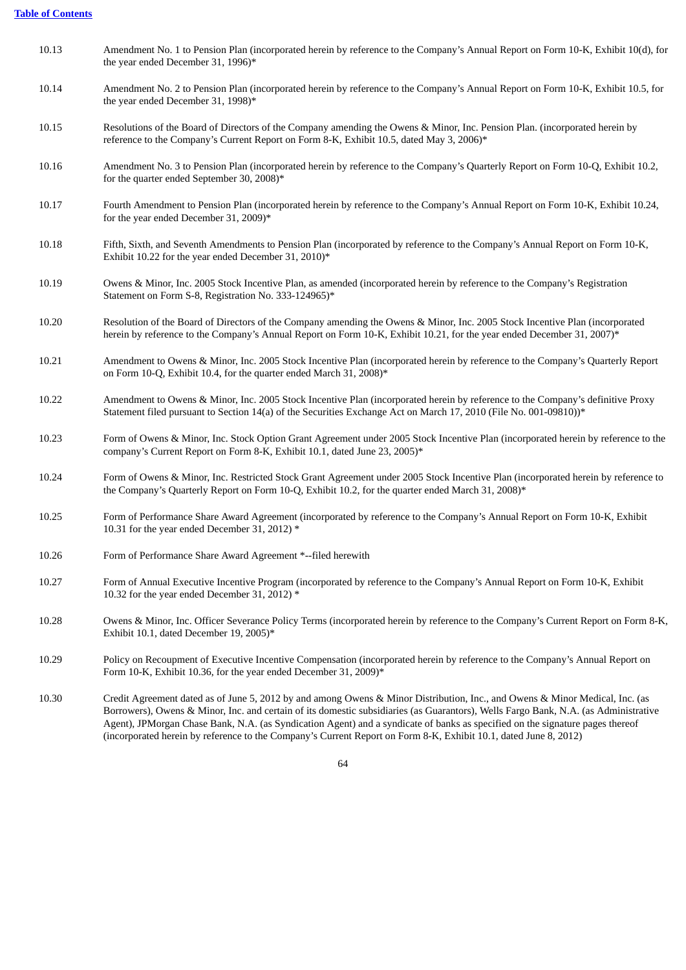# **Table of [Contents](#page-1-0)**

| 10.13 | Amendment No. 1 to Pension Plan (incorporated herein by reference to the Company's Annual Report on Form 10-K, Exhibit 10(d), for<br>the year ended December 31, 1996)*                                                                                                                                                                                                                              |
|-------|------------------------------------------------------------------------------------------------------------------------------------------------------------------------------------------------------------------------------------------------------------------------------------------------------------------------------------------------------------------------------------------------------|
| 10.14 | Amendment No. 2 to Pension Plan (incorporated herein by reference to the Company's Annual Report on Form 10-K, Exhibit 10.5, for<br>the year ended December 31, 1998)*                                                                                                                                                                                                                               |
| 10.15 | Resolutions of the Board of Directors of the Company amending the Owens & Minor, Inc. Pension Plan. (incorporated herein by<br>reference to the Company's Current Report on Form 8-K, Exhibit 10.5, dated May 3, 2006)*                                                                                                                                                                              |
| 10.16 | Amendment No. 3 to Pension Plan (incorporated herein by reference to the Company's Quarterly Report on Form 10-Q, Exhibit 10.2,<br>for the quarter ended September 30, 2008)*                                                                                                                                                                                                                        |
| 10.17 | Fourth Amendment to Pension Plan (incorporated herein by reference to the Company's Annual Report on Form 10-K, Exhibit 10.24,<br>for the year ended December 31, 2009)*                                                                                                                                                                                                                             |
| 10.18 | Fifth, Sixth, and Seventh Amendments to Pension Plan (incorporated by reference to the Company's Annual Report on Form 10-K,<br>Exhibit 10.22 for the year ended December 31, 2010)*                                                                                                                                                                                                                 |
| 10.19 | Owens & Minor, Inc. 2005 Stock Incentive Plan, as amended (incorporated herein by reference to the Company's Registration<br>Statement on Form S-8, Registration No. 333-124965)*                                                                                                                                                                                                                    |
| 10.20 | Resolution of the Board of Directors of the Company amending the Owens & Minor, Inc. 2005 Stock Incentive Plan (incorporated<br>herein by reference to the Company's Annual Report on Form 10-K, Exhibit 10.21, for the year ended December 31, 2007)*                                                                                                                                               |
| 10.21 | Amendment to Owens & Minor, Inc. 2005 Stock Incentive Plan (incorporated herein by reference to the Company's Quarterly Report<br>on Form 10-Q, Exhibit 10.4, for the quarter ended March 31, 2008)*                                                                                                                                                                                                 |
| 10.22 | Amendment to Owens & Minor, Inc. 2005 Stock Incentive Plan (incorporated herein by reference to the Company's definitive Proxy<br>Statement filed pursuant to Section 14(a) of the Securities Exchange Act on March 17, 2010 (File No. 001-09810))*                                                                                                                                                  |
| 10.23 | Form of Owens & Minor, Inc. Stock Option Grant Agreement under 2005 Stock Incentive Plan (incorporated herein by reference to the<br>company's Current Report on Form 8-K, Exhibit 10.1, dated June 23, 2005)*                                                                                                                                                                                       |
| 10.24 | Form of Owens & Minor, Inc. Restricted Stock Grant Agreement under 2005 Stock Incentive Plan (incorporated herein by reference to<br>the Company's Quarterly Report on Form 10-Q, Exhibit 10.2, for the quarter ended March 31, 2008)*                                                                                                                                                               |
| 10.25 | Form of Performance Share Award Agreement (incorporated by reference to the Company's Annual Report on Form 10-K, Exhibit<br>10.31 for the year ended December 31, 2012) *                                                                                                                                                                                                                           |
| 10.26 | Form of Performance Share Award Agreement *--filed herewith                                                                                                                                                                                                                                                                                                                                          |
| 10.27 | Form of Annual Executive Incentive Program (incorporated by reference to the Company's Annual Report on Form 10-K, Exhibit<br>10.32 for the year ended December 31, 2012) *                                                                                                                                                                                                                          |
| 10.28 | Owens & Minor, Inc. Officer Severance Policy Terms (incorporated herein by reference to the Company's Current Report on Form 8-K,<br>Exhibit 10.1, dated December 19, 2005)*                                                                                                                                                                                                                         |
| 10.29 | Policy on Recoupment of Executive Incentive Compensation (incorporated herein by reference to the Company's Annual Report on<br>Form 10-K, Exhibit 10.36, for the year ended December 31, 2009)*                                                                                                                                                                                                     |
| 10.30 | Credit Agreement dated as of June 5, 2012 by and among Owens & Minor Distribution, Inc., and Owens & Minor Medical, Inc. (as<br>Borrowers), Owens & Minor, Inc. and certain of its domestic subsidiaries (as Guarantors), Wells Fargo Bank, N.A. (as Administrative<br>Agent), JPMorgan Chase Bank, N.A. (as Syndication Agent) and a syndicate of banks as specified on the signature pages thereof |

64

(incorporated herein by reference to the Company's Current Report on Form 8-K, Exhibit 10.1, dated June 8, 2012)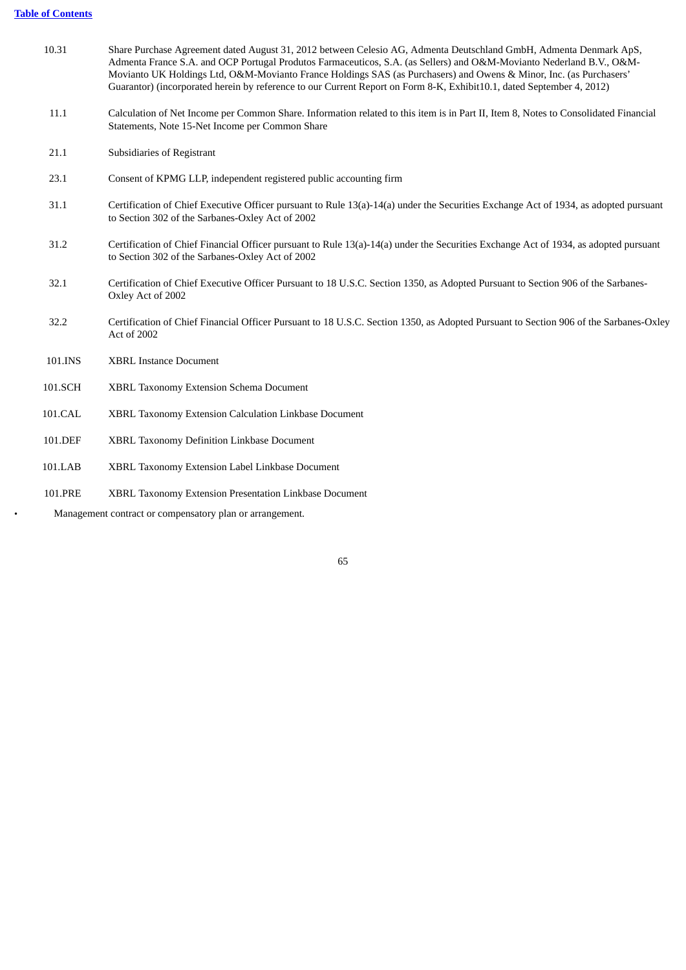| 10.31   | Share Purchase Agreement dated August 31, 2012 between Celesio AG, Admenta Deutschland GmbH, Admenta Denmark ApS,<br>Admenta France S.A. and OCP Portugal Produtos Farmaceuticos, S.A. (as Sellers) and O&M-Movianto Nederland B.V., O&M-<br>Movianto UK Holdings Ltd, O&M-Movianto France Holdings SAS (as Purchasers) and Owens & Minor, Inc. (as Purchasers'<br>Guarantor) (incorporated herein by reference to our Current Report on Form 8-K, Exhibit10.1, dated September 4, 2012) |
|---------|------------------------------------------------------------------------------------------------------------------------------------------------------------------------------------------------------------------------------------------------------------------------------------------------------------------------------------------------------------------------------------------------------------------------------------------------------------------------------------------|
| 11.1    | Calculation of Net Income per Common Share. Information related to this item is in Part II, Item 8, Notes to Consolidated Financial<br>Statements, Note 15-Net Income per Common Share                                                                                                                                                                                                                                                                                                   |
| 21.1    | Subsidiaries of Registrant                                                                                                                                                                                                                                                                                                                                                                                                                                                               |
| 23.1    | Consent of KPMG LLP, independent registered public accounting firm                                                                                                                                                                                                                                                                                                                                                                                                                       |
| 31.1    | Certification of Chief Executive Officer pursuant to Rule 13(a)-14(a) under the Securities Exchange Act of 1934, as adopted pursuant<br>to Section 302 of the Sarbanes-Oxley Act of 2002                                                                                                                                                                                                                                                                                                 |
| 31.2    | Certification of Chief Financial Officer pursuant to Rule 13(a)-14(a) under the Securities Exchange Act of 1934, as adopted pursuant<br>to Section 302 of the Sarbanes-Oxley Act of 2002                                                                                                                                                                                                                                                                                                 |
| 32.1    | Certification of Chief Executive Officer Pursuant to 18 U.S.C. Section 1350, as Adopted Pursuant to Section 906 of the Sarbanes-<br>Oxley Act of 2002                                                                                                                                                                                                                                                                                                                                    |
| 32.2    | Certification of Chief Financial Officer Pursuant to 18 U.S.C. Section 1350, as Adopted Pursuant to Section 906 of the Sarbanes-Oxley<br>Act of 2002                                                                                                                                                                                                                                                                                                                                     |
| 101.INS | <b>XBRL Instance Document</b>                                                                                                                                                                                                                                                                                                                                                                                                                                                            |
| 101.SCH | XBRL Taxonomy Extension Schema Document                                                                                                                                                                                                                                                                                                                                                                                                                                                  |
| 101.CAL | XBRL Taxonomy Extension Calculation Linkbase Document                                                                                                                                                                                                                                                                                                                                                                                                                                    |
| 101.DEF | XBRL Taxonomy Definition Linkbase Document                                                                                                                                                                                                                                                                                                                                                                                                                                               |
| 101.LAB | XBRL Taxonomy Extension Label Linkbase Document                                                                                                                                                                                                                                                                                                                                                                                                                                          |
| 101.PRE | XBRL Taxonomy Extension Presentation Linkbase Document                                                                                                                                                                                                                                                                                                                                                                                                                                   |
|         |                                                                                                                                                                                                                                                                                                                                                                                                                                                                                          |

• Management contract or compensatory plan or arrangement.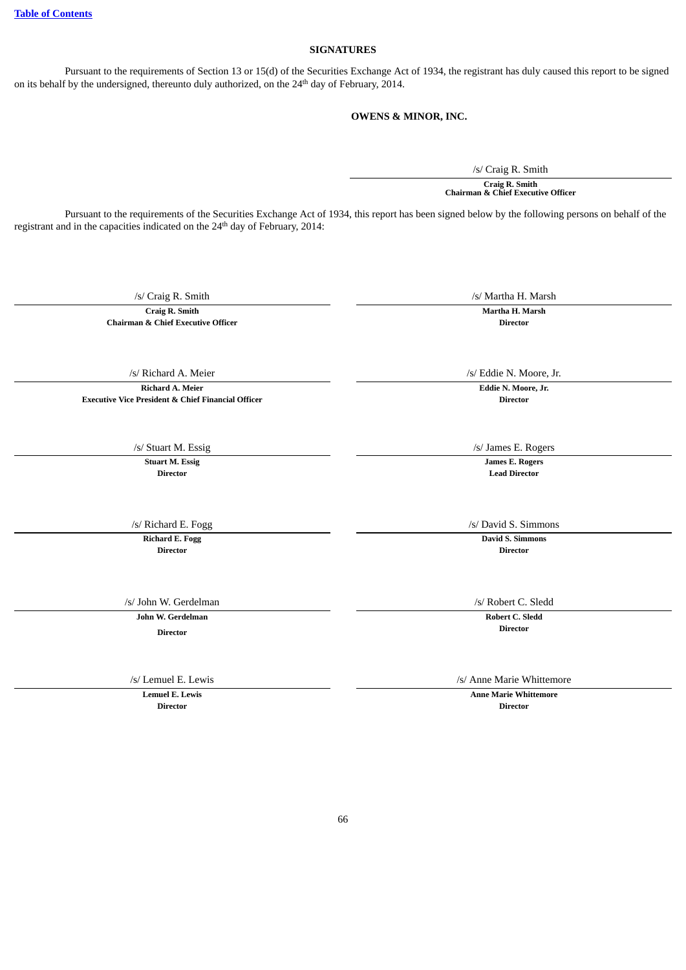## **SIGNATURES**

Pursuant to the requirements of Section 13 or 15(d) of the Securities Exchange Act of 1934, the registrant has duly caused this report to be signed on its behalf by the undersigned, thereunto duly authorized, on the 24<sup>th</sup> day of February, 2014.

### **OWENS & MINOR, INC.**

/s/ Craig R. Smith

**Craig R. Smith Chairman & Chief Executive Officer**

Pursuant to the requirements of the Securities Exchange Act of 1934, this report has been signed below by the following persons on behalf of the registrant and in the capacities indicated on the 24<sup>th</sup> day of February, 2014:

/s/ Craig R. Smith /s/ Martha H. Marsh

**Craig R. Smith Martha H. Marsh Chairman & Chief Executive Officer Director**

/s/ Richard A. Meier /s/ Eddie N. Moore, Jr.

**Richard A. Meier Eddie N. Moore, Jr. Executive Vice President & Chief Financial Officer Director**

/s/ Stuart M. Essig /s/ James E. Rogers

**Richard E. Fogg David S. Simmons Director Director**

/s/ John W. Gerdelman /s/ Robert C. Sledd

**John W. Gerdelman Robert C. Sledd**

**Stuart M. Essig James E. Rogers Director Lead Director**

/s/ Richard E. Fogg /s/ David S. Simmons

**Director Director**

/s/ Lemuel E. Lewis /s/ Anne Marie Whittemore

**Lemuel E. Lewis Anne Marie Whittemore Director Director**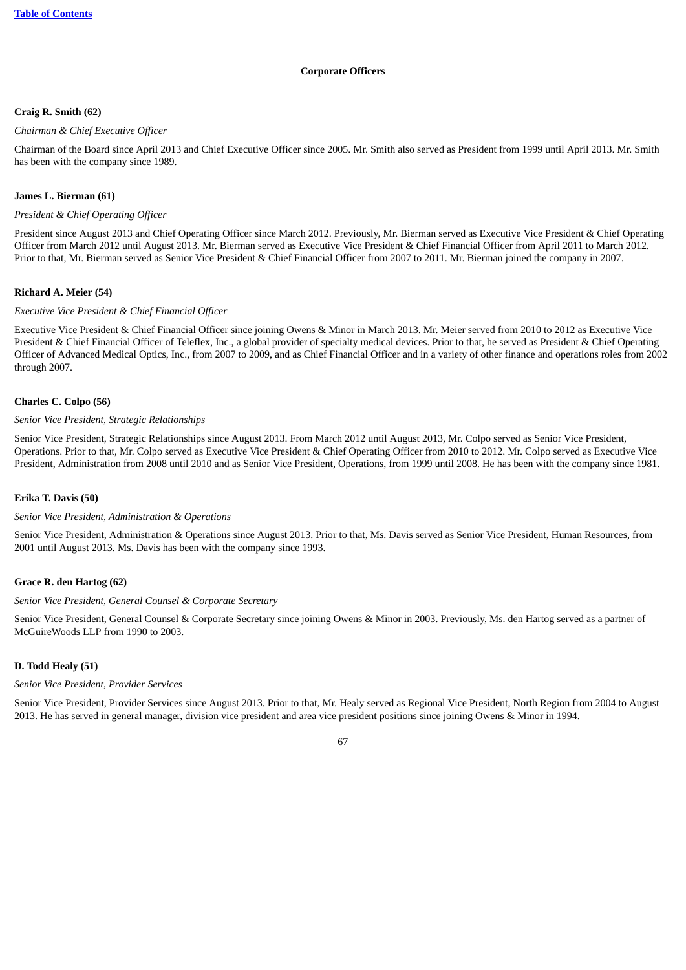# **Corporate Officers**

## **Craig R. Smith (62)**

### *Chairman & Chief Executive Officer*

Chairman of the Board since April 2013 and Chief Executive Officer since 2005. Mr. Smith also served as President from 1999 until April 2013. Mr. Smith has been with the company since 1989.

### **James L. Bierman (61)**

### *President & Chief Operating Officer*

President since August 2013 and Chief Operating Officer since March 2012. Previously, Mr. Bierman served as Executive Vice President & Chief Operating Officer from March 2012 until August 2013. Mr. Bierman served as Executive Vice President & Chief Financial Officer from April 2011 to March 2012. Prior to that, Mr. Bierman served as Senior Vice President & Chief Financial Officer from 2007 to 2011. Mr. Bierman joined the company in 2007.

### **Richard A. Meier (54)**

### *Executive Vice President & Chief Financial Officer*

Executive Vice President & Chief Financial Officer since joining Owens & Minor in March 2013. Mr. Meier served from 2010 to 2012 as Executive Vice President & Chief Financial Officer of Teleflex, Inc., a global provider of specialty medical devices. Prior to that, he served as President & Chief Operating Officer of Advanced Medical Optics, Inc., from 2007 to 2009, and as Chief Financial Officer and in a variety of other finance and operations roles from 2002 through 2007.

### **Charles C. Colpo (56)**

### *Senior Vice President, Strategic Relationships*

Senior Vice President, Strategic Relationships since August 2013. From March 2012 until August 2013, Mr. Colpo served as Senior Vice President, Operations. Prior to that, Mr. Colpo served as Executive Vice President & Chief Operating Officer from 2010 to 2012. Mr. Colpo served as Executive Vice President, Administration from 2008 until 2010 and as Senior Vice President, Operations, from 1999 until 2008. He has been with the company since 1981.

### **Erika T. Davis (50)**

### *Senior Vice President, Administration & Operations*

Senior Vice President, Administration & Operations since August 2013. Prior to that, Ms. Davis served as Senior Vice President, Human Resources, from 2001 until August 2013. Ms. Davis has been with the company since 1993.

### **Grace R. den Hartog (62)**

### *Senior Vice President, General Counsel & Corporate Secretary*

Senior Vice President, General Counsel & Corporate Secretary since joining Owens & Minor in 2003. Previously, Ms. den Hartog served as a partner of McGuireWoods LLP from 1990 to 2003.

## **D. Todd Healy (51)**

## *Senior Vice President, Provider Services*

Senior Vice President, Provider Services since August 2013. Prior to that, Mr. Healy served as Regional Vice President, North Region from 2004 to August 2013. He has served in general manager, division vice president and area vice president positions since joining Owens & Minor in 1994.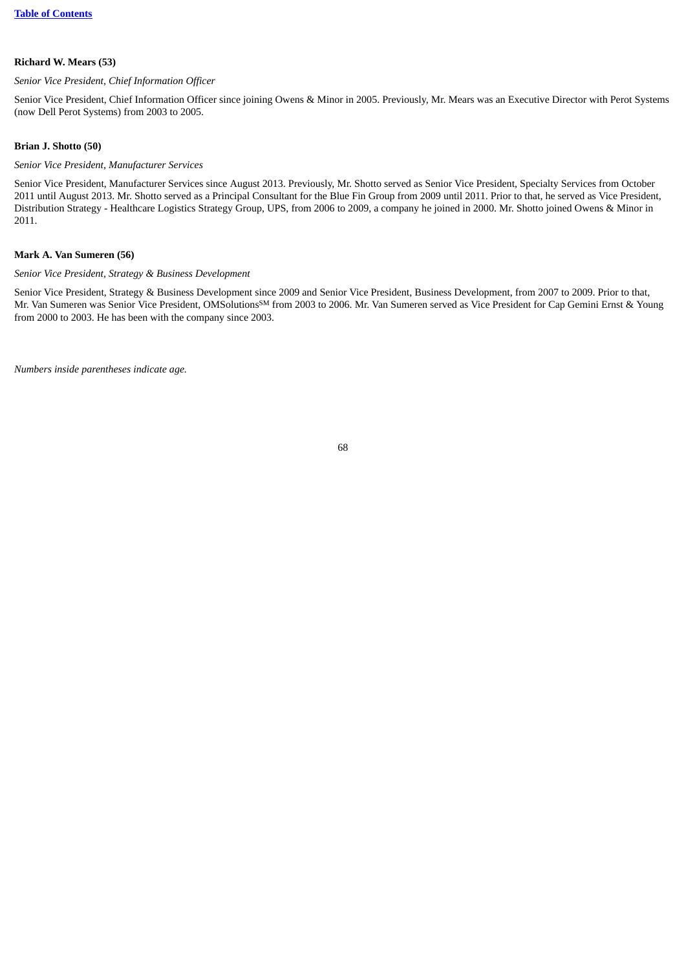### **Richard W. Mears (53)**

## *Senior Vice President, Chief Information Officer*

Senior Vice President, Chief Information Officer since joining Owens & Minor in 2005. Previously, Mr. Mears was an Executive Director with Perot Systems (now Dell Perot Systems) from 2003 to 2005.

# **Brian J. Shotto (50)**

### *Senior Vice President, Manufacturer Services*

Senior Vice President, Manufacturer Services since August 2013. Previously, Mr. Shotto served as Senior Vice President, Specialty Services from October 2011 until August 2013. Mr. Shotto served as a Principal Consultant for the Blue Fin Group from 2009 until 2011. Prior to that, he served as Vice President, Distribution Strategy - Healthcare Logistics Strategy Group, UPS, from 2006 to 2009, a company he joined in 2000. Mr. Shotto joined Owens & Minor in 2011.

# **Mark A. Van Sumeren (56)**

### *Senior Vice President, Strategy & Business Development*

Senior Vice President, Strategy & Business Development since 2009 and Senior Vice President, Business Development, from 2007 to 2009. Prior to that, Mr. Van Sumeren was Senior Vice President, OMSolutions<sup>SM</sup> from 2003 to 2006. Mr. Van Sumeren served as Vice President for Cap Gemini Ernst & Young from 2000 to 2003. He has been with the company since 2003.

*Numbers inside parentheses indicate age.*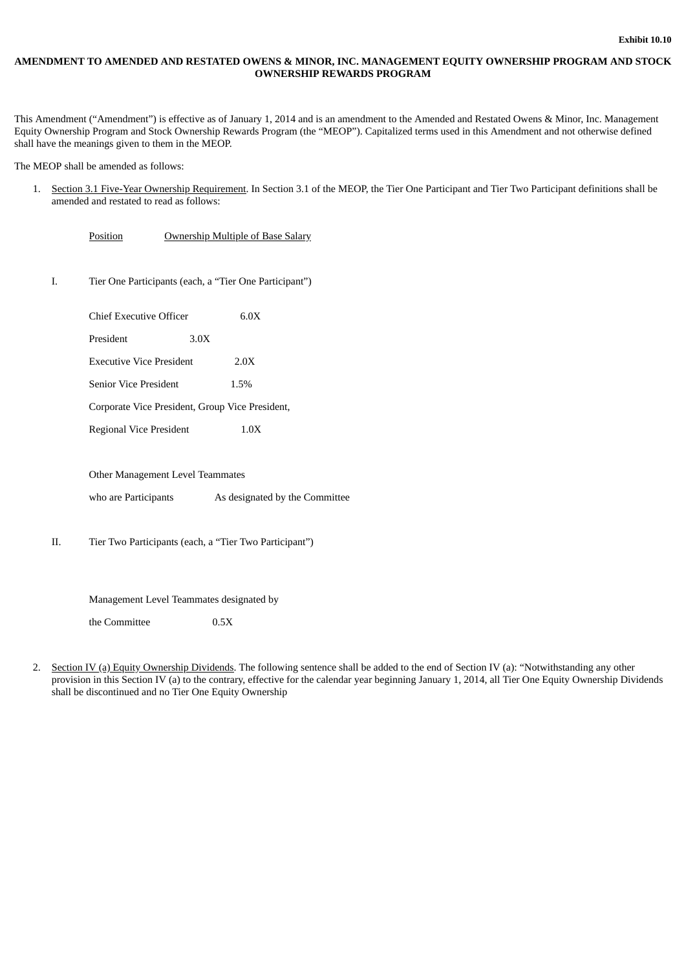# **AMENDMENT TO AMENDED AND RESTATED OWENS & MINOR, INC. MANAGEMENT EQUITY OWNERSHIP PROGRAM AND STOCK OWNERSHIP REWARDS PROGRAM**

This Amendment ("Amendment") is effective as of January 1, 2014 and is an amendment to the Amended and Restated Owens & Minor, Inc. Management Equity Ownership Program and Stock Ownership Rewards Program (the "MEOP"). Capitalized terms used in this Amendment and not otherwise defined shall have the meanings given to them in the MEOP.

The MEOP shall be amended as follows:

1. Section 3.1 Five-Year Ownership Requirement. In Section 3.1 of the MEOP, the Tier One Participant and Tier Two Participant definitions shall be amended and restated to read as follows:

|     | <u>Position</u>                                        | Ownership Multiple of Base Salary |
|-----|--------------------------------------------------------|-----------------------------------|
| Ī.  | Tier One Participants (each, a "Tier One Participant") |                                   |
|     | <b>Chief Executive Officer</b>                         | 6.0X                              |
|     | President<br>3.0X                                      |                                   |
|     | <b>Executive Vice President</b>                        | 2.0X                              |
|     | <b>Senior Vice President</b>                           | 1.5%                              |
|     | Corporate Vice President, Group Vice President,        |                                   |
|     | Regional Vice President                                | 1.0X                              |
|     |                                                        |                                   |
|     | Other Management Level Teammates                       |                                   |
|     | who are Participants                                   | As designated by the Committee    |
|     |                                                        |                                   |
| II. | Tier Two Participants (each, a "Tier Two Participant") |                                   |

Management Level Teammates designated by

the Committee  $0.5X$ 

<sup>2.</sup> Section IV (a) Equity Ownership Dividends. The following sentence shall be added to the end of Section IV (a): "Notwithstanding any other provision in this Section IV (a) to the contrary, effective for the calendar year beginning January 1, 2014, all Tier One Equity Ownership Dividends shall be discontinued and no Tier One Equity Ownership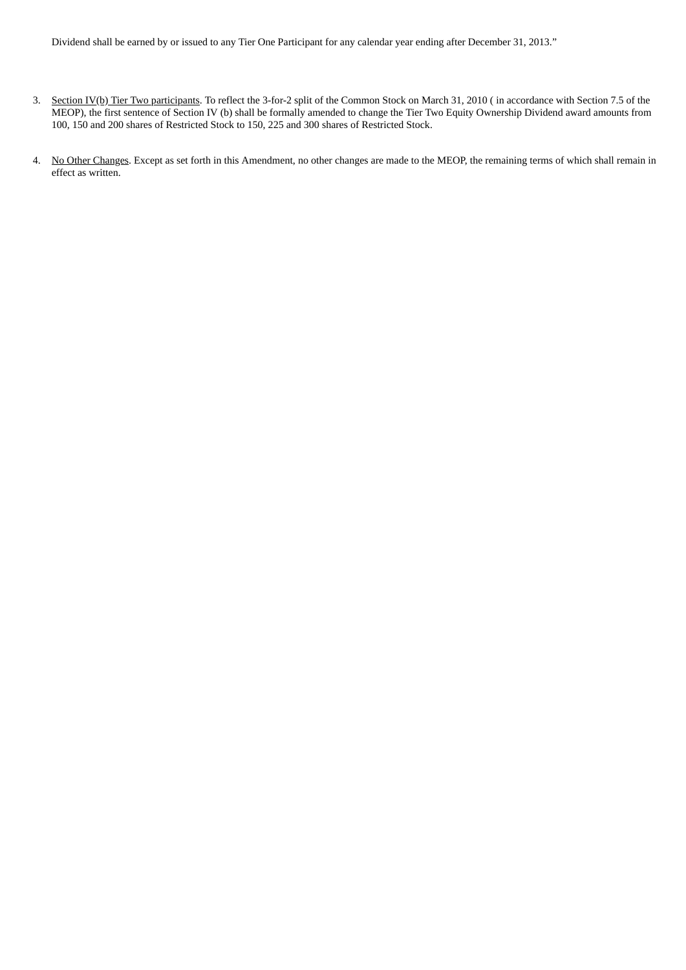Dividend shall be earned by or issued to any Tier One Participant for any calendar year ending after December 31, 2013."

- 3. Section IV(b) Tier Two participants. To reflect the 3-for-2 split of the Common Stock on March 31, 2010 (in accordance with Section 7.5 of the MEOP), the first sentence of Section IV (b) shall be formally amended to change the Tier Two Equity Ownership Dividend award amounts from 100, 150 and 200 shares of Restricted Stock to 150, 225 and 300 shares of Restricted Stock.
- 4. No Other Changes. Except as set forth in this Amendment, no other changes are made to the MEOP, the remaining terms of which shall remain in effect as written.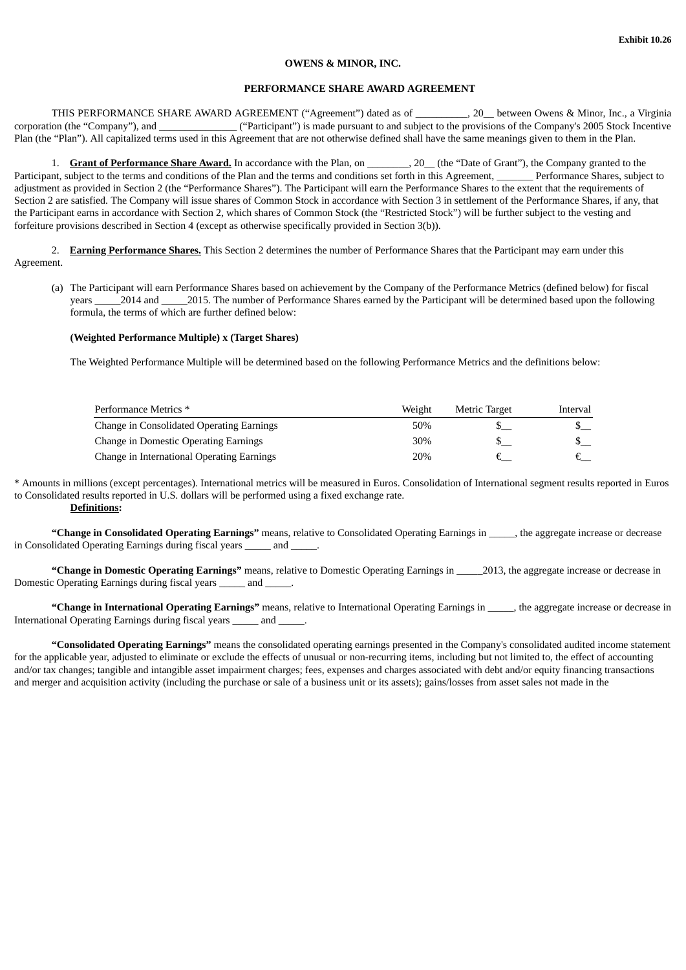#### **OWENS & MINOR, INC.**

### **PERFORMANCE SHARE AWARD AGREEMENT**

THIS PERFORMANCE SHARE AWARD AGREEMENT ("Agreement") dated as of \_\_\_\_\_\_\_\_\_\_, 20\_\_ between Owens & Minor, Inc., a Virginia corporation (the "Company"), and \_\_\_\_\_\_\_\_\_\_\_\_\_\_\_ ("Participant") is made pursuant to and subject to the provisions of the Company's 2005 Stock Incentive Plan (the "Plan"). All capitalized terms used in this Agreement that are not otherwise defined shall have the same meanings given to them in the Plan.

1. **Grant of Performance Share Award.** In accordance with the Plan, on \_\_\_\_\_\_\_\_, 20\_\_ (the "Date of Grant"), the Company granted to the Participant, subject to the terms and conditions of the Plan and the terms and conditions set forth in this Agreement, \_\_\_\_\_\_\_\_ Performance Shares, subject to adjustment as provided in Section 2 (the "Performance Shares"). The Participant will earn the Performance Shares to the extent that the requirements of Section 2 are satisfied. The Company will issue shares of Common Stock in accordance with Section 3 in settlement of the Performance Shares, if any, that the Participant earns in accordance with Section 2, which shares of Common Stock (the "Restricted Stock") will be further subject to the vesting and forfeiture provisions described in Section 4 (except as otherwise specifically provided in Section 3(b)).

2. **Earning Performance Shares.** This Section 2 determines the number of Performance Shares that the Participant may earn under this Agreement.

(a) The Participant will earn Performance Shares based on achievement by the Company of the Performance Metrics (defined below) for fiscal years \_\_\_\_\_2014 and \_\_\_\_\_2015. The number of Performance Shares earned by the Participant will be determined based upon the following formula, the terms of which are further defined below:

### **(Weighted Performance Multiple) x (Target Shares)**

The Weighted Performance Multiple will be determined based on the following Performance Metrics and the definitions below:

| Performance Metrics *                      | Weight | Metric Target | Interval |
|--------------------------------------------|--------|---------------|----------|
| Change in Consolidated Operating Earnings  | 50%    |               |          |
| Change in Domestic Operating Earnings      | 30%    |               |          |
| Change in International Operating Earnings | 20%    |               |          |

\* Amounts in millions (except percentages). International metrics will be measured in Euros. Consolidation of International segment results reported in Euros to Consolidated results reported in U.S. dollars will be performed using a fixed exchange rate. **Definitions:**

**"Change in Consolidated Operating Earnings"** means, relative to Consolidated Operating Earnings in \_\_\_\_\_, the aggregate increase or decrease in Consolidated Operating Earnings during fiscal years \_\_\_\_\_\_ and \_\_\_\_\_\_.

**"Change in Domestic Operating Earnings"** means, relative to Domestic Operating Earnings in \_\_\_\_\_2013, the aggregate increase or decrease in Domestic Operating Earnings during fiscal years \_\_\_\_\_ and \_\_\_\_\_.

**"Change in International Operating Earnings"** means, relative to International Operating Earnings in \_\_\_\_\_, the aggregate increase or decrease in International Operating Earnings during fiscal years \_\_\_\_\_ and \_\_\_\_\_.

**"Consolidated Operating Earnings"** means the consolidated operating earnings presented in the Company's consolidated audited income statement for the applicable year, adjusted to eliminate or exclude the effects of unusual or non-recurring items, including but not limited to, the effect of accounting and/or tax changes; tangible and intangible asset impairment charges; fees, expenses and charges associated with debt and/or equity financing transactions and merger and acquisition activity (including the purchase or sale of a business unit or its assets); gains/losses from asset sales not made in the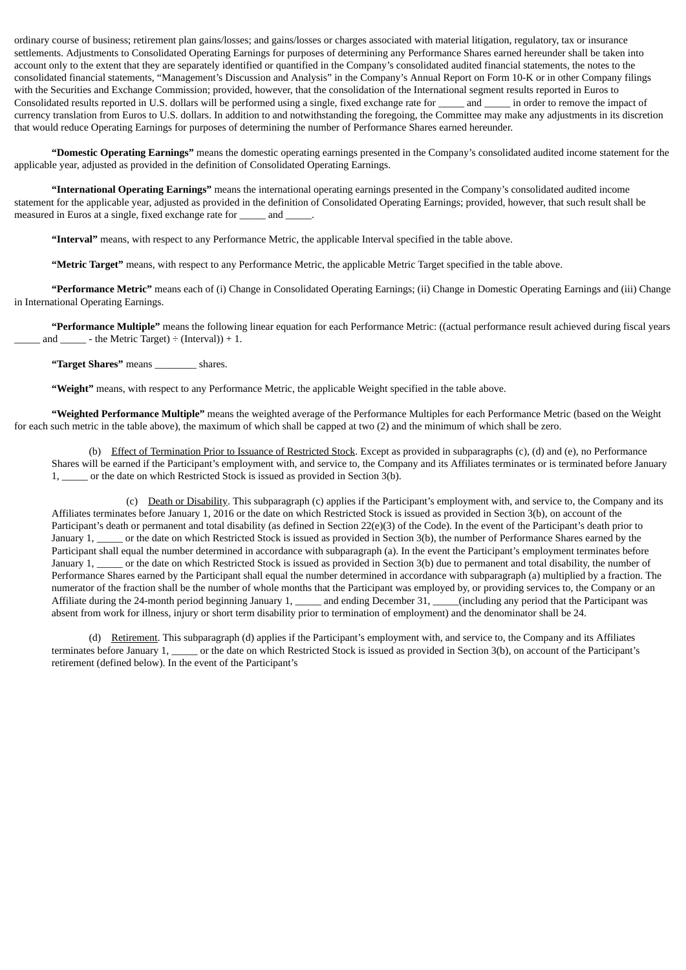ordinary course of business; retirement plan gains/losses; and gains/losses or charges associated with material litigation, regulatory, tax or insurance settlements. Adjustments to Consolidated Operating Earnings for purposes of determining any Performance Shares earned hereunder shall be taken into account only to the extent that they are separately identified or quantified in the Company's consolidated audited financial statements, the notes to the consolidated financial statements, "Management's Discussion and Analysis" in the Company's Annual Report on Form 10-K or in other Company filings with the Securities and Exchange Commission; provided, however, that the consolidation of the International segment results reported in Euros to Consolidated results reported in U.S. dollars will be performed using a single, fixed exchange rate for \_\_\_\_\_ and \_\_\_\_\_ in order to remove the impact of currency translation from Euros to U.S. dollars. In addition to and notwithstanding the foregoing, the Committee may make any adjustments in its discretion that would reduce Operating Earnings for purposes of determining the number of Performance Shares earned hereunder.

**"Domestic Operating Earnings"** means the domestic operating earnings presented in the Company's consolidated audited income statement for the applicable year, adjusted as provided in the definition of Consolidated Operating Earnings.

**"International Operating Earnings"** means the international operating earnings presented in the Company's consolidated audited income statement for the applicable year, adjusted as provided in the definition of Consolidated Operating Earnings; provided, however, that such result shall be measured in Euros at a single, fixed exchange rate for \_\_\_\_\_ and \_\_\_\_\_.

**"Interval"** means, with respect to any Performance Metric, the applicable Interval specified in the table above.

**"Metric Target"** means, with respect to any Performance Metric, the applicable Metric Target specified in the table above.

**"Performance Metric"** means each of (i) Change in Consolidated Operating Earnings; (ii) Change in Domestic Operating Earnings and (iii) Change in International Operating Earnings.

**"Performance Multiple"** means the following linear equation for each Performance Metric: ((actual performance result achieved during fiscal years and  $\qquad$  - the Metric Target)  $\div$  (Interval)) + 1.

**"Target Shares"** means \_\_\_\_\_\_\_\_ shares.

**"Weight"** means, with respect to any Performance Metric, the applicable Weight specified in the table above.

**"Weighted Performance Multiple"** means the weighted average of the Performance Multiples for each Performance Metric (based on the Weight for each such metric in the table above), the maximum of which shall be capped at two (2) and the minimum of which shall be zero.

(b) Effect of Termination Prior to Issuance of Restricted Stock. Except as provided in subparagraphs (c), (d) and (e), no Performance Shares will be earned if the Participant's employment with, and service to, the Company and its Affiliates terminates or is terminated before January 1, or the date on which Restricted Stock is issued as provided in Section 3(b).

(c) Death or Disability. This subparagraph (c) applies if the Participant's employment with, and service to, the Company and its Affiliates terminates before January 1, 2016 or the date on which Restricted Stock is issued as provided in Section 3(b), on account of the Participant's death or permanent and total disability (as defined in Section 22(e)(3) of the Code). In the event of the Participant's death prior to January 1, \_\_\_\_\_ or the date on which Restricted Stock is issued as provided in Section 3(b), the number of Performance Shares earned by the Participant shall equal the number determined in accordance with subparagraph (a). In the event the Participant's employment terminates before January 1, or the date on which Restricted Stock is issued as provided in Section 3(b) due to permanent and total disability, the number of Performance Shares earned by the Participant shall equal the number determined in accordance with subparagraph (a) multiplied by a fraction. The numerator of the fraction shall be the number of whole months that the Participant was employed by, or providing services to, the Company or an Affiliate during the 24-month period beginning January 1, \_\_\_\_\_ and ending December 31, \_\_\_\_(including any period that the Participant was absent from work for illness, injury or short term disability prior to termination of employment) and the denominator shall be 24.

(d) Retirement. This subparagraph (d) applies if the Participant's employment with, and service to, the Company and its Affiliates terminates before January 1, \_\_\_\_\_ or the date on which Restricted Stock is issued as provided in Section 3(b), on account of the Participant's retirement (defined below). In the event of the Participant's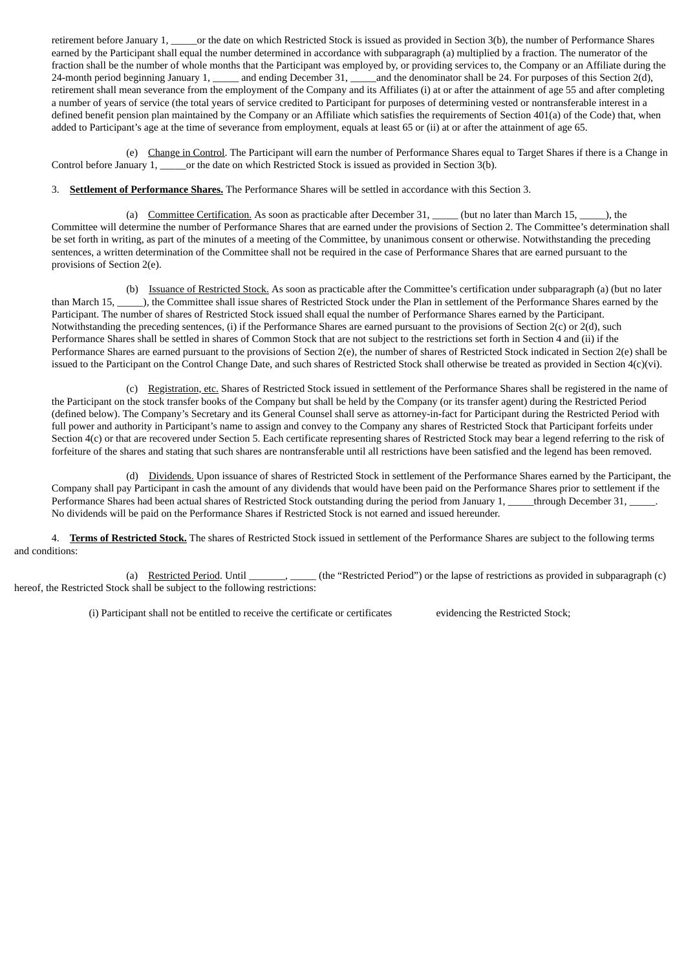retirement before January 1, \_\_\_\_\_or the date on which Restricted Stock is issued as provided in Section 3(b), the number of Performance Shares earned by the Participant shall equal the number determined in accordance with subparagraph (a) multiplied by a fraction. The numerator of the fraction shall be the number of whole months that the Participant was employed by, or providing services to, the Company or an Affiliate during the 24-month period beginning January 1, \_\_\_\_\_ and ending December 31, \_\_\_\_\_ and the denominator shall be 24. For purposes of this Section 2(d), retirement shall mean severance from the employment of the Company and its Affiliates (i) at or after the attainment of age 55 and after completing a number of years of service (the total years of service credited to Participant for purposes of determining vested or nontransferable interest in a defined benefit pension plan maintained by the Company or an Affiliate which satisfies the requirements of Section 401(a) of the Code) that, when added to Participant's age at the time of severance from employment, equals at least 65 or (ii) at or after the attainment of age 65.

(e) Change in Control. The Participant will earn the number of Performance Shares equal to Target Shares if there is a Change in Control before January 1, \_\_\_\_\_\_or the date on which Restricted Stock is issued as provided in Section 3(b).

3. **Settlement of Performance Shares.** The Performance Shares will be settled in accordance with this Section 3.

(a) Committee Certification. As soon as practicable after December 31, \_\_\_\_\_ (but no later than March 15, \_\_\_\_\_), the Committee will determine the number of Performance Shares that are earned under the provisions of Section 2. The Committee's determination shall be set forth in writing, as part of the minutes of a meeting of the Committee, by unanimous consent or otherwise. Notwithstanding the preceding sentences, a written determination of the Committee shall not be required in the case of Performance Shares that are earned pursuant to the provisions of Section 2(e).

(b) Issuance of Restricted Stock. As soon as practicable after the Committee's certification under subparagraph (a) (but no later than March 15, \_\_\_\_\_), the Committee shall issue shares of Restricted Stock under the Plan in settlement of the Performance Shares earned by the Participant. The number of shares of Restricted Stock issued shall equal the number of Performance Shares earned by the Participant. Notwithstanding the preceding sentences, (i) if the Performance Shares are earned pursuant to the provisions of Section 2(c) or 2(d), such Performance Shares shall be settled in shares of Common Stock that are not subject to the restrictions set forth in Section 4 and (ii) if the Performance Shares are earned pursuant to the provisions of Section 2(e), the number of shares of Restricted Stock indicated in Section 2(e) shall be issued to the Participant on the Control Change Date, and such shares of Restricted Stock shall otherwise be treated as provided in Section 4(c)(vi).

(c) Registration, etc. Shares of Restricted Stock issued in settlement of the Performance Shares shall be registered in the name of the Participant on the stock transfer books of the Company but shall be held by the Company (or its transfer agent) during the Restricted Period (defined below). The Company's Secretary and its General Counsel shall serve as attorney-in-fact for Participant during the Restricted Period with full power and authority in Participant's name to assign and convey to the Company any shares of Restricted Stock that Participant forfeits under Section 4(c) or that are recovered under Section 5. Each certificate representing shares of Restricted Stock may bear a legend referring to the risk of forfeiture of the shares and stating that such shares are nontransferable until all restrictions have been satisfied and the legend has been removed.

(d) Dividends. Upon issuance of shares of Restricted Stock in settlement of the Performance Shares earned by the Participant, the Company shall pay Participant in cash the amount of any dividends that would have been paid on the Performance Shares prior to settlement if the Performance Shares had been actual shares of Restricted Stock outstanding during the period from January 1, through December 31, No dividends will be paid on the Performance Shares if Restricted Stock is not earned and issued hereunder.

4. **Terms of Restricted Stock.** The shares of Restricted Stock issued in settlement of the Performance Shares are subject to the following terms and conditions:

(a) Restricted Period. Until \_\_\_\_\_\_\_, \_\_\_\_\_ (the "Restricted Period") or the lapse of restrictions as provided in subparagraph (c) hereof, the Restricted Stock shall be subject to the following restrictions:

(i) Participant shall not be entitled to receive the certificate or certificates evidencing the Restricted Stock;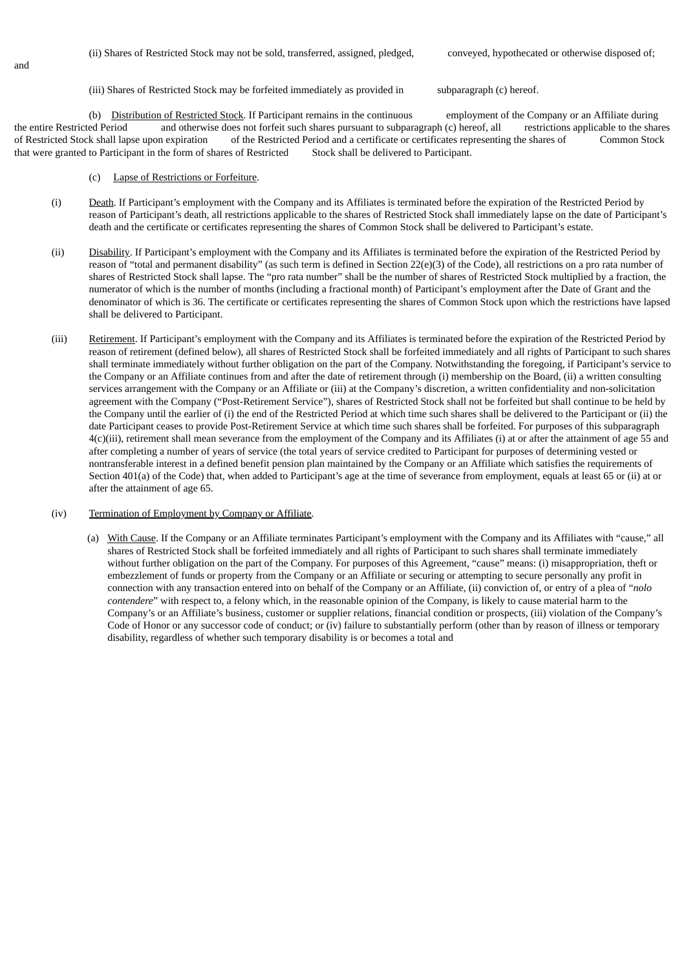#### (ii) Shares of Restricted Stock may not be sold, transferred, assigned, pledged, conveyed, hypothecated or otherwise disposed of;

#### (iii) Shares of Restricted Stock may be forfeited immediately as provided in subparagraph (c) hereof.

(b) Distribution of Restricted Stock. If Participant remains in the continuous employment of the Company or an Affiliate during the entire Restricted Period and otherwise does not forfeit such shares pursuant to subparagraph (c) hereof, all restrictions applicable to the shares of Restricted Stock shall lapse upon expiration of the Restricted Perio of the Restricted Period and a certificate or certificates representing the shares of Common Stock that were granted to Participant in the form of shares of Restricted Stock shall be delivered to Participant.

#### Lapse of Restrictions or Forfeiture.

- (i) Death. If Participant's employment with the Company and its Affiliates is terminated before the expiration of the Restricted Period by reason of Participant's death, all restrictions applicable to the shares of Restricted Stock shall immediately lapse on the date of Participant's death and the certificate or certificates representing the shares of Common Stock shall be delivered to Participant's estate.
- (ii) Disability. If Participant's employment with the Company and its Affiliates is terminated before the expiration of the Restricted Period by reason of "total and permanent disability" (as such term is defined in Section 22(e)(3) of the Code), all restrictions on a pro rata number of shares of Restricted Stock shall lapse. The "pro rata number" shall be the number of shares of Restricted Stock multiplied by a fraction, the numerator of which is the number of months (including a fractional month) of Participant's employment after the Date of Grant and the denominator of which is 36. The certificate or certificates representing the shares of Common Stock upon which the restrictions have lapsed shall be delivered to Participant.
- (iii) Retirement. If Participant's employment with the Company and its Affiliates is terminated before the expiration of the Restricted Period by reason of retirement (defined below), all shares of Restricted Stock shall be forfeited immediately and all rights of Participant to such shares shall terminate immediately without further obligation on the part of the Company. Notwithstanding the foregoing, if Participant's service to the Company or an Affiliate continues from and after the date of retirement through (i) membership on the Board, (ii) a written consulting services arrangement with the Company or an Affiliate or (iii) at the Company's discretion, a written confidentiality and non-solicitation agreement with the Company ("Post-Retirement Service"), shares of Restricted Stock shall not be forfeited but shall continue to be held by the Company until the earlier of (i) the end of the Restricted Period at which time such shares shall be delivered to the Participant or (ii) the date Participant ceases to provide Post-Retirement Service at which time such shares shall be forfeited. For purposes of this subparagraph 4(c)(iii), retirement shall mean severance from the employment of the Company and its Affiliates (i) at or after the attainment of age 55 and after completing a number of years of service (the total years of service credited to Participant for purposes of determining vested or nontransferable interest in a defined benefit pension plan maintained by the Company or an Affiliate which satisfies the requirements of Section 401(a) of the Code) that, when added to Participant's age at the time of severance from employment, equals at least 65 or (ii) at or after the attainment of age 65.
- (iv) Termination of Employment by Company or Affiliate.
	- (a) With Cause. If the Company or an Affiliate terminates Participant's employment with the Company and its Affiliates with "cause," all shares of Restricted Stock shall be forfeited immediately and all rights of Participant to such shares shall terminate immediately without further obligation on the part of the Company. For purposes of this Agreement, "cause" means: (i) misappropriation, theft or embezzlement of funds or property from the Company or an Affiliate or securing or attempting to secure personally any profit in connection with any transaction entered into on behalf of the Company or an Affiliate, (ii) conviction of, or entry of a plea of "*nolo contendere*" with respect to, a felony which, in the reasonable opinion of the Company, is likely to cause material harm to the Company's or an Affiliate's business, customer or supplier relations, financial condition or prospects, (iii) violation of the Company's Code of Honor or any successor code of conduct; or (iv) failure to substantially perform (other than by reason of illness or temporary disability, regardless of whether such temporary disability is or becomes a total and

and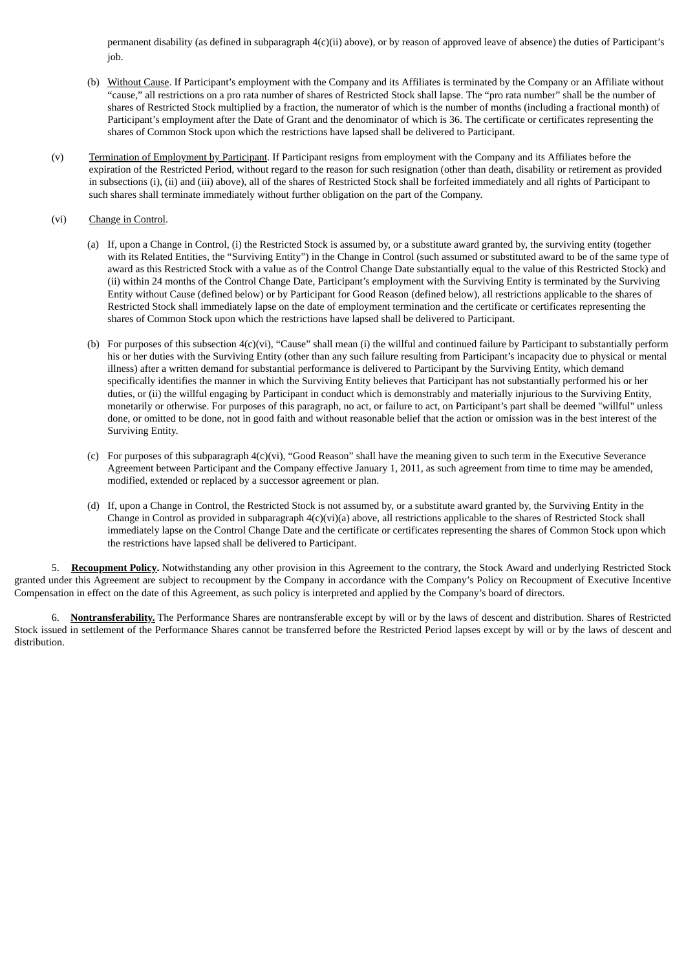permanent disability (as defined in subparagraph 4(c)(ii) above), or by reason of approved leave of absence) the duties of Participant's job.

- (b) Without Cause. If Participant's employment with the Company and its Affiliates is terminated by the Company or an Affiliate without "cause," all restrictions on a pro rata number of shares of Restricted Stock shall lapse. The "pro rata number" shall be the number of shares of Restricted Stock multiplied by a fraction, the numerator of which is the number of months (including a fractional month) of Participant's employment after the Date of Grant and the denominator of which is 36. The certificate or certificates representing the shares of Common Stock upon which the restrictions have lapsed shall be delivered to Participant.
- (v) Termination of Employment by Participant. If Participant resigns from employment with the Company and its Affiliates before the expiration of the Restricted Period, without regard to the reason for such resignation (other than death, disability or retirement as provided in subsections (i), (ii) and (iii) above), all of the shares of Restricted Stock shall be forfeited immediately and all rights of Participant to such shares shall terminate immediately without further obligation on the part of the Company.

## (vi) Change in Control.

- (a) If, upon a Change in Control, (i) the Restricted Stock is assumed by, or a substitute award granted by, the surviving entity (together with its Related Entities, the "Surviving Entity") in the Change in Control (such assumed or substituted award to be of the same type of award as this Restricted Stock with a value as of the Control Change Date substantially equal to the value of this Restricted Stock) and (ii) within 24 months of the Control Change Date, Participant's employment with the Surviving Entity is terminated by the Surviving Entity without Cause (defined below) or by Participant for Good Reason (defined below), all restrictions applicable to the shares of Restricted Stock shall immediately lapse on the date of employment termination and the certificate or certificates representing the shares of Common Stock upon which the restrictions have lapsed shall be delivered to Participant.
- (b) For purposes of this subsection 4(c)(vi), "Cause" shall mean (i) the willful and continued failure by Participant to substantially perform his or her duties with the Surviving Entity (other than any such failure resulting from Participant's incapacity due to physical or mental illness) after a written demand for substantial performance is delivered to Participant by the Surviving Entity, which demand specifically identifies the manner in which the Surviving Entity believes that Participant has not substantially performed his or her duties, or (ii) the willful engaging by Participant in conduct which is demonstrably and materially injurious to the Surviving Entity, monetarily or otherwise. For purposes of this paragraph, no act, or failure to act, on Participant's part shall be deemed "willful" unless done, or omitted to be done, not in good faith and without reasonable belief that the action or omission was in the best interest of the Surviving Entity.
- (c) For purposes of this subparagraph 4(c)(vi), "Good Reason" shall have the meaning given to such term in the Executive Severance Agreement between Participant and the Company effective January 1, 2011, as such agreement from time to time may be amended, modified, extended or replaced by a successor agreement or plan.
- (d) If, upon a Change in Control, the Restricted Stock is not assumed by, or a substitute award granted by, the Surviving Entity in the Change in Control as provided in subparagraph 4(c)(vi)(a) above, all restrictions applicable to the shares of Restricted Stock shall immediately lapse on the Control Change Date and the certificate or certificates representing the shares of Common Stock upon which the restrictions have lapsed shall be delivered to Participant.

5. **Recoupment Policy.** Notwithstanding any other provision in this Agreement to the contrary, the Stock Award and underlying Restricted Stock granted under this Agreement are subject to recoupment by the Company in accordance with the Company's Policy on Recoupment of Executive Incentive Compensation in effect on the date of this Agreement, as such policy is interpreted and applied by the Company's board of directors.

6. **Nontransferability.** The Performance Shares are nontransferable except by will or by the laws of descent and distribution. Shares of Restricted Stock issued in settlement of the Performance Shares cannot be transferred before the Restricted Period lapses except by will or by the laws of descent and distribution.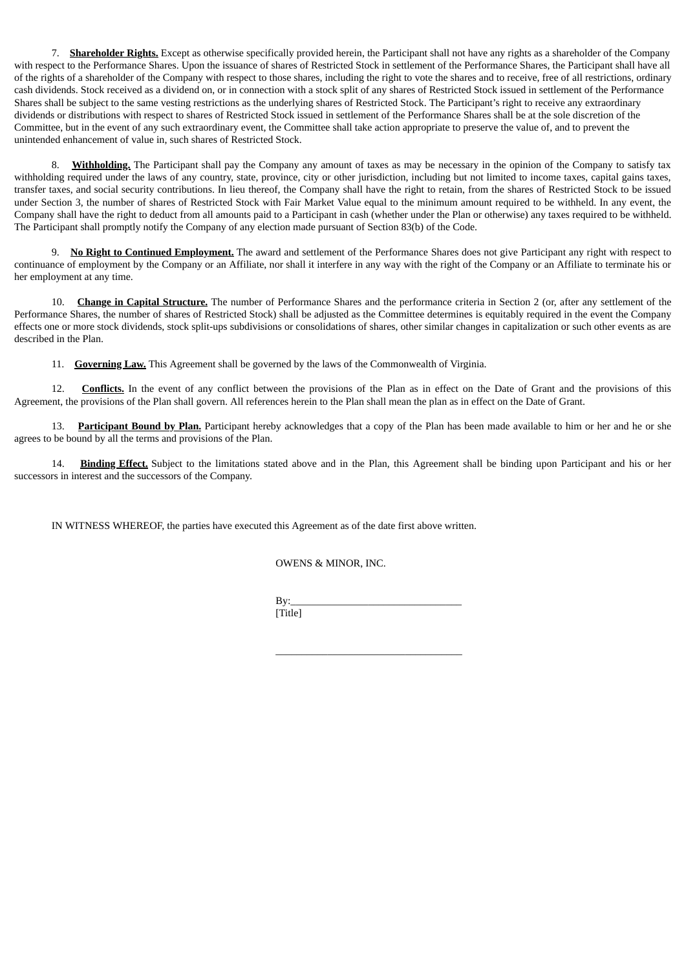7. **Shareholder Rights.** Except as otherwise specifically provided herein, the Participant shall not have any rights as a shareholder of the Company with respect to the Performance Shares. Upon the issuance of shares of Restricted Stock in settlement of the Performance Shares, the Participant shall have all of the rights of a shareholder of the Company with respect to those shares, including the right to vote the shares and to receive, free of all restrictions, ordinary cash dividends. Stock received as a dividend on, or in connection with a stock split of any shares of Restricted Stock issued in settlement of the Performance Shares shall be subject to the same vesting restrictions as the underlying shares of Restricted Stock. The Participant's right to receive any extraordinary dividends or distributions with respect to shares of Restricted Stock issued in settlement of the Performance Shares shall be at the sole discretion of the Committee, but in the event of any such extraordinary event, the Committee shall take action appropriate to preserve the value of, and to prevent the unintended enhancement of value in, such shares of Restricted Stock.

8. **Withholding.** The Participant shall pay the Company any amount of taxes as may be necessary in the opinion of the Company to satisfy tax withholding required under the laws of any country, state, province, city or other jurisdiction, including but not limited to income taxes, capital gains taxes, transfer taxes, and social security contributions. In lieu thereof, the Company shall have the right to retain, from the shares of Restricted Stock to be issued under Section 3, the number of shares of Restricted Stock with Fair Market Value equal to the minimum amount required to be withheld. In any event, the Company shall have the right to deduct from all amounts paid to a Participant in cash (whether under the Plan or otherwise) any taxes required to be withheld. The Participant shall promptly notify the Company of any election made pursuant of Section 83(b) of the Code.

9. **No Right to Continued Employment.** The award and settlement of the Performance Shares does not give Participant any right with respect to continuance of employment by the Company or an Affiliate, nor shall it interfere in any way with the right of the Company or an Affiliate to terminate his or her employment at any time.

10. **Change in Capital Structure.** The number of Performance Shares and the performance criteria in Section 2 (or, after any settlement of the Performance Shares, the number of shares of Restricted Stock) shall be adjusted as the Committee determines is equitably required in the event the Company effects one or more stock dividends, stock split-ups subdivisions or consolidations of shares, other similar changes in capitalization or such other events as are described in the Plan.

11. **Governing Law.** This Agreement shall be governed by the laws of the Commonwealth of Virginia.

12. **Conflicts.** In the event of any conflict between the provisions of the Plan as in effect on the Date of Grant and the provisions of this Agreement, the provisions of the Plan shall govern. All references herein to the Plan shall mean the plan as in effect on the Date of Grant.

13. **Participant Bound by Plan.** Participant hereby acknowledges that a copy of the Plan has been made available to him or her and he or she agrees to be bound by all the terms and provisions of the Plan.

14. **Binding Effect.** Subject to the limitations stated above and in the Plan, this Agreement shall be binding upon Participant and his or her successors in interest and the successors of the Company.

IN WITNESS WHEREOF, the parties have executed this Agreement as of the date first above written.

OWENS & MINOR, INC.

\_\_\_\_\_\_\_\_\_\_\_\_\_\_\_\_\_\_\_\_\_\_\_\_\_\_\_\_\_\_\_\_\_\_\_\_

 $\mathbf{By:}$ [Title]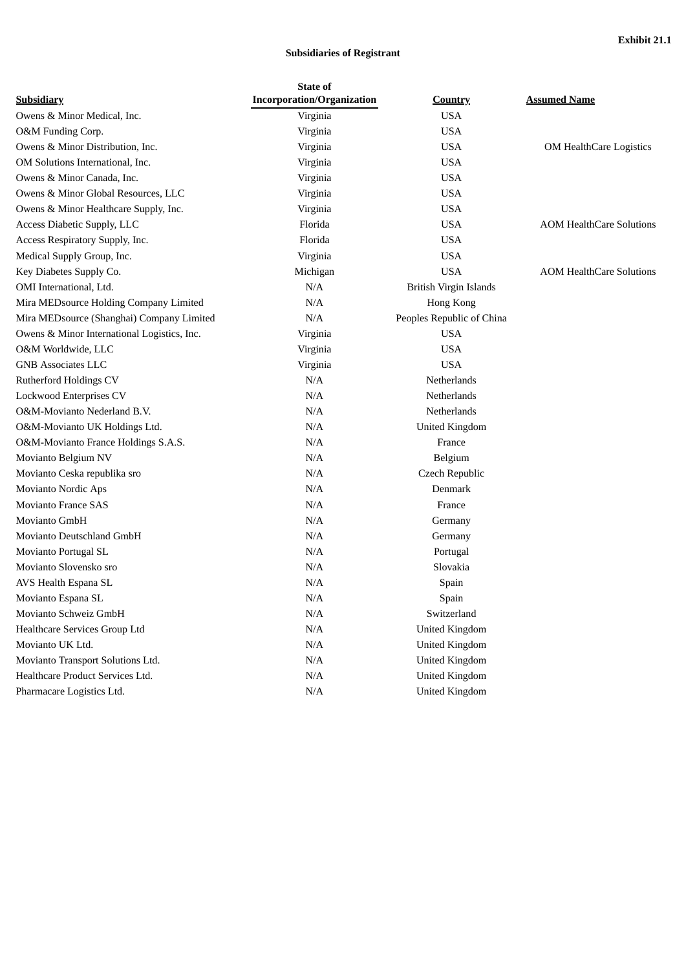# **Subsidiaries of Registrant**

| <b>Subsidiary</b>                           | <b>State of</b><br><b>Incorporation/Organization</b> | <b>Country</b>            | <b>Assumed Name</b>             |
|---------------------------------------------|------------------------------------------------------|---------------------------|---------------------------------|
| Owens & Minor Medical, Inc.                 | Virginia                                             | <b>USA</b>                |                                 |
| O&M Funding Corp.                           | Virginia                                             | <b>USA</b>                |                                 |
| Owens & Minor Distribution, Inc.            | Virginia                                             | <b>USA</b>                | OM HealthCare Logistics         |
| OM Solutions International, Inc.            | Virginia                                             | <b>USA</b>                |                                 |
| Owens & Minor Canada, Inc.                  | Virginia                                             | <b>USA</b>                |                                 |
| Owens & Minor Global Resources, LLC         | Virginia                                             | <b>USA</b>                |                                 |
| Owens & Minor Healthcare Supply, Inc.       | Virginia                                             | <b>USA</b>                |                                 |
| Access Diabetic Supply, LLC                 | Florida                                              | <b>USA</b>                | <b>AOM HealthCare Solutions</b> |
| Access Respiratory Supply, Inc.             | Florida                                              | <b>USA</b>                |                                 |
| Medical Supply Group, Inc.                  | Virginia                                             | <b>USA</b>                |                                 |
| Key Diabetes Supply Co.                     | Michigan                                             | <b>USA</b>                | <b>AOM HealthCare Solutions</b> |
| OMI International, Ltd.                     | N/A                                                  | British Virgin Islands    |                                 |
| Mira MEDsource Holding Company Limited      | N/A                                                  | Hong Kong                 |                                 |
| Mira MEDsource (Shanghai) Company Limited   | N/A                                                  | Peoples Republic of China |                                 |
| Owens & Minor International Logistics, Inc. | Virginia                                             | <b>USA</b>                |                                 |
| O&M Worldwide, LLC                          | Virginia                                             | <b>USA</b>                |                                 |
| <b>GNB Associates LLC</b>                   | Virginia                                             | <b>USA</b>                |                                 |
| Rutherford Holdings CV                      | N/A                                                  | Netherlands               |                                 |
| Lockwood Enterprises CV                     | N/A                                                  | Netherlands               |                                 |
| O&M-Movianto Nederland B.V.                 | N/A                                                  | Netherlands               |                                 |
| O&M-Movianto UK Holdings Ltd.               | N/A                                                  | <b>United Kingdom</b>     |                                 |
| O&M-Movianto France Holdings S.A.S.         | N/A                                                  | France                    |                                 |
| Movianto Belgium NV                         | N/A                                                  | Belgium                   |                                 |
| Movianto Ceska republika sro                | N/A                                                  | Czech Republic            |                                 |
| Movianto Nordic Aps                         | N/A                                                  | Denmark                   |                                 |
| <b>Movianto France SAS</b>                  | N/A                                                  | France                    |                                 |
| Movianto GmbH                               | N/A                                                  | Germany                   |                                 |
| Movianto Deutschland GmbH                   | N/A                                                  | Germany                   |                                 |
| Movianto Portugal SL                        | N/A                                                  | Portugal                  |                                 |
| Movianto Slovensko sro                      | N/A                                                  | Slovakia                  |                                 |
| AVS Health Espana SL                        | N/A                                                  | Spain                     |                                 |
| Movianto Espana SL                          | N/A                                                  | Spain                     |                                 |
| Movianto Schweiz GmbH                       | N/A                                                  | Switzerland               |                                 |
| Healthcare Services Group Ltd               | N/A                                                  | <b>United Kingdom</b>     |                                 |
| Movianto UK Ltd.                            | N/A                                                  | <b>United Kingdom</b>     |                                 |
| Movianto Transport Solutions Ltd.           | N/A                                                  | <b>United Kingdom</b>     |                                 |
| Healthcare Product Services Ltd.            | N/A                                                  | <b>United Kingdom</b>     |                                 |
| Pharmacare Logistics Ltd.                   | N/A                                                  | <b>United Kingdom</b>     |                                 |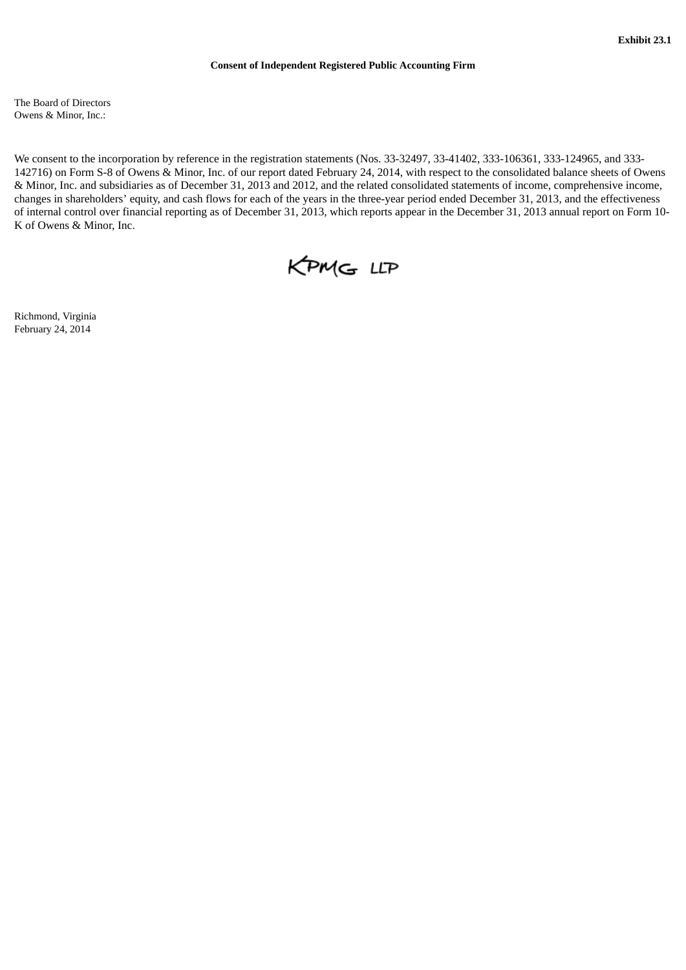## **Consent of Independent Registered Public Accounting Firm**

The Board of Directors Owens & Minor, Inc.:

We consent to the incorporation by reference in the registration statements (Nos. 33-32497, 33-41402, 333-106361, 333-124965, and 333- 142716) on Form S-8 of Owens & Minor, Inc. of our report dated February 24, 2014, with respect to the consolidated balance sheets of Owens & Minor, Inc. and subsidiaries as of December 31, 2013 and 2012, and the related consolidated statements of income, comprehensive income, changes in shareholders' equity, and cash flows for each of the years in the three-year period ended December 31, 2013, and the effectiveness of internal control over financial reporting as of December 31, 2013, which reports appear in the December 31, 2013 annual report on Form 10- K of Owens & Minor, Inc.



Richmond, Virginia February 24, 2014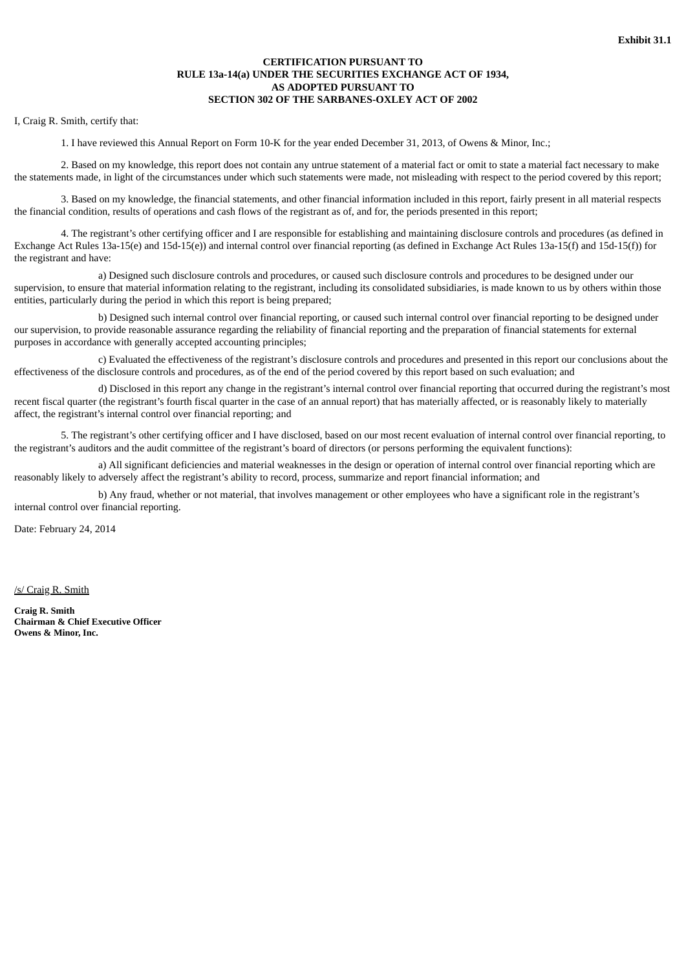## **CERTIFICATION PURSUANT TO RULE 13a-14(a) UNDER THE SECURITIES EXCHANGE ACT OF 1934, AS ADOPTED PURSUANT TO SECTION 302 OF THE SARBANES-OXLEY ACT OF 2002**

### I, Craig R. Smith, certify that:

1. I have reviewed this Annual Report on Form 10-K for the year ended December 31, 2013, of Owens & Minor, Inc.;

2. Based on my knowledge, this report does not contain any untrue statement of a material fact or omit to state a material fact necessary to make the statements made, in light of the circumstances under which such statements were made, not misleading with respect to the period covered by this report;

3. Based on my knowledge, the financial statements, and other financial information included in this report, fairly present in all material respects the financial condition, results of operations and cash flows of the registrant as of, and for, the periods presented in this report;

4. The registrant's other certifying officer and I are responsible for establishing and maintaining disclosure controls and procedures (as defined in Exchange Act Rules 13a-15(e) and 15d-15(e)) and internal control over financial reporting (as defined in Exchange Act Rules 13a-15(f) and 15d-15(f)) for the registrant and have:

a) Designed such disclosure controls and procedures, or caused such disclosure controls and procedures to be designed under our supervision, to ensure that material information relating to the registrant, including its consolidated subsidiaries, is made known to us by others within those entities, particularly during the period in which this report is being prepared;

b) Designed such internal control over financial reporting, or caused such internal control over financial reporting to be designed under our supervision, to provide reasonable assurance regarding the reliability of financial reporting and the preparation of financial statements for external purposes in accordance with generally accepted accounting principles;

c) Evaluated the effectiveness of the registrant's disclosure controls and procedures and presented in this report our conclusions about the effectiveness of the disclosure controls and procedures, as of the end of the period covered by this report based on such evaluation; and

d) Disclosed in this report any change in the registrant's internal control over financial reporting that occurred during the registrant's most recent fiscal quarter (the registrant's fourth fiscal quarter in the case of an annual report) that has materially affected, or is reasonably likely to materially affect, the registrant's internal control over financial reporting; and

5. The registrant's other certifying officer and I have disclosed, based on our most recent evaluation of internal control over financial reporting, to the registrant's auditors and the audit committee of the registrant's board of directors (or persons performing the equivalent functions):

a) All significant deficiencies and material weaknesses in the design or operation of internal control over financial reporting which are reasonably likely to adversely affect the registrant's ability to record, process, summarize and report financial information; and

b) Any fraud, whether or not material, that involves management or other employees who have a significant role in the registrant's internal control over financial reporting.

Date: February 24, 2014

/s/ Craig R. Smith

**Craig R. Smith Chairman & Chief Executive Officer Owens & Minor, Inc.**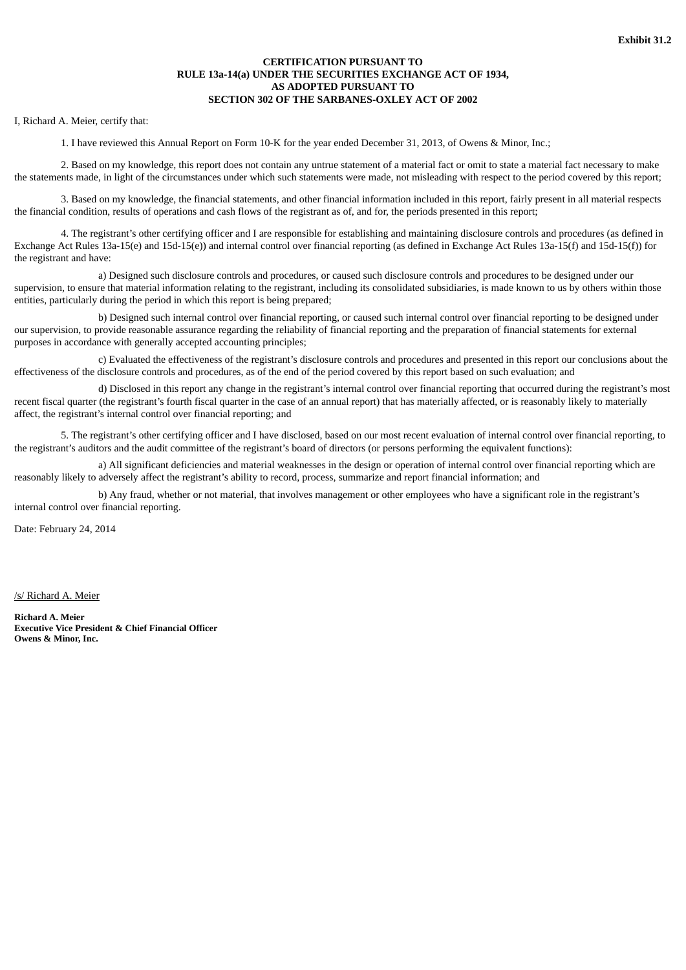## **CERTIFICATION PURSUANT TO RULE 13a-14(a) UNDER THE SECURITIES EXCHANGE ACT OF 1934, AS ADOPTED PURSUANT TO SECTION 302 OF THE SARBANES-OXLEY ACT OF 2002**

### I, Richard A. Meier, certify that:

1. I have reviewed this Annual Report on Form 10-K for the year ended December 31, 2013, of Owens & Minor, Inc.;

2. Based on my knowledge, this report does not contain any untrue statement of a material fact or omit to state a material fact necessary to make the statements made, in light of the circumstances under which such statements were made, not misleading with respect to the period covered by this report;

3. Based on my knowledge, the financial statements, and other financial information included in this report, fairly present in all material respects the financial condition, results of operations and cash flows of the registrant as of, and for, the periods presented in this report;

4. The registrant's other certifying officer and I are responsible for establishing and maintaining disclosure controls and procedures (as defined in Exchange Act Rules 13a-15(e) and 15d-15(e)) and internal control over financial reporting (as defined in Exchange Act Rules 13a-15(f) and 15d-15(f)) for the registrant and have:

a) Designed such disclosure controls and procedures, or caused such disclosure controls and procedures to be designed under our supervision, to ensure that material information relating to the registrant, including its consolidated subsidiaries, is made known to us by others within those entities, particularly during the period in which this report is being prepared;

b) Designed such internal control over financial reporting, or caused such internal control over financial reporting to be designed under our supervision, to provide reasonable assurance regarding the reliability of financial reporting and the preparation of financial statements for external purposes in accordance with generally accepted accounting principles;

c) Evaluated the effectiveness of the registrant's disclosure controls and procedures and presented in this report our conclusions about the effectiveness of the disclosure controls and procedures, as of the end of the period covered by this report based on such evaluation; and

d) Disclosed in this report any change in the registrant's internal control over financial reporting that occurred during the registrant's most recent fiscal quarter (the registrant's fourth fiscal quarter in the case of an annual report) that has materially affected, or is reasonably likely to materially affect, the registrant's internal control over financial reporting; and

5. The registrant's other certifying officer and I have disclosed, based on our most recent evaluation of internal control over financial reporting, to the registrant's auditors and the audit committee of the registrant's board of directors (or persons performing the equivalent functions):

a) All significant deficiencies and material weaknesses in the design or operation of internal control over financial reporting which are reasonably likely to adversely affect the registrant's ability to record, process, summarize and report financial information; and

b) Any fraud, whether or not material, that involves management or other employees who have a significant role in the registrant's internal control over financial reporting.

Date: February 24, 2014

/s/ Richard A. Meier

**Richard A. Meier Executive Vice President & Chief Financial Officer Owens & Minor, Inc.**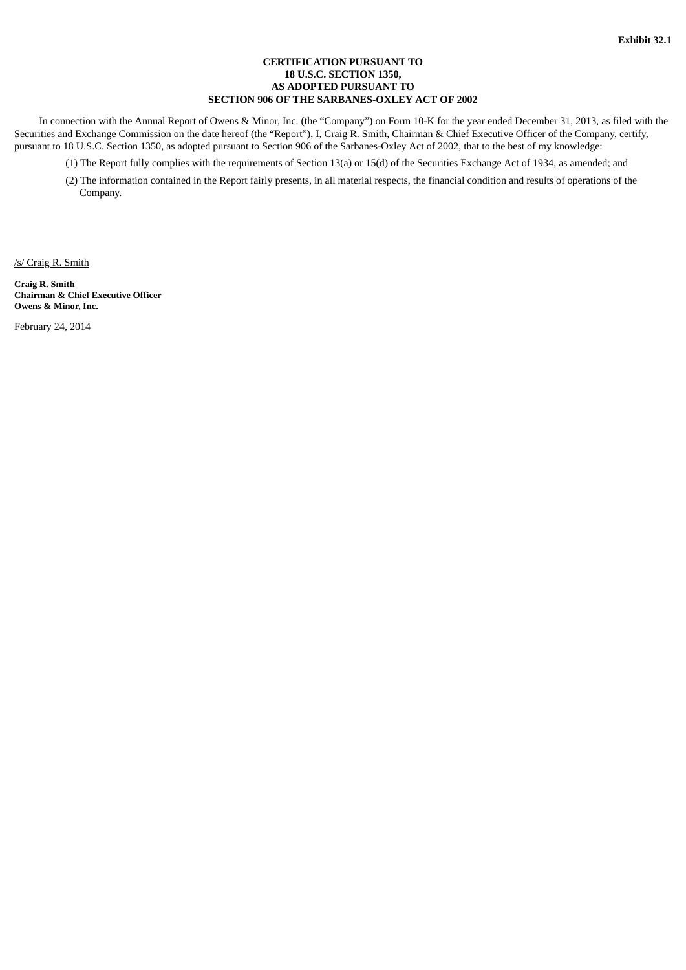## **CERTIFICATION PURSUANT TO 18 U.S.C. SECTION 1350, AS ADOPTED PURSUANT TO SECTION 906 OF THE SARBANES-OXLEY ACT OF 2002**

In connection with the Annual Report of Owens & Minor, Inc. (the "Company") on Form 10-K for the year ended December 31, 2013, as filed with the Securities and Exchange Commission on the date hereof (the "Report"), I, Craig R. Smith, Chairman & Chief Executive Officer of the Company, certify, pursuant to 18 U.S.C. Section 1350, as adopted pursuant to Section 906 of the Sarbanes-Oxley Act of 2002, that to the best of my knowledge:

- (1) The Report fully complies with the requirements of Section 13(a) or 15(d) of the Securities Exchange Act of 1934, as amended; and
- (2) The information contained in the Report fairly presents, in all material respects, the financial condition and results of operations of the Company.

/s/ Craig R. Smith

**Craig R. Smith Chairman & Chief Executive Officer Owens & Minor, Inc.**

February 24, 2014